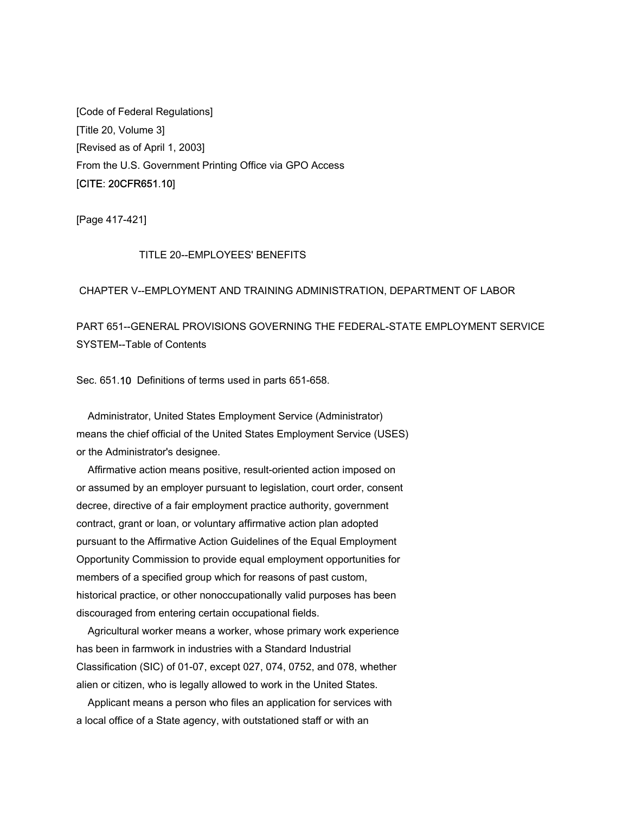[Code of Federal Regulations] [Title 20, Volume 3] [Revised as of April 1, 2003] From the U.S. Government Printing Office via GPO Access [CITE: 20CFR651.10]

[Page 417-421]

# TITLE 20--EMPLOYEES' BENEFITS

#### CHAPTER V--EMPLOYMENT AND TRAINING ADMINISTRATION, DEPARTMENT OF LABOR

PART 651--GENERAL PROVISIONS GOVERNING THE FEDERAL-STATE EMPLOYMENT SERVICE SYSTEM--Table of Contents

Sec. 651.10 Definitions of terms used in parts 651-658.

 Administrator, United States Employment Service (Administrator) means the chief official of the United States Employment Service (USES) or the Administrator's designee.

 Affirmative action means positive, result-oriented action imposed on or assumed by an employer pursuant to legislation, court order, consent decree, directive of a fair employment practice authority, government contract, grant or loan, or voluntary affirmative action plan adopted pursuant to the Affirmative Action Guidelines of the Equal Employment Opportunity Commission to provide equal employment opportunities for members of a specified group which for reasons of past custom, historical practice, or other nonoccupationally valid purposes has been discouraged from entering certain occupational fields.

 Agricultural worker means a worker, whose primary work experience has been in farmwork in industries with a Standard Industrial Classification (SIC) of 01-07, except 027, 074, 0752, and 078, whether alien or citizen, who is legally allowed to work in the United States.

 Applicant means a person who files an application for services with a local office of a State agency, with outstationed staff or with an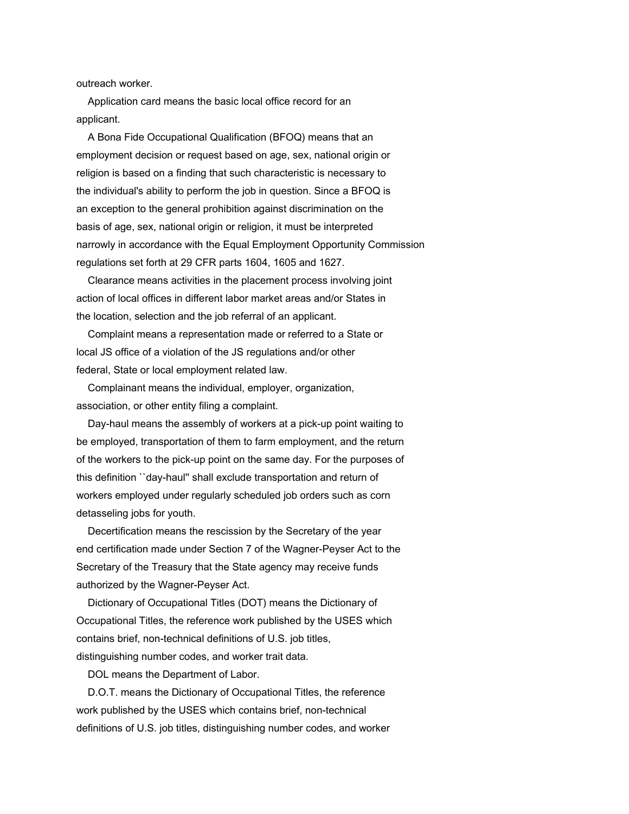outreach worker.

 Application card means the basic local office record for an applicant.

 A Bona Fide Occupational Qualification (BFOQ) means that an employment decision or request based on age, sex, national origin or religion is based on a finding that such characteristic is necessary to the individual's ability to perform the job in question. Since a BFOQ is an exception to the general prohibition against discrimination on the basis of age, sex, national origin or religion, it must be interpreted narrowly in accordance with the Equal Employment Opportunity Commission regulations set forth at 29 CFR parts 1604, 1605 and 1627.

 Clearance means activities in the placement process involving joint action of local offices in different labor market areas and/or States in the location, selection and the job referral of an applicant.

 Complaint means a representation made or referred to a State or local JS office of a violation of the JS regulations and/or other federal, State or local employment related law.

 Complainant means the individual, employer, organization, association, or other entity filing a complaint.

 Day-haul means the assembly of workers at a pick-up point waiting to be employed, transportation of them to farm employment, and the return of the workers to the pick-up point on the same day. For the purposes of this definition ``day-haul'' shall exclude transportation and return of workers employed under regularly scheduled job orders such as corn detasseling jobs for youth.

 Decertification means the rescission by the Secretary of the year end certification made under Section 7 of the Wagner-Peyser Act to the Secretary of the Treasury that the State agency may receive funds authorized by the Wagner-Peyser Act.

 Dictionary of Occupational Titles (DOT) means the Dictionary of Occupational Titles, the reference work published by the USES which contains brief, non-technical definitions of U.S. job titles, distinguishing number codes, and worker trait data.

DOL means the Department of Labor.

 D.O.T. means the Dictionary of Occupational Titles, the reference work published by the USES which contains brief, non-technical definitions of U.S. job titles, distinguishing number codes, and worker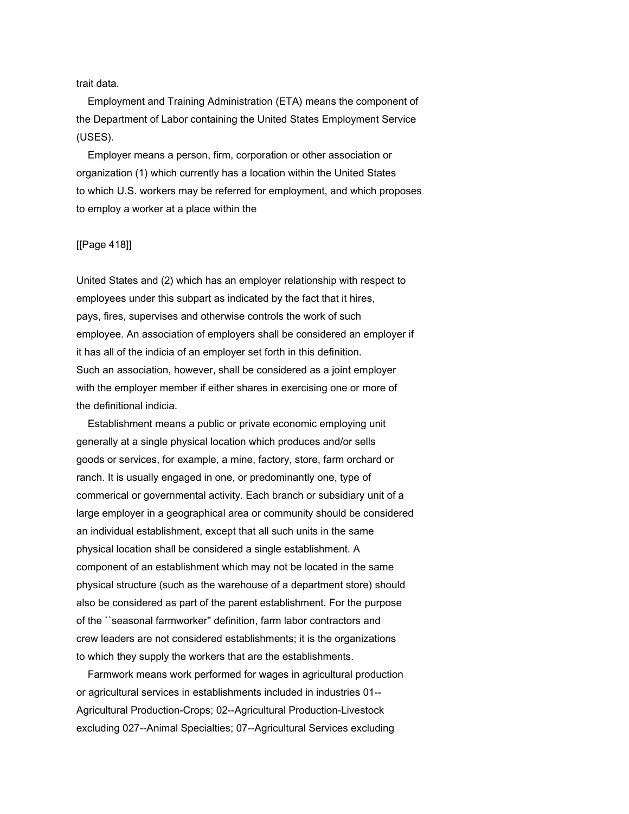trait data.

 Employment and Training Administration (ETA) means the component of the Department of Labor containing the United States Employment Service (USES).

 Employer means a person, firm, corporation or other association or organization (1) which currently has a location within the United States to which U.S. workers may be referred for employment, and which proposes to employ a worker at a place within the

## [[Page 418]]

United States and (2) which has an employer relationship with respect to employees under this subpart as indicated by the fact that it hires, pays, fires, supervises and otherwise controls the work of such employee. An association of employers shall be considered an employer if it has all of the indicia of an employer set forth in this definition. Such an association, however, shall be considered as a joint employer with the employer member if either shares in exercising one or more of the definitional indicia.

 Establishment means a public or private economic employing unit generally at a single physical location which produces and/or sells goods or services, for example, a mine, factory, store, farm orchard or ranch. It is usually engaged in one, or predominantly one, type of commerical or governmental activity. Each branch or subsidiary unit of a large employer in a geographical area or community should be considered an individual establishment, except that all such units in the same physical location shall be considered a single establishment. A component of an establishment which may not be located in the same physical structure (such as the warehouse of a department store) should also be considered as part of the parent establishment. For the purpose of the ``seasonal farmworker'' definition, farm labor contractors and crew leaders are not considered establishments; it is the organizations to which they supply the workers that are the establishments.

 Farmwork means work performed for wages in agricultural production or agricultural services in establishments included in industries 01-- Agricultural Production-Crops; 02--Agricultural Production-Livestock excluding 027--Animal Specialties; 07--Agricultural Services excluding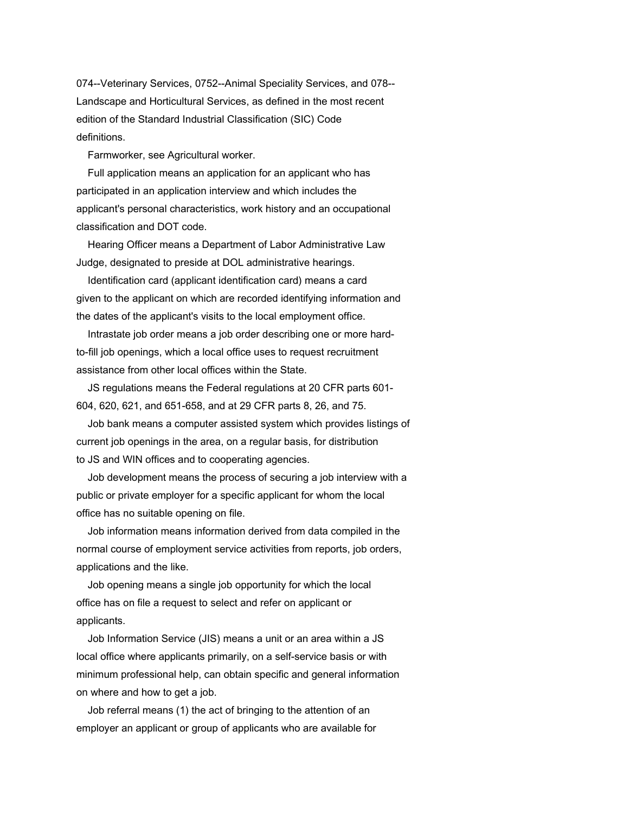074--Veterinary Services, 0752--Animal Speciality Services, and 078-- Landscape and Horticultural Services, as defined in the most recent edition of the Standard Industrial Classification (SIC) Code definitions.

Farmworker, see Agricultural worker.

 Full application means an application for an applicant who has participated in an application interview and which includes the applicant's personal characteristics, work history and an occupational classification and DOT code.

 Hearing Officer means a Department of Labor Administrative Law Judge, designated to preside at DOL administrative hearings.

 Identification card (applicant identification card) means a card given to the applicant on which are recorded identifying information and the dates of the applicant's visits to the local employment office.

 Intrastate job order means a job order describing one or more hardto-fill job openings, which a local office uses to request recruitment assistance from other local offices within the State.

 JS regulations means the Federal regulations at 20 CFR parts 601- 604, 620, 621, and 651-658, and at 29 CFR parts 8, 26, and 75.

 Job bank means a computer assisted system which provides listings of current job openings in the area, on a regular basis, for distribution to JS and WIN offices and to cooperating agencies.

 Job development means the process of securing a job interview with a public or private employer for a specific applicant for whom the local office has no suitable opening on file.

 Job information means information derived from data compiled in the normal course of employment service activities from reports, job orders, applications and the like.

 Job opening means a single job opportunity for which the local office has on file a request to select and refer on applicant or applicants.

 Job Information Service (JIS) means a unit or an area within a JS local office where applicants primarily, on a self-service basis or with minimum professional help, can obtain specific and general information on where and how to get a job.

 Job referral means (1) the act of bringing to the attention of an employer an applicant or group of applicants who are available for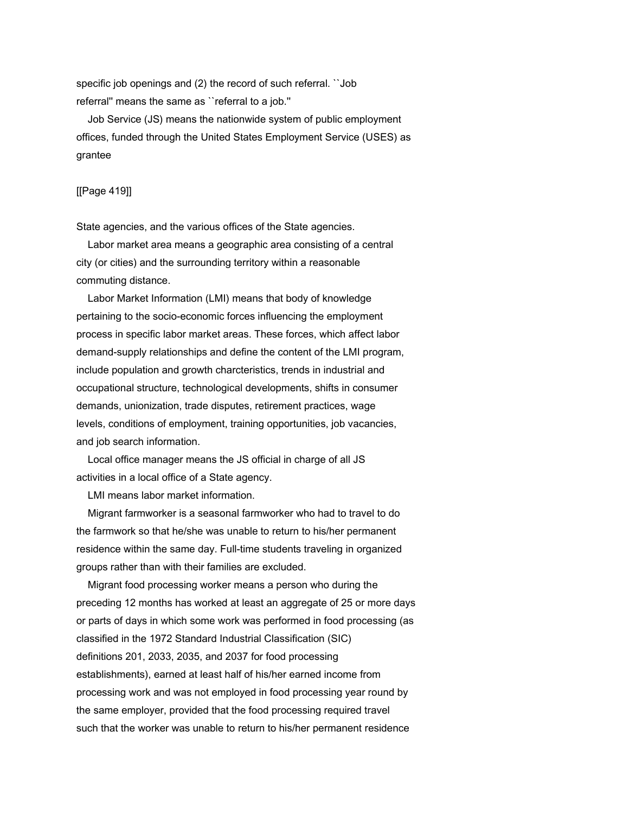specific job openings and (2) the record of such referral. "Job referral'' means the same as ``referral to a job.''

 Job Service (JS) means the nationwide system of public employment offices, funded through the United States Employment Service (USES) as grantee

[[Page 419]]

State agencies, and the various offices of the State agencies.

 Labor market area means a geographic area consisting of a central city (or cities) and the surrounding territory within a reasonable commuting distance.

 Labor Market Information (LMI) means that body of knowledge pertaining to the socio-economic forces influencing the employment process in specific labor market areas. These forces, which affect labor demand-supply relationships and define the content of the LMI program, include population and growth charcteristics, trends in industrial and occupational structure, technological developments, shifts in consumer demands, unionization, trade disputes, retirement practices, wage levels, conditions of employment, training opportunities, job vacancies, and job search information.

 Local office manager means the JS official in charge of all JS activities in a local office of a State agency.

LMI means labor market information.

 Migrant farmworker is a seasonal farmworker who had to travel to do the farmwork so that he/she was unable to return to his/her permanent residence within the same day. Full-time students traveling in organized groups rather than with their families are excluded.

 Migrant food processing worker means a person who during the preceding 12 months has worked at least an aggregate of 25 or more days or parts of days in which some work was performed in food processing (as classified in the 1972 Standard Industrial Classification (SIC) definitions 201, 2033, 2035, and 2037 for food processing establishments), earned at least half of his/her earned income from processing work and was not employed in food processing year round by the same employer, provided that the food processing required travel such that the worker was unable to return to his/her permanent residence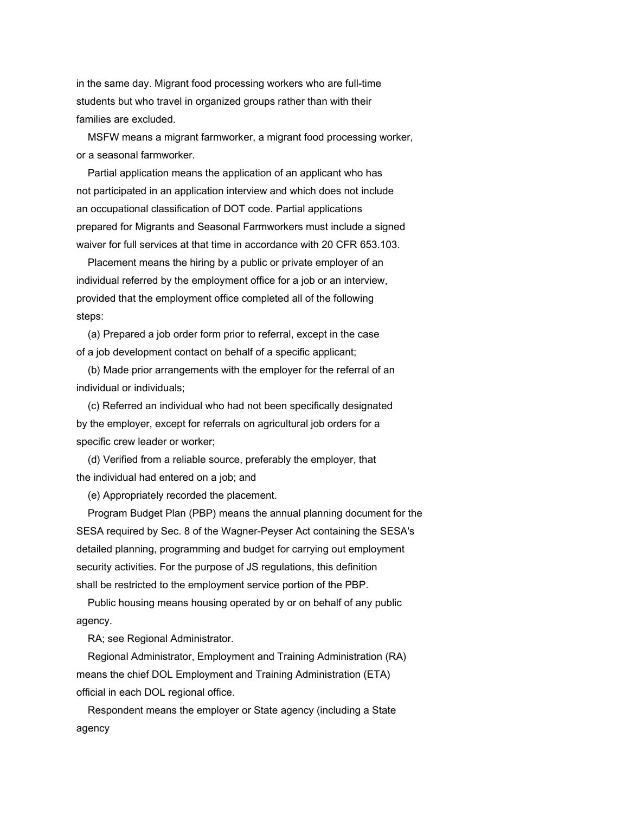in the same day. Migrant food processing workers who are full-time students but who travel in organized groups rather than with their families are excluded.

 MSFW means a migrant farmworker, a migrant food processing worker, or a seasonal farmworker.

 Partial application means the application of an applicant who has not participated in an application interview and which does not include an occupational classification of DOT code. Partial applications prepared for Migrants and Seasonal Farmworkers must include a signed waiver for full services at that time in accordance with 20 CFR 653.103.

 Placement means the hiring by a public or private employer of an individual referred by the employment office for a job or an interview, provided that the employment office completed all of the following steps:

 (a) Prepared a job order form prior to referral, except in the case of a job development contact on behalf of a specific applicant;

 (b) Made prior arrangements with the employer for the referral of an individual or individuals;

 (c) Referred an individual who had not been specifically designated by the employer, except for referrals on agricultural job orders for a specific crew leader or worker;

 (d) Verified from a reliable source, preferably the employer, that the individual had entered on a job; and

(e) Appropriately recorded the placement.

 Program Budget Plan (PBP) means the annual planning document for the SESA required by Sec. 8 of the Wagner-Peyser Act containing the SESA's detailed planning, programming and budget for carrying out employment security activities. For the purpose of JS regulations, this definition shall be restricted to the employment service portion of the PBP.

 Public housing means housing operated by or on behalf of any public agency.

RA; see Regional Administrator.

 Regional Administrator, Employment and Training Administration (RA) means the chief DOL Employment and Training Administration (ETA) official in each DOL regional office.

 Respondent means the employer or State agency (including a State agency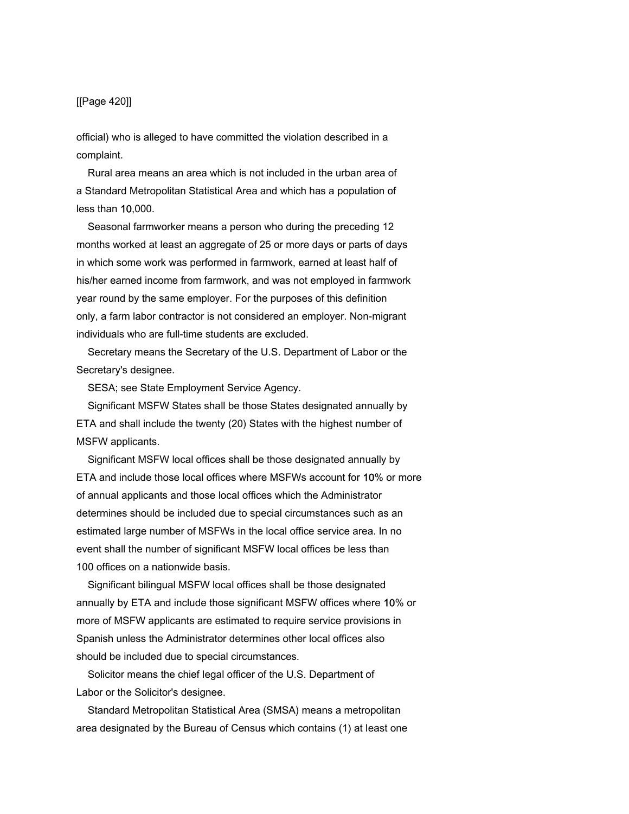# [[Page 420]]

official) who is alleged to have committed the violation described in a complaint.

 Rural area means an area which is not included in the urban area of a Standard Metropolitan Statistical Area and which has a population of less than 10,000.

 Seasonal farmworker means a person who during the preceding 12 months worked at least an aggregate of 25 or more days or parts of days in which some work was performed in farmwork, earned at least half of his/her earned income from farmwork, and was not employed in farmwork year round by the same employer. For the purposes of this definition only, a farm labor contractor is not considered an employer. Non-migrant individuals who are full-time students are excluded.

 Secretary means the Secretary of the U.S. Department of Labor or the Secretary's designee.

SESA; see State Employment Service Agency.

 Significant MSFW States shall be those States designated annually by ETA and shall include the twenty (20) States with the highest number of MSFW applicants.

 Significant MSFW local offices shall be those designated annually by ETA and include those local offices where MSFWs account for 10% or more of annual applicants and those local offices which the Administrator determines should be included due to special circumstances such as an estimated large number of MSFWs in the local office service area. In no event shall the number of significant MSFW local offices be less than 100 offices on a nationwide basis.

 Significant bilingual MSFW local offices shall be those designated annually by ETA and include those significant MSFW offices where 10% or more of MSFW applicants are estimated to require service provisions in Spanish unless the Administrator determines other local offices also should be included due to special circumstances.

 Solicitor means the chief legal officer of the U.S. Department of Labor or the Solicitor's designee.

 Standard Metropolitan Statistical Area (SMSA) means a metropolitan area designated by the Bureau of Census which contains (1) at least one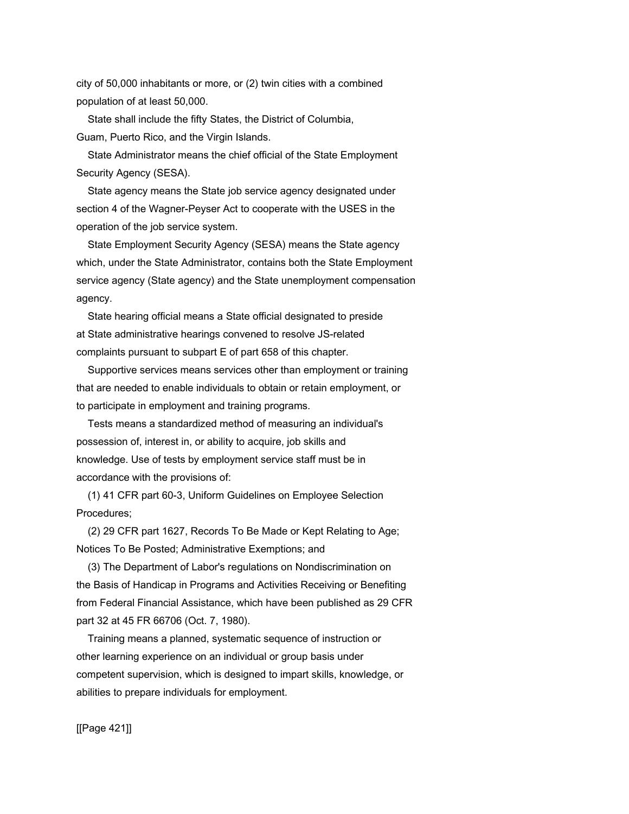city of 50,000 inhabitants or more, or (2) twin cities with a combined population of at least 50,000.

 State shall include the fifty States, the District of Columbia, Guam, Puerto Rico, and the Virgin Islands.

 State Administrator means the chief official of the State Employment Security Agency (SESA).

 State agency means the State job service agency designated under section 4 of the Wagner-Peyser Act to cooperate with the USES in the operation of the job service system.

 State Employment Security Agency (SESA) means the State agency which, under the State Administrator, contains both the State Employment service agency (State agency) and the State unemployment compensation agency.

 State hearing official means a State official designated to preside at State administrative hearings convened to resolve JS-related complaints pursuant to subpart E of part 658 of this chapter.

 Supportive services means services other than employment or training that are needed to enable individuals to obtain or retain employment, or to participate in employment and training programs.

 Tests means a standardized method of measuring an individual's possession of, interest in, or ability to acquire, job skills and knowledge. Use of tests by employment service staff must be in accordance with the provisions of:

 (1) 41 CFR part 60-3, Uniform Guidelines on Employee Selection Procedures;

 (2) 29 CFR part 1627, Records To Be Made or Kept Relating to Age; Notices To Be Posted; Administrative Exemptions; and

 (3) The Department of Labor's regulations on Nondiscrimination on the Basis of Handicap in Programs and Activities Receiving or Benefiting from Federal Financial Assistance, which have been published as 29 CFR part 32 at 45 FR 66706 (Oct. 7, 1980).

 Training means a planned, systematic sequence of instruction or other learning experience on an individual or group basis under competent supervision, which is designed to impart skills, knowledge, or abilities to prepare individuals for employment.

[[Page 421]]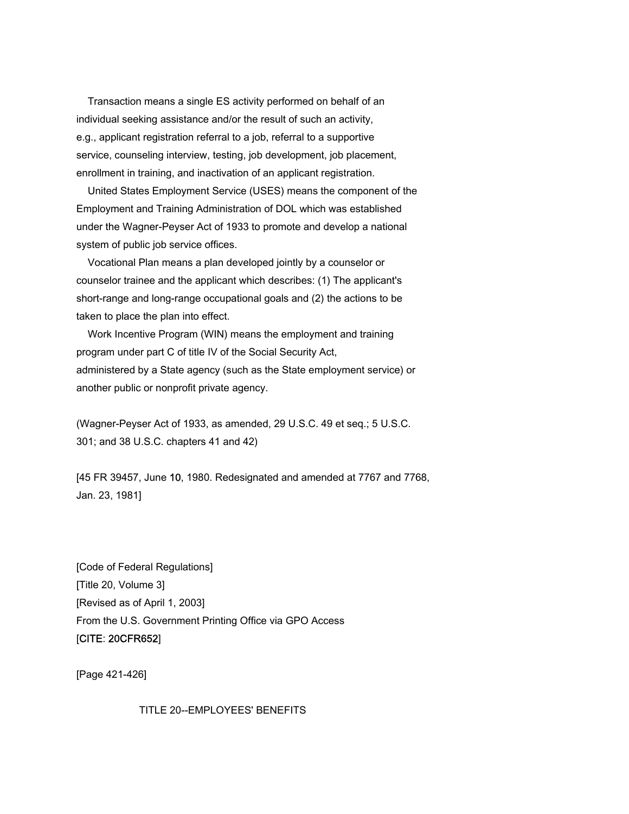Transaction means a single ES activity performed on behalf of an individual seeking assistance and/or the result of such an activity, e.g., applicant registration referral to a job, referral to a supportive service, counseling interview, testing, job development, job placement, enrollment in training, and inactivation of an applicant registration.

 United States Employment Service (USES) means the component of the Employment and Training Administration of DOL which was established under the Wagner-Peyser Act of 1933 to promote and develop a national system of public job service offices.

 Vocational Plan means a plan developed jointly by a counselor or counselor trainee and the applicant which describes: (1) The applicant's short-range and long-range occupational goals and (2) the actions to be taken to place the plan into effect.

 Work Incentive Program (WIN) means the employment and training program under part C of title IV of the Social Security Act, administered by a State agency (such as the State employment service) or another public or nonprofit private agency.

(Wagner-Peyser Act of 1933, as amended, 29 U.S.C. 49 et seq.; 5 U.S.C. 301; and 38 U.S.C. chapters 41 and 42)

[45 FR 39457, June 10, 1980. Redesignated and amended at 7767 and 7768, Jan. 23, 1981]

[Code of Federal Regulations] [Title 20, Volume 3] [Revised as of April 1, 2003] From the U.S. Government Printing Office via GPO Access [CITE: 20CFR652]

[Page 421-426]

TITLE 20--EMPLOYEES' BENEFITS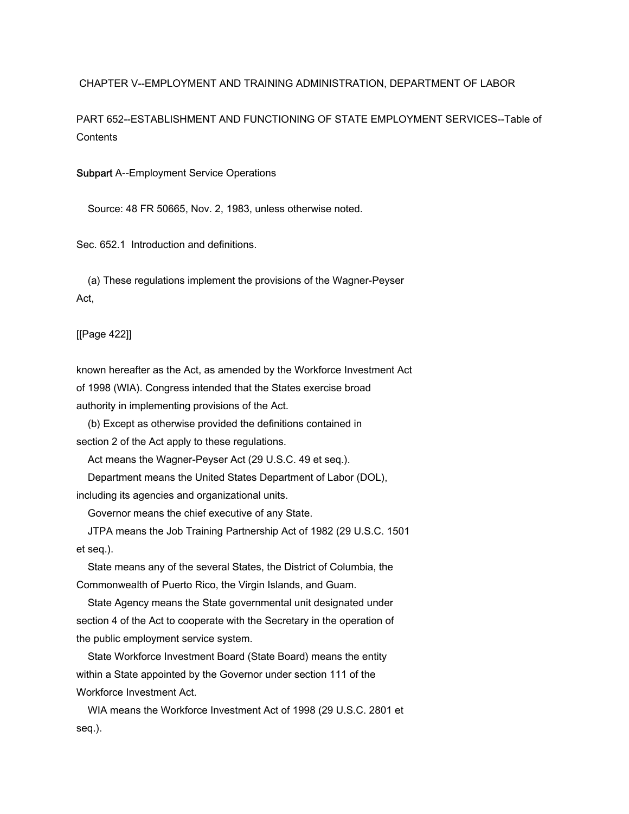CHAPTER V--EMPLOYMENT AND TRAINING ADMINISTRATION, DEPARTMENT OF LABOR

PART 652--ESTABLISHMENT AND FUNCTIONING OF STATE EMPLOYMENT SERVICES--Table of **Contents** 

Subpart A--Employment Service Operations

Source: 48 FR 50665, Nov. 2, 1983, unless otherwise noted.

Sec. 652.1 Introduction and definitions.

 (a) These regulations implement the provisions of the Wagner-Peyser Act,

[[Page 422]]

known hereafter as the Act, as amended by the Workforce Investment Act of 1998 (WIA). Congress intended that the States exercise broad authority in implementing provisions of the Act.

 (b) Except as otherwise provided the definitions contained in section 2 of the Act apply to these regulations.

Act means the Wagner-Peyser Act (29 U.S.C. 49 et seq.).

Department means the United States Department of Labor (DOL),

including its agencies and organizational units.

Governor means the chief executive of any State.

 JTPA means the Job Training Partnership Act of 1982 (29 U.S.C. 1501 et seq.).

 State means any of the several States, the District of Columbia, the Commonwealth of Puerto Rico, the Virgin Islands, and Guam.

 State Agency means the State governmental unit designated under section 4 of the Act to cooperate with the Secretary in the operation of the public employment service system.

 State Workforce Investment Board (State Board) means the entity within a State appointed by the Governor under section 111 of the Workforce Investment Act.

 WIA means the Workforce Investment Act of 1998 (29 U.S.C. 2801 et seq.).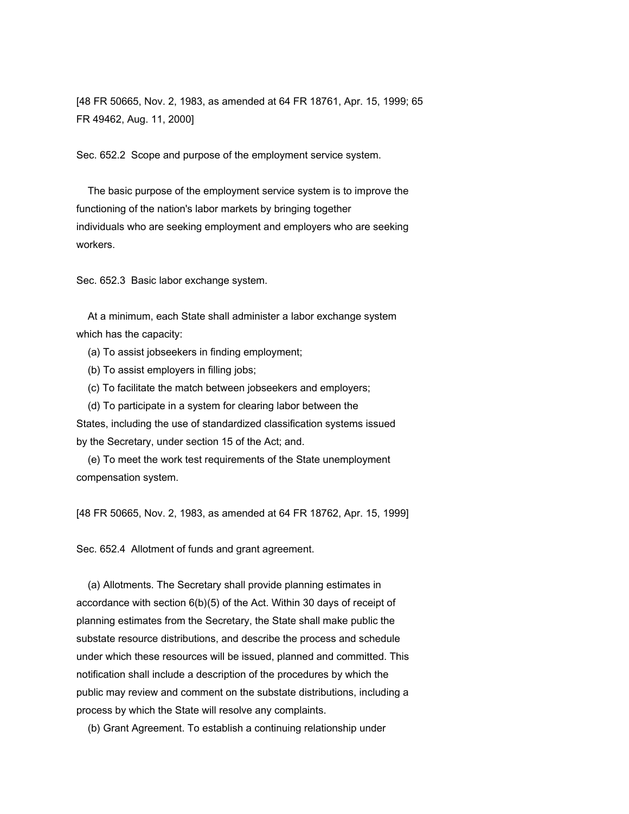[48 FR 50665, Nov. 2, 1983, as amended at 64 FR 18761, Apr. 15, 1999; 65 FR 49462, Aug. 11, 2000]

Sec. 652.2 Scope and purpose of the employment service system.

 The basic purpose of the employment service system is to improve the functioning of the nation's labor markets by bringing together individuals who are seeking employment and employers who are seeking workers.

Sec. 652.3 Basic labor exchange system.

 At a minimum, each State shall administer a labor exchange system which has the capacity:

- (a) To assist jobseekers in finding employment;
- (b) To assist employers in filling jobs;
- (c) To facilitate the match between jobseekers and employers;

 (d) To participate in a system for clearing labor between the States, including the use of standardized classification systems issued by the Secretary, under section 15 of the Act; and.

 (e) To meet the work test requirements of the State unemployment compensation system.

[48 FR 50665, Nov. 2, 1983, as amended at 64 FR 18762, Apr. 15, 1999]

Sec. 652.4 Allotment of funds and grant agreement.

 (a) Allotments. The Secretary shall provide planning estimates in accordance with section 6(b)(5) of the Act. Within 30 days of receipt of planning estimates from the Secretary, the State shall make public the substate resource distributions, and describe the process and schedule under which these resources will be issued, planned and committed. This notification shall include a description of the procedures by which the public may review and comment on the substate distributions, including a process by which the State will resolve any complaints.

(b) Grant Agreement. To establish a continuing relationship under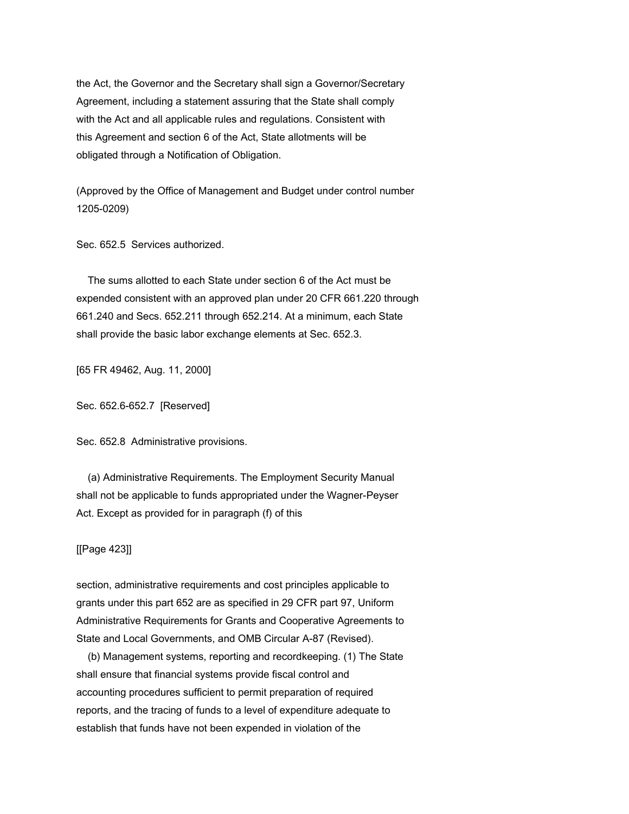the Act, the Governor and the Secretary shall sign a Governor/Secretary Agreement, including a statement assuring that the State shall comply with the Act and all applicable rules and regulations. Consistent with this Agreement and section 6 of the Act, State allotments will be obligated through a Notification of Obligation.

(Approved by the Office of Management and Budget under control number 1205-0209)

Sec. 652.5 Services authorized.

 The sums allotted to each State under section 6 of the Act must be expended consistent with an approved plan under 20 CFR 661.220 through 661.240 and Secs. 652.211 through 652.214. At a minimum, each State shall provide the basic labor exchange elements at Sec. 652.3.

[65 FR 49462, Aug. 11, 2000]

Sec. 652.6-652.7 [Reserved]

Sec. 652.8 Administrative provisions.

 (a) Administrative Requirements. The Employment Security Manual shall not be applicable to funds appropriated under the Wagner-Peyser Act. Except as provided for in paragraph (f) of this

[[Page 423]]

section, administrative requirements and cost principles applicable to grants under this part 652 are as specified in 29 CFR part 97, Uniform Administrative Requirements for Grants and Cooperative Agreements to State and Local Governments, and OMB Circular A-87 (Revised).

 (b) Management systems, reporting and recordkeeping. (1) The State shall ensure that financial systems provide fiscal control and accounting procedures sufficient to permit preparation of required reports, and the tracing of funds to a level of expenditure adequate to establish that funds have not been expended in violation of the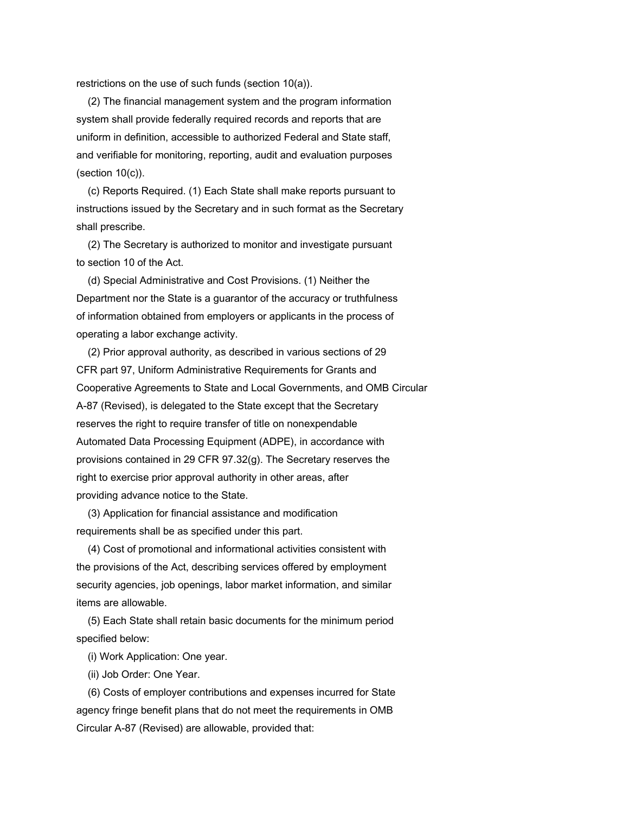restrictions on the use of such funds (section 10(a)).

 (2) The financial management system and the program information system shall provide federally required records and reports that are uniform in definition, accessible to authorized Federal and State staff, and verifiable for monitoring, reporting, audit and evaluation purposes  $(section 10(c))$ .

 (c) Reports Required. (1) Each State shall make reports pursuant to instructions issued by the Secretary and in such format as the Secretary shall prescribe.

 (2) The Secretary is authorized to monitor and investigate pursuant to section 10 of the Act.

 (d) Special Administrative and Cost Provisions. (1) Neither the Department nor the State is a guarantor of the accuracy or truthfulness of information obtained from employers or applicants in the process of operating a labor exchange activity.

 (2) Prior approval authority, as described in various sections of 29 CFR part 97, Uniform Administrative Requirements for Grants and Cooperative Agreements to State and Local Governments, and OMB Circular A-87 (Revised), is delegated to the State except that the Secretary reserves the right to require transfer of title on nonexpendable Automated Data Processing Equipment (ADPE), in accordance with provisions contained in 29 CFR 97.32(g). The Secretary reserves the right to exercise prior approval authority in other areas, after providing advance notice to the State.

 (3) Application for financial assistance and modification requirements shall be as specified under this part.

 (4) Cost of promotional and informational activities consistent with the provisions of the Act, describing services offered by employment security agencies, job openings, labor market information, and similar items are allowable.

 (5) Each State shall retain basic documents for the minimum period specified below:

(i) Work Application: One year.

(ii) Job Order: One Year.

 (6) Costs of employer contributions and expenses incurred for State agency fringe benefit plans that do not meet the requirements in OMB Circular A-87 (Revised) are allowable, provided that: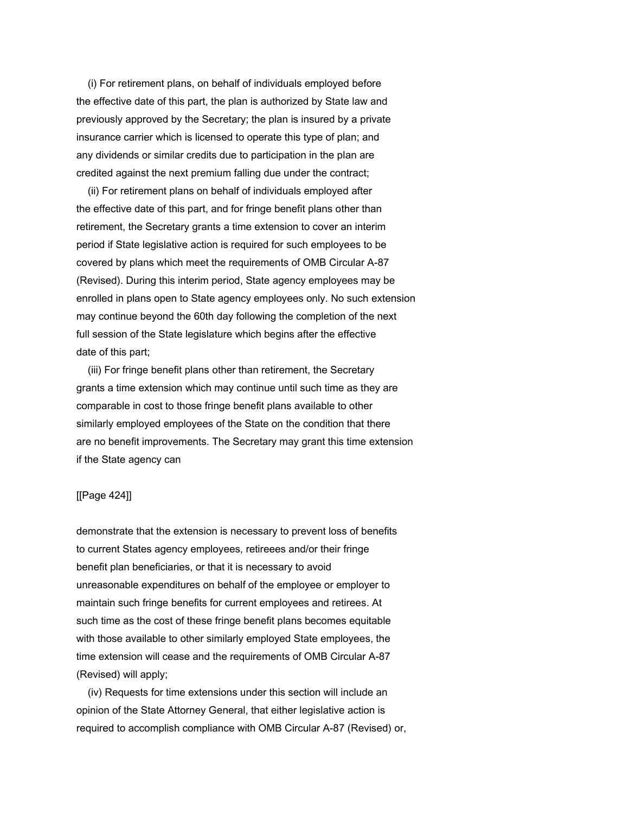(i) For retirement plans, on behalf of individuals employed before the effective date of this part, the plan is authorized by State law and previously approved by the Secretary; the plan is insured by a private insurance carrier which is licensed to operate this type of plan; and any dividends or similar credits due to participation in the plan are credited against the next premium falling due under the contract;

 (ii) For retirement plans on behalf of individuals employed after the effective date of this part, and for fringe benefit plans other than retirement, the Secretary grants a time extension to cover an interim period if State legislative action is required for such employees to be covered by plans which meet the requirements of OMB Circular A-87 (Revised). During this interim period, State agency employees may be enrolled in plans open to State agency employees only. No such extension may continue beyond the 60th day following the completion of the next full session of the State legislature which begins after the effective date of this part;

 (iii) For fringe benefit plans other than retirement, the Secretary grants a time extension which may continue until such time as they are comparable in cost to those fringe benefit plans available to other similarly employed employees of the State on the condition that there are no benefit improvements. The Secretary may grant this time extension if the State agency can

#### [[Page 424]]

demonstrate that the extension is necessary to prevent loss of benefits to current States agency employees, retireees and/or their fringe benefit plan beneficiaries, or that it is necessary to avoid unreasonable expenditures on behalf of the employee or employer to maintain such fringe benefits for current employees and retirees. At such time as the cost of these fringe benefit plans becomes equitable with those available to other similarly employed State employees, the time extension will cease and the requirements of OMB Circular A-87 (Revised) will apply;

 (iv) Requests for time extensions under this section will include an opinion of the State Attorney General, that either legislative action is required to accomplish compliance with OMB Circular A-87 (Revised) or,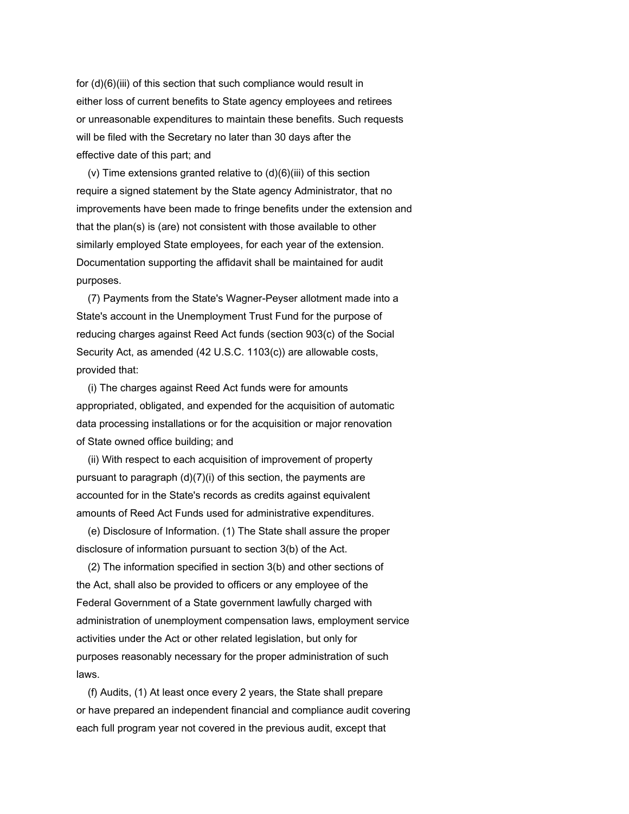for (d)(6)(iii) of this section that such compliance would result in either loss of current benefits to State agency employees and retirees or unreasonable expenditures to maintain these benefits. Such requests will be filed with the Secretary no later than 30 days after the effective date of this part; and

(v) Time extensions granted relative to  $(d)(6)(iii)$  of this section require a signed statement by the State agency Administrator, that no improvements have been made to fringe benefits under the extension and that the plan(s) is (are) not consistent with those available to other similarly employed State employees, for each year of the extension. Documentation supporting the affidavit shall be maintained for audit purposes.

 (7) Payments from the State's Wagner-Peyser allotment made into a State's account in the Unemployment Trust Fund for the purpose of reducing charges against Reed Act funds (section 903(c) of the Social Security Act, as amended (42 U.S.C. 1103(c)) are allowable costs, provided that:

 (i) The charges against Reed Act funds were for amounts appropriated, obligated, and expended for the acquisition of automatic data processing installations or for the acquisition or major renovation of State owned office building; and

 (ii) With respect to each acquisition of improvement of property pursuant to paragraph (d)(7)(i) of this section, the payments are accounted for in the State's records as credits against equivalent amounts of Reed Act Funds used for administrative expenditures.

 (e) Disclosure of Information. (1) The State shall assure the proper disclosure of information pursuant to section 3(b) of the Act.

 (2) The information specified in section 3(b) and other sections of the Act, shall also be provided to officers or any employee of the Federal Government of a State government lawfully charged with administration of unemployment compensation laws, employment service activities under the Act or other related legislation, but only for purposes reasonably necessary for the proper administration of such laws.

 (f) Audits, (1) At least once every 2 years, the State shall prepare or have prepared an independent financial and compliance audit covering each full program year not covered in the previous audit, except that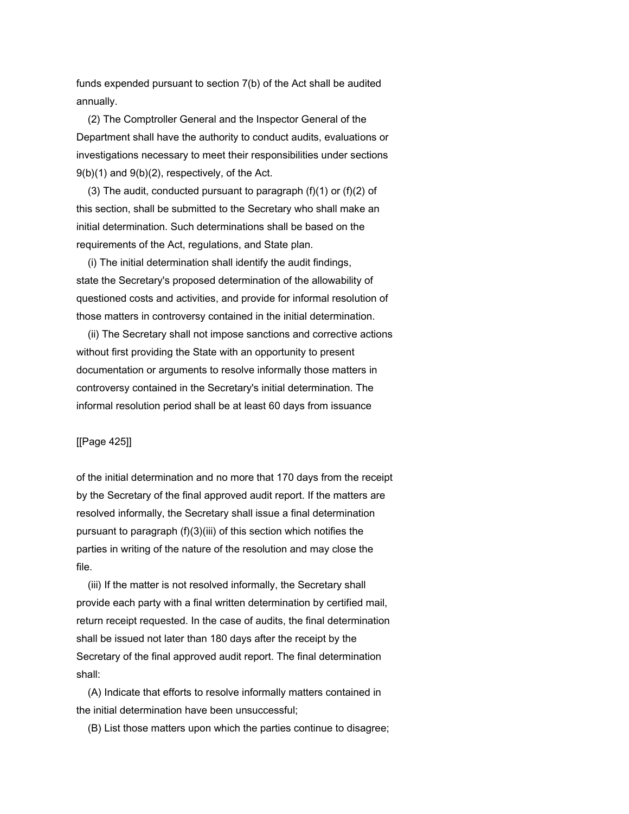funds expended pursuant to section 7(b) of the Act shall be audited annually.

 (2) The Comptroller General and the Inspector General of the Department shall have the authority to conduct audits, evaluations or investigations necessary to meet their responsibilities under sections 9(b)(1) and 9(b)(2), respectively, of the Act.

(3) The audit, conducted pursuant to paragraph  $(f)(1)$  or  $(f)(2)$  of this section, shall be submitted to the Secretary who shall make an initial determination. Such determinations shall be based on the requirements of the Act, regulations, and State plan.

 (i) The initial determination shall identify the audit findings, state the Secretary's proposed determination of the allowability of questioned costs and activities, and provide for informal resolution of those matters in controversy contained in the initial determination.

 (ii) The Secretary shall not impose sanctions and corrective actions without first providing the State with an opportunity to present documentation or arguments to resolve informally those matters in controversy contained in the Secretary's initial determination. The informal resolution period shall be at least 60 days from issuance

# [[Page 425]]

of the initial determination and no more that 170 days from the receipt by the Secretary of the final approved audit report. If the matters are resolved informally, the Secretary shall issue a final determination pursuant to paragraph (f)(3)(iii) of this section which notifies the parties in writing of the nature of the resolution and may close the file.

 (iii) If the matter is not resolved informally, the Secretary shall provide each party with a final written determination by certified mail, return receipt requested. In the case of audits, the final determination shall be issued not later than 180 days after the receipt by the Secretary of the final approved audit report. The final determination shall:

 (A) Indicate that efforts to resolve informally matters contained in the initial determination have been unsuccessful;

(B) List those matters upon which the parties continue to disagree;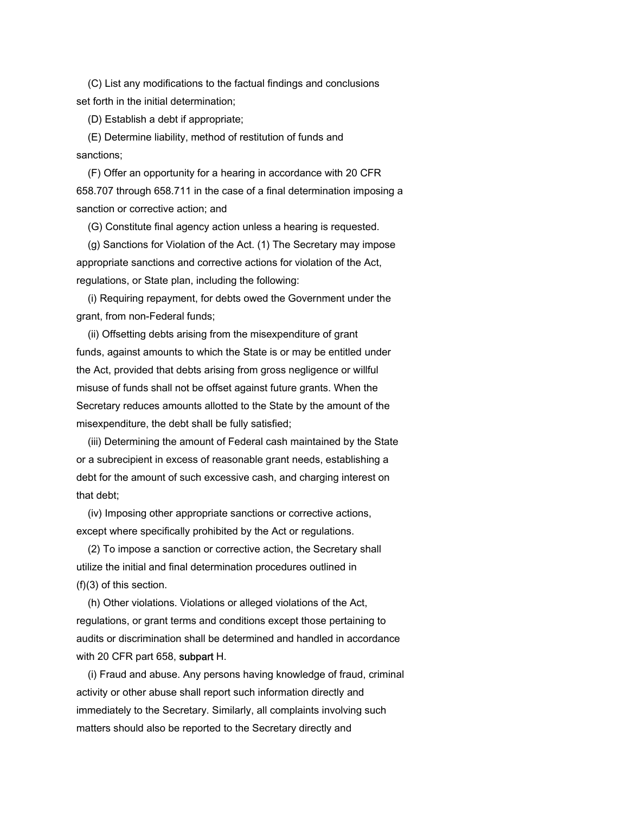(C) List any modifications to the factual findings and conclusions set forth in the initial determination;

(D) Establish a debt if appropriate;

 (E) Determine liability, method of restitution of funds and sanctions;

 (F) Offer an opportunity for a hearing in accordance with 20 CFR 658.707 through 658.711 in the case of a final determination imposing a sanction or corrective action; and

(G) Constitute final agency action unless a hearing is requested.

 (g) Sanctions for Violation of the Act. (1) The Secretary may impose appropriate sanctions and corrective actions for violation of the Act, regulations, or State plan, including the following:

 (i) Requiring repayment, for debts owed the Government under the grant, from non-Federal funds;

 (ii) Offsetting debts arising from the misexpenditure of grant funds, against amounts to which the State is or may be entitled under the Act, provided that debts arising from gross negligence or willful misuse of funds shall not be offset against future grants. When the Secretary reduces amounts allotted to the State by the amount of the misexpenditure, the debt shall be fully satisfied;

 (iii) Determining the amount of Federal cash maintained by the State or a subrecipient in excess of reasonable grant needs, establishing a debt for the amount of such excessive cash, and charging interest on that debt;

 (iv) Imposing other appropriate sanctions or corrective actions, except where specifically prohibited by the Act or regulations.

 (2) To impose a sanction or corrective action, the Secretary shall utilize the initial and final determination procedures outlined in (f)(3) of this section.

 (h) Other violations. Violations or alleged violations of the Act, regulations, or grant terms and conditions except those pertaining to audits or discrimination shall be determined and handled in accordance with 20 CFR part 658, subpart H.

 (i) Fraud and abuse. Any persons having knowledge of fraud, criminal activity or other abuse shall report such information directly and immediately to the Secretary. Similarly, all complaints involving such matters should also be reported to the Secretary directly and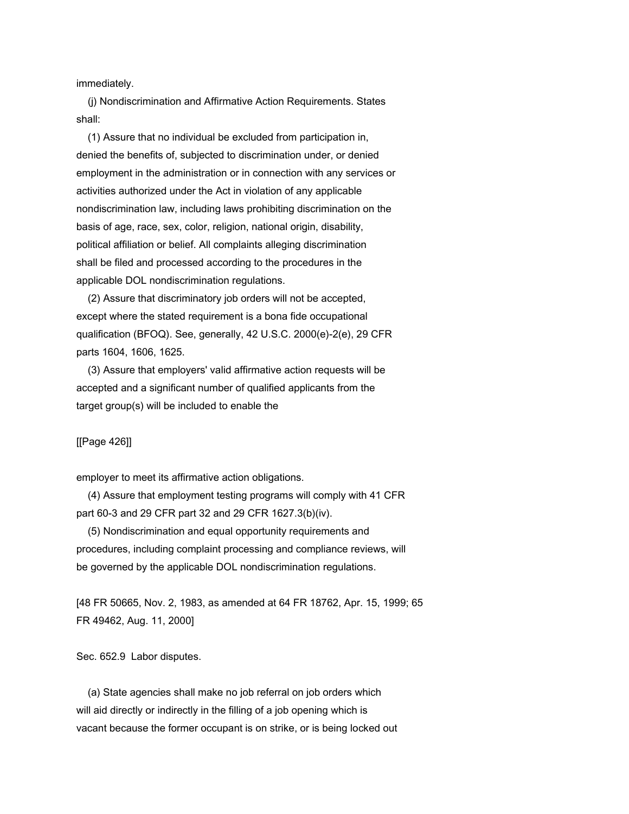immediately.

 (j) Nondiscrimination and Affirmative Action Requirements. States shall:

 (1) Assure that no individual be excluded from participation in, denied the benefits of, subjected to discrimination under, or denied employment in the administration or in connection with any services or activities authorized under the Act in violation of any applicable nondiscrimination law, including laws prohibiting discrimination on the basis of age, race, sex, color, religion, national origin, disability, political affiliation or belief. All complaints alleging discrimination shall be filed and processed according to the procedures in the applicable DOL nondiscrimination regulations.

 (2) Assure that discriminatory job orders will not be accepted, except where the stated requirement is a bona fide occupational qualification (BFOQ). See, generally, 42 U.S.C. 2000(e)-2(e), 29 CFR parts 1604, 1606, 1625.

 (3) Assure that employers' valid affirmative action requests will be accepted and a significant number of qualified applicants from the target group(s) will be included to enable the

[[Page 426]]

employer to meet its affirmative action obligations.

 (4) Assure that employment testing programs will comply with 41 CFR part 60-3 and 29 CFR part 32 and 29 CFR 1627.3(b)(iv).

 (5) Nondiscrimination and equal opportunity requirements and procedures, including complaint processing and compliance reviews, will be governed by the applicable DOL nondiscrimination regulations.

[48 FR 50665, Nov. 2, 1983, as amended at 64 FR 18762, Apr. 15, 1999; 65 FR 49462, Aug. 11, 2000]

Sec. 652.9 Labor disputes.

 (a) State agencies shall make no job referral on job orders which will aid directly or indirectly in the filling of a job opening which is vacant because the former occupant is on strike, or is being locked out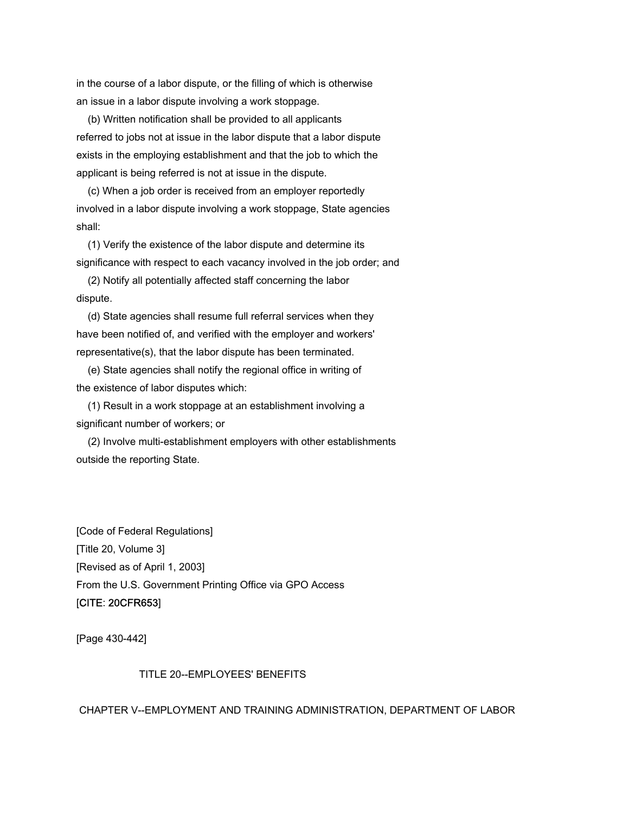in the course of a labor dispute, or the filling of which is otherwise an issue in a labor dispute involving a work stoppage.

 (b) Written notification shall be provided to all applicants referred to jobs not at issue in the labor dispute that a labor dispute exists in the employing establishment and that the job to which the applicant is being referred is not at issue in the dispute.

 (c) When a job order is received from an employer reportedly involved in a labor dispute involving a work stoppage, State agencies shall:

 (1) Verify the existence of the labor dispute and determine its significance with respect to each vacancy involved in the job order; and

 (2) Notify all potentially affected staff concerning the labor dispute.

 (d) State agencies shall resume full referral services when they have been notified of, and verified with the employer and workers' representative(s), that the labor dispute has been terminated.

 (e) State agencies shall notify the regional office in writing of the existence of labor disputes which:

 (1) Result in a work stoppage at an establishment involving a significant number of workers; or

 (2) Involve multi-establishment employers with other establishments outside the reporting State.

[Code of Federal Regulations] [Title 20, Volume 3] [Revised as of April 1, 2003] From the U.S. Government Printing Office via GPO Access [CITE: 20CFR653]

[Page 430-442]

# TITLE 20--EMPLOYEES' BENEFITS

CHAPTER V--EMPLOYMENT AND TRAINING ADMINISTRATION, DEPARTMENT OF LABOR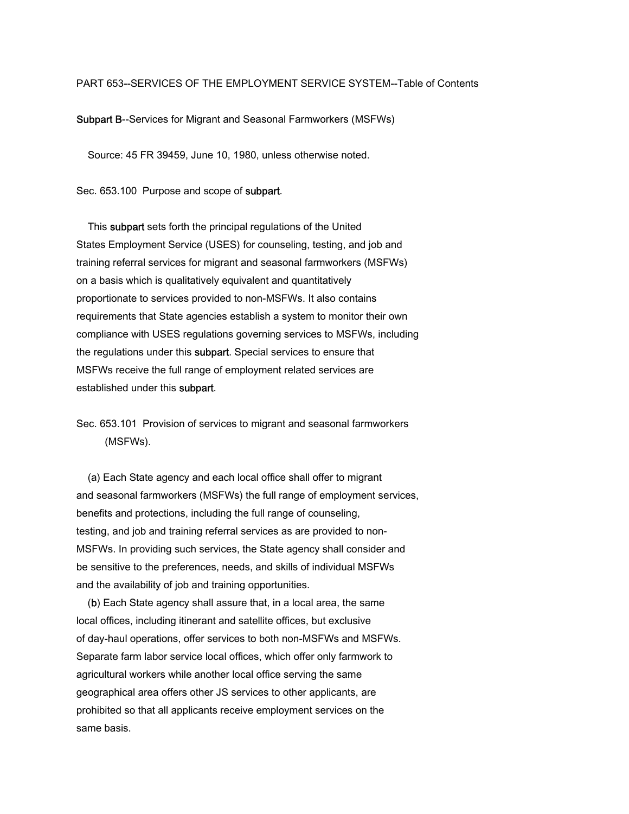#### PART 653--SERVICES OF THE EMPLOYMENT SERVICE SYSTEM--Table of Contents

Subpart B--Services for Migrant and Seasonal Farmworkers (MSFWs)

Source: 45 FR 39459, June 10, 1980, unless otherwise noted.

Sec. 653.100 Purpose and scope of subpart.

 This subpart sets forth the principal regulations of the United States Employment Service (USES) for counseling, testing, and job and training referral services for migrant and seasonal farmworkers (MSFWs) on a basis which is qualitatively equivalent and quantitatively proportionate to services provided to non-MSFWs. It also contains requirements that State agencies establish a system to monitor their own compliance with USES regulations governing services to MSFWs, including the regulations under this subpart. Special services to ensure that MSFWs receive the full range of employment related services are established under this subpart.

Sec. 653.101 Provision of services to migrant and seasonal farmworkers (MSFWs).

 (a) Each State agency and each local office shall offer to migrant and seasonal farmworkers (MSFWs) the full range of employment services, benefits and protections, including the full range of counseling, testing, and job and training referral services as are provided to non-MSFWs. In providing such services, the State agency shall consider and be sensitive to the preferences, needs, and skills of individual MSFWs and the availability of job and training opportunities.

 (b) Each State agency shall assure that, in a local area, the same local offices, including itinerant and satellite offices, but exclusive of day-haul operations, offer services to both non-MSFWs and MSFWs. Separate farm labor service local offices, which offer only farmwork to agricultural workers while another local office serving the same geographical area offers other JS services to other applicants, are prohibited so that all applicants receive employment services on the same basis.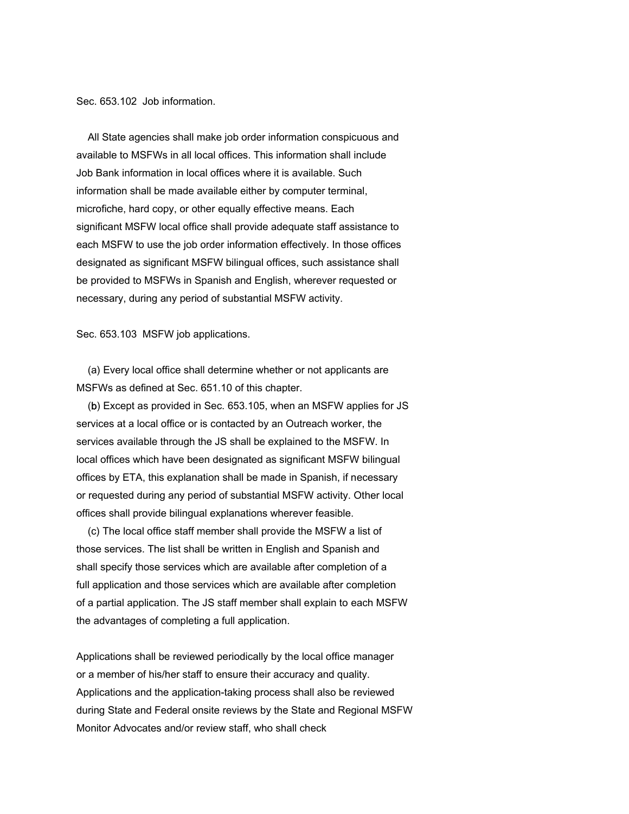Sec. 653.102 Job information.

 All State agencies shall make job order information conspicuous and available to MSFWs in all local offices. This information shall include Job Bank information in local offices where it is available. Such information shall be made available either by computer terminal, microfiche, hard copy, or other equally effective means. Each significant MSFW local office shall provide adequate staff assistance to each MSFW to use the job order information effectively. In those offices designated as significant MSFW bilingual offices, such assistance shall be provided to MSFWs in Spanish and English, wherever requested or necessary, during any period of substantial MSFW activity.

Sec. 653.103 MSFW job applications.

 (a) Every local office shall determine whether or not applicants are MSFWs as defined at Sec. 651.10 of this chapter.

 (b) Except as provided in Sec. 653.105, when an MSFW applies for JS services at a local office or is contacted by an Outreach worker, the services available through the JS shall be explained to the MSFW. In local offices which have been designated as significant MSFW bilingual offices by ETA, this explanation shall be made in Spanish, if necessary or requested during any period of substantial MSFW activity. Other local offices shall provide bilingual explanations wherever feasible.

 (c) The local office staff member shall provide the MSFW a list of those services. The list shall be written in English and Spanish and shall specify those services which are available after completion of a full application and those services which are available after completion of a partial application. The JS staff member shall explain to each MSFW the advantages of completing a full application.

Applications shall be reviewed periodically by the local office manager or a member of his/her staff to ensure their accuracy and quality. Applications and the application-taking process shall also be reviewed during State and Federal onsite reviews by the State and Regional MSFW Monitor Advocates and/or review staff, who shall check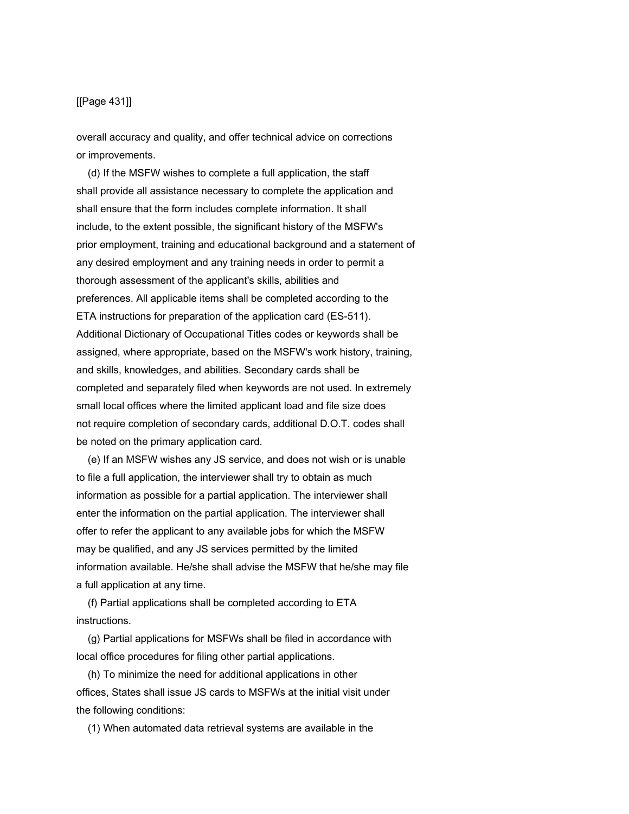# [[Page 431]]

overall accuracy and quality, and offer technical advice on corrections or improvements.

 (d) If the MSFW wishes to complete a full application, the staff shall provide all assistance necessary to complete the application and shall ensure that the form includes complete information. It shall include, to the extent possible, the significant history of the MSFW's prior employment, training and educational background and a statement of any desired employment and any training needs in order to permit a thorough assessment of the applicant's skills, abilities and preferences. All applicable items shall be completed according to the ETA instructions for preparation of the application card (ES-511). Additional Dictionary of Occupational Titles codes or keywords shall be assigned, where appropriate, based on the MSFW's work history, training, and skills, knowledges, and abilities. Secondary cards shall be completed and separately filed when keywords are not used. In extremely small local offices where the limited applicant load and file size does not require completion of secondary cards, additional D.O.T. codes shall be noted on the primary application card.

 (e) If an MSFW wishes any JS service, and does not wish or is unable to file a full application, the interviewer shall try to obtain as much information as possible for a partial application. The interviewer shall enter the information on the partial application. The interviewer shall offer to refer the applicant to any available jobs for which the MSFW may be qualified, and any JS services permitted by the limited information available. He/she shall advise the MSFW that he/she may file a full application at any time.

 (f) Partial applications shall be completed according to ETA instructions.

 (g) Partial applications for MSFWs shall be filed in accordance with local office procedures for filing other partial applications.

 (h) To minimize the need for additional applications in other offices, States shall issue JS cards to MSFWs at the initial visit under the following conditions:

(1) When automated data retrieval systems are available in the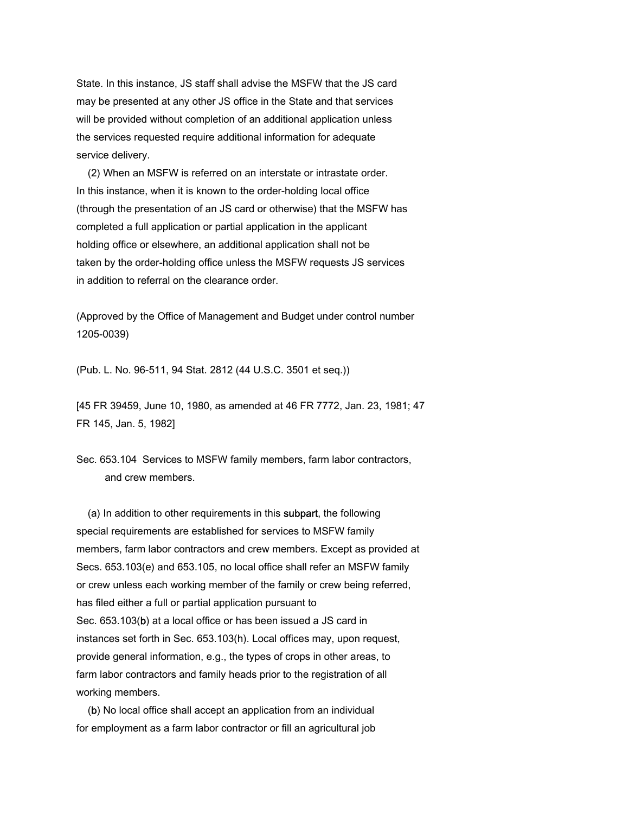State. In this instance, JS staff shall advise the MSFW that the JS card may be presented at any other JS office in the State and that services will be provided without completion of an additional application unless the services requested require additional information for adequate service delivery.

 (2) When an MSFW is referred on an interstate or intrastate order. In this instance, when it is known to the order-holding local office (through the presentation of an JS card or otherwise) that the MSFW has completed a full application or partial application in the applicant holding office or elsewhere, an additional application shall not be taken by the order-holding office unless the MSFW requests JS services in addition to referral on the clearance order

(Approved by the Office of Management and Budget under control number 1205-0039)

(Pub. L. No. 96-511, 94 Stat. 2812 (44 U.S.C. 3501 et seq.))

[45 FR 39459, June 10, 1980, as amended at 46 FR 7772, Jan. 23, 1981; 47 FR 145, Jan. 5, 1982]

Sec. 653.104 Services to MSFW family members, farm labor contractors, and crew members.

 (a) In addition to other requirements in this subpart, the following special requirements are established for services to MSFW family members, farm labor contractors and crew members. Except as provided at Secs. 653.103(e) and 653.105, no local office shall refer an MSFW family or crew unless each working member of the family or crew being referred, has filed either a full or partial application pursuant to Sec. 653.103(b) at a local office or has been issued a JS card in instances set forth in Sec. 653.103(h). Local offices may, upon request, provide general information, e.g., the types of crops in other areas, to farm labor contractors and family heads prior to the registration of all working members.

 (b) No local office shall accept an application from an individual for employment as a farm labor contractor or fill an agricultural job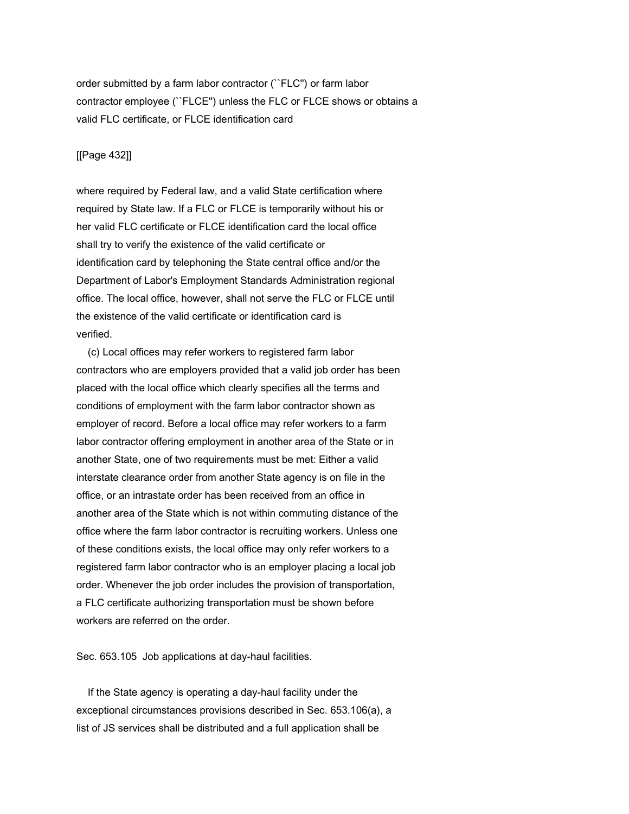order submitted by a farm labor contractor (``FLC'') or farm labor contractor employee (``FLCE'') unless the FLC or FLCE shows or obtains a valid FLC certificate, or FLCE identification card

# [[Page 432]]

where required by Federal law, and a valid State certification where required by State law. If a FLC or FLCE is temporarily without his or her valid FLC certificate or FLCE identification card the local office shall try to verify the existence of the valid certificate or identification card by telephoning the State central office and/or the Department of Labor's Employment Standards Administration regional office. The local office, however, shall not serve the FLC or FLCE until the existence of the valid certificate or identification card is verified.

 (c) Local offices may refer workers to registered farm labor contractors who are employers provided that a valid job order has been placed with the local office which clearly specifies all the terms and conditions of employment with the farm labor contractor shown as employer of record. Before a local office may refer workers to a farm labor contractor offering employment in another area of the State or in another State, one of two requirements must be met: Either a valid interstate clearance order from another State agency is on file in the office, or an intrastate order has been received from an office in another area of the State which is not within commuting distance of the office where the farm labor contractor is recruiting workers. Unless one of these conditions exists, the local office may only refer workers to a registered farm labor contractor who is an employer placing a local job order. Whenever the job order includes the provision of transportation, a FLC certificate authorizing transportation must be shown before workers are referred on the order.

Sec. 653.105 Job applications at day-haul facilities.

 If the State agency is operating a day-haul facility under the exceptional circumstances provisions described in Sec. 653.106(a), a list of JS services shall be distributed and a full application shall be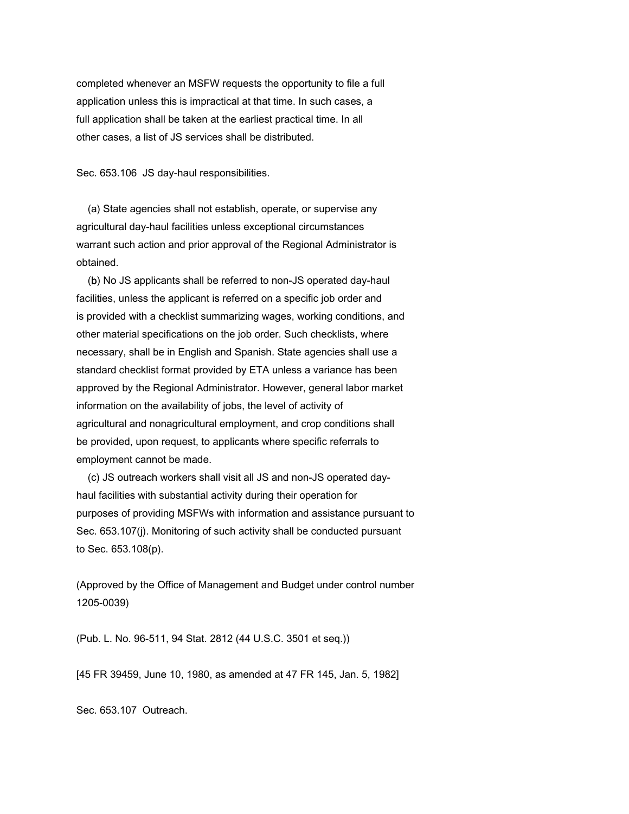completed whenever an MSFW requests the opportunity to file a full application unless this is impractical at that time. In such cases, a full application shall be taken at the earliest practical time. In all other cases, a list of JS services shall be distributed.

Sec. 653.106 JS day-haul responsibilities.

 (a) State agencies shall not establish, operate, or supervise any agricultural day-haul facilities unless exceptional circumstances warrant such action and prior approval of the Regional Administrator is obtained.

 (b) No JS applicants shall be referred to non-JS operated day-haul facilities, unless the applicant is referred on a specific job order and is provided with a checklist summarizing wages, working conditions, and other material specifications on the job order. Such checklists, where necessary, shall be in English and Spanish. State agencies shall use a standard checklist format provided by ETA unless a variance has been approved by the Regional Administrator. However, general labor market information on the availability of jobs, the level of activity of agricultural and nonagricultural employment, and crop conditions shall be provided, upon request, to applicants where specific referrals to employment cannot be made.

 (c) JS outreach workers shall visit all JS and non-JS operated dayhaul facilities with substantial activity during their operation for purposes of providing MSFWs with information and assistance pursuant to Sec. 653.107(j). Monitoring of such activity shall be conducted pursuant to Sec. 653.108(p).

(Approved by the Office of Management and Budget under control number 1205-0039)

(Pub. L. No. 96-511, 94 Stat. 2812 (44 U.S.C. 3501 et seq.))

[45 FR 39459, June 10, 1980, as amended at 47 FR 145, Jan. 5, 1982]

Sec. 653.107 Outreach.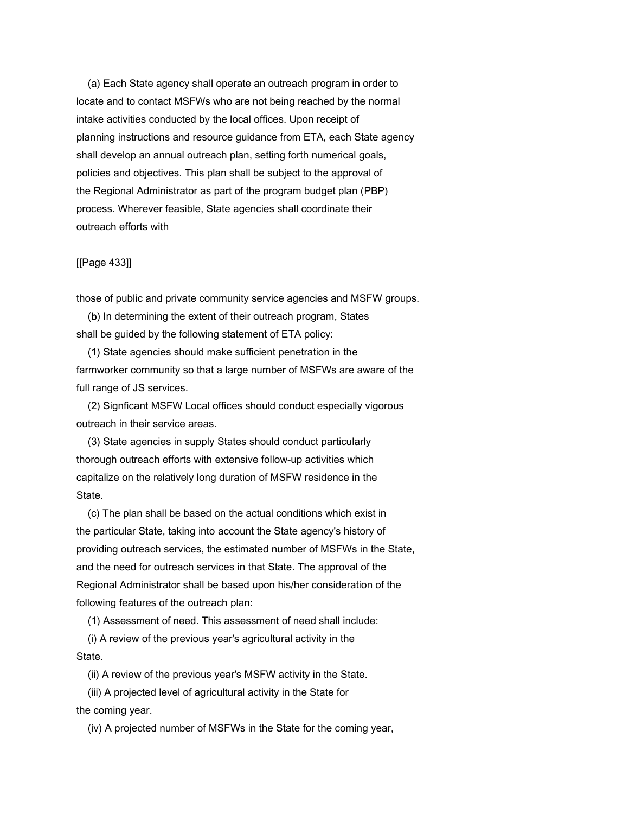(a) Each State agency shall operate an outreach program in order to locate and to contact MSFWs who are not being reached by the normal intake activities conducted by the local offices. Upon receipt of planning instructions and resource guidance from ETA, each State agency shall develop an annual outreach plan, setting forth numerical goals, policies and objectives. This plan shall be subject to the approval of the Regional Administrator as part of the program budget plan (PBP) process. Wherever feasible, State agencies shall coordinate their outreach efforts with

#### [[Page 433]]

those of public and private community service agencies and MSFW groups.

 (b) In determining the extent of their outreach program, States shall be guided by the following statement of ETA policy:

 (1) State agencies should make sufficient penetration in the farmworker community so that a large number of MSFWs are aware of the full range of JS services.

 (2) Signficant MSFW Local offices should conduct especially vigorous outreach in their service areas.

 (3) State agencies in supply States should conduct particularly thorough outreach efforts with extensive follow-up activities which capitalize on the relatively long duration of MSFW residence in the State.

 (c) The plan shall be based on the actual conditions which exist in the particular State, taking into account the State agency's history of providing outreach services, the estimated number of MSFWs in the State, and the need for outreach services in that State. The approval of the Regional Administrator shall be based upon his/her consideration of the following features of the outreach plan:

(1) Assessment of need. This assessment of need shall include:

 (i) A review of the previous year's agricultural activity in the State.

(ii) A review of the previous year's MSFW activity in the State.

 (iii) A projected level of agricultural activity in the State for the coming year.

(iv) A projected number of MSFWs in the State for the coming year,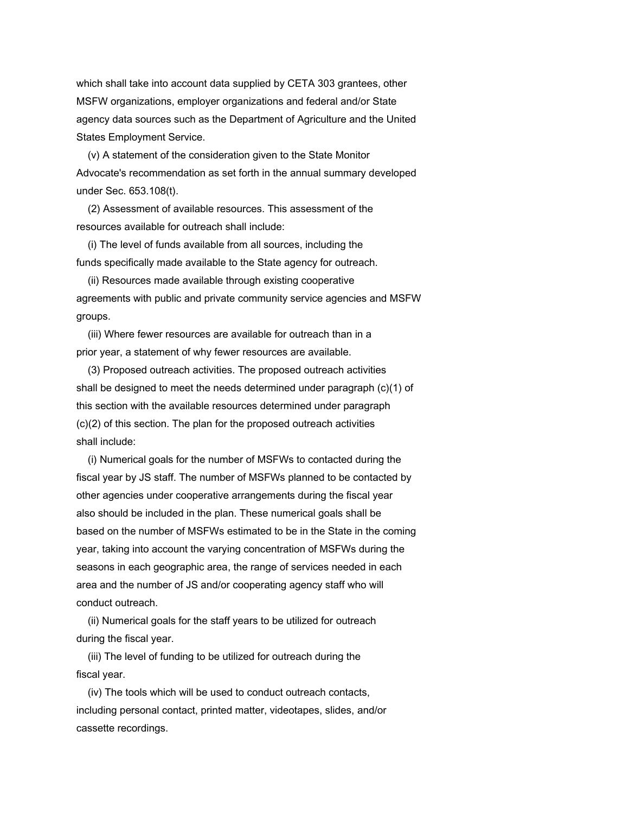which shall take into account data supplied by CETA 303 grantees, other MSFW organizations, employer organizations and federal and/or State agency data sources such as the Department of Agriculture and the United States Employment Service.

 (v) A statement of the consideration given to the State Monitor Advocate's recommendation as set forth in the annual summary developed under Sec. 653.108(t).

 (2) Assessment of available resources. This assessment of the resources available for outreach shall include:

 (i) The level of funds available from all sources, including the funds specifically made available to the State agency for outreach.

 (ii) Resources made available through existing cooperative agreements with public and private community service agencies and MSFW groups.

 (iii) Where fewer resources are available for outreach than in a prior year, a statement of why fewer resources are available.

 (3) Proposed outreach activities. The proposed outreach activities shall be designed to meet the needs determined under paragraph (c)(1) of this section with the available resources determined under paragraph (c)(2) of this section. The plan for the proposed outreach activities shall include:

 (i) Numerical goals for the number of MSFWs to contacted during the fiscal year by JS staff. The number of MSFWs planned to be contacted by other agencies under cooperative arrangements during the fiscal year also should be included in the plan. These numerical goals shall be based on the number of MSFWs estimated to be in the State in the coming year, taking into account the varying concentration of MSFWs during the seasons in each geographic area, the range of services needed in each area and the number of JS and/or cooperating agency staff who will conduct outreach.

 (ii) Numerical goals for the staff years to be utilized for outreach during the fiscal year.

 (iii) The level of funding to be utilized for outreach during the fiscal year.

 (iv) The tools which will be used to conduct outreach contacts, including personal contact, printed matter, videotapes, slides, and/or cassette recordings.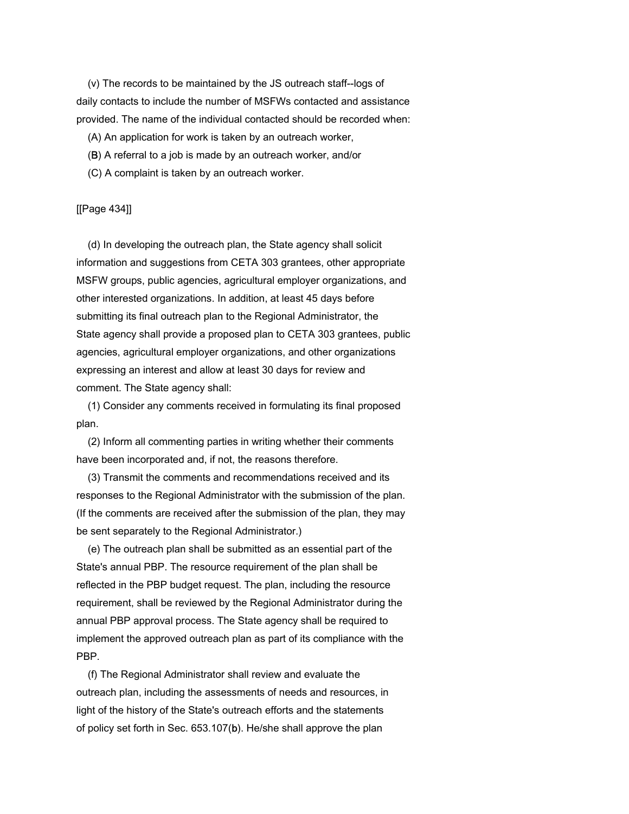(v) The records to be maintained by the JS outreach staff--logs of daily contacts to include the number of MSFWs contacted and assistance provided. The name of the individual contacted should be recorded when:

(A) An application for work is taken by an outreach worker,

- (B) A referral to a job is made by an outreach worker, and/or
- (C) A complaint is taken by an outreach worker.

# [[Page 434]]

 (d) In developing the outreach plan, the State agency shall solicit information and suggestions from CETA 303 grantees, other appropriate MSFW groups, public agencies, agricultural employer organizations, and other interested organizations. In addition, at least 45 days before submitting its final outreach plan to the Regional Administrator, the State agency shall provide a proposed plan to CETA 303 grantees, public agencies, agricultural employer organizations, and other organizations expressing an interest and allow at least 30 days for review and comment. The State agency shall:

 (1) Consider any comments received in formulating its final proposed plan.

 (2) Inform all commenting parties in writing whether their comments have been incorporated and, if not, the reasons therefore.

 (3) Transmit the comments and recommendations received and its responses to the Regional Administrator with the submission of the plan. (If the comments are received after the submission of the plan, they may be sent separately to the Regional Administrator.)

 (e) The outreach plan shall be submitted as an essential part of the State's annual PBP. The resource requirement of the plan shall be reflected in the PBP budget request. The plan, including the resource requirement, shall be reviewed by the Regional Administrator during the annual PBP approval process. The State agency shall be required to implement the approved outreach plan as part of its compliance with the PBP.

 (f) The Regional Administrator shall review and evaluate the outreach plan, including the assessments of needs and resources, in light of the history of the State's outreach efforts and the statements of policy set forth in Sec. 653.107(b). He/she shall approve the plan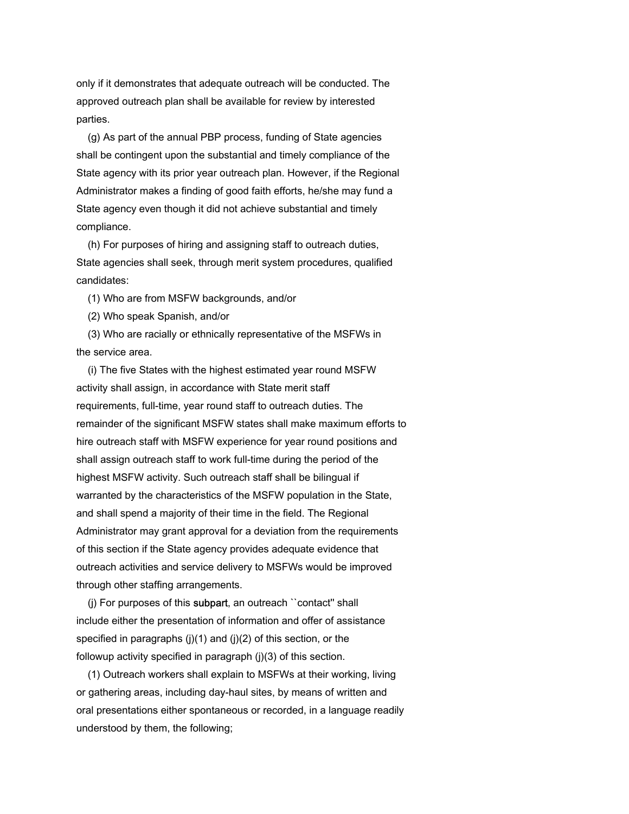only if it demonstrates that adequate outreach will be conducted. The approved outreach plan shall be available for review by interested parties.

 (g) As part of the annual PBP process, funding of State agencies shall be contingent upon the substantial and timely compliance of the State agency with its prior year outreach plan. However, if the Regional Administrator makes a finding of good faith efforts, he/she may fund a State agency even though it did not achieve substantial and timely compliance.

 (h) For purposes of hiring and assigning staff to outreach duties, State agencies shall seek, through merit system procedures, qualified candidates:

(1) Who are from MSFW backgrounds, and/or

(2) Who speak Spanish, and/or

 (3) Who are racially or ethnically representative of the MSFWs in the service area.

 (i) The five States with the highest estimated year round MSFW activity shall assign, in accordance with State merit staff requirements, full-time, year round staff to outreach duties. The remainder of the significant MSFW states shall make maximum efforts to hire outreach staff with MSFW experience for year round positions and shall assign outreach staff to work full-time during the period of the highest MSFW activity. Such outreach staff shall be bilingual if warranted by the characteristics of the MSFW population in the State, and shall spend a majority of their time in the field. The Regional Administrator may grant approval for a deviation from the requirements of this section if the State agency provides adequate evidence that outreach activities and service delivery to MSFWs would be improved through other staffing arrangements.

 (j) For purposes of this subpart, an outreach ``contact'' shall include either the presentation of information and offer of assistance specified in paragraphs (j)(1) and (j)(2) of this section, or the followup activity specified in paragraph (j)(3) of this section.

 (1) Outreach workers shall explain to MSFWs at their working, living or gathering areas, including day-haul sites, by means of written and oral presentations either spontaneous or recorded, in a language readily understood by them, the following;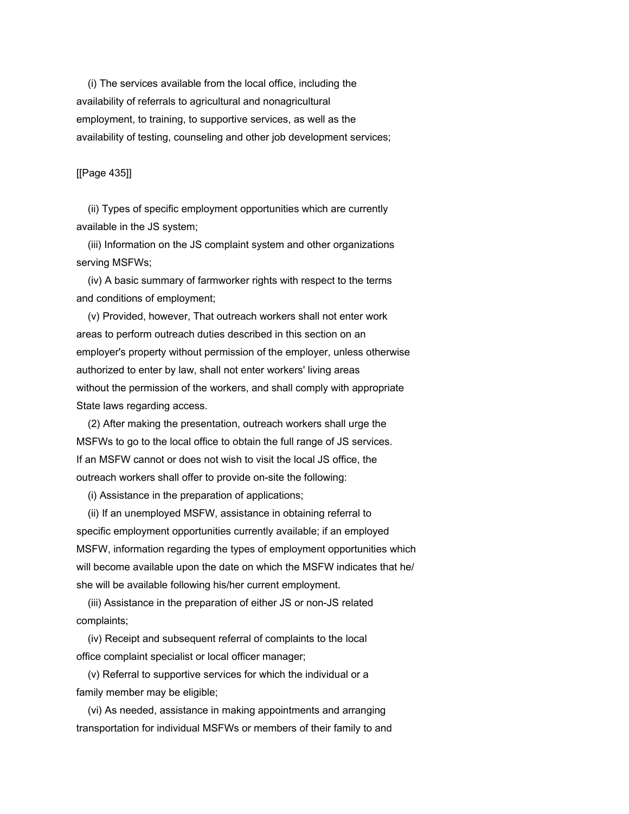(i) The services available from the local office, including the availability of referrals to agricultural and nonagricultural employment, to training, to supportive services, as well as the availability of testing, counseling and other job development services;

### [[Page 435]]

 (ii) Types of specific employment opportunities which are currently available in the JS system;

 (iii) Information on the JS complaint system and other organizations serving MSFWs;

 (iv) A basic summary of farmworker rights with respect to the terms and conditions of employment;

 (v) Provided, however, That outreach workers shall not enter work areas to perform outreach duties described in this section on an employer's property without permission of the employer, unless otherwise authorized to enter by law, shall not enter workers' living areas without the permission of the workers, and shall comply with appropriate State laws regarding access.

 (2) After making the presentation, outreach workers shall urge the MSFWs to go to the local office to obtain the full range of JS services. If an MSFW cannot or does not wish to visit the local JS office, the outreach workers shall offer to provide on-site the following:

(i) Assistance in the preparation of applications;

 (ii) If an unemployed MSFW, assistance in obtaining referral to specific employment opportunities currently available; if an employed MSFW, information regarding the types of employment opportunities which will become available upon the date on which the MSFW indicates that he/ she will be available following his/her current employment.

 (iii) Assistance in the preparation of either JS or non-JS related complaints;

 (iv) Receipt and subsequent referral of complaints to the local office complaint specialist or local officer manager;

 (v) Referral to supportive services for which the individual or a family member may be eligible;

 (vi) As needed, assistance in making appointments and arranging transportation for individual MSFWs or members of their family to and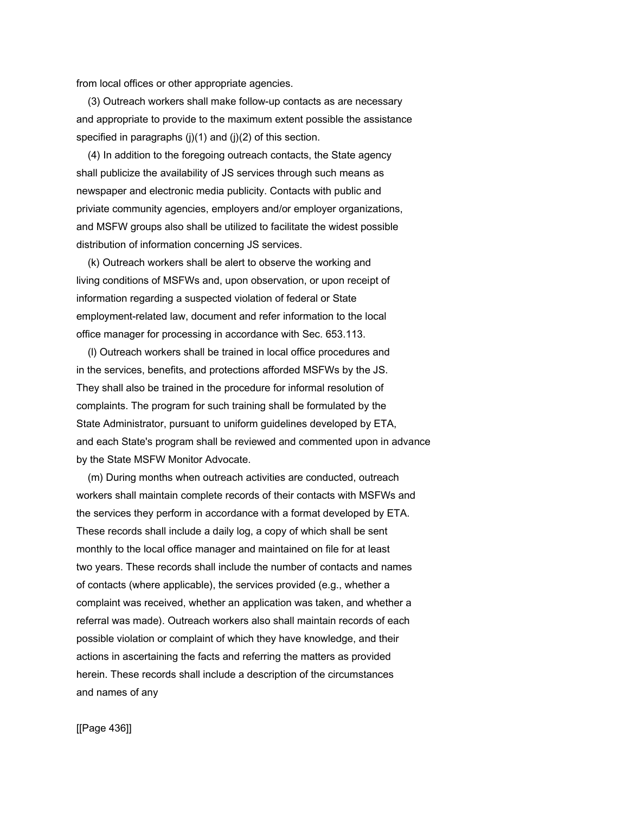from local offices or other appropriate agencies.

 (3) Outreach workers shall make follow-up contacts as are necessary and appropriate to provide to the maximum extent possible the assistance specified in paragraphs  $(i)(1)$  and  $(i)(2)$  of this section.

 (4) In addition to the foregoing outreach contacts, the State agency shall publicize the availability of JS services through such means as newspaper and electronic media publicity. Contacts with public and priviate community agencies, employers and/or employer organizations, and MSFW groups also shall be utilized to facilitate the widest possible distribution of information concerning JS services.

 (k) Outreach workers shall be alert to observe the working and living conditions of MSFWs and, upon observation, or upon receipt of information regarding a suspected violation of federal or State employment-related law, document and refer information to the local office manager for processing in accordance with Sec. 653.113.

 (l) Outreach workers shall be trained in local office procedures and in the services, benefits, and protections afforded MSFWs by the JS. They shall also be trained in the procedure for informal resolution of complaints. The program for such training shall be formulated by the State Administrator, pursuant to uniform guidelines developed by ETA, and each State's program shall be reviewed and commented upon in advance by the State MSFW Monitor Advocate.

 (m) During months when outreach activities are conducted, outreach workers shall maintain complete records of their contacts with MSFWs and the services they perform in accordance with a format developed by ETA. These records shall include a daily log, a copy of which shall be sent monthly to the local office manager and maintained on file for at least two years. These records shall include the number of contacts and names of contacts (where applicable), the services provided (e.g., whether a complaint was received, whether an application was taken, and whether a referral was made). Outreach workers also shall maintain records of each possible violation or complaint of which they have knowledge, and their actions in ascertaining the facts and referring the matters as provided herein. These records shall include a description of the circumstances and names of any

[[Page 436]]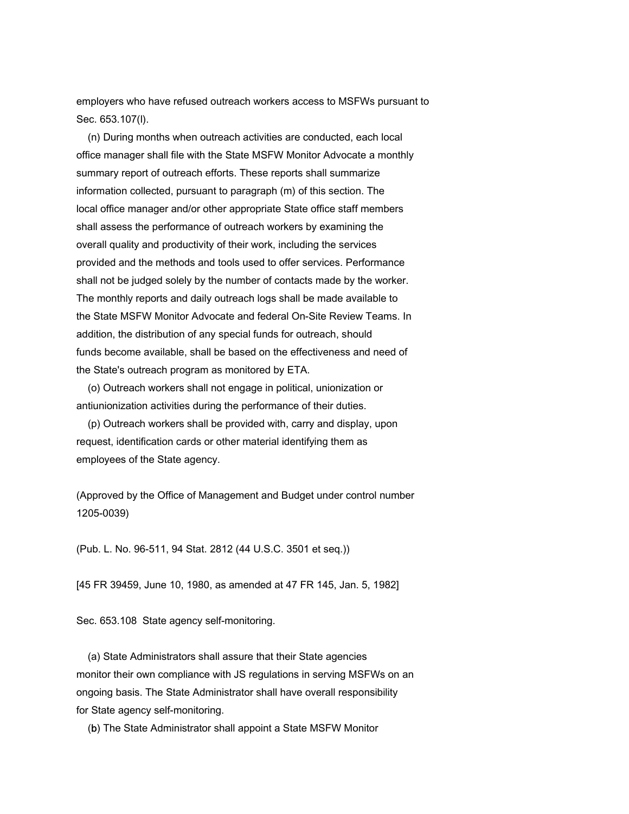employers who have refused outreach workers access to MSFWs pursuant to Sec. 653.107(l).

 (n) During months when outreach activities are conducted, each local office manager shall file with the State MSFW Monitor Advocate a monthly summary report of outreach efforts. These reports shall summarize information collected, pursuant to paragraph (m) of this section. The local office manager and/or other appropriate State office staff members shall assess the performance of outreach workers by examining the overall quality and productivity of their work, including the services provided and the methods and tools used to offer services. Performance shall not be judged solely by the number of contacts made by the worker. The monthly reports and daily outreach logs shall be made available to the State MSFW Monitor Advocate and federal On-Site Review Teams. In addition, the distribution of any special funds for outreach, should funds become available, shall be based on the effectiveness and need of the State's outreach program as monitored by ETA.

 (o) Outreach workers shall not engage in political, unionization or antiunionization activities during the performance of their duties.

 (p) Outreach workers shall be provided with, carry and display, upon request, identification cards or other material identifying them as employees of the State agency.

(Approved by the Office of Management and Budget under control number 1205-0039)

(Pub. L. No. 96-511, 94 Stat. 2812 (44 U.S.C. 3501 et seq.))

[45 FR 39459, June 10, 1980, as amended at 47 FR 145, Jan. 5, 1982]

Sec. 653.108 State agency self-monitoring.

 (a) State Administrators shall assure that their State agencies monitor their own compliance with JS regulations in serving MSFWs on an ongoing basis. The State Administrator shall have overall responsibility for State agency self-monitoring.

(b) The State Administrator shall appoint a State MSFW Monitor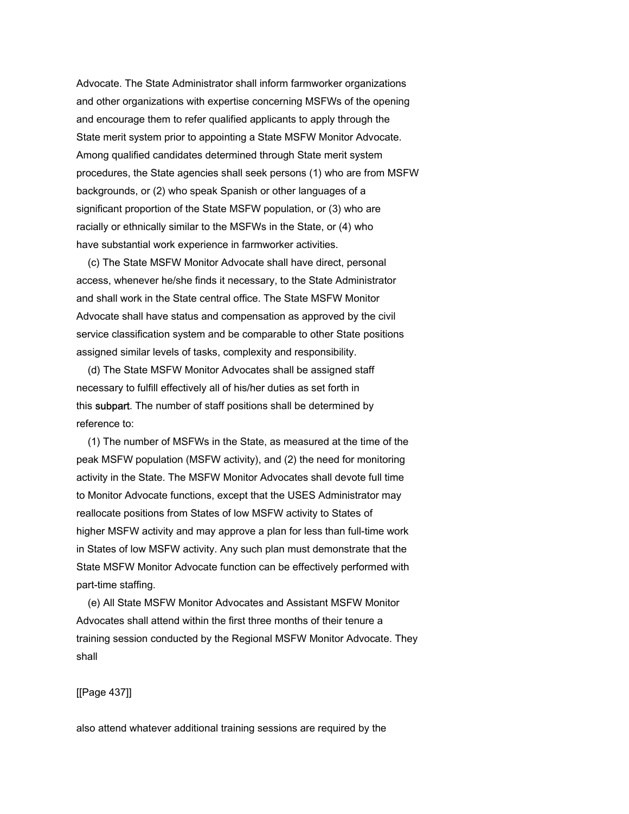Advocate. The State Administrator shall inform farmworker organizations and other organizations with expertise concerning MSFWs of the opening and encourage them to refer qualified applicants to apply through the State merit system prior to appointing a State MSFW Monitor Advocate. Among qualified candidates determined through State merit system procedures, the State agencies shall seek persons (1) who are from MSFW backgrounds, or (2) who speak Spanish or other languages of a significant proportion of the State MSFW population, or (3) who are racially or ethnically similar to the MSFWs in the State, or (4) who have substantial work experience in farmworker activities.

 (c) The State MSFW Monitor Advocate shall have direct, personal access, whenever he/she finds it necessary, to the State Administrator and shall work in the State central office. The State MSFW Monitor Advocate shall have status and compensation as approved by the civil service classification system and be comparable to other State positions assigned similar levels of tasks, complexity and responsibility.

 (d) The State MSFW Monitor Advocates shall be assigned staff necessary to fulfill effectively all of his/her duties as set forth in this subpart. The number of staff positions shall be determined by reference to:

 (1) The number of MSFWs in the State, as measured at the time of the peak MSFW population (MSFW activity), and (2) the need for monitoring activity in the State. The MSFW Monitor Advocates shall devote full time to Monitor Advocate functions, except that the USES Administrator may reallocate positions from States of low MSFW activity to States of higher MSFW activity and may approve a plan for less than full-time work in States of low MSFW activity. Any such plan must demonstrate that the State MSFW Monitor Advocate function can be effectively performed with part-time staffing.

 (e) All State MSFW Monitor Advocates and Assistant MSFW Monitor Advocates shall attend within the first three months of their tenure a training session conducted by the Regional MSFW Monitor Advocate. They shall

[[Page 437]]

also attend whatever additional training sessions are required by the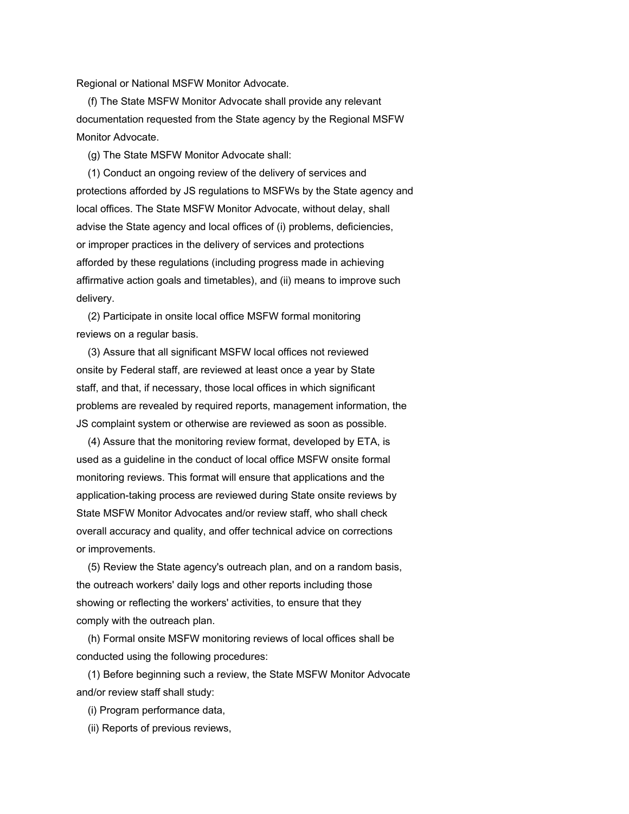Regional or National MSFW Monitor Advocate.

 (f) The State MSFW Monitor Advocate shall provide any relevant documentation requested from the State agency by the Regional MSFW Monitor Advocate.

(g) The State MSFW Monitor Advocate shall:

 (1) Conduct an ongoing review of the delivery of services and protections afforded by JS regulations to MSFWs by the State agency and local offices. The State MSFW Monitor Advocate, without delay, shall advise the State agency and local offices of (i) problems, deficiencies, or improper practices in the delivery of services and protections afforded by these regulations (including progress made in achieving affirmative action goals and timetables), and (ii) means to improve such delivery.

 (2) Participate in onsite local office MSFW formal monitoring reviews on a regular basis.

 (3) Assure that all significant MSFW local offices not reviewed onsite by Federal staff, are reviewed at least once a year by State staff, and that, if necessary, those local offices in which significant problems are revealed by required reports, management information, the JS complaint system or otherwise are reviewed as soon as possible.

 (4) Assure that the monitoring review format, developed by ETA, is used as a guideline in the conduct of local office MSFW onsite formal monitoring reviews. This format will ensure that applications and the application-taking process are reviewed during State onsite reviews by State MSFW Monitor Advocates and/or review staff, who shall check overall accuracy and quality, and offer technical advice on corrections or improvements.

 (5) Review the State agency's outreach plan, and on a random basis, the outreach workers' daily logs and other reports including those showing or reflecting the workers' activities, to ensure that they comply with the outreach plan.

 (h) Formal onsite MSFW monitoring reviews of local offices shall be conducted using the following procedures:

 (1) Before beginning such a review, the State MSFW Monitor Advocate and/or review staff shall study:

(i) Program performance data,

(ii) Reports of previous reviews,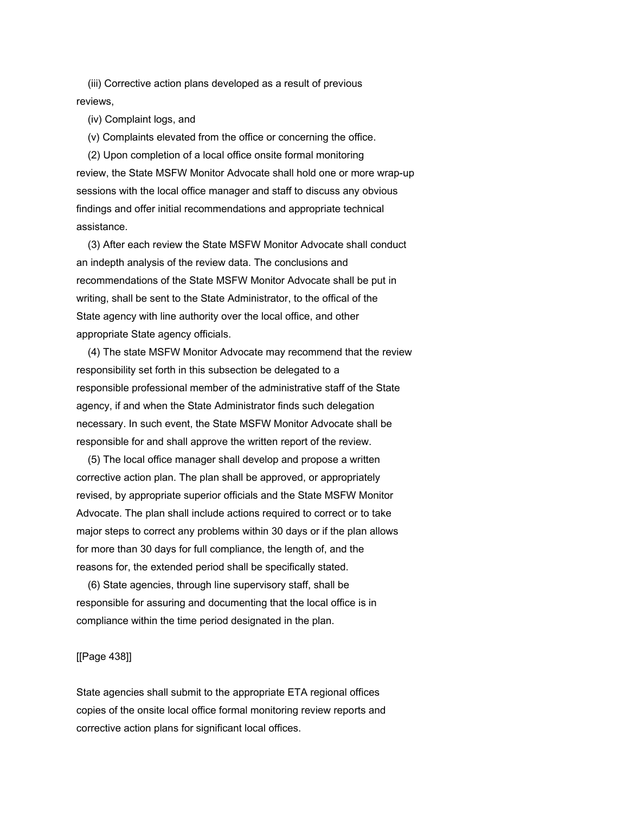(iii) Corrective action plans developed as a result of previous reviews,

(iv) Complaint logs, and

(v) Complaints elevated from the office or concerning the office.

 (2) Upon completion of a local office onsite formal monitoring review, the State MSFW Monitor Advocate shall hold one or more wrap-up sessions with the local office manager and staff to discuss any obvious findings and offer initial recommendations and appropriate technical assistance.

 (3) After each review the State MSFW Monitor Advocate shall conduct an indepth analysis of the review data. The conclusions and recommendations of the State MSFW Monitor Advocate shall be put in writing, shall be sent to the State Administrator, to the offical of the State agency with line authority over the local office, and other appropriate State agency officials.

 (4) The state MSFW Monitor Advocate may recommend that the review responsibility set forth in this subsection be delegated to a responsible professional member of the administrative staff of the State agency, if and when the State Administrator finds such delegation necessary. In such event, the State MSFW Monitor Advocate shall be responsible for and shall approve the written report of the review.

 (5) The local office manager shall develop and propose a written corrective action plan. The plan shall be approved, or appropriately revised, by appropriate superior officials and the State MSFW Monitor Advocate. The plan shall include actions required to correct or to take major steps to correct any problems within 30 days or if the plan allows for more than 30 days for full compliance, the length of, and the reasons for, the extended period shall be specifically stated.

 (6) State agencies, through line supervisory staff, shall be responsible for assuring and documenting that the local office is in compliance within the time period designated in the plan.

# [[Page 438]]

State agencies shall submit to the appropriate ETA regional offices copies of the onsite local office formal monitoring review reports and corrective action plans for significant local offices.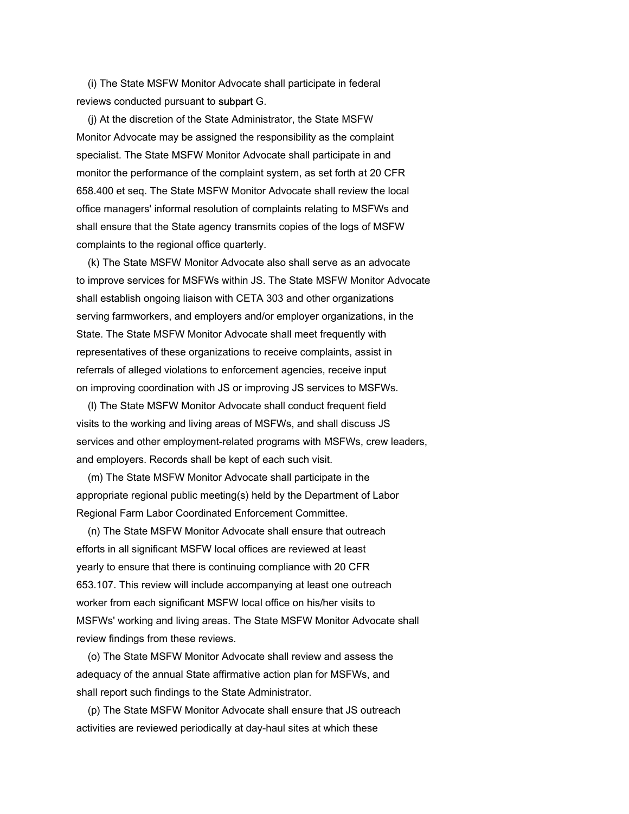(i) The State MSFW Monitor Advocate shall participate in federal reviews conducted pursuant to subpart G.

 (j) At the discretion of the State Administrator, the State MSFW Monitor Advocate may be assigned the responsibility as the complaint specialist. The State MSFW Monitor Advocate shall participate in and monitor the performance of the complaint system, as set forth at 20 CFR 658.400 et seq. The State MSFW Monitor Advocate shall review the local office managers' informal resolution of complaints relating to MSFWs and shall ensure that the State agency transmits copies of the logs of MSFW complaints to the regional office quarterly.

 (k) The State MSFW Monitor Advocate also shall serve as an advocate to improve services for MSFWs within JS. The State MSFW Monitor Advocate shall establish ongoing liaison with CETA 303 and other organizations serving farmworkers, and employers and/or employer organizations, in the State. The State MSFW Monitor Advocate shall meet frequently with representatives of these organizations to receive complaints, assist in referrals of alleged violations to enforcement agencies, receive input on improving coordination with JS or improving JS services to MSFWs.

 (l) The State MSFW Monitor Advocate shall conduct frequent field visits to the working and living areas of MSFWs, and shall discuss JS services and other employment-related programs with MSFWs, crew leaders, and employers. Records shall be kept of each such visit.

 (m) The State MSFW Monitor Advocate shall participate in the appropriate regional public meeting(s) held by the Department of Labor Regional Farm Labor Coordinated Enforcement Committee.

 (n) The State MSFW Monitor Advocate shall ensure that outreach efforts in all significant MSFW local offices are reviewed at least yearly to ensure that there is continuing compliance with 20 CFR 653.107. This review will include accompanying at least one outreach worker from each significant MSFW local office on his/her visits to MSFWs' working and living areas. The State MSFW Monitor Advocate shall review findings from these reviews.

 (o) The State MSFW Monitor Advocate shall review and assess the adequacy of the annual State affirmative action plan for MSFWs, and shall report such findings to the State Administrator.

 (p) The State MSFW Monitor Advocate shall ensure that JS outreach activities are reviewed periodically at day-haul sites at which these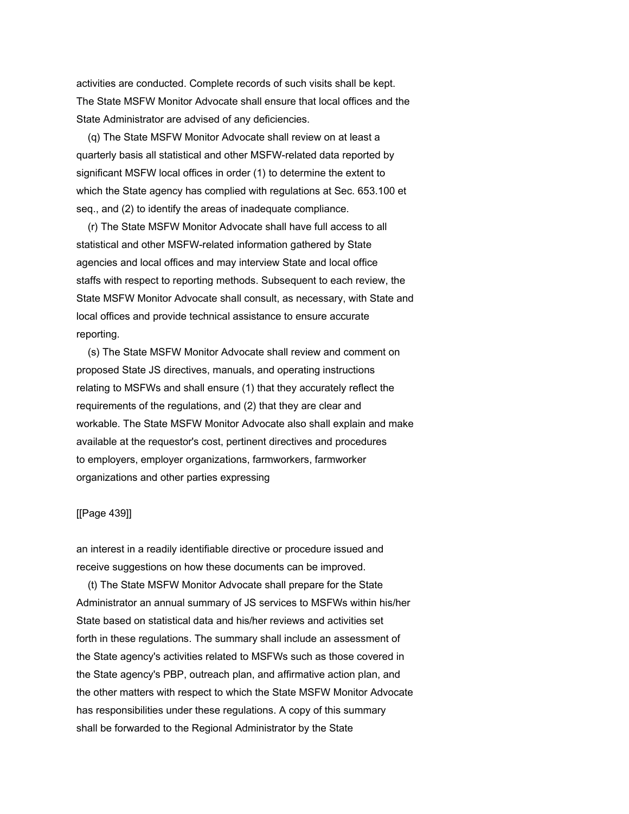activities are conducted. Complete records of such visits shall be kept. The State MSFW Monitor Advocate shall ensure that local offices and the State Administrator are advised of any deficiencies.

 (q) The State MSFW Monitor Advocate shall review on at least a quarterly basis all statistical and other MSFW-related data reported by significant MSFW local offices in order (1) to determine the extent to which the State agency has complied with regulations at Sec. 653.100 et seq., and (2) to identify the areas of inadequate compliance.

 (r) The State MSFW Monitor Advocate shall have full access to all statistical and other MSFW-related information gathered by State agencies and local offices and may interview State and local office staffs with respect to reporting methods. Subsequent to each review, the State MSFW Monitor Advocate shall consult, as necessary, with State and local offices and provide technical assistance to ensure accurate reporting.

 (s) The State MSFW Monitor Advocate shall review and comment on proposed State JS directives, manuals, and operating instructions relating to MSFWs and shall ensure (1) that they accurately reflect the requirements of the regulations, and (2) that they are clear and workable. The State MSFW Monitor Advocate also shall explain and make available at the requestor's cost, pertinent directives and procedures to employers, employer organizations, farmworkers, farmworker organizations and other parties expressing

#### [[Page 439]]

an interest in a readily identifiable directive or procedure issued and receive suggestions on how these documents can be improved.

 (t) The State MSFW Monitor Advocate shall prepare for the State Administrator an annual summary of JS services to MSFWs within his/her State based on statistical data and his/her reviews and activities set forth in these regulations. The summary shall include an assessment of the State agency's activities related to MSFWs such as those covered in the State agency's PBP, outreach plan, and affirmative action plan, and the other matters with respect to which the State MSFW Monitor Advocate has responsibilities under these regulations. A copy of this summary shall be forwarded to the Regional Administrator by the State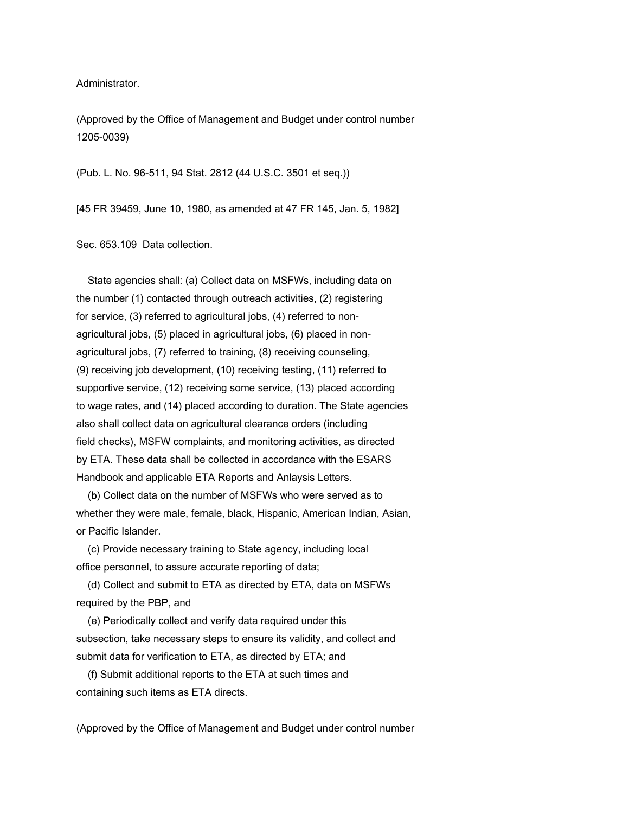Administrator.

(Approved by the Office of Management and Budget under control number 1205-0039)

(Pub. L. No. 96-511, 94 Stat. 2812 (44 U.S.C. 3501 et seq.))

[45 FR 39459, June 10, 1980, as amended at 47 FR 145, Jan. 5, 1982]

Sec. 653.109 Data collection.

 State agencies shall: (a) Collect data on MSFWs, including data on the number (1) contacted through outreach activities, (2) registering for service, (3) referred to agricultural jobs, (4) referred to nonagricultural jobs, (5) placed in agricultural jobs, (6) placed in nonagricultural jobs, (7) referred to training, (8) receiving counseling, (9) receiving job development, (10) receiving testing, (11) referred to supportive service, (12) receiving some service, (13) placed according to wage rates, and (14) placed according to duration. The State agencies also shall collect data on agricultural clearance orders (including field checks), MSFW complaints, and monitoring activities, as directed by ETA. These data shall be collected in accordance with the ESARS Handbook and applicable ETA Reports and Anlaysis Letters.

 (b) Collect data on the number of MSFWs who were served as to whether they were male, female, black, Hispanic, American Indian, Asian, or Pacific Islander.

 (c) Provide necessary training to State agency, including local office personnel, to assure accurate reporting of data;

 (d) Collect and submit to ETA as directed by ETA, data on MSFWs required by the PBP, and

 (e) Periodically collect and verify data required under this subsection, take necessary steps to ensure its validity, and collect and submit data for verification to ETA, as directed by ETA; and

 (f) Submit additional reports to the ETA at such times and containing such items as ETA directs.

(Approved by the Office of Management and Budget under control number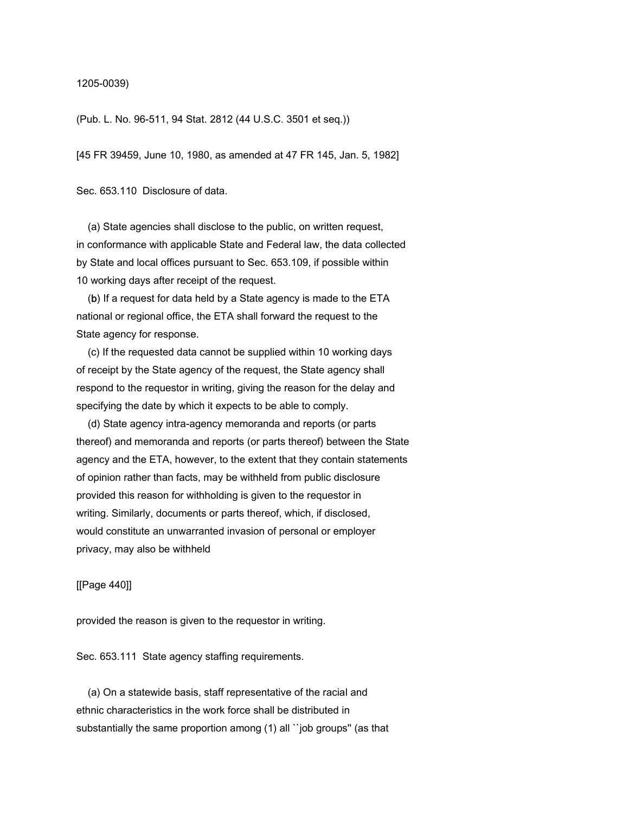1205-0039)

(Pub. L. No. 96-511, 94 Stat. 2812 (44 U.S.C. 3501 et seq.))

[45 FR 39459, June 10, 1980, as amended at 47 FR 145, Jan. 5, 1982]

Sec. 653.110 Disclosure of data.

 (a) State agencies shall disclose to the public, on written request, in conformance with applicable State and Federal law, the data collected by State and local offices pursuant to Sec. 653.109, if possible within 10 working days after receipt of the request.

 (b) If a request for data held by a State agency is made to the ETA national or regional office, the ETA shall forward the request to the State agency for response.

 (c) If the requested data cannot be supplied within 10 working days of receipt by the State agency of the request, the State agency shall respond to the requestor in writing, giving the reason for the delay and specifying the date by which it expects to be able to comply.

 (d) State agency intra-agency memoranda and reports (or parts thereof) and memoranda and reports (or parts thereof) between the State agency and the ETA, however, to the extent that they contain statements of opinion rather than facts, may be withheld from public disclosure provided this reason for withholding is given to the requestor in writing. Similarly, documents or parts thereof, which, if disclosed, would constitute an unwarranted invasion of personal or employer privacy, may also be withheld

[[Page 440]]

provided the reason is given to the requestor in writing.

Sec. 653.111 State agency staffing requirements.

 (a) On a statewide basis, staff representative of the racial and ethnic characteristics in the work force shall be distributed in substantially the same proportion among (1) all ``job groups'' (as that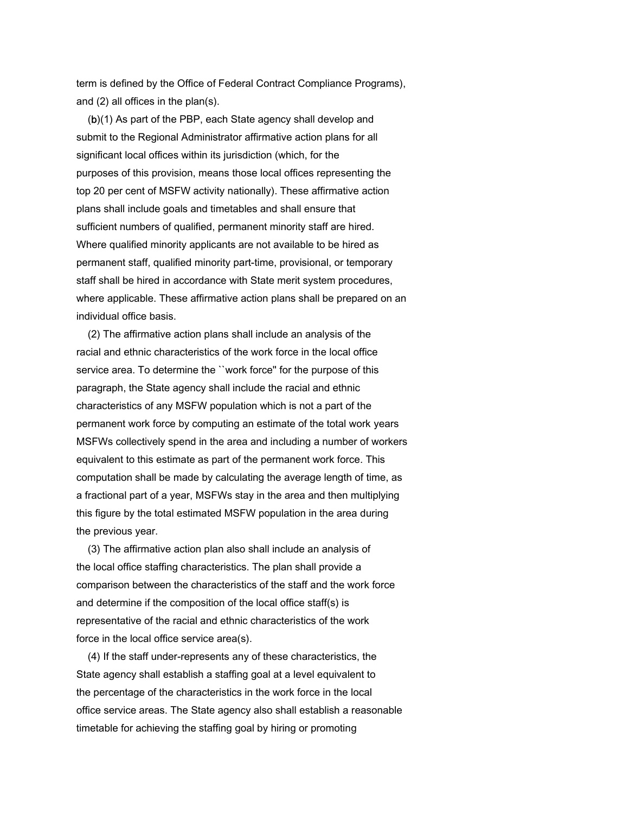term is defined by the Office of Federal Contract Compliance Programs), and (2) all offices in the plan(s).

 (b)(1) As part of the PBP, each State agency shall develop and submit to the Regional Administrator affirmative action plans for all significant local offices within its jurisdiction (which, for the purposes of this provision, means those local offices representing the top 20 per cent of MSFW activity nationally). These affirmative action plans shall include goals and timetables and shall ensure that sufficient numbers of qualified, permanent minority staff are hired. Where qualified minority applicants are not available to be hired as permanent staff, qualified minority part-time, provisional, or temporary staff shall be hired in accordance with State merit system procedures, where applicable. These affirmative action plans shall be prepared on an individual office basis.

 (2) The affirmative action plans shall include an analysis of the racial and ethnic characteristics of the work force in the local office service area. To determine the "work force" for the purpose of this paragraph, the State agency shall include the racial and ethnic characteristics of any MSFW population which is not a part of the permanent work force by computing an estimate of the total work years MSFWs collectively spend in the area and including a number of workers equivalent to this estimate as part of the permanent work force. This computation shall be made by calculating the average length of time, as a fractional part of a year, MSFWs stay in the area and then multiplying this figure by the total estimated MSFW population in the area during the previous year.

 (3) The affirmative action plan also shall include an analysis of the local office staffing characteristics. The plan shall provide a comparison between the characteristics of the staff and the work force and determine if the composition of the local office staff(s) is representative of the racial and ethnic characteristics of the work force in the local office service area(s).

 (4) If the staff under-represents any of these characteristics, the State agency shall establish a staffing goal at a level equivalent to the percentage of the characteristics in the work force in the local office service areas. The State agency also shall establish a reasonable timetable for achieving the staffing goal by hiring or promoting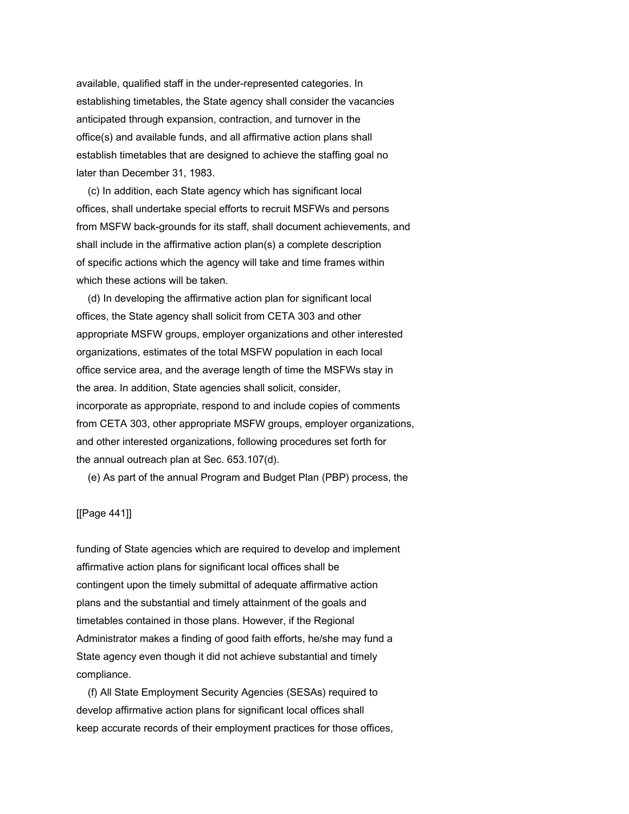available, qualified staff in the under-represented categories. In establishing timetables, the State agency shall consider the vacancies anticipated through expansion, contraction, and turnover in the office(s) and available funds, and all affirmative action plans shall establish timetables that are designed to achieve the staffing goal no later than December 31, 1983.

 (c) In addition, each State agency which has significant local offices, shall undertake special efforts to recruit MSFWs and persons from MSFW back-grounds for its staff, shall document achievements, and shall include in the affirmative action plan(s) a complete description of specific actions which the agency will take and time frames within which these actions will be taken.

 (d) In developing the affirmative action plan for significant local offices, the State agency shall solicit from CETA 303 and other appropriate MSFW groups, employer organizations and other interested organizations, estimates of the total MSFW population in each local office service area, and the average length of time the MSFWs stay in the area. In addition, State agencies shall solicit, consider, incorporate as appropriate, respond to and include copies of comments from CETA 303, other appropriate MSFW groups, employer organizations, and other interested organizations, following procedures set forth for the annual outreach plan at Sec. 653.107(d).

(e) As part of the annual Program and Budget Plan (PBP) process, the

#### [[Page 441]]

funding of State agencies which are required to develop and implement affirmative action plans for significant local offices shall be contingent upon the timely submittal of adequate affirmative action plans and the substantial and timely attainment of the goals and timetables contained in those plans. However, if the Regional Administrator makes a finding of good faith efforts, he/she may fund a State agency even though it did not achieve substantial and timely compliance.

 (f) All State Employment Security Agencies (SESAs) required to develop affirmative action plans for significant local offices shall keep accurate records of their employment practices for those offices,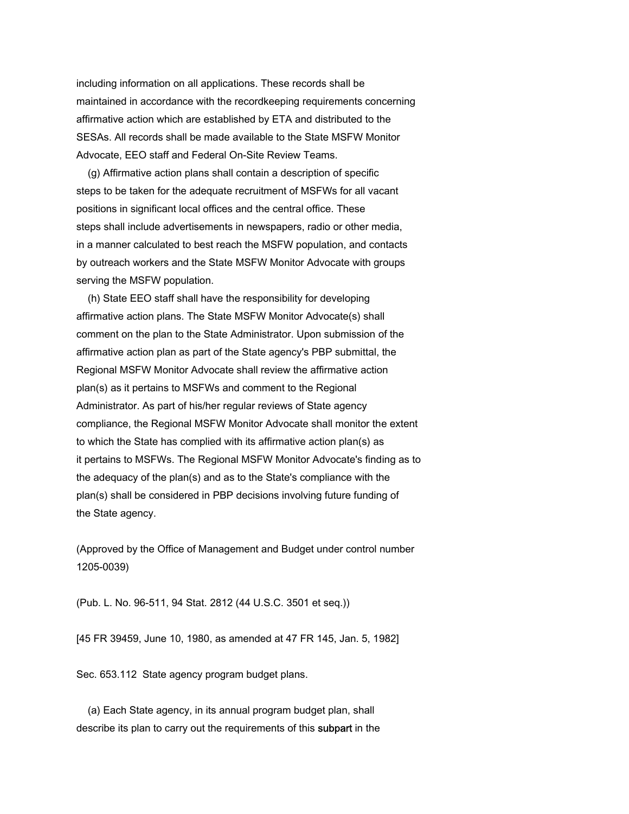including information on all applications. These records shall be maintained in accordance with the recordkeeping requirements concerning affirmative action which are established by ETA and distributed to the SESAs. All records shall be made available to the State MSFW Monitor Advocate, EEO staff and Federal On-Site Review Teams.

 (g) Affirmative action plans shall contain a description of specific steps to be taken for the adequate recruitment of MSFWs for all vacant positions in significant local offices and the central office. These steps shall include advertisements in newspapers, radio or other media, in a manner calculated to best reach the MSFW population, and contacts by outreach workers and the State MSFW Monitor Advocate with groups serving the MSFW population.

 (h) State EEO staff shall have the responsibility for developing affirmative action plans. The State MSFW Monitor Advocate(s) shall comment on the plan to the State Administrator. Upon submission of the affirmative action plan as part of the State agency's PBP submittal, the Regional MSFW Monitor Advocate shall review the affirmative action plan(s) as it pertains to MSFWs and comment to the Regional Administrator. As part of his/her regular reviews of State agency compliance, the Regional MSFW Monitor Advocate shall monitor the extent to which the State has complied with its affirmative action plan(s) as it pertains to MSFWs. The Regional MSFW Monitor Advocate's finding as to the adequacy of the plan(s) and as to the State's compliance with the plan(s) shall be considered in PBP decisions involving future funding of the State agency.

(Approved by the Office of Management and Budget under control number 1205-0039)

(Pub. L. No. 96-511, 94 Stat. 2812 (44 U.S.C. 3501 et seq.))

[45 FR 39459, June 10, 1980, as amended at 47 FR 145, Jan. 5, 1982]

Sec. 653.112 State agency program budget plans.

 (a) Each State agency, in its annual program budget plan, shall describe its plan to carry out the requirements of this subpart in the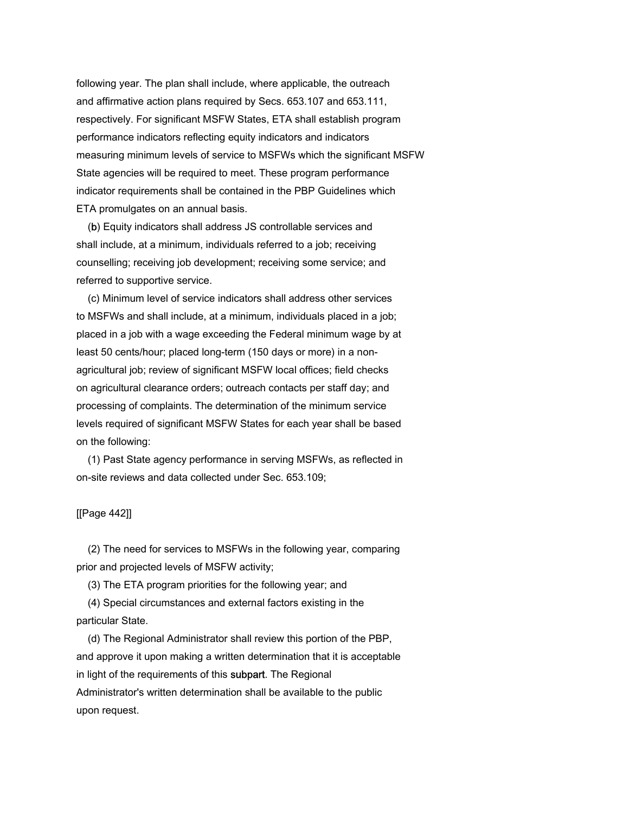following year. The plan shall include, where applicable, the outreach and affirmative action plans required by Secs. 653.107 and 653.111, respectively. For significant MSFW States, ETA shall establish program performance indicators reflecting equity indicators and indicators measuring minimum levels of service to MSFWs which the significant MSFW State agencies will be required to meet. These program performance indicator requirements shall be contained in the PBP Guidelines which ETA promulgates on an annual basis.

 (b) Equity indicators shall address JS controllable services and shall include, at a minimum, individuals referred to a job; receiving counselling; receiving job development; receiving some service; and referred to supportive service.

 (c) Minimum level of service indicators shall address other services to MSFWs and shall include, at a minimum, individuals placed in a job; placed in a job with a wage exceeding the Federal minimum wage by at least 50 cents/hour; placed long-term (150 days or more) in a nonagricultural job; review of significant MSFW local offices; field checks on agricultural clearance orders; outreach contacts per staff day; and processing of complaints. The determination of the minimum service levels required of significant MSFW States for each year shall be based on the following:

 (1) Past State agency performance in serving MSFWs, as reflected in on-site reviews and data collected under Sec. 653.109;

## [[Page 442]]

 (2) The need for services to MSFWs in the following year, comparing prior and projected levels of MSFW activity;

(3) The ETA program priorities for the following year; and

 (4) Special circumstances and external factors existing in the particular State.

 (d) The Regional Administrator shall review this portion of the PBP, and approve it upon making a written determination that it is acceptable in light of the requirements of this **subpart**. The Regional Administrator's written determination shall be available to the public upon request.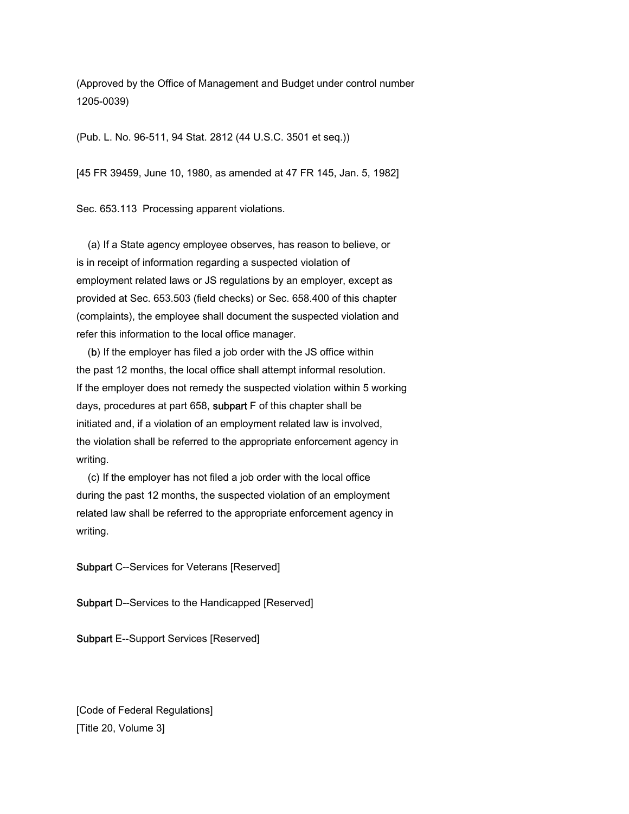(Approved by the Office of Management and Budget under control number 1205-0039)

(Pub. L. No. 96-511, 94 Stat. 2812 (44 U.S.C. 3501 et seq.))

[45 FR 39459, June 10, 1980, as amended at 47 FR 145, Jan. 5, 1982]

Sec. 653.113 Processing apparent violations.

 (a) If a State agency employee observes, has reason to believe, or is in receipt of information regarding a suspected violation of employment related laws or JS regulations by an employer, except as provided at Sec. 653.503 (field checks) or Sec. 658.400 of this chapter (complaints), the employee shall document the suspected violation and refer this information to the local office manager.

 (b) If the employer has filed a job order with the JS office within the past 12 months, the local office shall attempt informal resolution. If the employer does not remedy the suspected violation within 5 working days, procedures at part 658, subpart F of this chapter shall be initiated and, if a violation of an employment related law is involved, the violation shall be referred to the appropriate enforcement agency in writing.

 (c) If the employer has not filed a job order with the local office during the past 12 months, the suspected violation of an employment related law shall be referred to the appropriate enforcement agency in writing.

Subpart C--Services for Veterans [Reserved]

Subpart D--Services to the Handicapped [Reserved]

Subpart E--Support Services [Reserved]

[Code of Federal Regulations] [Title 20, Volume 3]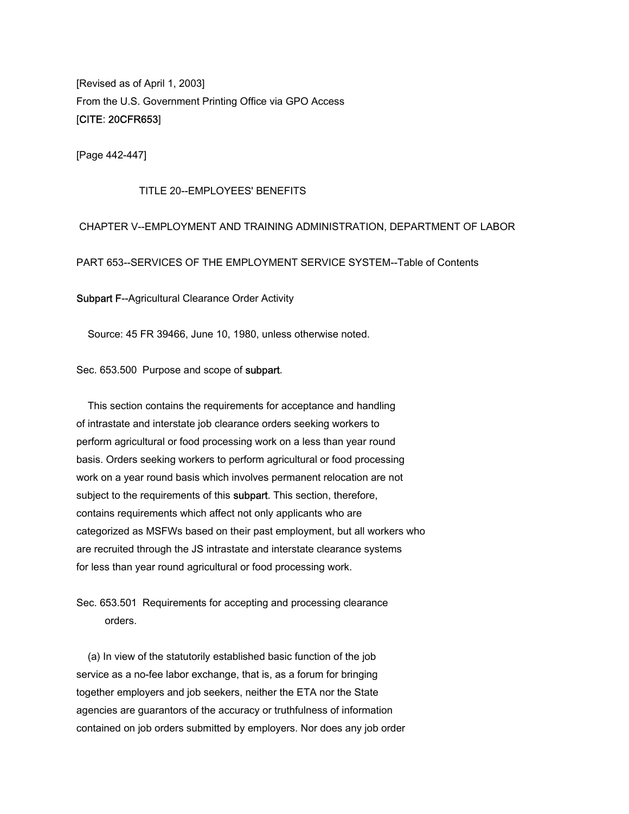[Revised as of April 1, 2003] From the U.S. Government Printing Office via GPO Access [CITE: 20CFR653]

[Page 442-447]

#### TITLE 20--EMPLOYEES' BENEFITS

# CHAPTER V--EMPLOYMENT AND TRAINING ADMINISTRATION, DEPARTMENT OF LABOR

PART 653--SERVICES OF THE EMPLOYMENT SERVICE SYSTEM--Table of Contents

Subpart F--Agricultural Clearance Order Activity

Source: 45 FR 39466, June 10, 1980, unless otherwise noted.

#### Sec. 653.500 Purpose and scope of subpart.

 This section contains the requirements for acceptance and handling of intrastate and interstate job clearance orders seeking workers to perform agricultural or food processing work on a less than year round basis. Orders seeking workers to perform agricultural or food processing work on a year round basis which involves permanent relocation are not subject to the requirements of this subpart. This section, therefore, contains requirements which affect not only applicants who are categorized as MSFWs based on their past employment, but all workers who are recruited through the JS intrastate and interstate clearance systems for less than year round agricultural or food processing work.

Sec. 653.501 Requirements for accepting and processing clearance orders.

 (a) In view of the statutorily established basic function of the job service as a no-fee labor exchange, that is, as a forum for bringing together employers and job seekers, neither the ETA nor the State agencies are guarantors of the accuracy or truthfulness of information contained on job orders submitted by employers. Nor does any job order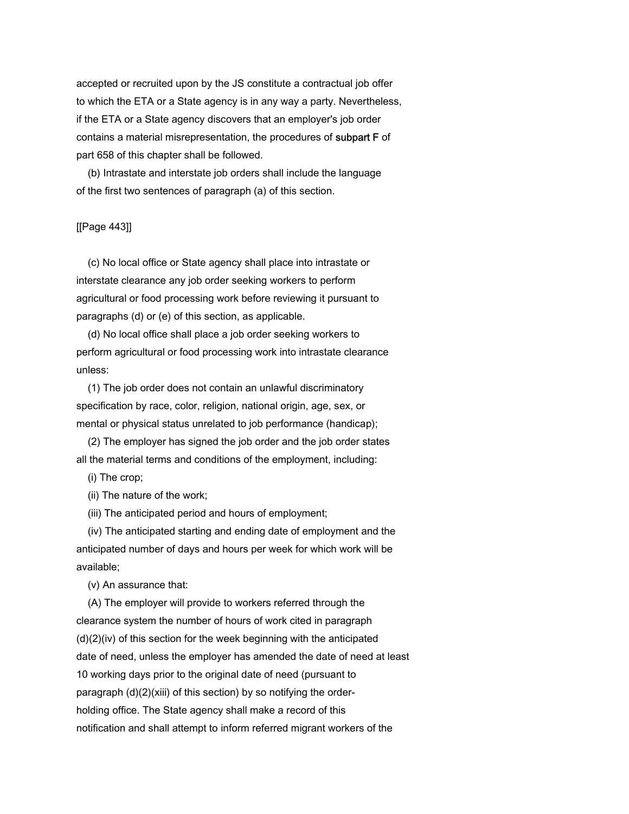accepted or recruited upon by the JS constitute a contractual job offer to which the ETA or a State agency is in any way a party. Nevertheless, if the ETA or a State agency discovers that an employer's job order contains a material misrepresentation, the procedures of subpart F of part 658 of this chapter shall be followed.

 (b) Intrastate and interstate job orders shall include the language of the first two sentences of paragraph (a) of this section.

## [[Page 443]]

 (c) No local office or State agency shall place into intrastate or interstate clearance any job order seeking workers to perform agricultural or food processing work before reviewing it pursuant to paragraphs (d) or (e) of this section, as applicable.

 (d) No local office shall place a job order seeking workers to perform agricultural or food processing work into intrastate clearance unless:

 (1) The job order does not contain an unlawful discriminatory specification by race, color, religion, national origin, age, sex, or mental or physical status unrelated to job performance (handicap);

 (2) The employer has signed the job order and the job order states all the material terms and conditions of the employment, including:

(i) The crop;

(ii) The nature of the work;

(iii) The anticipated period and hours of employment;

 (iv) The anticipated starting and ending date of employment and the anticipated number of days and hours per week for which work will be available;

(v) An assurance that:

 (A) The employer will provide to workers referred through the clearance system the number of hours of work cited in paragraph (d)(2)(iv) of this section for the week beginning with the anticipated date of need, unless the employer has amended the date of need at least 10 working days prior to the original date of need (pursuant to paragraph (d)(2)(xiii) of this section) by so notifying the orderholding office. The State agency shall make a record of this notification and shall attempt to inform referred migrant workers of the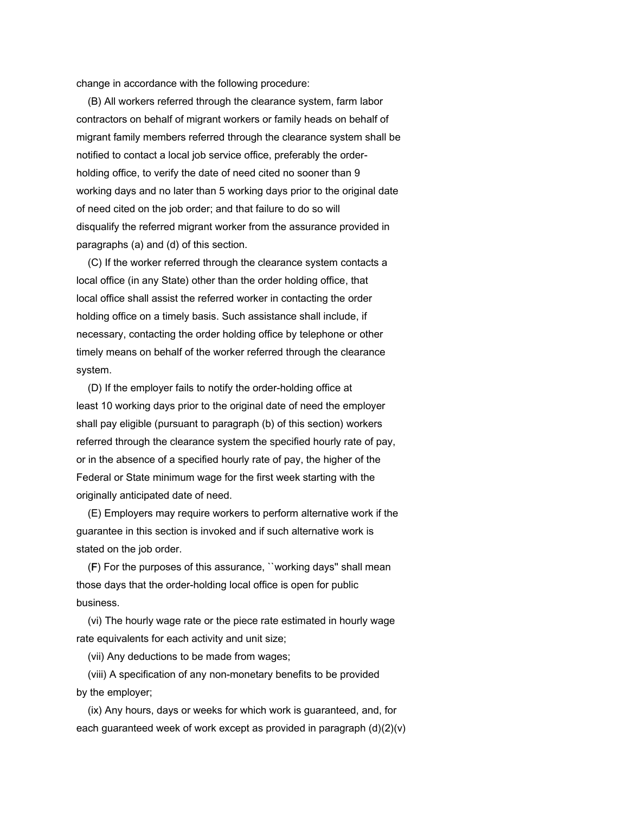change in accordance with the following procedure:

 (B) All workers referred through the clearance system, farm labor contractors on behalf of migrant workers or family heads on behalf of migrant family members referred through the clearance system shall be notified to contact a local job service office, preferably the orderholding office, to verify the date of need cited no sooner than 9 working days and no later than 5 working days prior to the original date of need cited on the job order; and that failure to do so will disqualify the referred migrant worker from the assurance provided in paragraphs (a) and (d) of this section.

 (C) If the worker referred through the clearance system contacts a local office (in any State) other than the order holding office, that local office shall assist the referred worker in contacting the order holding office on a timely basis. Such assistance shall include, if necessary, contacting the order holding office by telephone or other timely means on behalf of the worker referred through the clearance system.

 (D) If the employer fails to notify the order-holding office at least 10 working days prior to the original date of need the employer shall pay eligible (pursuant to paragraph (b) of this section) workers referred through the clearance system the specified hourly rate of pay, or in the absence of a specified hourly rate of pay, the higher of the Federal or State minimum wage for the first week starting with the originally anticipated date of need.

 (E) Employers may require workers to perform alternative work if the guarantee in this section is invoked and if such alternative work is stated on the job order.

 (F) For the purposes of this assurance, ``working days'' shall mean those days that the order-holding local office is open for public business.

 (vi) The hourly wage rate or the piece rate estimated in hourly wage rate equivalents for each activity and unit size;

(vii) Any deductions to be made from wages;

 (viii) A specification of any non-monetary benefits to be provided by the employer;

 (ix) Any hours, days or weeks for which work is guaranteed, and, for each guaranteed week of work except as provided in paragraph (d)(2)(v)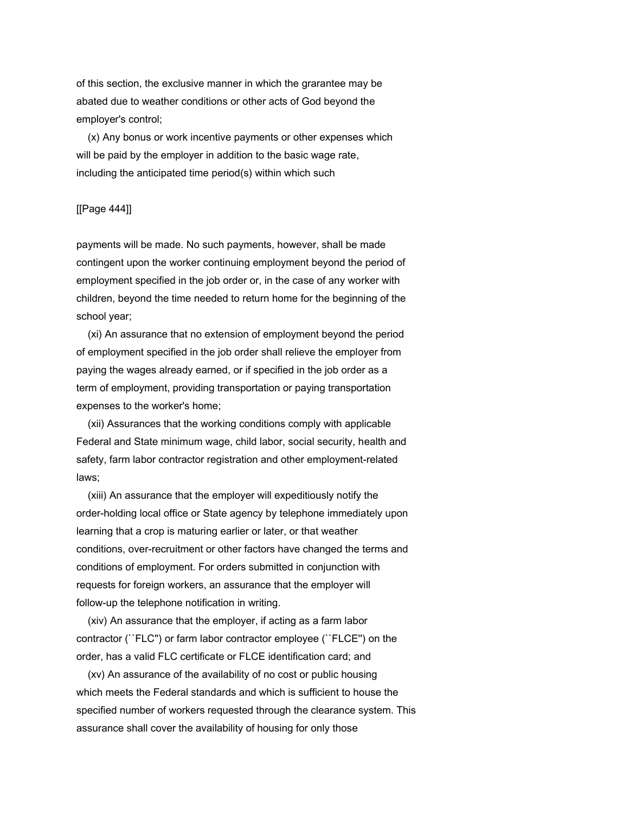of this section, the exclusive manner in which the grarantee may be abated due to weather conditions or other acts of God beyond the employer's control;

 (x) Any bonus or work incentive payments or other expenses which will be paid by the employer in addition to the basic wage rate, including the anticipated time period(s) within which such

## [[Page 444]]

payments will be made. No such payments, however, shall be made contingent upon the worker continuing employment beyond the period of employment specified in the job order or, in the case of any worker with children, beyond the time needed to return home for the beginning of the school year;

 (xi) An assurance that no extension of employment beyond the period of employment specified in the job order shall relieve the employer from paying the wages already earned, or if specified in the job order as a term of employment, providing transportation or paying transportation expenses to the worker's home;

 (xii) Assurances that the working conditions comply with applicable Federal and State minimum wage, child labor, social security, health and safety, farm labor contractor registration and other employment-related laws;

 (xiii) An assurance that the employer will expeditiously notify the order-holding local office or State agency by telephone immediately upon learning that a crop is maturing earlier or later, or that weather conditions, over-recruitment or other factors have changed the terms and conditions of employment. For orders submitted in conjunction with requests for foreign workers, an assurance that the employer will follow-up the telephone notification in writing.

 (xiv) An assurance that the employer, if acting as a farm labor contractor (``FLC'') or farm labor contractor employee (``FLCE'') on the order, has a valid FLC certificate or FLCE identification card; and

 (xv) An assurance of the availability of no cost or public housing which meets the Federal standards and which is sufficient to house the specified number of workers requested through the clearance system. This assurance shall cover the availability of housing for only those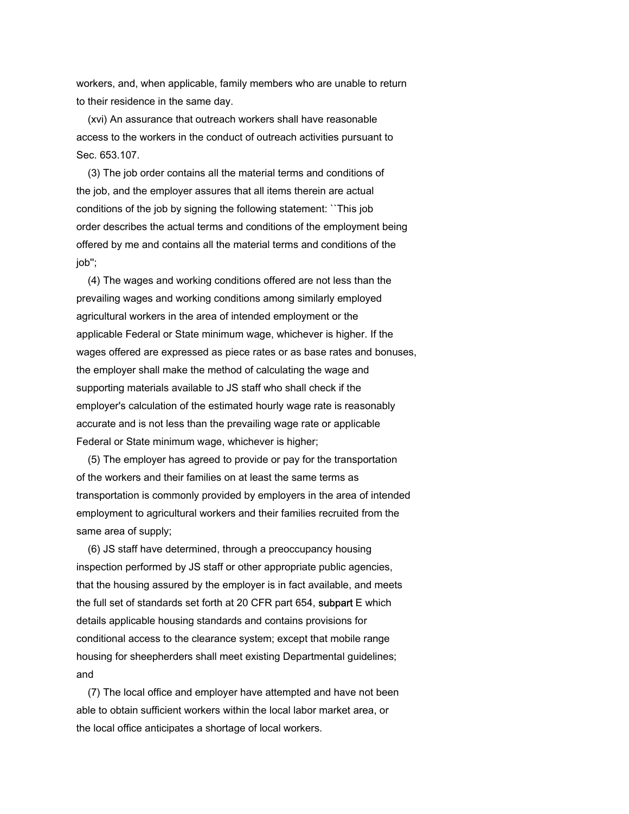workers, and, when applicable, family members who are unable to return to their residence in the same day.

 (xvi) An assurance that outreach workers shall have reasonable access to the workers in the conduct of outreach activities pursuant to Sec. 653.107.

 (3) The job order contains all the material terms and conditions of the job, and the employer assures that all items therein are actual conditions of the job by signing the following statement: ``This job order describes the actual terms and conditions of the employment being offered by me and contains all the material terms and conditions of the job'';

 (4) The wages and working conditions offered are not less than the prevailing wages and working conditions among similarly employed agricultural workers in the area of intended employment or the applicable Federal or State minimum wage, whichever is higher. If the wages offered are expressed as piece rates or as base rates and bonuses, the employer shall make the method of calculating the wage and supporting materials available to JS staff who shall check if the employer's calculation of the estimated hourly wage rate is reasonably accurate and is not less than the prevailing wage rate or applicable Federal or State minimum wage, whichever is higher;

 (5) The employer has agreed to provide or pay for the transportation of the workers and their families on at least the same terms as transportation is commonly provided by employers in the area of intended employment to agricultural workers and their families recruited from the same area of supply;

 (6) JS staff have determined, through a preoccupancy housing inspection performed by JS staff or other appropriate public agencies, that the housing assured by the employer is in fact available, and meets the full set of standards set forth at 20 CFR part 654, subpart E which details applicable housing standards and contains provisions for conditional access to the clearance system; except that mobile range housing for sheepherders shall meet existing Departmental guidelines; and

 (7) The local office and employer have attempted and have not been able to obtain sufficient workers within the local labor market area, or the local office anticipates a shortage of local workers.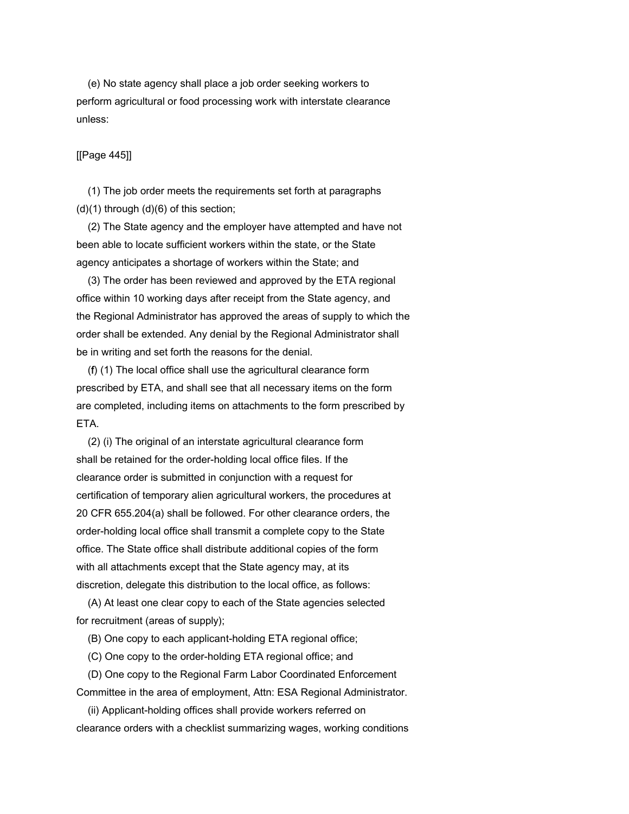(e) No state agency shall place a job order seeking workers to perform agricultural or food processing work with interstate clearance unless:

## [[Page 445]]

 (1) The job order meets the requirements set forth at paragraphs (d)(1) through (d)(6) of this section;

 (2) The State agency and the employer have attempted and have not been able to locate sufficient workers within the state, or the State agency anticipates a shortage of workers within the State; and

 (3) The order has been reviewed and approved by the ETA regional office within 10 working days after receipt from the State agency, and the Regional Administrator has approved the areas of supply to which the order shall be extended. Any denial by the Regional Administrator shall be in writing and set forth the reasons for the denial.

 (f) (1) The local office shall use the agricultural clearance form prescribed by ETA, and shall see that all necessary items on the form are completed, including items on attachments to the form prescribed by ETA.

 (2) (i) The original of an interstate agricultural clearance form shall be retained for the order-holding local office files. If the clearance order is submitted in conjunction with a request for certification of temporary alien agricultural workers, the procedures at 20 CFR 655.204(a) shall be followed. For other clearance orders, the order-holding local office shall transmit a complete copy to the State office. The State office shall distribute additional copies of the form with all attachments except that the State agency may, at its discretion, delegate this distribution to the local office, as follows:

 (A) At least one clear copy to each of the State agencies selected for recruitment (areas of supply);

(B) One copy to each applicant-holding ETA regional office;

(C) One copy to the order-holding ETA regional office; and

 (D) One copy to the Regional Farm Labor Coordinated Enforcement Committee in the area of employment, Attn: ESA Regional Administrator.

 (ii) Applicant-holding offices shall provide workers referred on clearance orders with a checklist summarizing wages, working conditions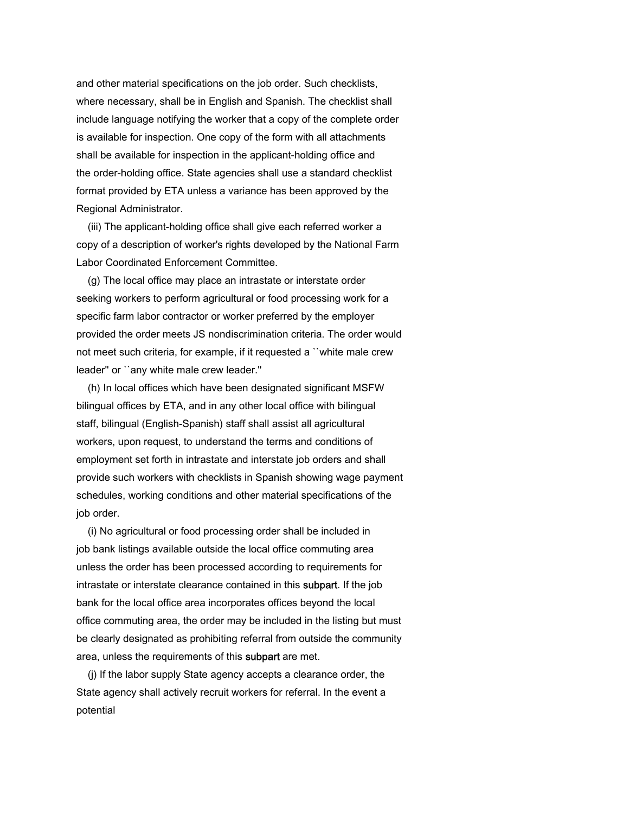and other material specifications on the job order. Such checklists, where necessary, shall be in English and Spanish. The checklist shall include language notifying the worker that a copy of the complete order is available for inspection. One copy of the form with all attachments shall be available for inspection in the applicant-holding office and the order-holding office. State agencies shall use a standard checklist format provided by ETA unless a variance has been approved by the Regional Administrator.

 (iii) The applicant-holding office shall give each referred worker a copy of a description of worker's rights developed by the National Farm Labor Coordinated Enforcement Committee.

 (g) The local office may place an intrastate or interstate order seeking workers to perform agricultural or food processing work for a specific farm labor contractor or worker preferred by the employer provided the order meets JS nondiscrimination criteria. The order would not meet such criteria, for example, if it requested a ``white male crew leader'' or ``any white male crew leader.''

 (h) In local offices which have been designated significant MSFW bilingual offices by ETA, and in any other local office with bilingual staff, bilingual (English-Spanish) staff shall assist all agricultural workers, upon request, to understand the terms and conditions of employment set forth in intrastate and interstate job orders and shall provide such workers with checklists in Spanish showing wage payment schedules, working conditions and other material specifications of the job order.

 (i) No agricultural or food processing order shall be included in job bank listings available outside the local office commuting area unless the order has been processed according to requirements for intrastate or interstate clearance contained in this subpart. If the job bank for the local office area incorporates offices beyond the local office commuting area, the order may be included in the listing but must be clearly designated as prohibiting referral from outside the community area, unless the requirements of this subpart are met.

 (j) If the labor supply State agency accepts a clearance order, the State agency shall actively recruit workers for referral. In the event a potential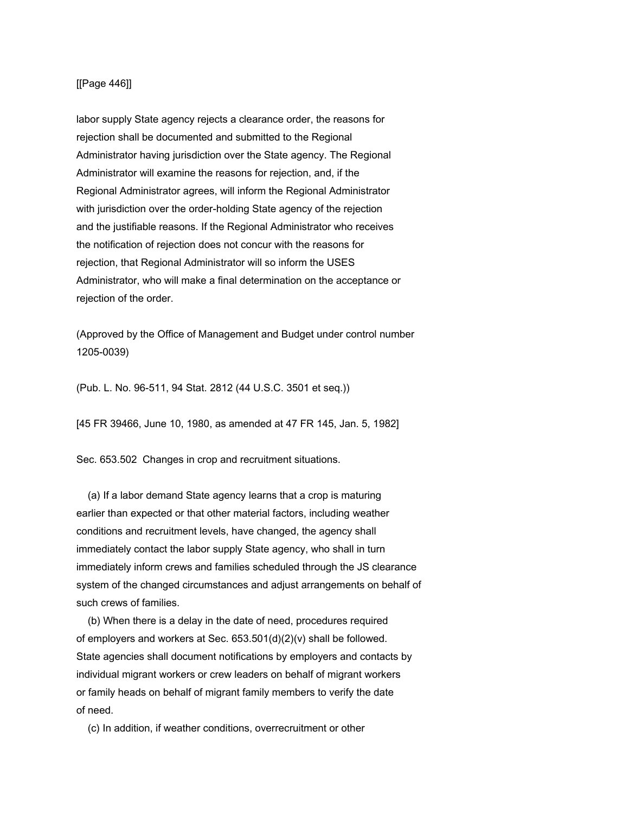## [[Page 446]]

labor supply State agency rejects a clearance order, the reasons for rejection shall be documented and submitted to the Regional Administrator having jurisdiction over the State agency. The Regional Administrator will examine the reasons for rejection, and, if the Regional Administrator agrees, will inform the Regional Administrator with jurisdiction over the order-holding State agency of the rejection and the justifiable reasons. If the Regional Administrator who receives the notification of rejection does not concur with the reasons for rejection, that Regional Administrator will so inform the USES Administrator, who will make a final determination on the acceptance or rejection of the order.

(Approved by the Office of Management and Budget under control number 1205-0039)

(Pub. L. No. 96-511, 94 Stat. 2812 (44 U.S.C. 3501 et seq.))

[45 FR 39466, June 10, 1980, as amended at 47 FR 145, Jan. 5, 1982]

Sec. 653.502 Changes in crop and recruitment situations.

 (a) If a labor demand State agency learns that a crop is maturing earlier than expected or that other material factors, including weather conditions and recruitment levels, have changed, the agency shall immediately contact the labor supply State agency, who shall in turn immediately inform crews and families scheduled through the JS clearance system of the changed circumstances and adjust arrangements on behalf of such crews of families.

 (b) When there is a delay in the date of need, procedures required of employers and workers at Sec. 653.501(d)(2)(v) shall be followed. State agencies shall document notifications by employers and contacts by individual migrant workers or crew leaders on behalf of migrant workers or family heads on behalf of migrant family members to verify the date of need.

(c) In addition, if weather conditions, overrecruitment or other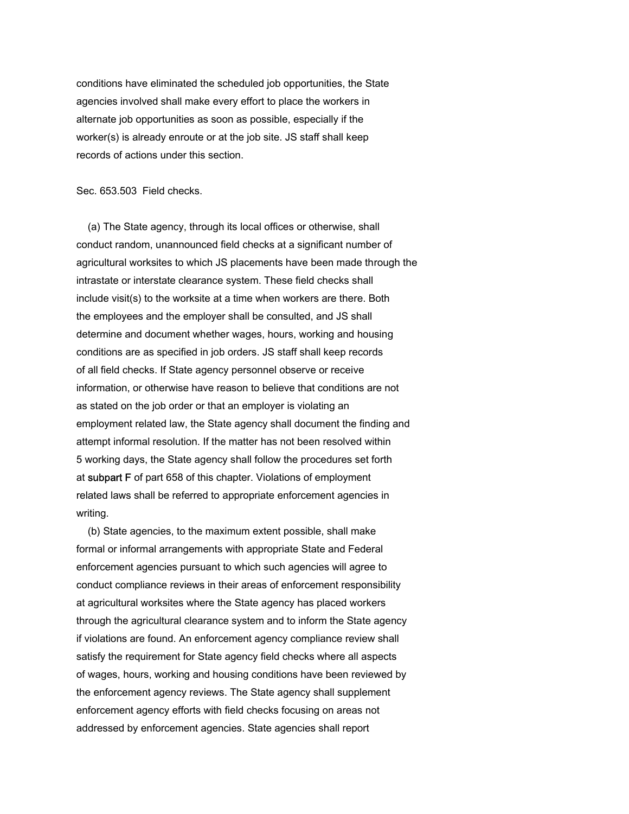conditions have eliminated the scheduled job opportunities, the State agencies involved shall make every effort to place the workers in alternate job opportunities as soon as possible, especially if the worker(s) is already enroute or at the job site. JS staff shall keep records of actions under this section.

Sec. 653.503 Field checks.

 (a) The State agency, through its local offices or otherwise, shall conduct random, unannounced field checks at a significant number of agricultural worksites to which JS placements have been made through the intrastate or interstate clearance system. These field checks shall include visit(s) to the worksite at a time when workers are there. Both the employees and the employer shall be consulted, and JS shall determine and document whether wages, hours, working and housing conditions are as specified in job orders. JS staff shall keep records of all field checks. If State agency personnel observe or receive information, or otherwise have reason to believe that conditions are not as stated on the job order or that an employer is violating an employment related law, the State agency shall document the finding and attempt informal resolution. If the matter has not been resolved within 5 working days, the State agency shall follow the procedures set forth at subpart F of part 658 of this chapter. Violations of employment related laws shall be referred to appropriate enforcement agencies in writing.

 (b) State agencies, to the maximum extent possible, shall make formal or informal arrangements with appropriate State and Federal enforcement agencies pursuant to which such agencies will agree to conduct compliance reviews in their areas of enforcement responsibility at agricultural worksites where the State agency has placed workers through the agricultural clearance system and to inform the State agency if violations are found. An enforcement agency compliance review shall satisfy the requirement for State agency field checks where all aspects of wages, hours, working and housing conditions have been reviewed by the enforcement agency reviews. The State agency shall supplement enforcement agency efforts with field checks focusing on areas not addressed by enforcement agencies. State agencies shall report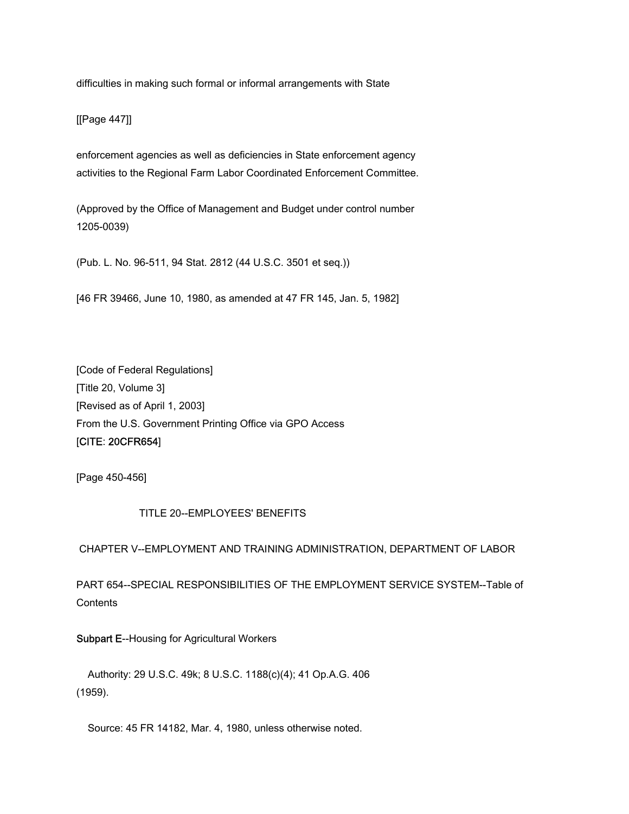difficulties in making such formal or informal arrangements with State

[[Page 447]]

enforcement agencies as well as deficiencies in State enforcement agency activities to the Regional Farm Labor Coordinated Enforcement Committee.

(Approved by the Office of Management and Budget under control number 1205-0039)

(Pub. L. No. 96-511, 94 Stat. 2812 (44 U.S.C. 3501 et seq.))

[46 FR 39466, June 10, 1980, as amended at 47 FR 145, Jan. 5, 1982]

[Code of Federal Regulations] [Title 20, Volume 3] [Revised as of April 1, 2003] From the U.S. Government Printing Office via GPO Access [CITE: 20CFR654]

[Page 450-456]

## TITLE 20--EMPLOYEES' BENEFITS

# CHAPTER V--EMPLOYMENT AND TRAINING ADMINISTRATION, DEPARTMENT OF LABOR

PART 654--SPECIAL RESPONSIBILITIES OF THE EMPLOYMENT SERVICE SYSTEM--Table of **Contents** 

Subpart E--Housing for Agricultural Workers

 Authority: 29 U.S.C. 49k; 8 U.S.C. 1188(c)(4); 41 Op.A.G. 406 (1959).

Source: 45 FR 14182, Mar. 4, 1980, unless otherwise noted.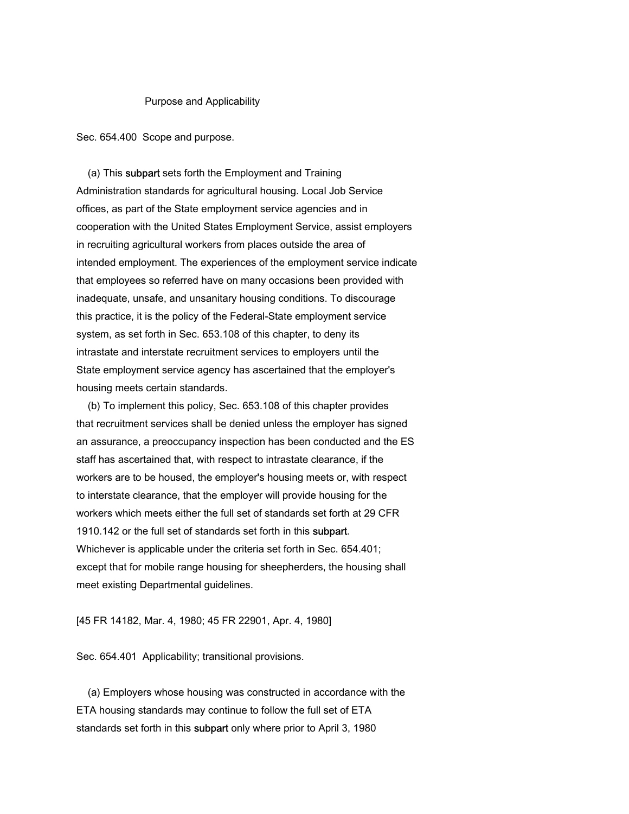#### Purpose and Applicability

Sec. 654.400 Scope and purpose.

 (a) This subpart sets forth the Employment and Training Administration standards for agricultural housing. Local Job Service offices, as part of the State employment service agencies and in cooperation with the United States Employment Service, assist employers in recruiting agricultural workers from places outside the area of intended employment. The experiences of the employment service indicate that employees so referred have on many occasions been provided with inadequate, unsafe, and unsanitary housing conditions. To discourage this practice, it is the policy of the Federal-State employment service system, as set forth in Sec. 653.108 of this chapter, to deny its intrastate and interstate recruitment services to employers until the State employment service agency has ascertained that the employer's housing meets certain standards.

 (b) To implement this policy, Sec. 653.108 of this chapter provides that recruitment services shall be denied unless the employer has signed an assurance, a preoccupancy inspection has been conducted and the ES staff has ascertained that, with respect to intrastate clearance, if the workers are to be housed, the employer's housing meets or, with respect to interstate clearance, that the employer will provide housing for the workers which meets either the full set of standards set forth at 29 CFR 1910.142 or the full set of standards set forth in this subpart. Whichever is applicable under the criteria set forth in Sec. 654.401; except that for mobile range housing for sheepherders, the housing shall meet existing Departmental guidelines.

[45 FR 14182, Mar. 4, 1980; 45 FR 22901, Apr. 4, 1980]

Sec. 654.401 Applicability; transitional provisions.

 (a) Employers whose housing was constructed in accordance with the ETA housing standards may continue to follow the full set of ETA standards set forth in this subpart only where prior to April 3, 1980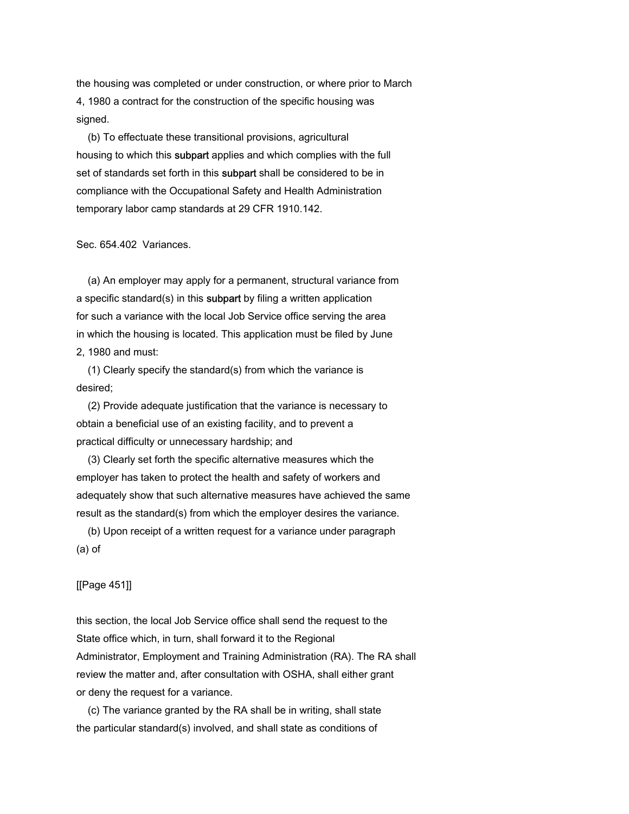the housing was completed or under construction, or where prior to March 4, 1980 a contract for the construction of the specific housing was signed.

 (b) To effectuate these transitional provisions, agricultural housing to which this subpart applies and which complies with the full set of standards set forth in this subpart shall be considered to be in compliance with the Occupational Safety and Health Administration temporary labor camp standards at 29 CFR 1910.142.

Sec. 654.402 Variances.

 (a) An employer may apply for a permanent, structural variance from a specific standard(s) in this subpart by filing a written application for such a variance with the local Job Service office serving the area in which the housing is located. This application must be filed by June 2, 1980 and must:

 (1) Clearly specify the standard(s) from which the variance is desired;

 (2) Provide adequate justification that the variance is necessary to obtain a beneficial use of an existing facility, and to prevent a practical difficulty or unnecessary hardship; and

 (3) Clearly set forth the specific alternative measures which the employer has taken to protect the health and safety of workers and adequately show that such alternative measures have achieved the same result as the standard(s) from which the employer desires the variance.

 (b) Upon receipt of a written request for a variance under paragraph (a) of

[[Page 451]]

this section, the local Job Service office shall send the request to the State office which, in turn, shall forward it to the Regional Administrator, Employment and Training Administration (RA). The RA shall review the matter and, after consultation with OSHA, shall either grant or deny the request for a variance.

 (c) The variance granted by the RA shall be in writing, shall state the particular standard(s) involved, and shall state as conditions of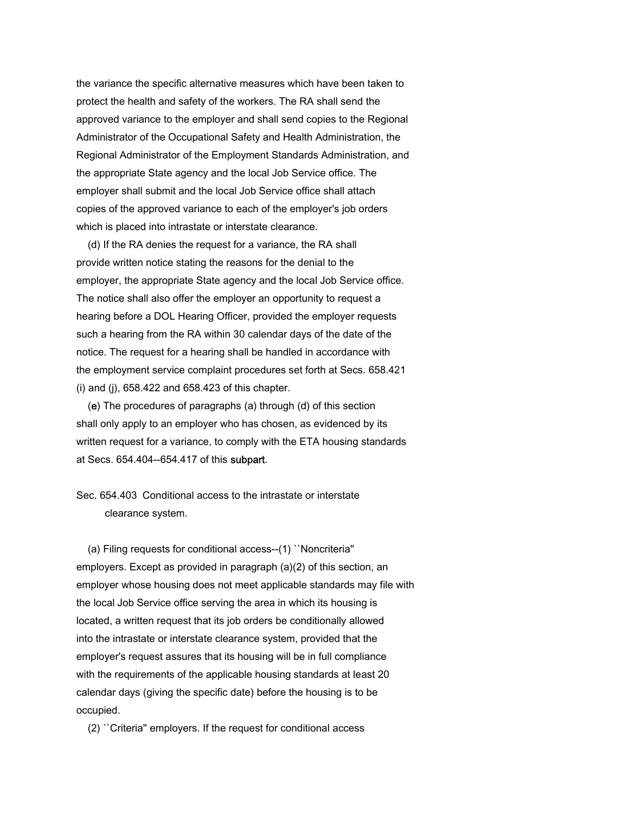the variance the specific alternative measures which have been taken to protect the health and safety of the workers. The RA shall send the approved variance to the employer and shall send copies to the Regional Administrator of the Occupational Safety and Health Administration, the Regional Administrator of the Employment Standards Administration, and the appropriate State agency and the local Job Service office. The employer shall submit and the local Job Service office shall attach copies of the approved variance to each of the employer's job orders which is placed into intrastate or interstate clearance.

 (d) If the RA denies the request for a variance, the RA shall provide written notice stating the reasons for the denial to the employer, the appropriate State agency and the local Job Service office. The notice shall also offer the employer an opportunity to request a hearing before a DOL Hearing Officer, provided the employer requests such a hearing from the RA within 30 calendar days of the date of the notice. The request for a hearing shall be handled in accordance with the employment service complaint procedures set forth at Secs. 658.421 (i) and (j), 658.422 and 658.423 of this chapter.

 (e) The procedures of paragraphs (a) through (d) of this section shall only apply to an employer who has chosen, as evidenced by its written request for a variance, to comply with the ETA housing standards at Secs. 654.404--654.417 of this subpart.

Sec. 654.403 Conditional access to the intrastate or interstate clearance system.

 (a) Filing requests for conditional access--(1) ``Noncriteria'' employers. Except as provided in paragraph (a)(2) of this section, an employer whose housing does not meet applicable standards may file with the local Job Service office serving the area in which its housing is located, a written request that its job orders be conditionally allowed into the intrastate or interstate clearance system, provided that the employer's request assures that its housing will be in full compliance with the requirements of the applicable housing standards at least 20 calendar days (giving the specific date) before the housing is to be occupied.

(2) ``Criteria'' employers. If the request for conditional access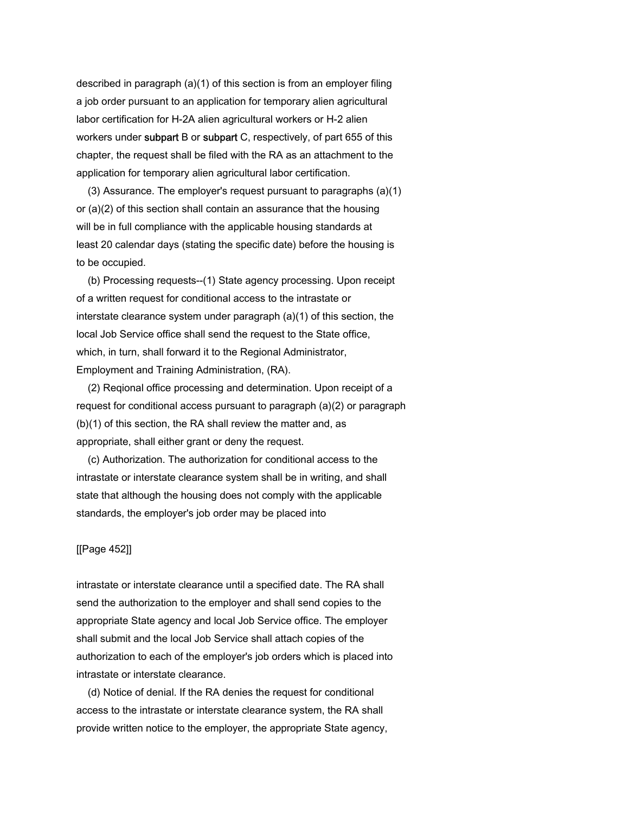described in paragraph (a)(1) of this section is from an employer filing a job order pursuant to an application for temporary alien agricultural labor certification for H-2A alien agricultural workers or H-2 alien workers under subpart B or subpart C, respectively, of part 655 of this chapter, the request shall be filed with the RA as an attachment to the application for temporary alien agricultural labor certification.

 (3) Assurance. The employer's request pursuant to paragraphs (a)(1) or (a)(2) of this section shall contain an assurance that the housing will be in full compliance with the applicable housing standards at least 20 calendar days (stating the specific date) before the housing is to be occupied.

 (b) Processing requests--(1) State agency processing. Upon receipt of a written request for conditional access to the intrastate or interstate clearance system under paragraph (a)(1) of this section, the local Job Service office shall send the request to the State office, which, in turn, shall forward it to the Regional Administrator, Employment and Training Administration, (RA).

 (2) Reqional office processing and determination. Upon receipt of a request for conditional access pursuant to paragraph (a)(2) or paragraph (b)(1) of this section, the RA shall review the matter and, as appropriate, shall either grant or deny the request.

 (c) Authorization. The authorization for conditional access to the intrastate or interstate clearance system shall be in writing, and shall state that although the housing does not comply with the applicable standards, the employer's job order may be placed into

## [[Page 452]]

intrastate or interstate clearance until a specified date. The RA shall send the authorization to the employer and shall send copies to the appropriate State agency and local Job Service office. The employer shall submit and the local Job Service shall attach copies of the authorization to each of the employer's job orders which is placed into intrastate or interstate clearance.

 (d) Notice of denial. If the RA denies the request for conditional access to the intrastate or interstate clearance system, the RA shall provide written notice to the employer, the appropriate State agency,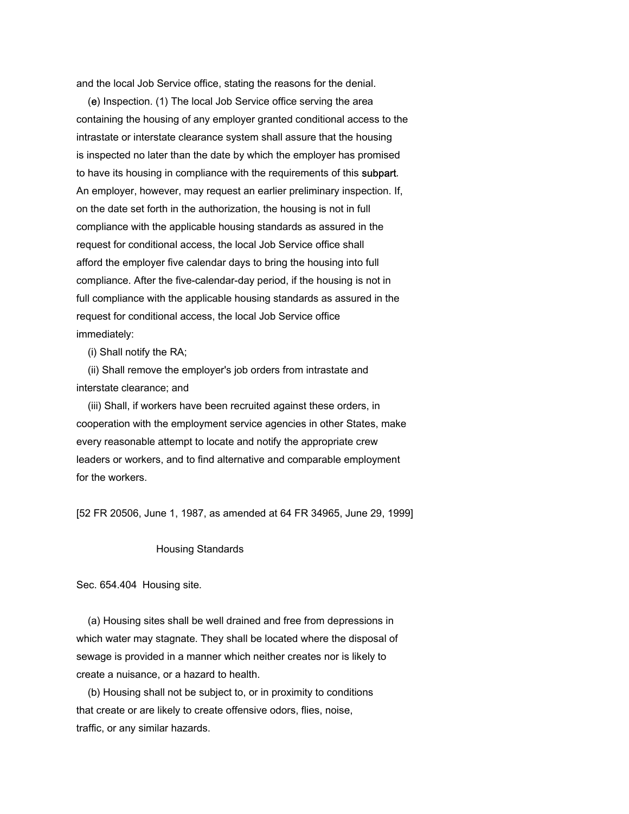and the local Job Service office, stating the reasons for the denial.

 (e) Inspection. (1) The local Job Service office serving the area containing the housing of any employer granted conditional access to the intrastate or interstate clearance system shall assure that the housing is inspected no later than the date by which the employer has promised to have its housing in compliance with the requirements of this subpart. An employer, however, may request an earlier preliminary inspection. If, on the date set forth in the authorization, the housing is not in full compliance with the applicable housing standards as assured in the request for conditional access, the local Job Service office shall afford the employer five calendar days to bring the housing into full compliance. After the five-calendar-day period, if the housing is not in full compliance with the applicable housing standards as assured in the request for conditional access, the local Job Service office immediately:

(i) Shall notify the RA;

 (ii) Shall remove the employer's job orders from intrastate and interstate clearance; and

 (iii) Shall, if workers have been recruited against these orders, in cooperation with the employment service agencies in other States, make every reasonable attempt to locate and notify the appropriate crew leaders or workers, and to find alternative and comparable employment for the workers.

[52 FR 20506, June 1, 1987, as amended at 64 FR 34965, June 29, 1999]

### Housing Standards

Sec. 654.404 Housing site.

 (a) Housing sites shall be well drained and free from depressions in which water may stagnate. They shall be located where the disposal of sewage is provided in a manner which neither creates nor is likely to create a nuisance, or a hazard to health.

 (b) Housing shall not be subject to, or in proximity to conditions that create or are likely to create offensive odors, flies, noise, traffic, or any similar hazards.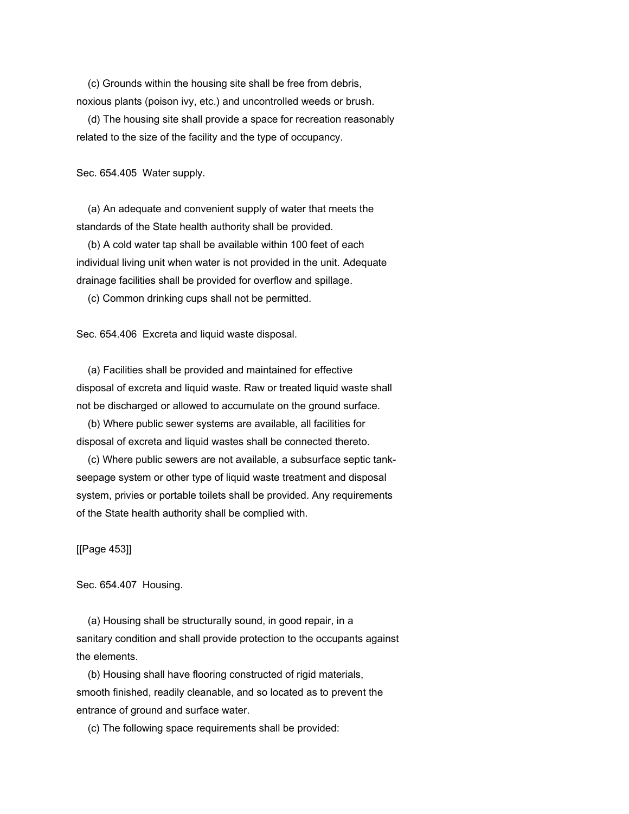(c) Grounds within the housing site shall be free from debris, noxious plants (poison ivy, etc.) and uncontrolled weeds or brush.

 (d) The housing site shall provide a space for recreation reasonably related to the size of the facility and the type of occupancy.

Sec. 654.405 Water supply.

 (a) An adequate and convenient supply of water that meets the standards of the State health authority shall be provided.

 (b) A cold water tap shall be available within 100 feet of each individual living unit when water is not provided in the unit. Adequate drainage facilities shall be provided for overflow and spillage.

(c) Common drinking cups shall not be permitted.

Sec. 654.406 Excreta and liquid waste disposal.

 (a) Facilities shall be provided and maintained for effective disposal of excreta and liquid waste. Raw or treated liquid waste shall not be discharged or allowed to accumulate on the ground surface.

 (b) Where public sewer systems are available, all facilities for disposal of excreta and liquid wastes shall be connected thereto.

 (c) Where public sewers are not available, a subsurface septic tankseepage system or other type of liquid waste treatment and disposal system, privies or portable toilets shall be provided. Any requirements of the State health authority shall be complied with.

[[Page 453]]

Sec. 654.407 Housing.

 (a) Housing shall be structurally sound, in good repair, in a sanitary condition and shall provide protection to the occupants against the elements.

 (b) Housing shall have flooring constructed of rigid materials, smooth finished, readily cleanable, and so located as to prevent the entrance of ground and surface water.

(c) The following space requirements shall be provided: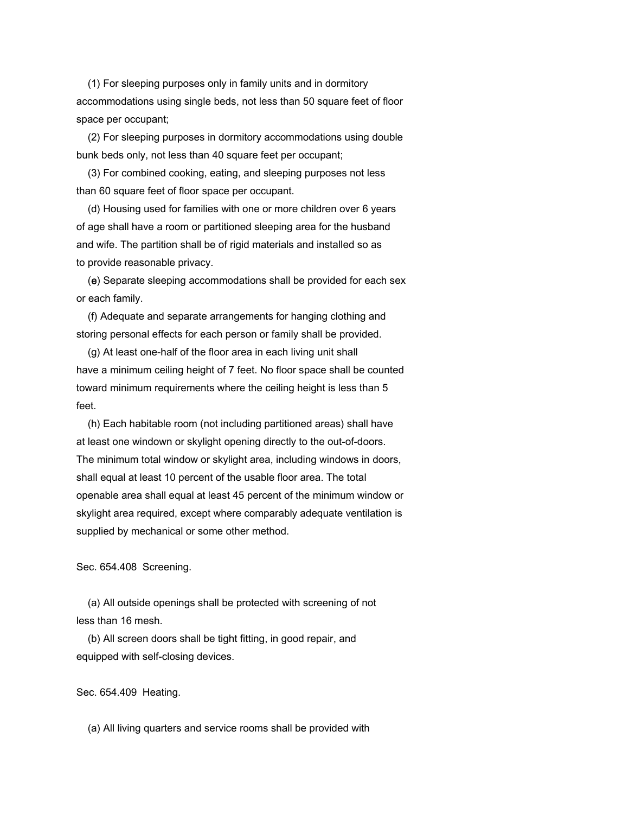(1) For sleeping purposes only in family units and in dormitory accommodations using single beds, not less than 50 square feet of floor space per occupant;

 (2) For sleeping purposes in dormitory accommodations using double bunk beds only, not less than 40 square feet per occupant;

 (3) For combined cooking, eating, and sleeping purposes not less than 60 square feet of floor space per occupant.

 (d) Housing used for families with one or more children over 6 years of age shall have a room or partitioned sleeping area for the husband and wife. The partition shall be of rigid materials and installed so as to provide reasonable privacy.

 (e) Separate sleeping accommodations shall be provided for each sex or each family.

 (f) Adequate and separate arrangements for hanging clothing and storing personal effects for each person or family shall be provided.

 (g) At least one-half of the floor area in each living unit shall have a minimum ceiling height of 7 feet. No floor space shall be counted toward minimum requirements where the ceiling height is less than 5 feet.

 (h) Each habitable room (not including partitioned areas) shall have at least one windown or skylight opening directly to the out-of-doors. The minimum total window or skylight area, including windows in doors, shall equal at least 10 percent of the usable floor area. The total openable area shall equal at least 45 percent of the minimum window or skylight area required, except where comparably adequate ventilation is supplied by mechanical or some other method.

Sec. 654.408 Screening.

 (a) All outside openings shall be protected with screening of not less than 16 mesh.

 (b) All screen doors shall be tight fitting, in good repair, and equipped with self-closing devices.

Sec. 654.409 Heating.

(a) All living quarters and service rooms shall be provided with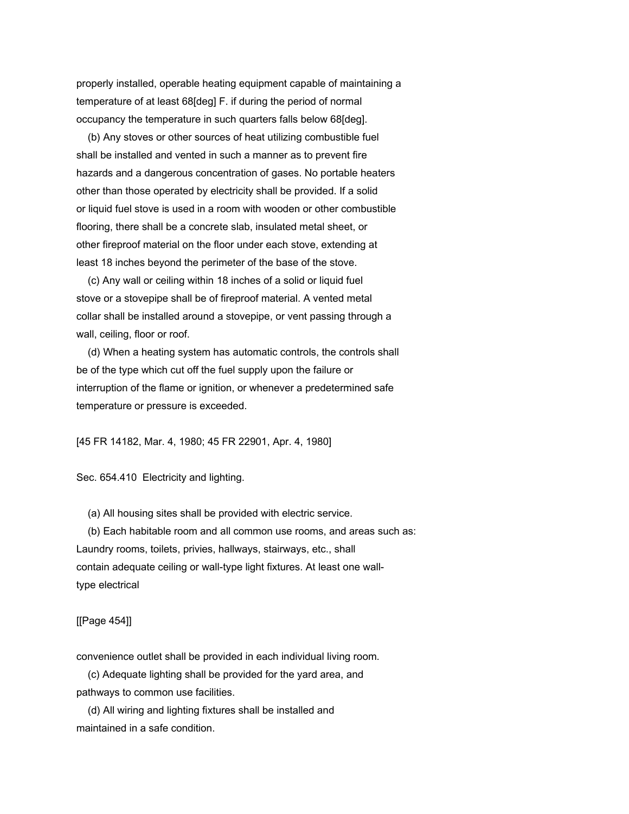properly installed, operable heating equipment capable of maintaining a temperature of at least 68[deg] F. if during the period of normal occupancy the temperature in such quarters falls below 68[deg].

 (b) Any stoves or other sources of heat utilizing combustible fuel shall be installed and vented in such a manner as to prevent fire hazards and a dangerous concentration of gases. No portable heaters other than those operated by electricity shall be provided. If a solid or liquid fuel stove is used in a room with wooden or other combustible flooring, there shall be a concrete slab, insulated metal sheet, or other fireproof material on the floor under each stove, extending at least 18 inches beyond the perimeter of the base of the stove.

 (c) Any wall or ceiling within 18 inches of a solid or liquid fuel stove or a stovepipe shall be of fireproof material. A vented metal collar shall be installed around a stovepipe, or vent passing through a wall, ceiling, floor or roof.

 (d) When a heating system has automatic controls, the controls shall be of the type which cut off the fuel supply upon the failure or interruption of the flame or ignition, or whenever a predetermined safe temperature or pressure is exceeded.

[45 FR 14182, Mar. 4, 1980; 45 FR 22901, Apr. 4, 1980]

Sec. 654.410 Electricity and lighting.

(a) All housing sites shall be provided with electric service.

 (b) Each habitable room and all common use rooms, and areas such as: Laundry rooms, toilets, privies, hallways, stairways, etc., shall contain adequate ceiling or wall-type light fixtures. At least one walltype electrical

[[Page 454]]

convenience outlet shall be provided in each individual living room.

 (c) Adequate lighting shall be provided for the yard area, and pathways to common use facilities.

 (d) All wiring and lighting fixtures shall be installed and maintained in a safe condition.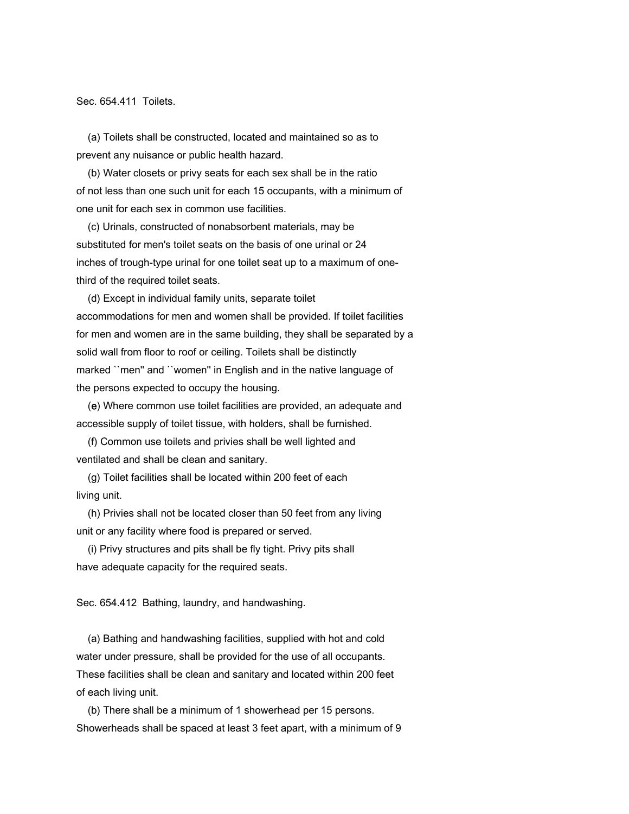Sec. 654.411 Toilets.

 (a) Toilets shall be constructed, located and maintained so as to prevent any nuisance or public health hazard.

 (b) Water closets or privy seats for each sex shall be in the ratio of not less than one such unit for each 15 occupants, with a minimum of one unit for each sex in common use facilities.

 (c) Urinals, constructed of nonabsorbent materials, may be substituted for men's toilet seats on the basis of one urinal or 24 inches of trough-type urinal for one toilet seat up to a maximum of onethird of the required toilet seats.

 (d) Except in individual family units, separate toilet accommodations for men and women shall be provided. If toilet facilities for men and women are in the same building, they shall be separated by a solid wall from floor to roof or ceiling. Toilets shall be distinctly marked ``men'' and ``women'' in English and in the native language of the persons expected to occupy the housing.

 (e) Where common use toilet facilities are provided, an adequate and accessible supply of toilet tissue, with holders, shall be furnished.

 (f) Common use toilets and privies shall be well lighted and ventilated and shall be clean and sanitary.

 (g) Toilet facilities shall be located within 200 feet of each living unit.

 (h) Privies shall not be located closer than 50 feet from any living unit or any facility where food is prepared or served.

 (i) Privy structures and pits shall be fly tight. Privy pits shall have adequate capacity for the required seats.

Sec. 654.412 Bathing, laundry, and handwashing.

 (a) Bathing and handwashing facilities, supplied with hot and cold water under pressure, shall be provided for the use of all occupants. These facilities shall be clean and sanitary and located within 200 feet of each living unit.

 (b) There shall be a minimum of 1 showerhead per 15 persons. Showerheads shall be spaced at least 3 feet apart, with a minimum of 9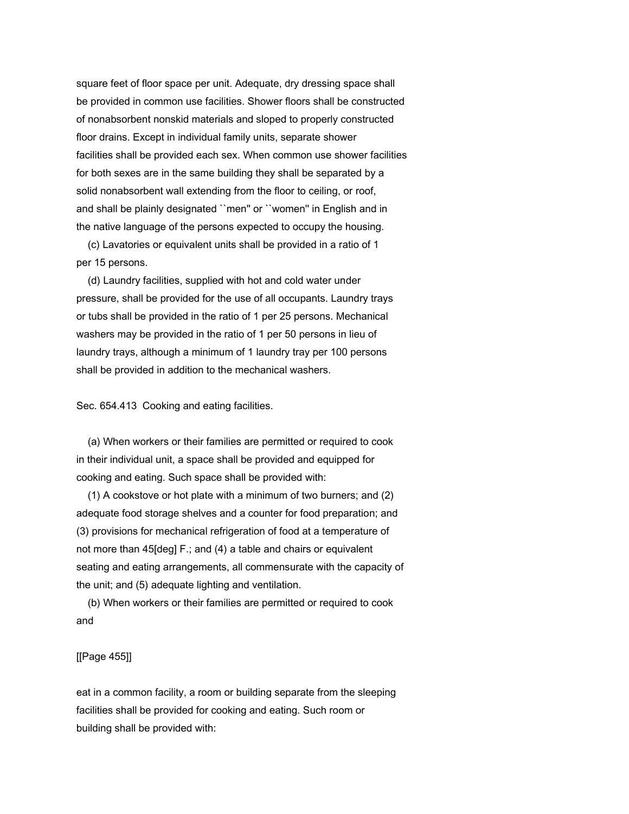square feet of floor space per unit. Adequate, dry dressing space shall be provided in common use facilities. Shower floors shall be constructed of nonabsorbent nonskid materials and sloped to properly constructed floor drains. Except in individual family units, separate shower facilities shall be provided each sex. When common use shower facilities for both sexes are in the same building they shall be separated by a solid nonabsorbent wall extending from the floor to ceiling, or roof, and shall be plainly designated ``men'' or ``women'' in English and in the native language of the persons expected to occupy the housing.

 (c) Lavatories or equivalent units shall be provided in a ratio of 1 per 15 persons.

 (d) Laundry facilities, supplied with hot and cold water under pressure, shall be provided for the use of all occupants. Laundry trays or tubs shall be provided in the ratio of 1 per 25 persons. Mechanical washers may be provided in the ratio of 1 per 50 persons in lieu of laundry trays, although a minimum of 1 laundry tray per 100 persons shall be provided in addition to the mechanical washers.

Sec. 654.413 Cooking and eating facilities.

 (a) When workers or their families are permitted or required to cook in their individual unit, a space shall be provided and equipped for cooking and eating. Such space shall be provided with:

 (1) A cookstove or hot plate with a minimum of two burners; and (2) adequate food storage shelves and a counter for food preparation; and (3) provisions for mechanical refrigeration of food at a temperature of not more than 45[deg] F.; and (4) a table and chairs or equivalent seating and eating arrangements, all commensurate with the capacity of the unit; and (5) adequate lighting and ventilation.

 (b) When workers or their families are permitted or required to cook and

# [[Page 455]]

eat in a common facility, a room or building separate from the sleeping facilities shall be provided for cooking and eating. Such room or building shall be provided with: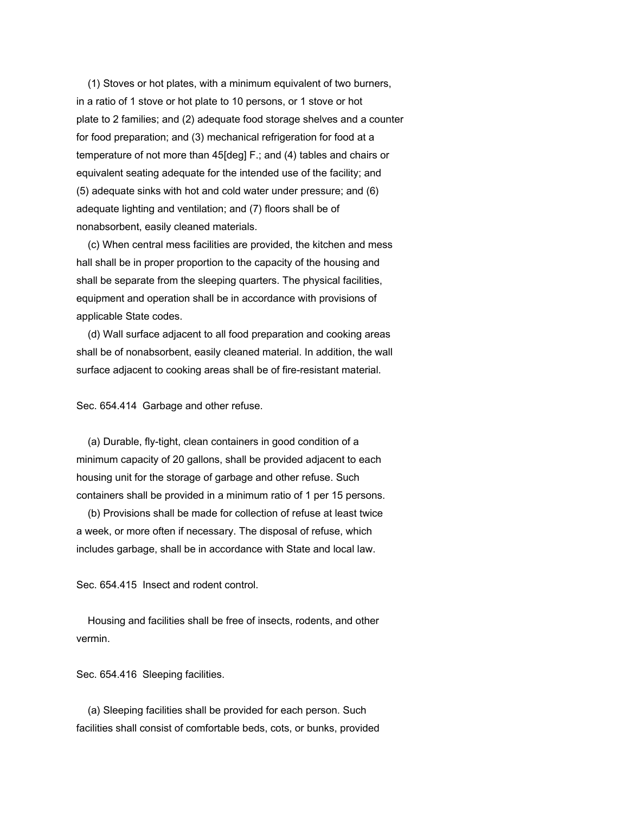(1) Stoves or hot plates, with a minimum equivalent of two burners, in a ratio of 1 stove or hot plate to 10 persons, or 1 stove or hot plate to 2 families; and (2) adequate food storage shelves and a counter for food preparation; and (3) mechanical refrigeration for food at a temperature of not more than 45[deg] F.; and (4) tables and chairs or equivalent seating adequate for the intended use of the facility; and (5) adequate sinks with hot and cold water under pressure; and (6) adequate lighting and ventilation; and (7) floors shall be of nonabsorbent, easily cleaned materials.

 (c) When central mess facilities are provided, the kitchen and mess hall shall be in proper proportion to the capacity of the housing and shall be separate from the sleeping quarters. The physical facilities, equipment and operation shall be in accordance with provisions of applicable State codes.

 (d) Wall surface adjacent to all food preparation and cooking areas shall be of nonabsorbent, easily cleaned material. In addition, the wall surface adjacent to cooking areas shall be of fire-resistant material.

Sec. 654.414 Garbage and other refuse.

 (a) Durable, fly-tight, clean containers in good condition of a minimum capacity of 20 gallons, shall be provided adjacent to each housing unit for the storage of garbage and other refuse. Such containers shall be provided in a minimum ratio of 1 per 15 persons.

 (b) Provisions shall be made for collection of refuse at least twice a week, or more often if necessary. The disposal of refuse, which includes garbage, shall be in accordance with State and local law.

Sec. 654.415 Insect and rodent control.

 Housing and facilities shall be free of insects, rodents, and other vermin.

Sec. 654.416 Sleeping facilities.

 (a) Sleeping facilities shall be provided for each person. Such facilities shall consist of comfortable beds, cots, or bunks, provided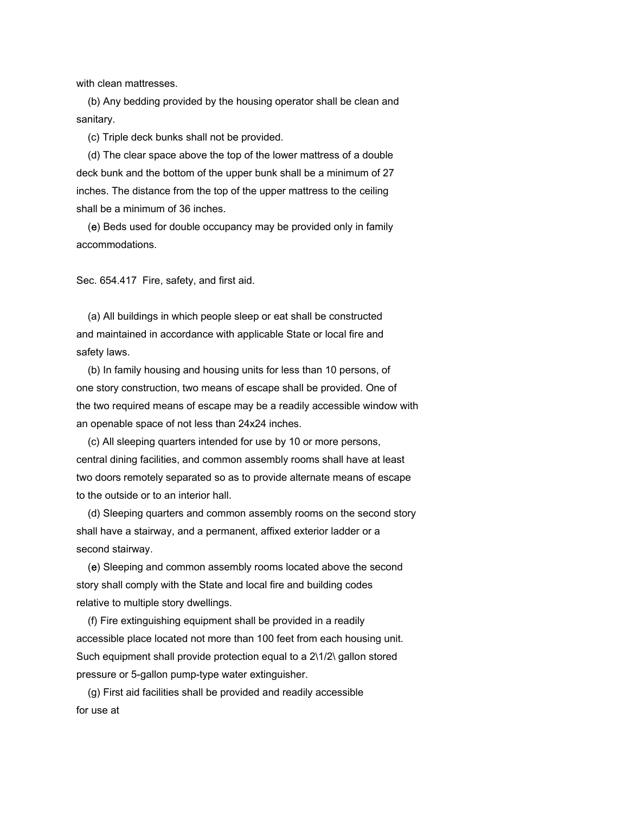with clean mattresses.

 (b) Any bedding provided by the housing operator shall be clean and sanitary.

(c) Triple deck bunks shall not be provided.

 (d) The clear space above the top of the lower mattress of a double deck bunk and the bottom of the upper bunk shall be a minimum of 27 inches. The distance from the top of the upper mattress to the ceiling shall be a minimum of 36 inches.

 (e) Beds used for double occupancy may be provided only in family accommodations.

Sec. 654.417 Fire, safety, and first aid.

 (a) All buildings in which people sleep or eat shall be constructed and maintained in accordance with applicable State or local fire and safety laws.

 (b) In family housing and housing units for less than 10 persons, of one story construction, two means of escape shall be provided. One of the two required means of escape may be a readily accessible window with an openable space of not less than 24x24 inches.

 (c) All sleeping quarters intended for use by 10 or more persons, central dining facilities, and common assembly rooms shall have at least two doors remotely separated so as to provide alternate means of escape to the outside or to an interior hall.

 (d) Sleeping quarters and common assembly rooms on the second story shall have a stairway, and a permanent, affixed exterior ladder or a second stairway.

 (e) Sleeping and common assembly rooms located above the second story shall comply with the State and local fire and building codes relative to multiple story dwellings.

 (f) Fire extinguishing equipment shall be provided in a readily accessible place located not more than 100 feet from each housing unit. Such equipment shall provide protection equal to a  $2\frac{1}{2}\$  gallon stored pressure or 5-gallon pump-type water extinguisher.

 (g) First aid facilities shall be provided and readily accessible for use at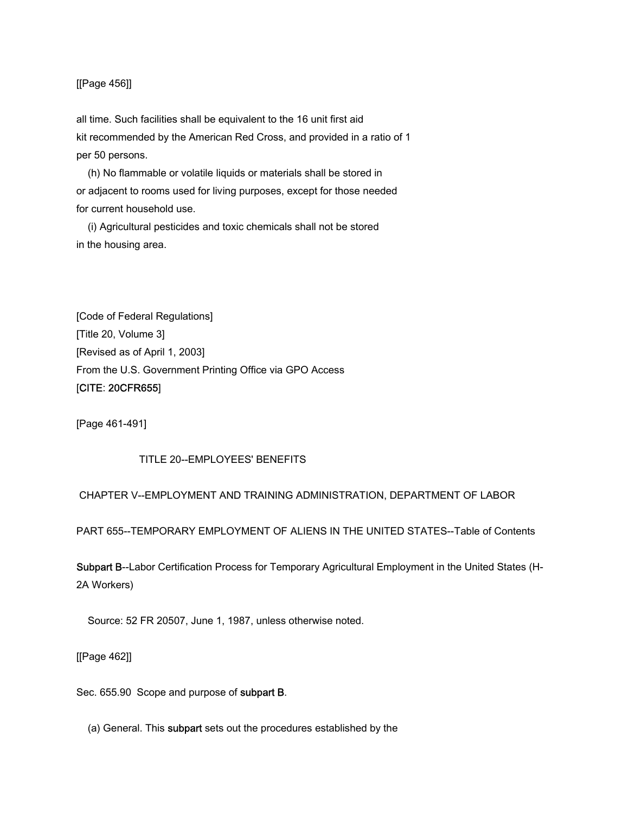## [[Page 456]]

all time. Such facilities shall be equivalent to the 16 unit first aid kit recommended by the American Red Cross, and provided in a ratio of 1 per 50 persons.

 (h) No flammable or volatile liquids or materials shall be stored in or adjacent to rooms used for living purposes, except for those needed for current household use.

 (i) Agricultural pesticides and toxic chemicals shall not be stored in the housing area.

[Code of Federal Regulations] [Title 20, Volume 3] [Revised as of April 1, 2003] From the U.S. Government Printing Office via GPO Access [CITE: 20CFR655]

[Page 461-491]

## TITLE 20--EMPLOYEES' BENEFITS

CHAPTER V--EMPLOYMENT AND TRAINING ADMINISTRATION, DEPARTMENT OF LABOR

PART 655--TEMPORARY EMPLOYMENT OF ALIENS IN THE UNITED STATES--Table of Contents

Subpart B--Labor Certification Process for Temporary Agricultural Employment in the United States (H-2A Workers)

Source: 52 FR 20507, June 1, 1987, unless otherwise noted.

[[Page 462]]

Sec. 655.90 Scope and purpose of subpart B.

(a) General. This subpart sets out the procedures established by the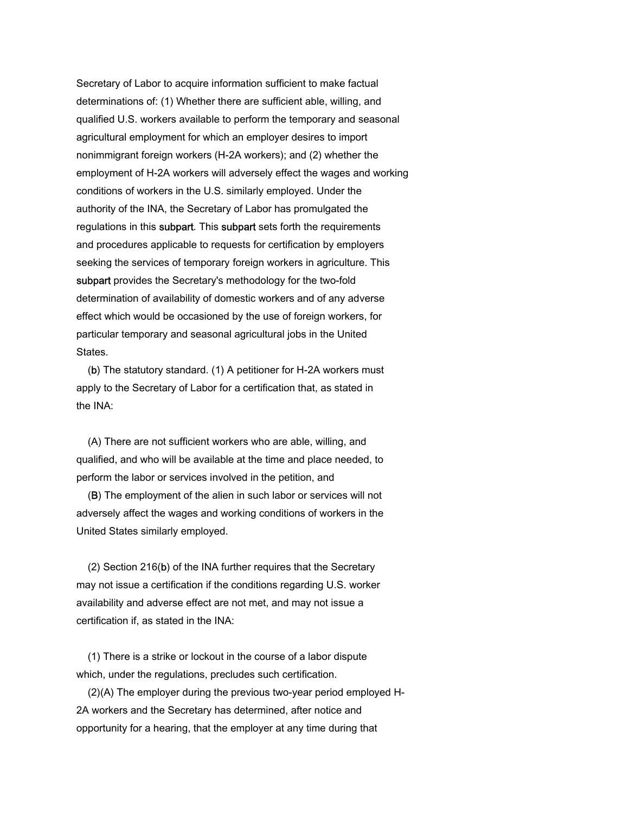Secretary of Labor to acquire information sufficient to make factual determinations of: (1) Whether there are sufficient able, willing, and qualified U.S. workers available to perform the temporary and seasonal agricultural employment for which an employer desires to import nonimmigrant foreign workers (H-2A workers); and (2) whether the employment of H-2A workers will adversely effect the wages and working conditions of workers in the U.S. similarly employed. Under the authority of the INA, the Secretary of Labor has promulgated the regulations in this subpart. This subpart sets forth the requirements and procedures applicable to requests for certification by employers seeking the services of temporary foreign workers in agriculture. This subpart provides the Secretary's methodology for the two-fold determination of availability of domestic workers and of any adverse effect which would be occasioned by the use of foreign workers, for particular temporary and seasonal agricultural jobs in the United States.

 (b) The statutory standard. (1) A petitioner for H-2A workers must apply to the Secretary of Labor for a certification that, as stated in the INA:

 (A) There are not sufficient workers who are able, willing, and qualified, and who will be available at the time and place needed, to perform the labor or services involved in the petition, and

 (B) The employment of the alien in such labor or services will not adversely affect the wages and working conditions of workers in the United States similarly employed.

 (2) Section 216(b) of the INA further requires that the Secretary may not issue a certification if the conditions regarding U.S. worker availability and adverse effect are not met, and may not issue a certification if, as stated in the INA:

 (1) There is a strike or lockout in the course of a labor dispute which, under the regulations, precludes such certification.

 (2)(A) The employer during the previous two-year period employed H-2A workers and the Secretary has determined, after notice and opportunity for a hearing, that the employer at any time during that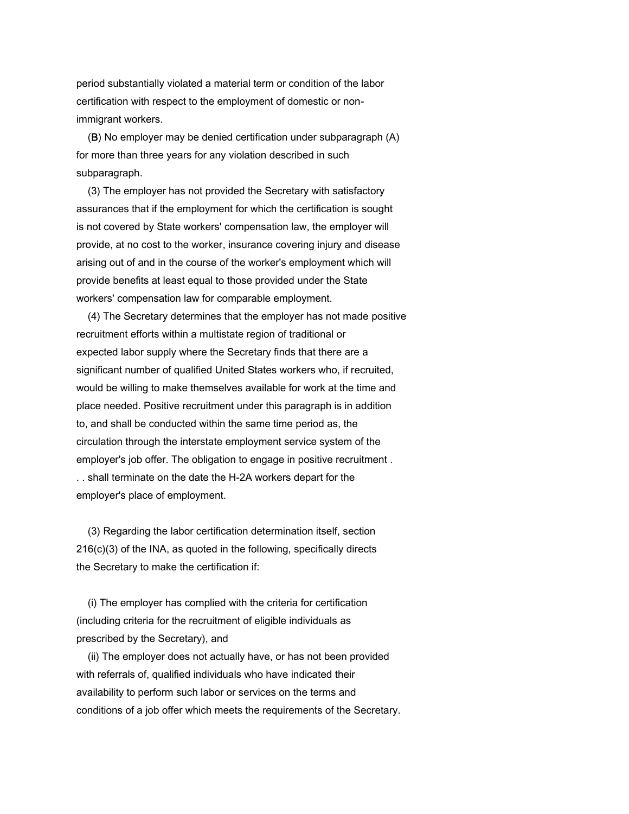period substantially violated a material term or condition of the labor certification with respect to the employment of domestic or nonimmigrant workers.

 (B) No employer may be denied certification under subparagraph (A) for more than three years for any violation described in such subparagraph.

 (3) The employer has not provided the Secretary with satisfactory assurances that if the employment for which the certification is sought is not covered by State workers' compensation law, the employer will provide, at no cost to the worker, insurance covering injury and disease arising out of and in the course of the worker's employment which will provide benefits at least equal to those provided under the State workers' compensation law for comparable employment.

 (4) The Secretary determines that the employer has not made positive recruitment efforts within a multistate region of traditional or expected labor supply where the Secretary finds that there are a significant number of qualified United States workers who, if recruited, would be willing to make themselves available for work at the time and place needed. Positive recruitment under this paragraph is in addition to, and shall be conducted within the same time period as, the circulation through the interstate employment service system of the employer's job offer. The obligation to engage in positive recruitment . . . shall terminate on the date the H-2A workers depart for the employer's place of employment.

 (3) Regarding the labor certification determination itself, section 216(c)(3) of the INA, as quoted in the following, specifically directs the Secretary to make the certification if:

 (i) The employer has complied with the criteria for certification (including criteria for the recruitment of eligible individuals as prescribed by the Secretary), and

 (ii) The employer does not actually have, or has not been provided with referrals of, qualified individuals who have indicated their availability to perform such labor or services on the terms and conditions of a job offer which meets the requirements of the Secretary.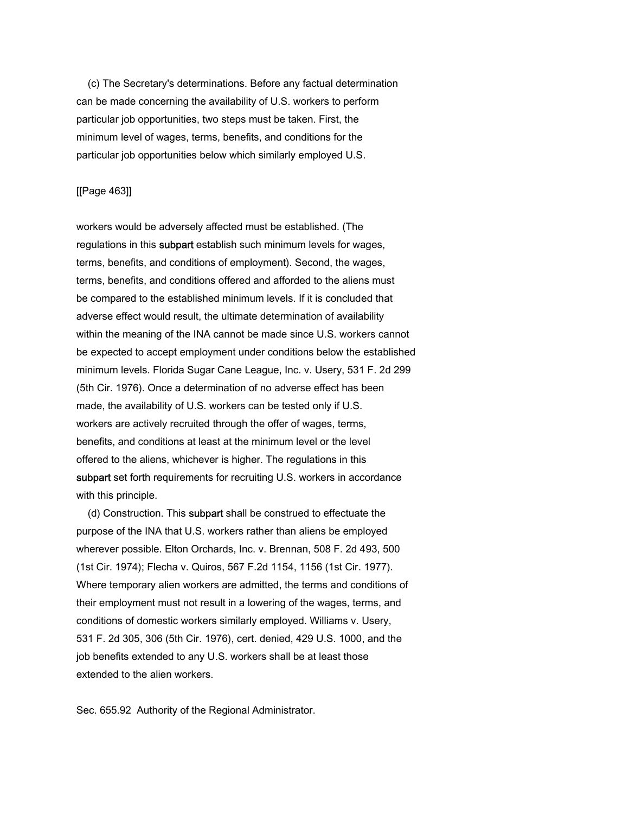(c) The Secretary's determinations. Before any factual determination can be made concerning the availability of U.S. workers to perform particular job opportunities, two steps must be taken. First, the minimum level of wages, terms, benefits, and conditions for the particular job opportunities below which similarly employed U.S.

## [[Page 463]]

workers would be adversely affected must be established. (The regulations in this subpart establish such minimum levels for wages, terms, benefits, and conditions of employment). Second, the wages, terms, benefits, and conditions offered and afforded to the aliens must be compared to the established minimum levels. If it is concluded that adverse effect would result, the ultimate determination of availability within the meaning of the INA cannot be made since U.S. workers cannot be expected to accept employment under conditions below the established minimum levels. Florida Sugar Cane League, Inc. v. Usery, 531 F. 2d 299 (5th Cir. 1976). Once a determination of no adverse effect has been made, the availability of U.S. workers can be tested only if U.S. workers are actively recruited through the offer of wages, terms, benefits, and conditions at least at the minimum level or the level offered to the aliens, whichever is higher. The regulations in this subpart set forth requirements for recruiting U.S. workers in accordance with this principle.

 (d) Construction. This subpart shall be construed to effectuate the purpose of the INA that U.S. workers rather than aliens be employed wherever possible. Elton Orchards, Inc. v. Brennan, 508 F. 2d 493, 500 (1st Cir. 1974); Flecha v. Quiros, 567 F.2d 1154, 1156 (1st Cir. 1977). Where temporary alien workers are admitted, the terms and conditions of their employment must not result in a lowering of the wages, terms, and conditions of domestic workers similarly employed. Williams v. Usery, 531 F. 2d 305, 306 (5th Cir. 1976), cert. denied, 429 U.S. 1000, and the job benefits extended to any U.S. workers shall be at least those extended to the alien workers.

Sec. 655.92 Authority of the Regional Administrator.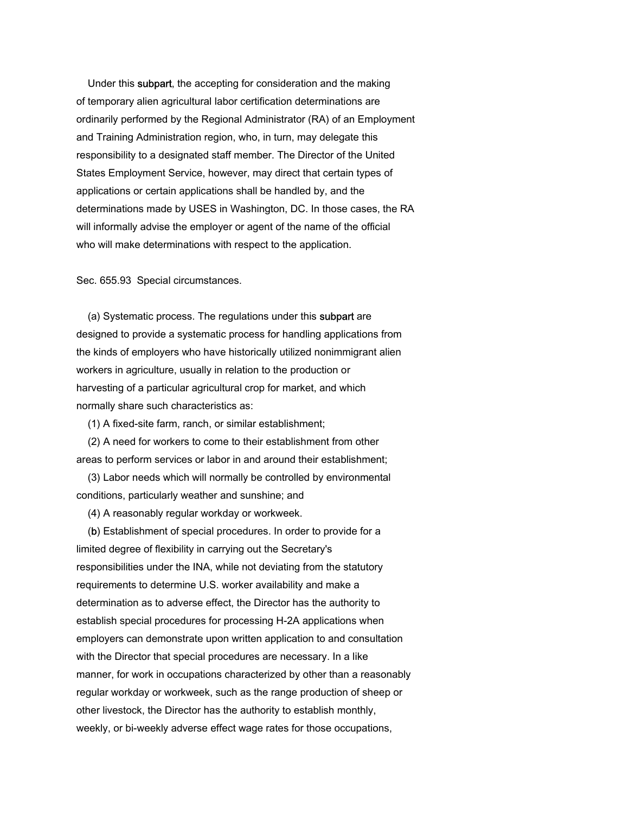Under this subpart, the accepting for consideration and the making of temporary alien agricultural labor certification determinations are ordinarily performed by the Regional Administrator (RA) of an Employment and Training Administration region, who, in turn, may delegate this responsibility to a designated staff member. The Director of the United States Employment Service, however, may direct that certain types of applications or certain applications shall be handled by, and the determinations made by USES in Washington, DC. In those cases, the RA will informally advise the employer or agent of the name of the official who will make determinations with respect to the application.

Sec. 655.93 Special circumstances.

 (a) Systematic process. The regulations under this subpart are designed to provide a systematic process for handling applications from the kinds of employers who have historically utilized nonimmigrant alien workers in agriculture, usually in relation to the production or harvesting of a particular agricultural crop for market, and which normally share such characteristics as:

(1) A fixed-site farm, ranch, or similar establishment;

 (2) A need for workers to come to their establishment from other areas to perform services or labor in and around their establishment;

 (3) Labor needs which will normally be controlled by environmental conditions, particularly weather and sunshine; and

(4) A reasonably regular workday or workweek.

 (b) Establishment of special procedures. In order to provide for a limited degree of flexibility in carrying out the Secretary's responsibilities under the INA, while not deviating from the statutory requirements to determine U.S. worker availability and make a determination as to adverse effect, the Director has the authority to establish special procedures for processing H-2A applications when employers can demonstrate upon written application to and consultation with the Director that special procedures are necessary. In a like manner, for work in occupations characterized by other than a reasonably regular workday or workweek, such as the range production of sheep or other livestock, the Director has the authority to establish monthly, weekly, or bi-weekly adverse effect wage rates for those occupations,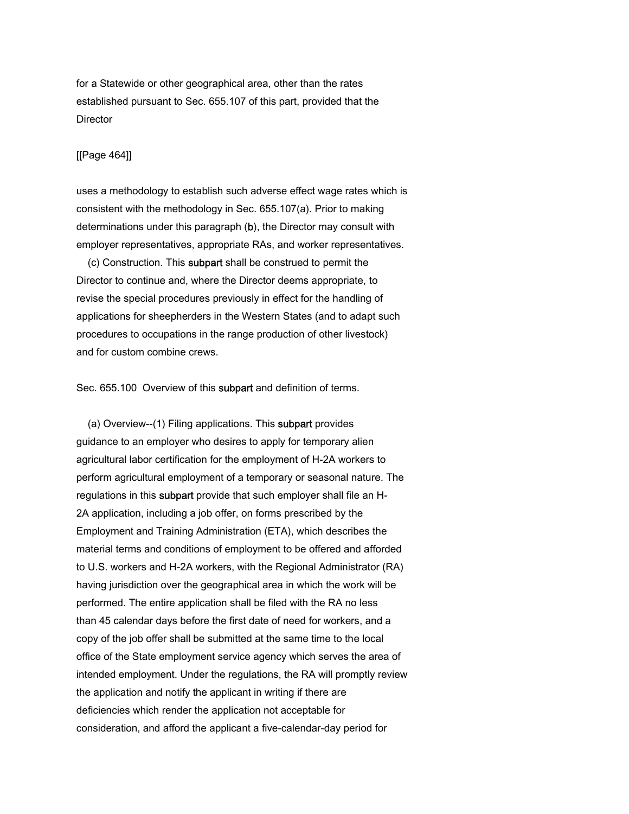for a Statewide or other geographical area, other than the rates established pursuant to Sec. 655.107 of this part, provided that the **Director** 

#### [[Page 464]]

uses a methodology to establish such adverse effect wage rates which is consistent with the methodology in Sec. 655.107(a). Prior to making determinations under this paragraph (b), the Director may consult with employer representatives, appropriate RAs, and worker representatives.

 (c) Construction. This subpart shall be construed to permit the Director to continue and, where the Director deems appropriate, to revise the special procedures previously in effect for the handling of applications for sheepherders in the Western States (and to adapt such procedures to occupations in the range production of other livestock) and for custom combine crews.

Sec. 655.100 Overview of this subpart and definition of terms.

 (a) Overview--(1) Filing applications. This subpart provides guidance to an employer who desires to apply for temporary alien agricultural labor certification for the employment of H-2A workers to perform agricultural employment of a temporary or seasonal nature. The regulations in this subpart provide that such employer shall file an H-2A application, including a job offer, on forms prescribed by the Employment and Training Administration (ETA), which describes the material terms and conditions of employment to be offered and afforded to U.S. workers and H-2A workers, with the Regional Administrator (RA) having jurisdiction over the geographical area in which the work will be performed. The entire application shall be filed with the RA no less than 45 calendar days before the first date of need for workers, and a copy of the job offer shall be submitted at the same time to the local office of the State employment service agency which serves the area of intended employment. Under the regulations, the RA will promptly review the application and notify the applicant in writing if there are deficiencies which render the application not acceptable for consideration, and afford the applicant a five-calendar-day period for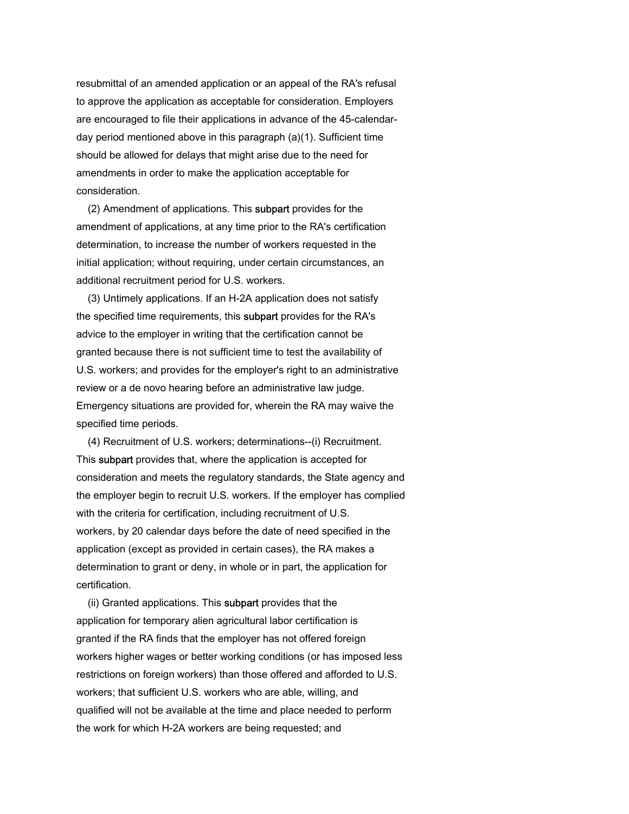resubmittal of an amended application or an appeal of the RA's refusal to approve the application as acceptable for consideration. Employers are encouraged to file their applications in advance of the 45-calendarday period mentioned above in this paragraph (a)(1). Sufficient time should be allowed for delays that might arise due to the need for amendments in order to make the application acceptable for consideration.

 (2) Amendment of applications. This subpart provides for the amendment of applications, at any time prior to the RA's certification determination, to increase the number of workers requested in the initial application; without requiring, under certain circumstances, an additional recruitment period for U.S. workers.

 (3) Untimely applications. If an H-2A application does not satisfy the specified time requirements, this subpart provides for the RA's advice to the employer in writing that the certification cannot be granted because there is not sufficient time to test the availability of U.S. workers; and provides for the employer's right to an administrative review or a de novo hearing before an administrative law judge. Emergency situations are provided for, wherein the RA may waive the specified time periods.

 (4) Recruitment of U.S. workers; determinations--(i) Recruitment. This subpart provides that, where the application is accepted for consideration and meets the regulatory standards, the State agency and the employer begin to recruit U.S. workers. If the employer has complied with the criteria for certification, including recruitment of U.S. workers, by 20 calendar days before the date of need specified in the application (except as provided in certain cases), the RA makes a determination to grant or deny, in whole or in part, the application for certification.

 (ii) Granted applications. This subpart provides that the application for temporary alien agricultural labor certification is granted if the RA finds that the employer has not offered foreign workers higher wages or better working conditions (or has imposed less restrictions on foreign workers) than those offered and afforded to U.S. workers; that sufficient U.S. workers who are able, willing, and qualified will not be available at the time and place needed to perform the work for which H-2A workers are being requested; and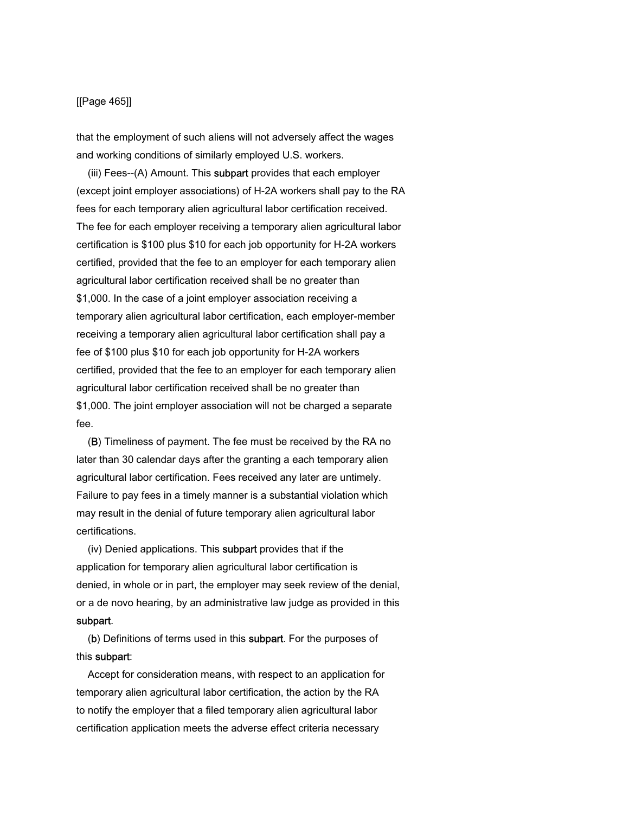### [[Page 465]]

that the employment of such aliens will not adversely affect the wages and working conditions of similarly employed U.S. workers.

(iii) Fees--(A) Amount. This subpart provides that each employer (except joint employer associations) of H-2A workers shall pay to the RA fees for each temporary alien agricultural labor certification received. The fee for each employer receiving a temporary alien agricultural labor certification is \$100 plus \$10 for each job opportunity for H-2A workers certified, provided that the fee to an employer for each temporary alien agricultural labor certification received shall be no greater than \$1,000. In the case of a joint employer association receiving a temporary alien agricultural labor certification, each employer-member receiving a temporary alien agricultural labor certification shall pay a fee of \$100 plus \$10 for each job opportunity for H-2A workers certified, provided that the fee to an employer for each temporary alien agricultural labor certification received shall be no greater than \$1,000. The joint employer association will not be charged a separate fee.

 (B) Timeliness of payment. The fee must be received by the RA no later than 30 calendar days after the granting a each temporary alien agricultural labor certification. Fees received any later are untimely. Failure to pay fees in a timely manner is a substantial violation which may result in the denial of future temporary alien agricultural labor certifications.

 (iv) Denied applications. This subpart provides that if the application for temporary alien agricultural labor certification is denied, in whole or in part, the employer may seek review of the denial, or a de novo hearing, by an administrative law judge as provided in this subpart.

 (b) Definitions of terms used in this subpart. For the purposes of this subpart:

 Accept for consideration means, with respect to an application for temporary alien agricultural labor certification, the action by the RA to notify the employer that a filed temporary alien agricultural labor certification application meets the adverse effect criteria necessary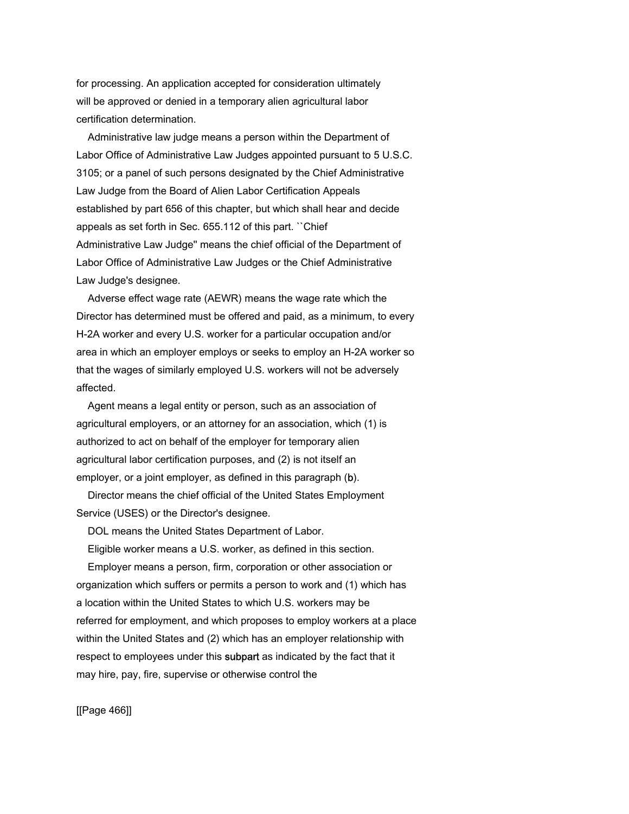for processing. An application accepted for consideration ultimately will be approved or denied in a temporary alien agricultural labor certification determination.

 Administrative law judge means a person within the Department of Labor Office of Administrative Law Judges appointed pursuant to 5 U.S.C. 3105; or a panel of such persons designated by the Chief Administrative Law Judge from the Board of Alien Labor Certification Appeals established by part 656 of this chapter, but which shall hear and decide appeals as set forth in Sec. 655.112 of this part. ``Chief Administrative Law Judge'' means the chief official of the Department of Labor Office of Administrative Law Judges or the Chief Administrative Law Judge's designee.

 Adverse effect wage rate (AEWR) means the wage rate which the Director has determined must be offered and paid, as a minimum, to every H-2A worker and every U.S. worker for a particular occupation and/or area in which an employer employs or seeks to employ an H-2A worker so that the wages of similarly employed U.S. workers will not be adversely affected.

 Agent means a legal entity or person, such as an association of agricultural employers, or an attorney for an association, which (1) is authorized to act on behalf of the employer for temporary alien agricultural labor certification purposes, and (2) is not itself an employer, or a joint employer, as defined in this paragraph (b).

 Director means the chief official of the United States Employment Service (USES) or the Director's designee.

DOL means the United States Department of Labor.

Eligible worker means a U.S. worker, as defined in this section.

 Employer means a person, firm, corporation or other association or organization which suffers or permits a person to work and (1) which has a location within the United States to which U.S. workers may be referred for employment, and which proposes to employ workers at a place within the United States and (2) which has an employer relationship with respect to employees under this subpart as indicated by the fact that it may hire, pay, fire, supervise or otherwise control the

[[Page 466]]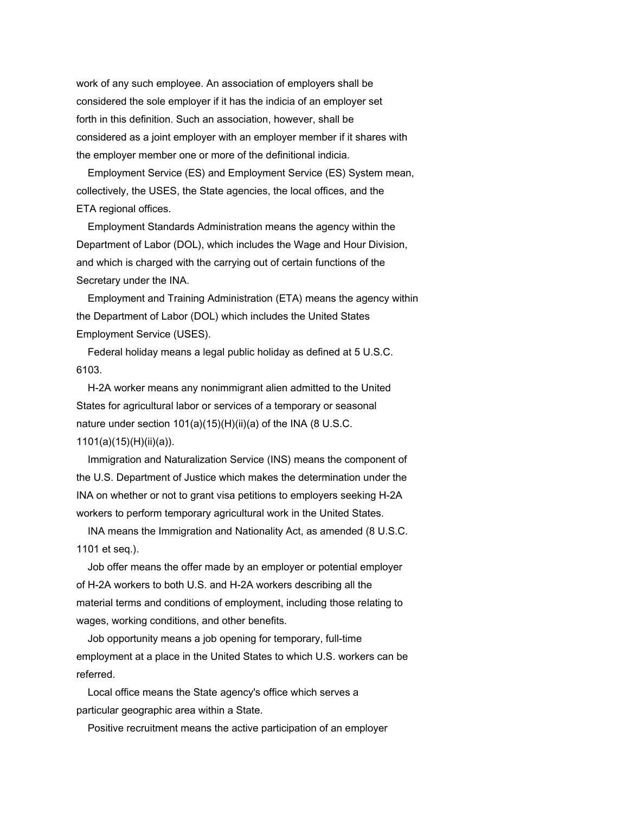work of any such employee. An association of employers shall be considered the sole employer if it has the indicia of an employer set forth in this definition. Such an association, however, shall be considered as a joint employer with an employer member if it shares with the employer member one or more of the definitional indicia.

 Employment Service (ES) and Employment Service (ES) System mean, collectively, the USES, the State agencies, the local offices, and the ETA regional offices.

 Employment Standards Administration means the agency within the Department of Labor (DOL), which includes the Wage and Hour Division, and which is charged with the carrying out of certain functions of the Secretary under the INA.

 Employment and Training Administration (ETA) means the agency within the Department of Labor (DOL) which includes the United States Employment Service (USES).

 Federal holiday means a legal public holiday as defined at 5 U.S.C. 6103.

 H-2A worker means any nonimmigrant alien admitted to the United States for agricultural labor or services of a temporary or seasonal nature under section 101(a)(15)(H)(ii)(a) of the INA (8 U.S.C. 1101(a)(15)(H)(ii)(a)).

 Immigration and Naturalization Service (INS) means the component of the U.S. Department of Justice which makes the determination under the INA on whether or not to grant visa petitions to employers seeking H-2A workers to perform temporary agricultural work in the United States.

 INA means the Immigration and Nationality Act, as amended (8 U.S.C. 1101 et seq.).

 Job offer means the offer made by an employer or potential employer of H-2A workers to both U.S. and H-2A workers describing all the material terms and conditions of employment, including those relating to wages, working conditions, and other benefits.

 Job opportunity means a job opening for temporary, full-time employment at a place in the United States to which U.S. workers can be referred.

 Local office means the State agency's office which serves a particular geographic area within a State.

Positive recruitment means the active participation of an employer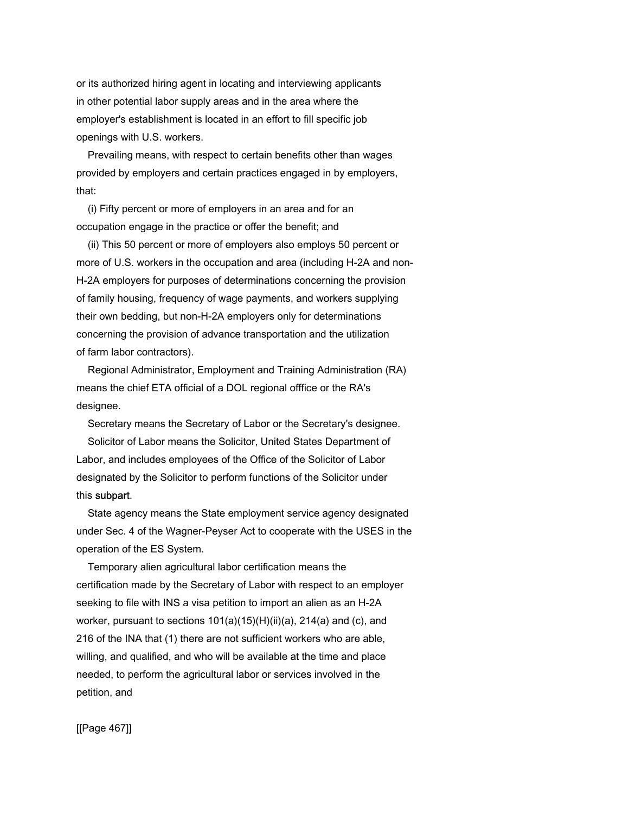or its authorized hiring agent in locating and interviewing applicants in other potential labor supply areas and in the area where the employer's establishment is located in an effort to fill specific job openings with U.S. workers.

 Prevailing means, with respect to certain benefits other than wages provided by employers and certain practices engaged in by employers, that:

 (i) Fifty percent or more of employers in an area and for an occupation engage in the practice or offer the benefit; and

 (ii) This 50 percent or more of employers also employs 50 percent or more of U.S. workers in the occupation and area (including H-2A and non-H-2A employers for purposes of determinations concerning the provision of family housing, frequency of wage payments, and workers supplying their own bedding, but non-H-2A employers only for determinations concerning the provision of advance transportation and the utilization of farm labor contractors).

 Regional Administrator, Employment and Training Administration (RA) means the chief ETA official of a DOL regional offfice or the RA's designee.

 Secretary means the Secretary of Labor or the Secretary's designee. Solicitor of Labor means the Solicitor, United States Department of Labor, and includes employees of the Office of the Solicitor of Labor designated by the Solicitor to perform functions of the Solicitor under this subpart.

 State agency means the State employment service agency designated under Sec. 4 of the Wagner-Peyser Act to cooperate with the USES in the operation of the ES System.

 Temporary alien agricultural labor certification means the certification made by the Secretary of Labor with respect to an employer seeking to file with INS a visa petition to import an alien as an H-2A worker, pursuant to sections 101(a)(15)(H)(ii)(a), 214(a) and (c), and 216 of the INA that (1) there are not sufficient workers who are able, willing, and qualified, and who will be available at the time and place needed, to perform the agricultural labor or services involved in the petition, and

[[Page 467]]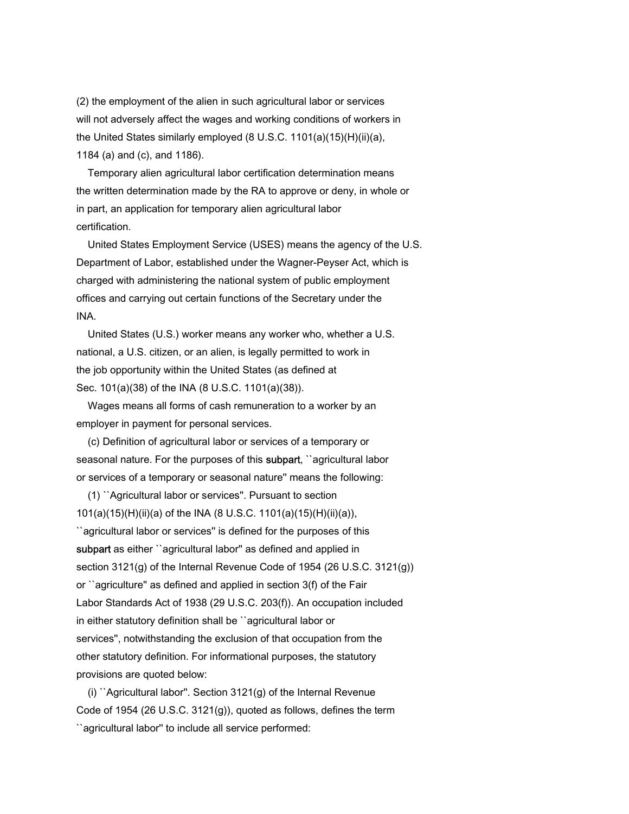(2) the employment of the alien in such agricultural labor or services will not adversely affect the wages and working conditions of workers in the United States similarly employed (8 U.S.C. 1101(a)(15)(H)(ii)(a), 1184 (a) and (c), and 1186).

 Temporary alien agricultural labor certification determination means the written determination made by the RA to approve or deny, in whole or in part, an application for temporary alien agricultural labor certification.

 United States Employment Service (USES) means the agency of the U.S. Department of Labor, established under the Wagner-Peyser Act, which is charged with administering the national system of public employment offices and carrying out certain functions of the Secretary under the INA.

 United States (U.S.) worker means any worker who, whether a U.S. national, a U.S. citizen, or an alien, is legally permitted to work in the job opportunity within the United States (as defined at Sec. 101(a)(38) of the INA (8 U.S.C. 1101(a)(38)).

 Wages means all forms of cash remuneration to a worker by an employer in payment for personal services.

 (c) Definition of agricultural labor or services of a temporary or seasonal nature. For the purposes of this subpart, "agricultural labor or services of a temporary or seasonal nature'' means the following:

 (1) ``Agricultural labor or services''. Pursuant to section 101(a)(15)(H)(ii)(a) of the INA (8 U.S.C. 1101(a)(15)(H)(ii)(a)),

``agricultural labor or services'' is defined for the purposes of this subpart as either "agricultural labor" as defined and applied in section 3121(g) of the Internal Revenue Code of 1954 (26 U.S.C. 3121(g)) or ``agriculture'' as defined and applied in section 3(f) of the Fair Labor Standards Act of 1938 (29 U.S.C. 203(f)). An occupation included in either statutory definition shall be ``agricultural labor or services'', notwithstanding the exclusion of that occupation from the other statutory definition. For informational purposes, the statutory provisions are quoted below:

 (i) ``Agricultural labor''. Section 3121(g) of the Internal Revenue Code of 1954 (26 U.S.C. 3121(g)), quoted as follows, defines the term ``agricultural labor'' to include all service performed: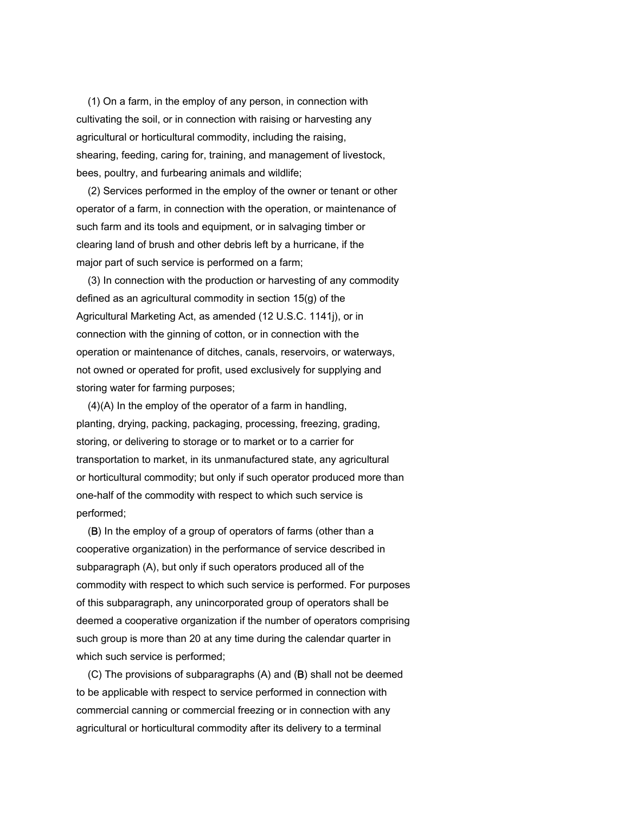(1) On a farm, in the employ of any person, in connection with cultivating the soil, or in connection with raising or harvesting any agricultural or horticultural commodity, including the raising, shearing, feeding, caring for, training, and management of livestock, bees, poultry, and furbearing animals and wildlife;

 (2) Services performed in the employ of the owner or tenant or other operator of a farm, in connection with the operation, or maintenance of such farm and its tools and equipment, or in salvaging timber or clearing land of brush and other debris left by a hurricane, if the major part of such service is performed on a farm;

 (3) In connection with the production or harvesting of any commodity defined as an agricultural commodity in section 15(g) of the Agricultural Marketing Act, as amended (12 U.S.C. 1141j), or in connection with the ginning of cotton, or in connection with the operation or maintenance of ditches, canals, reservoirs, or waterways, not owned or operated for profit, used exclusively for supplying and storing water for farming purposes;

 (4)(A) In the employ of the operator of a farm in handling, planting, drying, packing, packaging, processing, freezing, grading, storing, or delivering to storage or to market or to a carrier for transportation to market, in its unmanufactured state, any agricultural or horticultural commodity; but only if such operator produced more than one-half of the commodity with respect to which such service is performed;

 (B) In the employ of a group of operators of farms (other than a cooperative organization) in the performance of service described in subparagraph (A), but only if such operators produced all of the commodity with respect to which such service is performed. For purposes of this subparagraph, any unincorporated group of operators shall be deemed a cooperative organization if the number of operators comprising such group is more than 20 at any time during the calendar quarter in which such service is performed;

 (C) The provisions of subparagraphs (A) and (B) shall not be deemed to be applicable with respect to service performed in connection with commercial canning or commercial freezing or in connection with any agricultural or horticultural commodity after its delivery to a terminal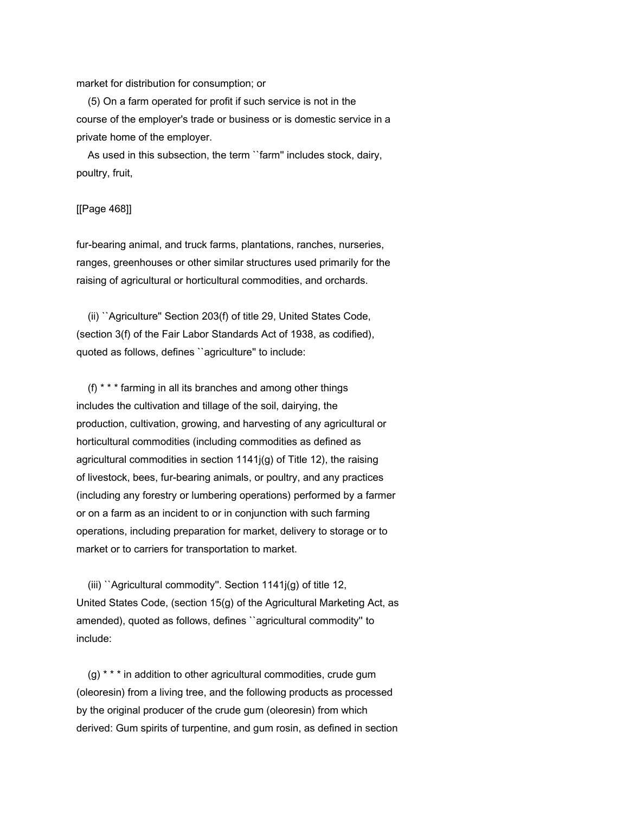market for distribution for consumption; or

 (5) On a farm operated for profit if such service is not in the course of the employer's trade or business or is domestic service in a private home of the employer.

 As used in this subsection, the term ``farm'' includes stock, dairy, poultry, fruit,

## [[Page 468]]

fur-bearing animal, and truck farms, plantations, ranches, nurseries, ranges, greenhouses or other similar structures used primarily for the raising of agricultural or horticultural commodities, and orchards.

 (ii) ``Agriculture'' Section 203(f) of title 29, United States Code, (section 3(f) of the Fair Labor Standards Act of 1938, as codified), quoted as follows, defines ``agriculture'' to include:

 (f) \* \* \* farming in all its branches and among other things includes the cultivation and tillage of the soil, dairying, the production, cultivation, growing, and harvesting of any agricultural or horticultural commodities (including commodities as defined as agricultural commodities in section 1141j(g) of Title 12), the raising of livestock, bees, fur-bearing animals, or poultry, and any practices (including any forestry or lumbering operations) performed by a farmer or on a farm as an incident to or in conjunction with such farming operations, including preparation for market, delivery to storage or to market or to carriers for transportation to market.

 (iii) ``Agricultural commodity''. Section 1141j(g) of title 12, United States Code, (section 15(g) of the Agricultural Marketing Act, as amended), quoted as follows, defines ``agricultural commodity'' to include:

 (g) \* \* \* in addition to other agricultural commodities, crude gum (oleoresin) from a living tree, and the following products as processed by the original producer of the crude gum (oleoresin) from which derived: Gum spirits of turpentine, and gum rosin, as defined in section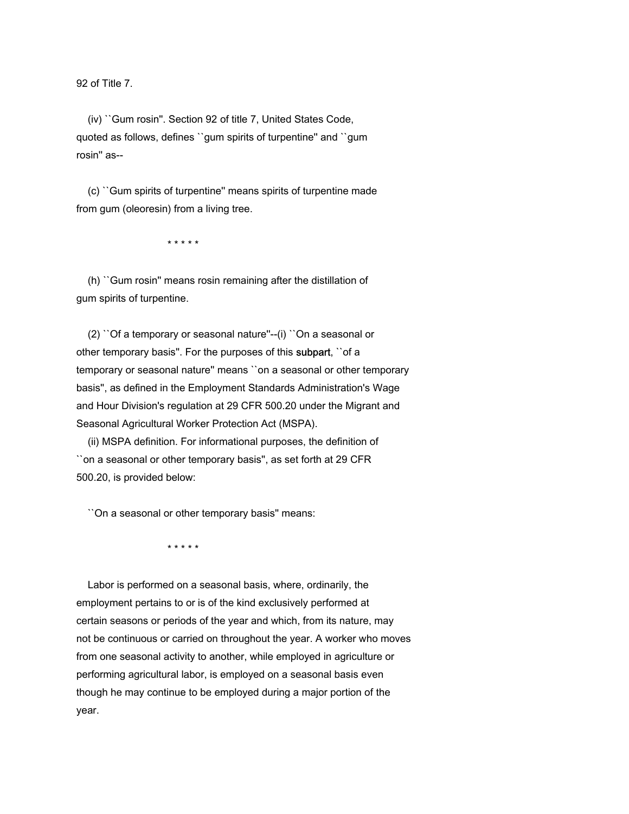92 of Title 7.

 (iv) ``Gum rosin''. Section 92 of title 7, United States Code, quoted as follows, defines ``gum spirits of turpentine'' and ``gum rosin'' as--

 (c) ``Gum spirits of turpentine'' means spirits of turpentine made from gum (oleoresin) from a living tree.

\* \* \* \* \*

 (h) ``Gum rosin'' means rosin remaining after the distillation of gum spirits of turpentine.

 (2) ``Of a temporary or seasonal nature''--(i) ``On a seasonal or other temporary basis''. For the purposes of this subpart, ``of a temporary or seasonal nature'' means ``on a seasonal or other temporary basis'', as defined in the Employment Standards Administration's Wage and Hour Division's regulation at 29 CFR 500.20 under the Migrant and Seasonal Agricultural Worker Protection Act (MSPA).

 (ii) MSPA definition. For informational purposes, the definition of ``on a seasonal or other temporary basis'', as set forth at 29 CFR 500.20, is provided below:

``On a seasonal or other temporary basis'' means:

\* \* \* \* \*

 Labor is performed on a seasonal basis, where, ordinarily, the employment pertains to or is of the kind exclusively performed at certain seasons or periods of the year and which, from its nature, may not be continuous or carried on throughout the year. A worker who moves from one seasonal activity to another, while employed in agriculture or performing agricultural labor, is employed on a seasonal basis even though he may continue to be employed during a major portion of the year.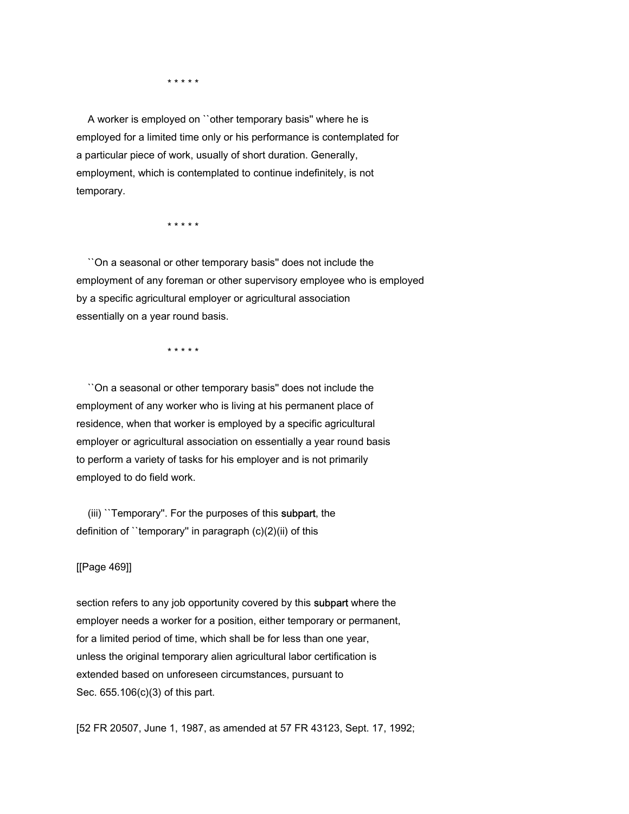\* \* \* \* \*

 A worker is employed on ``other temporary basis'' where he is employed for a limited time only or his performance is contemplated for a particular piece of work, usually of short duration. Generally, employment, which is contemplated to continue indefinitely, is not temporary.

\* \* \* \* \*

 ``On a seasonal or other temporary basis'' does not include the employment of any foreman or other supervisory employee who is employed by a specific agricultural employer or agricultural association essentially on a year round basis.

\* \* \* \* \*

 ``On a seasonal or other temporary basis'' does not include the employment of any worker who is living at his permanent place of residence, when that worker is employed by a specific agricultural employer or agricultural association on essentially a year round basis to perform a variety of tasks for his employer and is not primarily employed to do field work.

 (iii) ``Temporary''. For the purposes of this subpart, the definition of ``temporary'' in paragraph (c)(2)(ii) of this

# [[Page 469]]

section refers to any job opportunity covered by this subpart where the employer needs a worker for a position, either temporary or permanent, for a limited period of time, which shall be for less than one year, unless the original temporary alien agricultural labor certification is extended based on unforeseen circumstances, pursuant to Sec. 655.106(c)(3) of this part.

[52 FR 20507, June 1, 1987, as amended at 57 FR 43123, Sept. 17, 1992;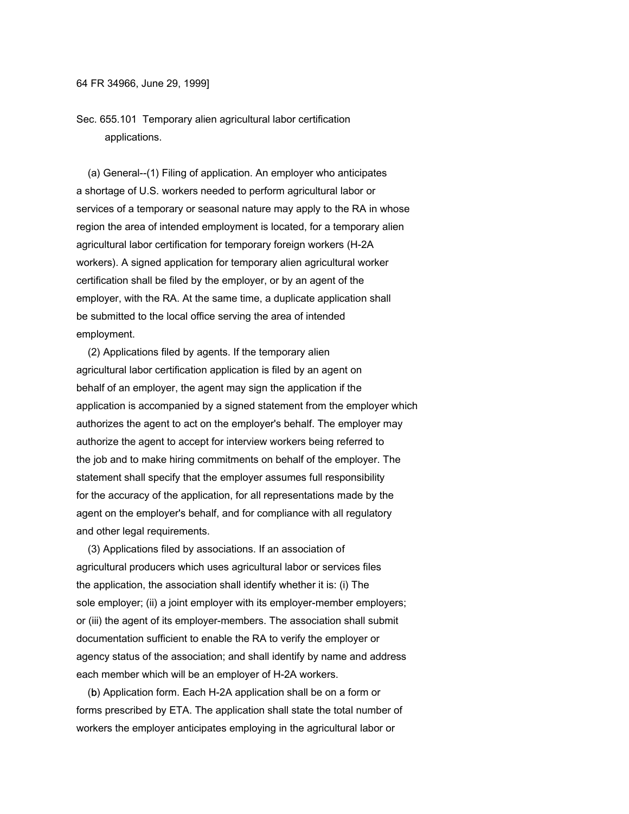Sec. 655.101 Temporary alien agricultural labor certification applications.

 (a) General--(1) Filing of application. An employer who anticipates a shortage of U.S. workers needed to perform agricultural labor or services of a temporary or seasonal nature may apply to the RA in whose region the area of intended employment is located, for a temporary alien agricultural labor certification for temporary foreign workers (H-2A workers). A signed application for temporary alien agricultural worker certification shall be filed by the employer, or by an agent of the employer, with the RA. At the same time, a duplicate application shall be submitted to the local office serving the area of intended employment.

 (2) Applications filed by agents. If the temporary alien agricultural labor certification application is filed by an agent on behalf of an employer, the agent may sign the application if the application is accompanied by a signed statement from the employer which authorizes the agent to act on the employer's behalf. The employer may authorize the agent to accept for interview workers being referred to the job and to make hiring commitments on behalf of the employer. The statement shall specify that the employer assumes full responsibility for the accuracy of the application, for all representations made by the agent on the employer's behalf, and for compliance with all regulatory and other legal requirements.

 (3) Applications filed by associations. If an association of agricultural producers which uses agricultural labor or services files the application, the association shall identify whether it is: (i) The sole employer; (ii) a joint employer with its employer-member employers; or (iii) the agent of its employer-members. The association shall submit documentation sufficient to enable the RA to verify the employer or agency status of the association; and shall identify by name and address each member which will be an employer of H-2A workers.

 (b) Application form. Each H-2A application shall be on a form or forms prescribed by ETA. The application shall state the total number of workers the employer anticipates employing in the agricultural labor or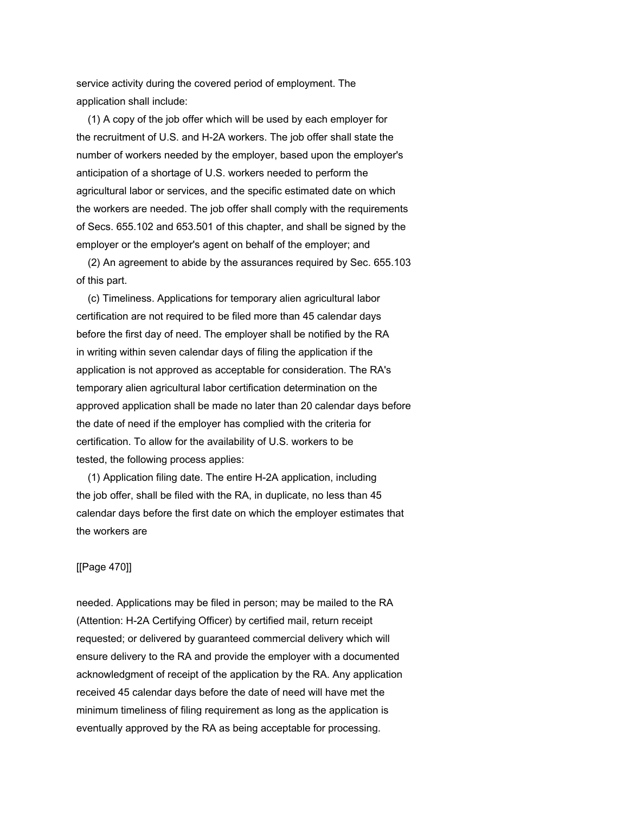service activity during the covered period of employment. The application shall include:

 (1) A copy of the job offer which will be used by each employer for the recruitment of U.S. and H-2A workers. The job offer shall state the number of workers needed by the employer, based upon the employer's anticipation of a shortage of U.S. workers needed to perform the agricultural labor or services, and the specific estimated date on which the workers are needed. The job offer shall comply with the requirements of Secs. 655.102 and 653.501 of this chapter, and shall be signed by the employer or the employer's agent on behalf of the employer; and

 (2) An agreement to abide by the assurances required by Sec. 655.103 of this part.

 (c) Timeliness. Applications for temporary alien agricultural labor certification are not required to be filed more than 45 calendar days before the first day of need. The employer shall be notified by the RA in writing within seven calendar days of filing the application if the application is not approved as acceptable for consideration. The RA's temporary alien agricultural labor certification determination on the approved application shall be made no later than 20 calendar days before the date of need if the employer has complied with the criteria for certification. To allow for the availability of U.S. workers to be tested, the following process applies:

 (1) Application filing date. The entire H-2A application, including the job offer, shall be filed with the RA, in duplicate, no less than 45 calendar days before the first date on which the employer estimates that the workers are

# [[Page 470]]

needed. Applications may be filed in person; may be mailed to the RA (Attention: H-2A Certifying Officer) by certified mail, return receipt requested; or delivered by guaranteed commercial delivery which will ensure delivery to the RA and provide the employer with a documented acknowledgment of receipt of the application by the RA. Any application received 45 calendar days before the date of need will have met the minimum timeliness of filing requirement as long as the application is eventually approved by the RA as being acceptable for processing.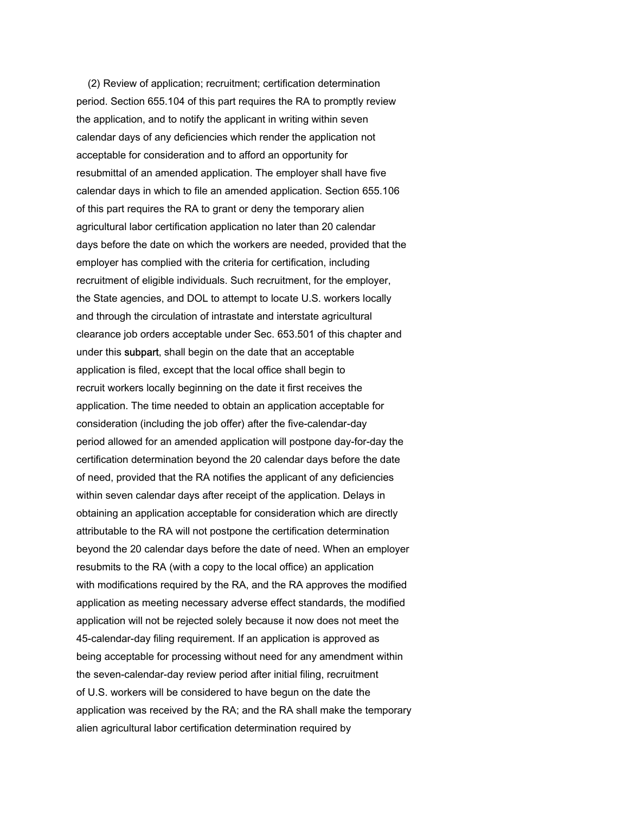(2) Review of application; recruitment; certification determination period. Section 655.104 of this part requires the RA to promptly review the application, and to notify the applicant in writing within seven calendar days of any deficiencies which render the application not acceptable for consideration and to afford an opportunity for resubmittal of an amended application. The employer shall have five calendar days in which to file an amended application. Section 655.106 of this part requires the RA to grant or deny the temporary alien agricultural labor certification application no later than 20 calendar days before the date on which the workers are needed, provided that the employer has complied with the criteria for certification, including recruitment of eligible individuals. Such recruitment, for the employer, the State agencies, and DOL to attempt to locate U.S. workers locally and through the circulation of intrastate and interstate agricultural clearance job orders acceptable under Sec. 653.501 of this chapter and under this subpart, shall begin on the date that an acceptable application is filed, except that the local office shall begin to recruit workers locally beginning on the date it first receives the application. The time needed to obtain an application acceptable for consideration (including the job offer) after the five-calendar-day period allowed for an amended application will postpone day-for-day the certification determination beyond the 20 calendar days before the date of need, provided that the RA notifies the applicant of any deficiencies within seven calendar days after receipt of the application. Delays in obtaining an application acceptable for consideration which are directly attributable to the RA will not postpone the certification determination beyond the 20 calendar days before the date of need. When an employer resubmits to the RA (with a copy to the local office) an application with modifications required by the RA, and the RA approves the modified application as meeting necessary adverse effect standards, the modified application will not be rejected solely because it now does not meet the 45-calendar-day filing requirement. If an application is approved as being acceptable for processing without need for any amendment within the seven-calendar-day review period after initial filing, recruitment of U.S. workers will be considered to have begun on the date the application was received by the RA; and the RA shall make the temporary alien agricultural labor certification determination required by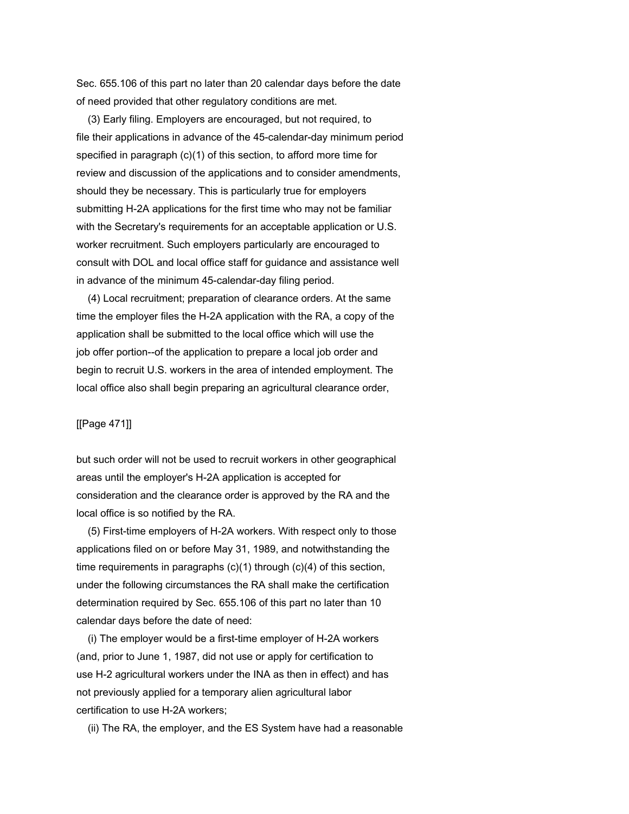Sec. 655.106 of this part no later than 20 calendar days before the date of need provided that other regulatory conditions are met.

 (3) Early filing. Employers are encouraged, but not required, to file their applications in advance of the 45-calendar-day minimum period specified in paragraph (c)(1) of this section, to afford more time for review and discussion of the applications and to consider amendments, should they be necessary. This is particularly true for employers submitting H-2A applications for the first time who may not be familiar with the Secretary's requirements for an acceptable application or U.S. worker recruitment. Such employers particularly are encouraged to consult with DOL and local office staff for guidance and assistance well in advance of the minimum 45-calendar-day filing period.

 (4) Local recruitment; preparation of clearance orders. At the same time the employer files the H-2A application with the RA, a copy of the application shall be submitted to the local office which will use the job offer portion--of the application to prepare a local job order and begin to recruit U.S. workers in the area of intended employment. The local office also shall begin preparing an agricultural clearance order,

### [[Page 471]]

but such order will not be used to recruit workers in other geographical areas until the employer's H-2A application is accepted for consideration and the clearance order is approved by the RA and the local office is so notified by the RA.

 (5) First-time employers of H-2A workers. With respect only to those applications filed on or before May 31, 1989, and notwithstanding the time requirements in paragraphs (c)(1) through (c)(4) of this section, under the following circumstances the RA shall make the certification determination required by Sec. 655.106 of this part no later than 10 calendar days before the date of need:

 (i) The employer would be a first-time employer of H-2A workers (and, prior to June 1, 1987, did not use or apply for certification to use H-2 agricultural workers under the INA as then in effect) and has not previously applied for a temporary alien agricultural labor certification to use H-2A workers;

(ii) The RA, the employer, and the ES System have had a reasonable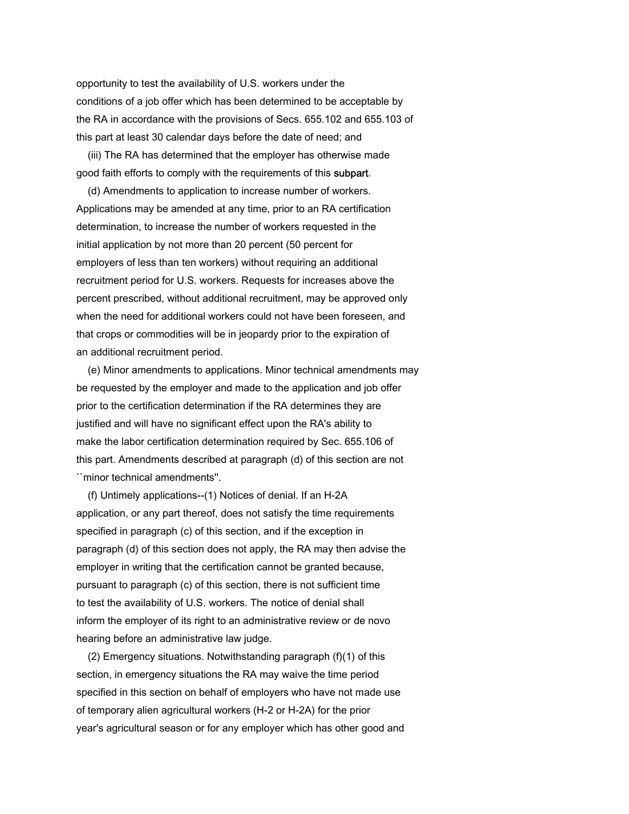opportunity to test the availability of U.S. workers under the conditions of a job offer which has been determined to be acceptable by the RA in accordance with the provisions of Secs. 655.102 and 655.103 of this part at least 30 calendar days before the date of need; and

 (iii) The RA has determined that the employer has otherwise made good faith efforts to comply with the requirements of this subpart.

 (d) Amendments to application to increase number of workers. Applications may be amended at any time, prior to an RA certification determination, to increase the number of workers requested in the initial application by not more than 20 percent (50 percent for employers of less than ten workers) without requiring an additional recruitment period for U.S. workers. Requests for increases above the percent prescribed, without additional recruitment, may be approved only when the need for additional workers could not have been foreseen, and that crops or commodities will be in jeopardy prior to the expiration of an additional recruitment period.

 (e) Minor amendments to applications. Minor technical amendments may be requested by the employer and made to the application and job offer prior to the certification determination if the RA determines they are justified and will have no significant effect upon the RA's ability to make the labor certification determination required by Sec. 655.106 of this part. Amendments described at paragraph (d) of this section are not ``minor technical amendments''.

 (f) Untimely applications--(1) Notices of denial. If an H-2A application, or any part thereof, does not satisfy the time requirements specified in paragraph (c) of this section, and if the exception in paragraph (d) of this section does not apply, the RA may then advise the employer in writing that the certification cannot be granted because, pursuant to paragraph (c) of this section, there is not sufficient time to test the availability of U.S. workers. The notice of denial shall inform the employer of its right to an administrative review or de novo hearing before an administrative law judge.

 (2) Emergency situations. Notwithstanding paragraph (f)(1) of this section, in emergency situations the RA may waive the time period specified in this section on behalf of employers who have not made use of temporary alien agricultural workers (H-2 or H-2A) for the prior year's agricultural season or for any employer which has other good and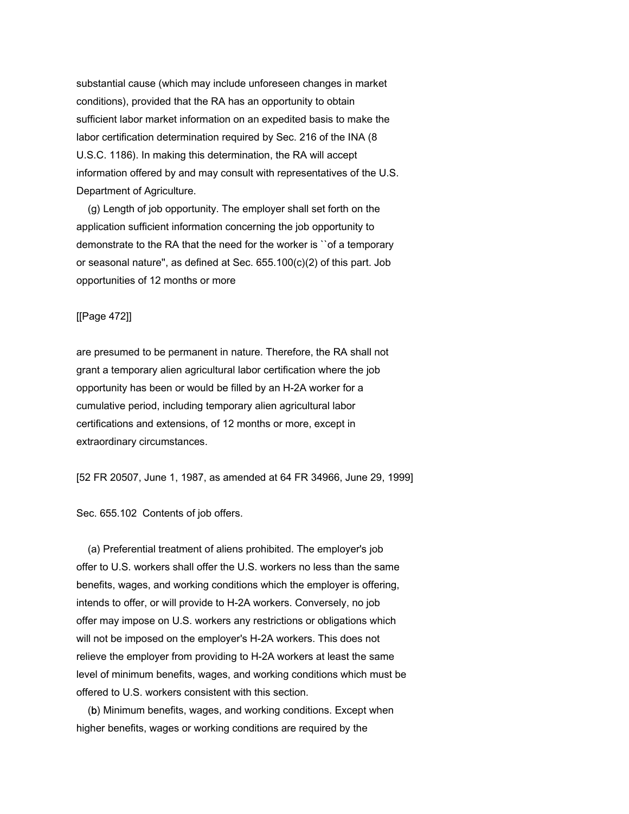substantial cause (which may include unforeseen changes in market conditions), provided that the RA has an opportunity to obtain sufficient labor market information on an expedited basis to make the labor certification determination required by Sec. 216 of the INA (8 U.S.C. 1186). In making this determination, the RA will accept information offered by and may consult with representatives of the U.S. Department of Agriculture.

 (g) Length of job opportunity. The employer shall set forth on the application sufficient information concerning the job opportunity to demonstrate to the RA that the need for the worker is ``of a temporary or seasonal nature'', as defined at Sec. 655.100(c)(2) of this part. Job opportunities of 12 months or more

# [[Page 472]]

are presumed to be permanent in nature. Therefore, the RA shall not grant a temporary alien agricultural labor certification where the job opportunity has been or would be filled by an H-2A worker for a cumulative period, including temporary alien agricultural labor certifications and extensions, of 12 months or more, except in extraordinary circumstances.

[52 FR 20507, June 1, 1987, as amended at 64 FR 34966, June 29, 1999]

Sec. 655.102 Contents of job offers.

 (a) Preferential treatment of aliens prohibited. The employer's job offer to U.S. workers shall offer the U.S. workers no less than the same benefits, wages, and working conditions which the employer is offering, intends to offer, or will provide to H-2A workers. Conversely, no job offer may impose on U.S. workers any restrictions or obligations which will not be imposed on the employer's H-2A workers. This does not relieve the employer from providing to H-2A workers at least the same level of minimum benefits, wages, and working conditions which must be offered to U.S. workers consistent with this section.

 (b) Minimum benefits, wages, and working conditions. Except when higher benefits, wages or working conditions are required by the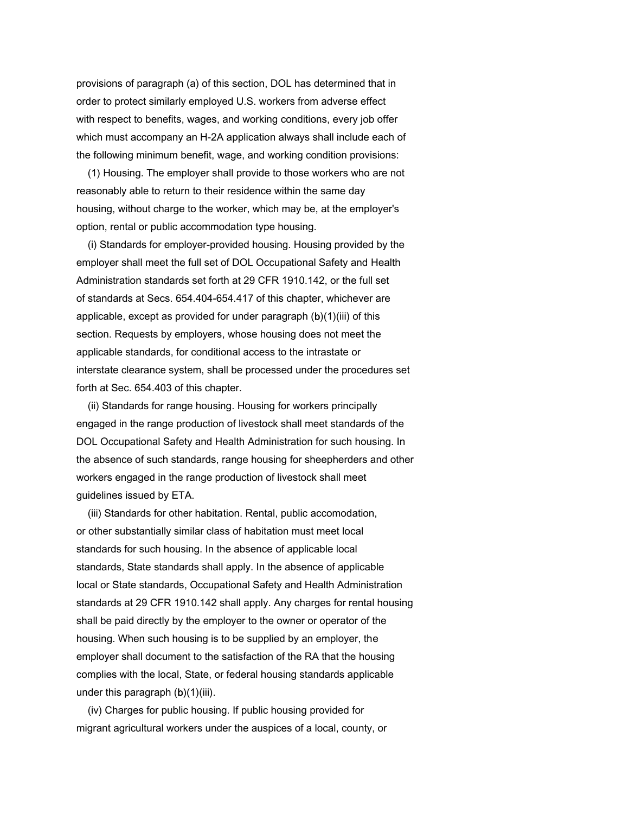provisions of paragraph (a) of this section, DOL has determined that in order to protect similarly employed U.S. workers from adverse effect with respect to benefits, wages, and working conditions, every job offer which must accompany an H-2A application always shall include each of the following minimum benefit, wage, and working condition provisions:

 (1) Housing. The employer shall provide to those workers who are not reasonably able to return to their residence within the same day housing, without charge to the worker, which may be, at the employer's option, rental or public accommodation type housing.

 (i) Standards for employer-provided housing. Housing provided by the employer shall meet the full set of DOL Occupational Safety and Health Administration standards set forth at 29 CFR 1910.142, or the full set of standards at Secs. 654.404-654.417 of this chapter, whichever are applicable, except as provided for under paragraph (b)(1)(iii) of this section. Requests by employers, whose housing does not meet the applicable standards, for conditional access to the intrastate or interstate clearance system, shall be processed under the procedures set forth at Sec. 654.403 of this chapter.

 (ii) Standards for range housing. Housing for workers principally engaged in the range production of livestock shall meet standards of the DOL Occupational Safety and Health Administration for such housing. In the absence of such standards, range housing for sheepherders and other workers engaged in the range production of livestock shall meet guidelines issued by ETA.

 (iii) Standards for other habitation. Rental, public accomodation, or other substantially similar class of habitation must meet local standards for such housing. In the absence of applicable local standards, State standards shall apply. In the absence of applicable local or State standards, Occupational Safety and Health Administration standards at 29 CFR 1910.142 shall apply. Any charges for rental housing shall be paid directly by the employer to the owner or operator of the housing. When such housing is to be supplied by an employer, the employer shall document to the satisfaction of the RA that the housing complies with the local, State, or federal housing standards applicable under this paragraph  $(b)(1)(iii)$ .

 (iv) Charges for public housing. If public housing provided for migrant agricultural workers under the auspices of a local, county, or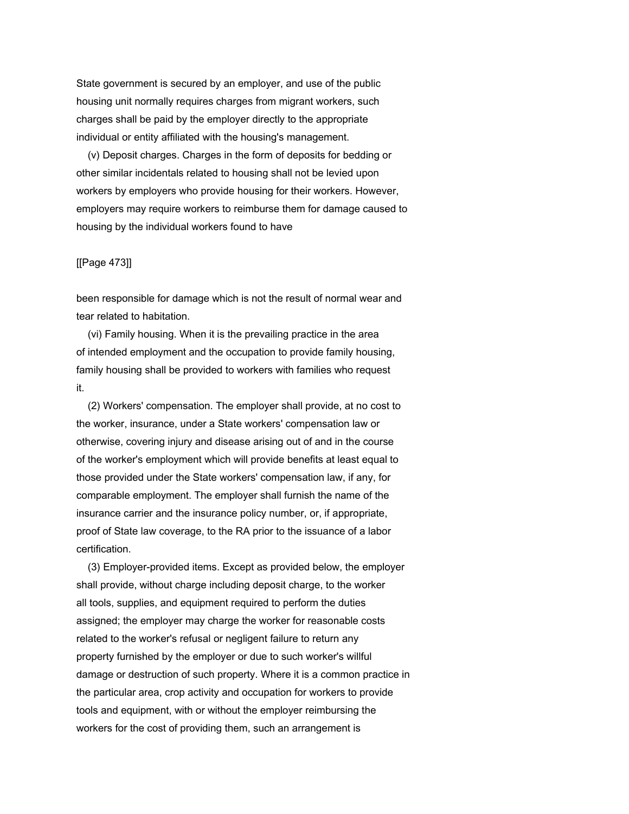State government is secured by an employer, and use of the public housing unit normally requires charges from migrant workers, such charges shall be paid by the employer directly to the appropriate individual or entity affiliated with the housing's management.

 (v) Deposit charges. Charges in the form of deposits for bedding or other similar incidentals related to housing shall not be levied upon workers by employers who provide housing for their workers. However, employers may require workers to reimburse them for damage caused to housing by the individual workers found to have

# [[Page 473]]

been responsible for damage which is not the result of normal wear and tear related to habitation.

 (vi) Family housing. When it is the prevailing practice in the area of intended employment and the occupation to provide family housing, family housing shall be provided to workers with families who request it.

 (2) Workers' compensation. The employer shall provide, at no cost to the worker, insurance, under a State workers' compensation law or otherwise, covering injury and disease arising out of and in the course of the worker's employment which will provide benefits at least equal to those provided under the State workers' compensation law, if any, for comparable employment. The employer shall furnish the name of the insurance carrier and the insurance policy number, or, if appropriate, proof of State law coverage, to the RA prior to the issuance of a labor certification.

 (3) Employer-provided items. Except as provided below, the employer shall provide, without charge including deposit charge, to the worker all tools, supplies, and equipment required to perform the duties assigned; the employer may charge the worker for reasonable costs related to the worker's refusal or negligent failure to return any property furnished by the employer or due to such worker's willful damage or destruction of such property. Where it is a common practice in the particular area, crop activity and occupation for workers to provide tools and equipment, with or without the employer reimbursing the workers for the cost of providing them, such an arrangement is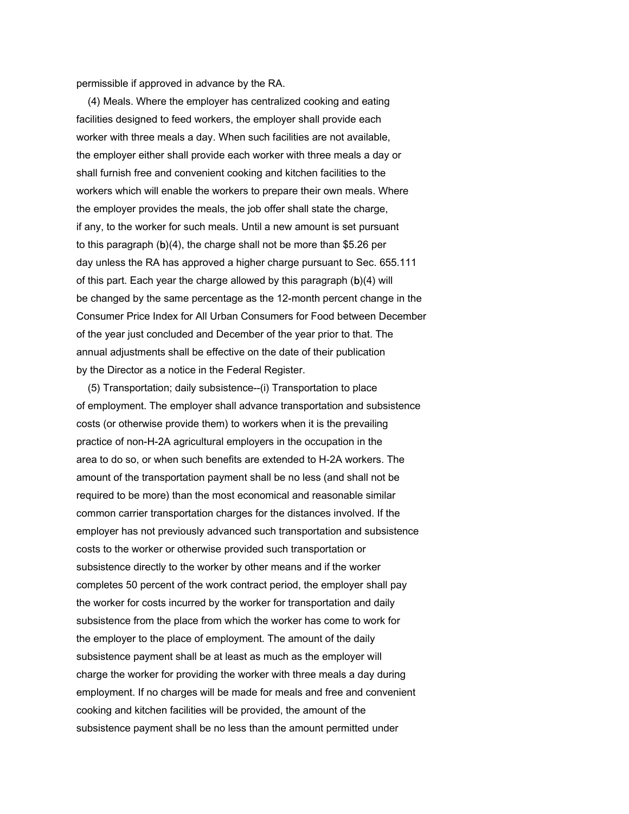permissible if approved in advance by the RA.

 (4) Meals. Where the employer has centralized cooking and eating facilities designed to feed workers, the employer shall provide each worker with three meals a day. When such facilities are not available, the employer either shall provide each worker with three meals a day or shall furnish free and convenient cooking and kitchen facilities to the workers which will enable the workers to prepare their own meals. Where the employer provides the meals, the job offer shall state the charge, if any, to the worker for such meals. Until a new amount is set pursuant to this paragraph (b)(4), the charge shall not be more than \$5.26 per day unless the RA has approved a higher charge pursuant to Sec. 655.111 of this part. Each year the charge allowed by this paragraph (b)(4) will be changed by the same percentage as the 12-month percent change in the Consumer Price Index for All Urban Consumers for Food between December of the year just concluded and December of the year prior to that. The annual adjustments shall be effective on the date of their publication by the Director as a notice in the Federal Register.

 (5) Transportation; daily subsistence--(i) Transportation to place of employment. The employer shall advance transportation and subsistence costs (or otherwise provide them) to workers when it is the prevailing practice of non-H-2A agricultural employers in the occupation in the area to do so, or when such benefits are extended to H-2A workers. The amount of the transportation payment shall be no less (and shall not be required to be more) than the most economical and reasonable similar common carrier transportation charges for the distances involved. If the employer has not previously advanced such transportation and subsistence costs to the worker or otherwise provided such transportation or subsistence directly to the worker by other means and if the worker completes 50 percent of the work contract period, the employer shall pay the worker for costs incurred by the worker for transportation and daily subsistence from the place from which the worker has come to work for the employer to the place of employment. The amount of the daily subsistence payment shall be at least as much as the employer will charge the worker for providing the worker with three meals a day during employment. If no charges will be made for meals and free and convenient cooking and kitchen facilities will be provided, the amount of the subsistence payment shall be no less than the amount permitted under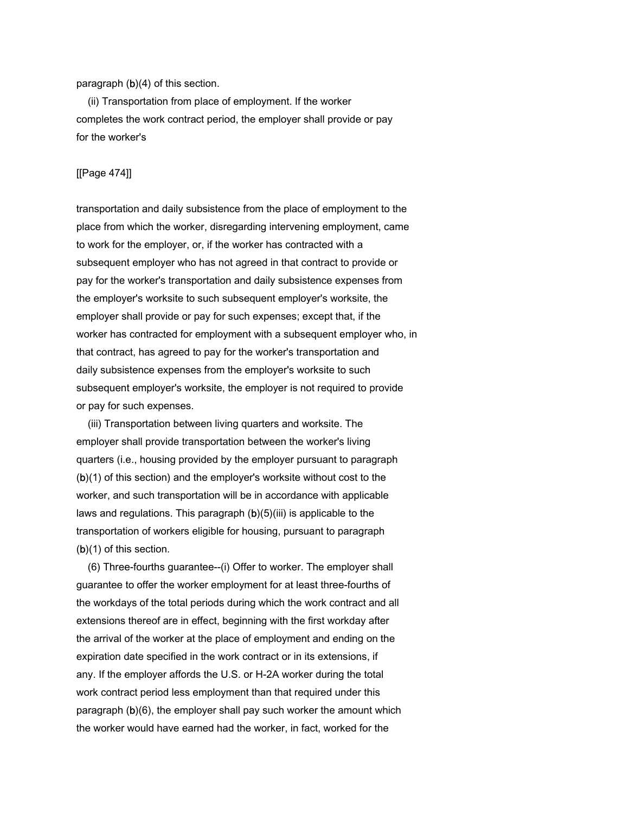paragraph (b)(4) of this section.

 (ii) Transportation from place of employment. If the worker completes the work contract period, the employer shall provide or pay for the worker's

#### [[Page 474]]

transportation and daily subsistence from the place of employment to the place from which the worker, disregarding intervening employment, came to work for the employer, or, if the worker has contracted with a subsequent employer who has not agreed in that contract to provide or pay for the worker's transportation and daily subsistence expenses from the employer's worksite to such subsequent employer's worksite, the employer shall provide or pay for such expenses; except that, if the worker has contracted for employment with a subsequent employer who, in that contract, has agreed to pay for the worker's transportation and daily subsistence expenses from the employer's worksite to such subsequent employer's worksite, the employer is not required to provide or pay for such expenses.

 (iii) Transportation between living quarters and worksite. The employer shall provide transportation between the worker's living quarters (i.e., housing provided by the employer pursuant to paragraph (b)(1) of this section) and the employer's worksite without cost to the worker, and such transportation will be in accordance with applicable laws and regulations. This paragraph  $(b)(5)(iii)$  is applicable to the transportation of workers eligible for housing, pursuant to paragraph (b)(1) of this section.

 (6) Three-fourths guarantee--(i) Offer to worker. The employer shall guarantee to offer the worker employment for at least three-fourths of the workdays of the total periods during which the work contract and all extensions thereof are in effect, beginning with the first workday after the arrival of the worker at the place of employment and ending on the expiration date specified in the work contract or in its extensions, if any. If the employer affords the U.S. or H-2A worker during the total work contract period less employment than that required under this paragraph (b)(6), the employer shall pay such worker the amount which the worker would have earned had the worker, in fact, worked for the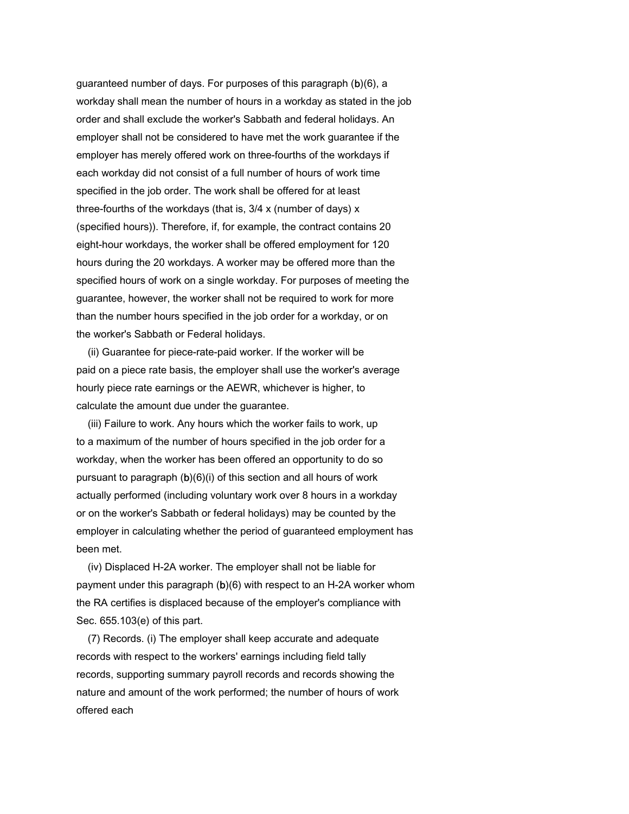guaranteed number of days. For purposes of this paragraph (b)(6), a workday shall mean the number of hours in a workday as stated in the job order and shall exclude the worker's Sabbath and federal holidays. An employer shall not be considered to have met the work guarantee if the employer has merely offered work on three-fourths of the workdays if each workday did not consist of a full number of hours of work time specified in the job order. The work shall be offered for at least three-fourths of the workdays (that is, 3/4 x (number of days) x (specified hours)). Therefore, if, for example, the contract contains 20 eight-hour workdays, the worker shall be offered employment for 120 hours during the 20 workdays. A worker may be offered more than the specified hours of work on a single workday. For purposes of meeting the guarantee, however, the worker shall not be required to work for more than the number hours specified in the job order for a workday, or on the worker's Sabbath or Federal holidays.

 (ii) Guarantee for piece-rate-paid worker. If the worker will be paid on a piece rate basis, the employer shall use the worker's average hourly piece rate earnings or the AEWR, whichever is higher, to calculate the amount due under the guarantee.

 (iii) Failure to work. Any hours which the worker fails to work, up to a maximum of the number of hours specified in the job order for a workday, when the worker has been offered an opportunity to do so pursuant to paragraph (b)(6)(i) of this section and all hours of work actually performed (including voluntary work over 8 hours in a workday or on the worker's Sabbath or federal holidays) may be counted by the employer in calculating whether the period of guaranteed employment has been met.

 (iv) Displaced H-2A worker. The employer shall not be liable for payment under this paragraph (b)(6) with respect to an H-2A worker whom the RA certifies is displaced because of the employer's compliance with Sec. 655.103(e) of this part.

 (7) Records. (i) The employer shall keep accurate and adequate records with respect to the workers' earnings including field tally records, supporting summary payroll records and records showing the nature and amount of the work performed; the number of hours of work offered each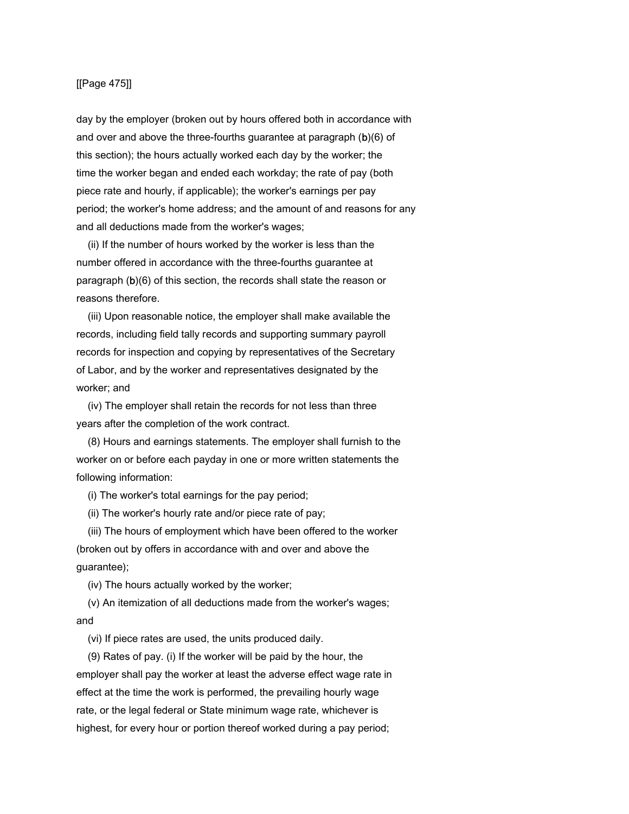## [[Page 475]]

day by the employer (broken out by hours offered both in accordance with and over and above the three-fourths guarantee at paragraph (b)(6) of this section); the hours actually worked each day by the worker; the time the worker began and ended each workday; the rate of pay (both piece rate and hourly, if applicable); the worker's earnings per pay period; the worker's home address; and the amount of and reasons for any and all deductions made from the worker's wages;

 (ii) If the number of hours worked by the worker is less than the number offered in accordance with the three-fourths guarantee at paragraph (b)(6) of this section, the records shall state the reason or reasons therefore.

 (iii) Upon reasonable notice, the employer shall make available the records, including field tally records and supporting summary payroll records for inspection and copying by representatives of the Secretary of Labor, and by the worker and representatives designated by the worker; and

 (iv) The employer shall retain the records for not less than three years after the completion of the work contract.

 (8) Hours and earnings statements. The employer shall furnish to the worker on or before each payday in one or more written statements the following information:

(i) The worker's total earnings for the pay period;

(ii) The worker's hourly rate and/or piece rate of pay;

 (iii) The hours of employment which have been offered to the worker (broken out by offers in accordance with and over and above the guarantee);

(iv) The hours actually worked by the worker;

 (v) An itemization of all deductions made from the worker's wages; and

(vi) If piece rates are used, the units produced daily.

 (9) Rates of pay. (i) If the worker will be paid by the hour, the employer shall pay the worker at least the adverse effect wage rate in effect at the time the work is performed, the prevailing hourly wage rate, or the legal federal or State minimum wage rate, whichever is highest, for every hour or portion thereof worked during a pay period;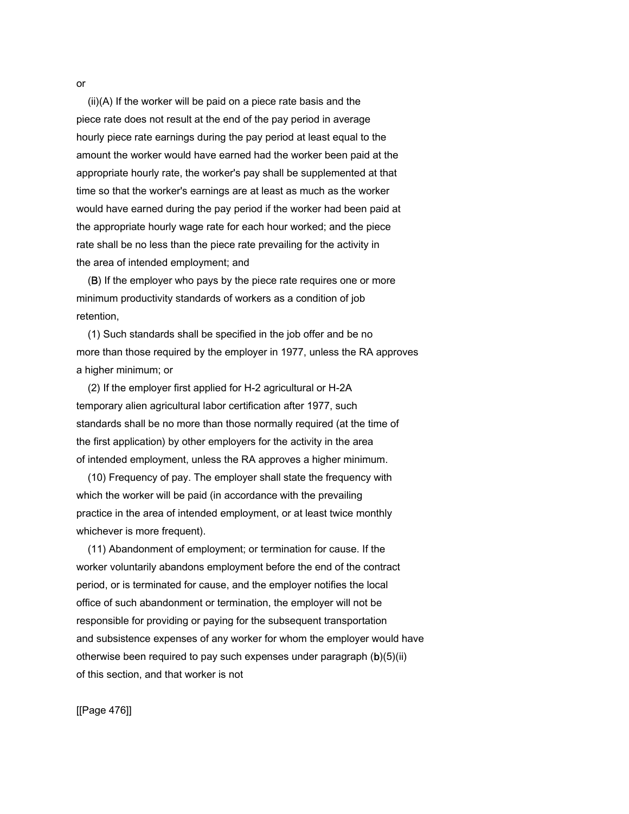(ii)(A) If the worker will be paid on a piece rate basis and the piece rate does not result at the end of the pay period in average hourly piece rate earnings during the pay period at least equal to the amount the worker would have earned had the worker been paid at the appropriate hourly rate, the worker's pay shall be supplemented at that time so that the worker's earnings are at least as much as the worker would have earned during the pay period if the worker had been paid at the appropriate hourly wage rate for each hour worked; and the piece rate shall be no less than the piece rate prevailing for the activity in the area of intended employment; and

 (B) If the employer who pays by the piece rate requires one or more minimum productivity standards of workers as a condition of job retention,

 (1) Such standards shall be specified in the job offer and be no more than those required by the employer in 1977, unless the RA approves a higher minimum; or

 (2) If the employer first applied for H-2 agricultural or H-2A temporary alien agricultural labor certification after 1977, such standards shall be no more than those normally required (at the time of the first application) by other employers for the activity in the area of intended employment, unless the RA approves a higher minimum.

 (10) Frequency of pay. The employer shall state the frequency with which the worker will be paid (in accordance with the prevailing practice in the area of intended employment, or at least twice monthly whichever is more frequent).

 (11) Abandonment of employment; or termination for cause. If the worker voluntarily abandons employment before the end of the contract period, or is terminated for cause, and the employer notifies the local office of such abandonment or termination, the employer will not be responsible for providing or paying for the subsequent transportation and subsistence expenses of any worker for whom the employer would have otherwise been required to pay such expenses under paragraph (b)(5)(ii) of this section, and that worker is not

[[Page 476]]

or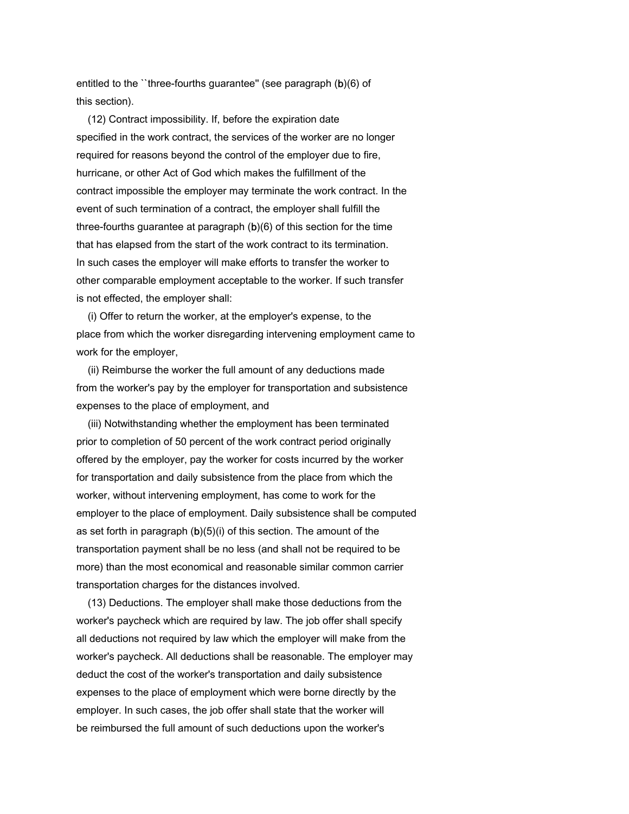entitled to the "three-fourths guarantee" (see paragraph (b)(6) of this section).

 (12) Contract impossibility. If, before the expiration date specified in the work contract, the services of the worker are no longer required for reasons beyond the control of the employer due to fire, hurricane, or other Act of God which makes the fulfillment of the contract impossible the employer may terminate the work contract. In the event of such termination of a contract, the employer shall fulfill the three-fourths guarantee at paragraph (b)(6) of this section for the time that has elapsed from the start of the work contract to its termination. In such cases the employer will make efforts to transfer the worker to other comparable employment acceptable to the worker. If such transfer is not effected, the employer shall:

 (i) Offer to return the worker, at the employer's expense, to the place from which the worker disregarding intervening employment came to work for the employer,

 (ii) Reimburse the worker the full amount of any deductions made from the worker's pay by the employer for transportation and subsistence expenses to the place of employment, and

 (iii) Notwithstanding whether the employment has been terminated prior to completion of 50 percent of the work contract period originally offered by the employer, pay the worker for costs incurred by the worker for transportation and daily subsistence from the place from which the worker, without intervening employment, has come to work for the employer to the place of employment. Daily subsistence shall be computed as set forth in paragraph (b)(5)(i) of this section. The amount of the transportation payment shall be no less (and shall not be required to be more) than the most economical and reasonable similar common carrier transportation charges for the distances involved.

 (13) Deductions. The employer shall make those deductions from the worker's paycheck which are required by law. The job offer shall specify all deductions not required by law which the employer will make from the worker's paycheck. All deductions shall be reasonable. The employer may deduct the cost of the worker's transportation and daily subsistence expenses to the place of employment which were borne directly by the employer. In such cases, the job offer shall state that the worker will be reimbursed the full amount of such deductions upon the worker's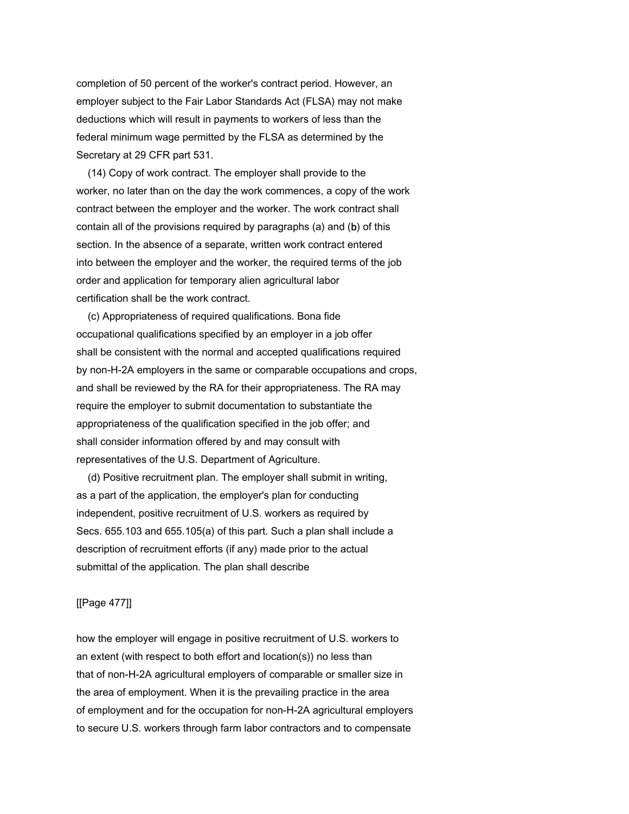completion of 50 percent of the worker's contract period. However, an employer subject to the Fair Labor Standards Act (FLSA) may not make deductions which will result in payments to workers of less than the federal minimum wage permitted by the FLSA as determined by the Secretary at 29 CFR part 531.

 (14) Copy of work contract. The employer shall provide to the worker, no later than on the day the work commences, a copy of the work contract between the employer and the worker. The work contract shall contain all of the provisions required by paragraphs (a) and (b) of this section. In the absence of a separate, written work contract entered into between the employer and the worker, the required terms of the job order and application for temporary alien agricultural labor certification shall be the work contract.

 (c) Appropriateness of required qualifications. Bona fide occupational qualifications specified by an employer in a job offer shall be consistent with the normal and accepted qualifications required by non-H-2A employers in the same or comparable occupations and crops, and shall be reviewed by the RA for their appropriateness. The RA may require the employer to submit documentation to substantiate the appropriateness of the qualification specified in the job offer; and shall consider information offered by and may consult with representatives of the U.S. Department of Agriculture.

 (d) Positive recruitment plan. The employer shall submit in writing, as a part of the application, the employer's plan for conducting independent, positive recruitment of U.S. workers as required by Secs. 655.103 and 655.105(a) of this part. Such a plan shall include a description of recruitment efforts (if any) made prior to the actual submittal of the application. The plan shall describe

### [[Page 477]]

how the employer will engage in positive recruitment of U.S. workers to an extent (with respect to both effort and location(s)) no less than that of non-H-2A agricultural employers of comparable or smaller size in the area of employment. When it is the prevailing practice in the area of employment and for the occupation for non-H-2A agricultural employers to secure U.S. workers through farm labor contractors and to compensate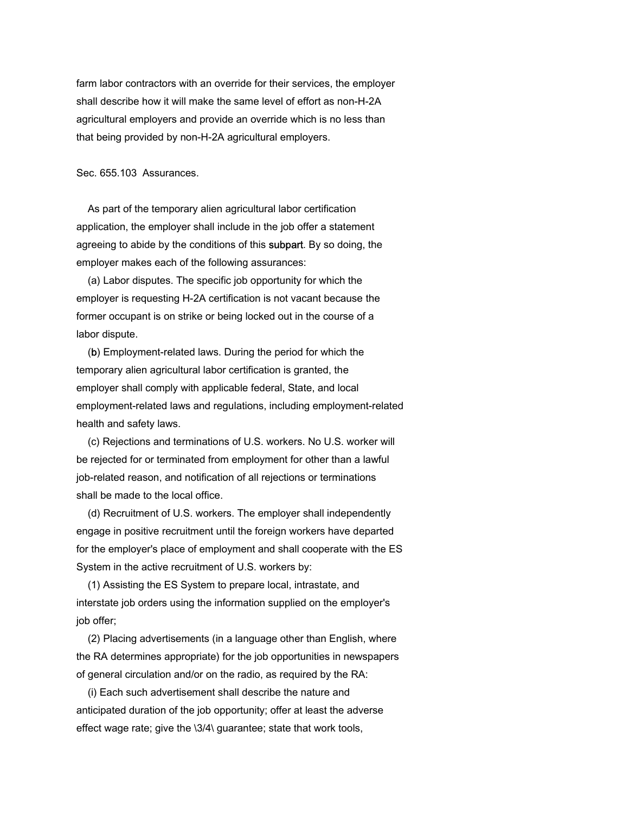farm labor contractors with an override for their services, the employer shall describe how it will make the same level of effort as non-H-2A agricultural employers and provide an override which is no less than that being provided by non-H-2A agricultural employers.

Sec. 655.103 Assurances.

 As part of the temporary alien agricultural labor certification application, the employer shall include in the job offer a statement agreeing to abide by the conditions of this subpart. By so doing, the employer makes each of the following assurances:

 (a) Labor disputes. The specific job opportunity for which the employer is requesting H-2A certification is not vacant because the former occupant is on strike or being locked out in the course of a labor dispute.

 (b) Employment-related laws. During the period for which the temporary alien agricultural labor certification is granted, the employer shall comply with applicable federal, State, and local employment-related laws and regulations, including employment-related health and safety laws.

 (c) Rejections and terminations of U.S. workers. No U.S. worker will be rejected for or terminated from employment for other than a lawful job-related reason, and notification of all rejections or terminations shall be made to the local office.

 (d) Recruitment of U.S. workers. The employer shall independently engage in positive recruitment until the foreign workers have departed for the employer's place of employment and shall cooperate with the ES System in the active recruitment of U.S. workers by:

 (1) Assisting the ES System to prepare local, intrastate, and interstate job orders using the information supplied on the employer's job offer;

 (2) Placing advertisements (in a language other than English, where the RA determines appropriate) for the job opportunities in newspapers of general circulation and/or on the radio, as required by the RA:

 (i) Each such advertisement shall describe the nature and anticipated duration of the job opportunity; offer at least the adverse effect wage rate; give the \3/4\ guarantee; state that work tools,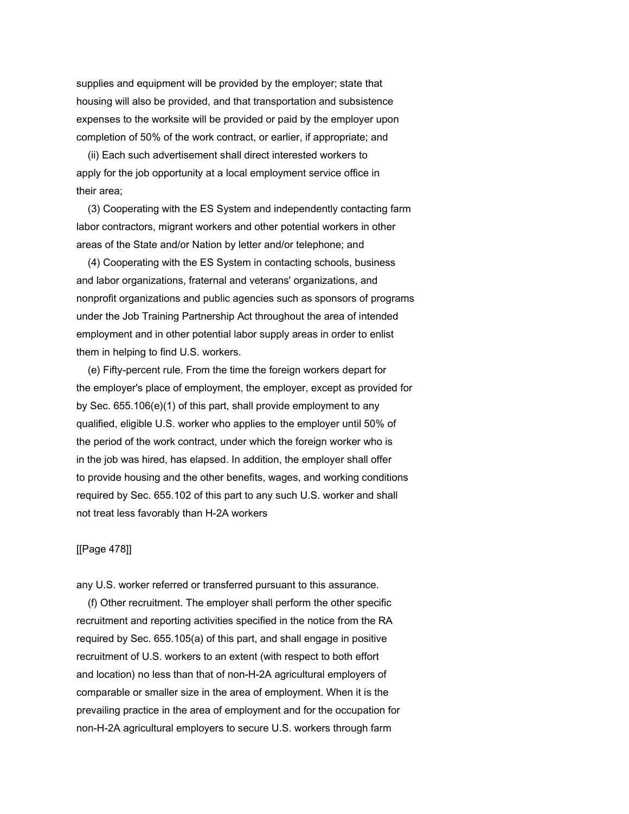supplies and equipment will be provided by the employer; state that housing will also be provided, and that transportation and subsistence expenses to the worksite will be provided or paid by the employer upon completion of 50% of the work contract, or earlier, if appropriate; and

 (ii) Each such advertisement shall direct interested workers to apply for the job opportunity at a local employment service office in their area;

 (3) Cooperating with the ES System and independently contacting farm labor contractors, migrant workers and other potential workers in other areas of the State and/or Nation by letter and/or telephone; and

 (4) Cooperating with the ES System in contacting schools, business and labor organizations, fraternal and veterans' organizations, and nonprofit organizations and public agencies such as sponsors of programs under the Job Training Partnership Act throughout the area of intended employment and in other potential labor supply areas in order to enlist them in helping to find U.S. workers.

 (e) Fifty-percent rule. From the time the foreign workers depart for the employer's place of employment, the employer, except as provided for by Sec. 655.106(e)(1) of this part, shall provide employment to any qualified, eligible U.S. worker who applies to the employer until 50% of the period of the work contract, under which the foreign worker who is in the job was hired, has elapsed. In addition, the employer shall offer to provide housing and the other benefits, wages, and working conditions required by Sec. 655.102 of this part to any such U.S. worker and shall not treat less favorably than H-2A workers

# [[Page 478]]

any U.S. worker referred or transferred pursuant to this assurance.

 (f) Other recruitment. The employer shall perform the other specific recruitment and reporting activities specified in the notice from the RA required by Sec. 655.105(a) of this part, and shall engage in positive recruitment of U.S. workers to an extent (with respect to both effort and location) no less than that of non-H-2A agricultural employers of comparable or smaller size in the area of employment. When it is the prevailing practice in the area of employment and for the occupation for non-H-2A agricultural employers to secure U.S. workers through farm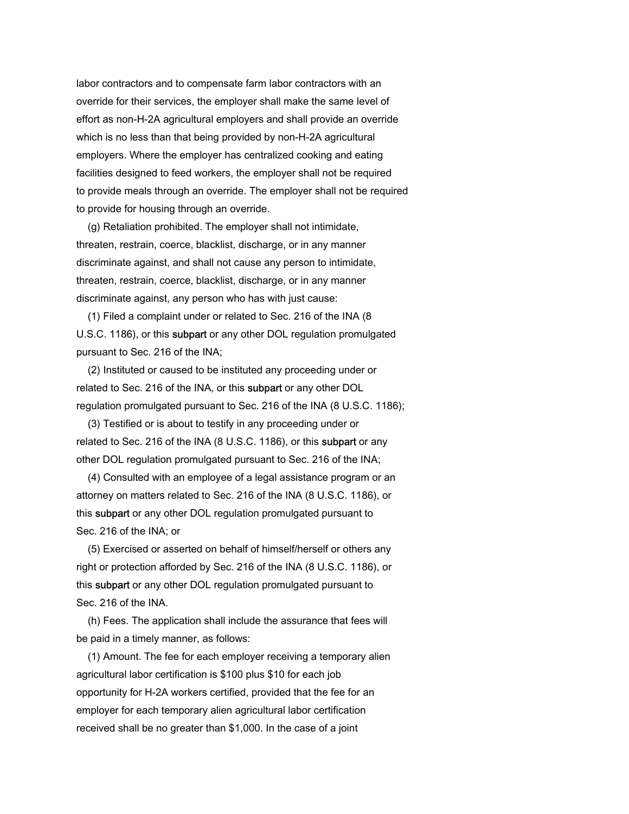labor contractors and to compensate farm labor contractors with an override for their services, the employer shall make the same level of effort as non-H-2A agricultural employers and shall provide an override which is no less than that being provided by non-H-2A agricultural employers. Where the employer has centralized cooking and eating facilities designed to feed workers, the employer shall not be required to provide meals through an override. The employer shall not be required to provide for housing through an override.

 (g) Retaliation prohibited. The employer shall not intimidate, threaten, restrain, coerce, blacklist, discharge, or in any manner discriminate against, and shall not cause any person to intimidate, threaten, restrain, coerce, blacklist, discharge, or in any manner discriminate against, any person who has with just cause:

 (1) Filed a complaint under or related to Sec. 216 of the INA (8 U.S.C. 1186), or this subpart or any other DOL regulation promulgated pursuant to Sec. 216 of the INA;

 (2) Instituted or caused to be instituted any proceeding under or related to Sec. 216 of the INA, or this subpart or any other DOL regulation promulgated pursuant to Sec. 216 of the INA (8 U.S.C. 1186);

 (3) Testified or is about to testify in any proceeding under or related to Sec. 216 of the INA (8 U.S.C. 1186), or this **subpart** or any other DOL regulation promulgated pursuant to Sec. 216 of the INA;

 (4) Consulted with an employee of a legal assistance program or an attorney on matters related to Sec. 216 of the INA (8 U.S.C. 1186), or this subpart or any other DOL regulation promulgated pursuant to Sec. 216 of the INA; or

 (5) Exercised or asserted on behalf of himself/herself or others any right or protection afforded by Sec. 216 of the INA (8 U.S.C. 1186), or this subpart or any other DOL regulation promulgated pursuant to Sec. 216 of the INA.

 (h) Fees. The application shall include the assurance that fees will be paid in a timely manner, as follows:

 (1) Amount. The fee for each employer receiving a temporary alien agricultural labor certification is \$100 plus \$10 for each job opportunity for H-2A workers certified, provided that the fee for an employer for each temporary alien agricultural labor certification received shall be no greater than \$1,000. In the case of a joint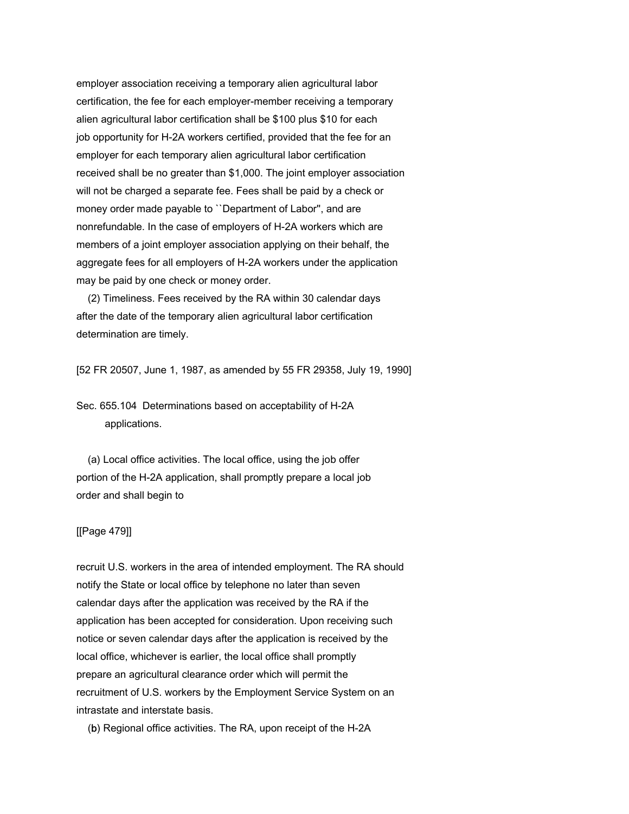employer association receiving a temporary alien agricultural labor certification, the fee for each employer-member receiving a temporary alien agricultural labor certification shall be \$100 plus \$10 for each job opportunity for H-2A workers certified, provided that the fee for an employer for each temporary alien agricultural labor certification received shall be no greater than \$1,000. The joint employer association will not be charged a separate fee. Fees shall be paid by a check or money order made payable to ``Department of Labor'', and are nonrefundable. In the case of employers of H-2A workers which are members of a joint employer association applying on their behalf, the aggregate fees for all employers of H-2A workers under the application may be paid by one check or money order.

 (2) Timeliness. Fees received by the RA within 30 calendar days after the date of the temporary alien agricultural labor certification determination are timely.

[52 FR 20507, June 1, 1987, as amended by 55 FR 29358, July 19, 1990]

Sec. 655.104 Determinations based on acceptability of H-2A applications.

 (a) Local office activities. The local office, using the job offer portion of the H-2A application, shall promptly prepare a local job order and shall begin to

# [[Page 479]]

recruit U.S. workers in the area of intended employment. The RA should notify the State or local office by telephone no later than seven calendar days after the application was received by the RA if the application has been accepted for consideration. Upon receiving such notice or seven calendar days after the application is received by the local office, whichever is earlier, the local office shall promptly prepare an agricultural clearance order which will permit the recruitment of U.S. workers by the Employment Service System on an intrastate and interstate basis.

(b) Regional office activities. The RA, upon receipt of the H-2A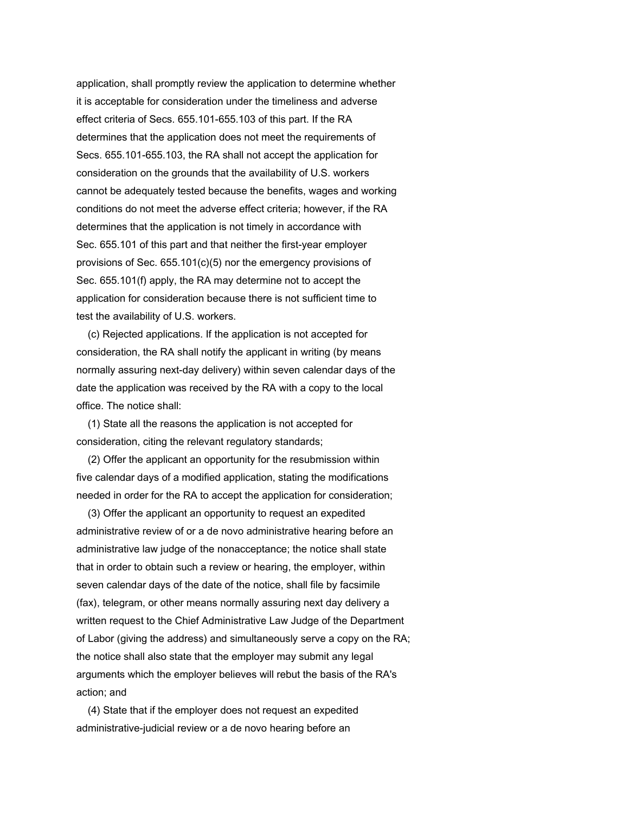application, shall promptly review the application to determine whether it is acceptable for consideration under the timeliness and adverse effect criteria of Secs. 655.101-655.103 of this part. If the RA determines that the application does not meet the requirements of Secs. 655.101-655.103, the RA shall not accept the application for consideration on the grounds that the availability of U.S. workers cannot be adequately tested because the benefits, wages and working conditions do not meet the adverse effect criteria; however, if the RA determines that the application is not timely in accordance with Sec. 655.101 of this part and that neither the first-year employer provisions of Sec. 655.101(c)(5) nor the emergency provisions of Sec. 655.101(f) apply, the RA may determine not to accept the application for consideration because there is not sufficient time to test the availability of U.S. workers.

 (c) Rejected applications. If the application is not accepted for consideration, the RA shall notify the applicant in writing (by means normally assuring next-day delivery) within seven calendar days of the date the application was received by the RA with a copy to the local office. The notice shall:

 (1) State all the reasons the application is not accepted for consideration, citing the relevant regulatory standards;

 (2) Offer the applicant an opportunity for the resubmission within five calendar days of a modified application, stating the modifications needed in order for the RA to accept the application for consideration;

 (3) Offer the applicant an opportunity to request an expedited administrative review of or a de novo administrative hearing before an administrative law judge of the nonacceptance; the notice shall state that in order to obtain such a review or hearing, the employer, within seven calendar days of the date of the notice, shall file by facsimile (fax), telegram, or other means normally assuring next day delivery a written request to the Chief Administrative Law Judge of the Department of Labor (giving the address) and simultaneously serve a copy on the RA; the notice shall also state that the employer may submit any legal arguments which the employer believes will rebut the basis of the RA's action; and

 (4) State that if the employer does not request an expedited administrative-judicial review or a de novo hearing before an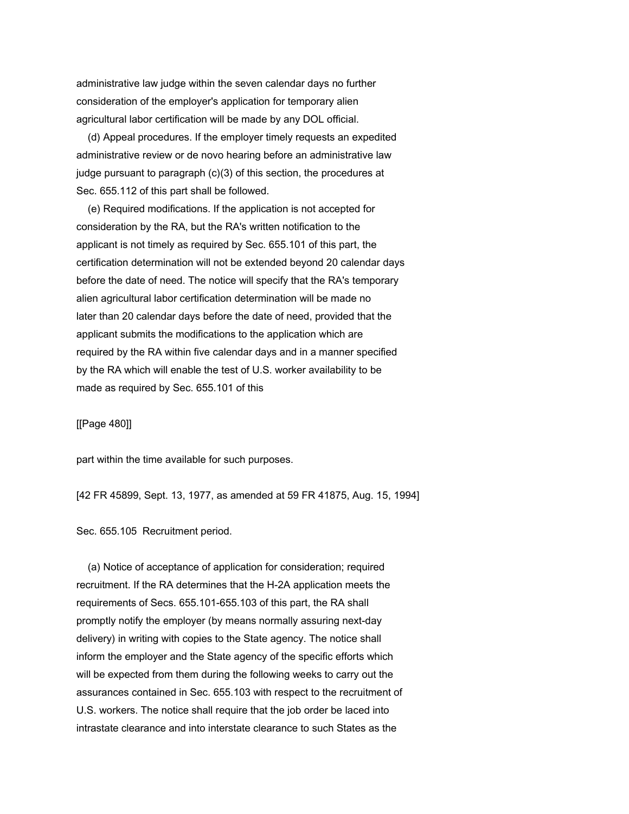administrative law judge within the seven calendar days no further consideration of the employer's application for temporary alien agricultural labor certification will be made by any DOL official.

 (d) Appeal procedures. If the employer timely requests an expedited administrative review or de novo hearing before an administrative law judge pursuant to paragraph (c)(3) of this section, the procedures at Sec. 655.112 of this part shall be followed.

 (e) Required modifications. If the application is not accepted for consideration by the RA, but the RA's written notification to the applicant is not timely as required by Sec. 655.101 of this part, the certification determination will not be extended beyond 20 calendar days before the date of need. The notice will specify that the RA's temporary alien agricultural labor certification determination will be made no later than 20 calendar days before the date of need, provided that the applicant submits the modifications to the application which are required by the RA within five calendar days and in a manner specified by the RA which will enable the test of U.S. worker availability to be made as required by Sec. 655.101 of this

[[Page 480]]

part within the time available for such purposes.

[42 FR 45899, Sept. 13, 1977, as amended at 59 FR 41875, Aug. 15, 1994]

Sec. 655.105 Recruitment period.

 (a) Notice of acceptance of application for consideration; required recruitment. If the RA determines that the H-2A application meets the requirements of Secs. 655.101-655.103 of this part, the RA shall promptly notify the employer (by means normally assuring next-day delivery) in writing with copies to the State agency. The notice shall inform the employer and the State agency of the specific efforts which will be expected from them during the following weeks to carry out the assurances contained in Sec. 655.103 with respect to the recruitment of U.S. workers. The notice shall require that the job order be laced into intrastate clearance and into interstate clearance to such States as the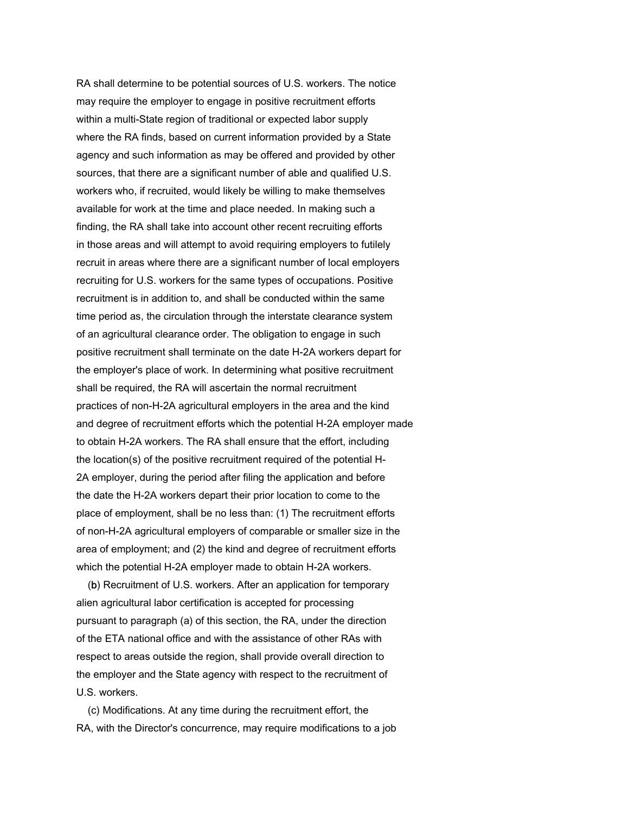RA shall determine to be potential sources of U.S. workers. The notice may require the employer to engage in positive recruitment efforts within a multi-State region of traditional or expected labor supply where the RA finds, based on current information provided by a State agency and such information as may be offered and provided by other sources, that there are a significant number of able and qualified U.S. workers who, if recruited, would likely be willing to make themselves available for work at the time and place needed. In making such a finding, the RA shall take into account other recent recruiting efforts in those areas and will attempt to avoid requiring employers to futilely recruit in areas where there are a significant number of local employers recruiting for U.S. workers for the same types of occupations. Positive recruitment is in addition to, and shall be conducted within the same time period as, the circulation through the interstate clearance system of an agricultural clearance order. The obligation to engage in such positive recruitment shall terminate on the date H-2A workers depart for the employer's place of work. In determining what positive recruitment shall be required, the RA will ascertain the normal recruitment practices of non-H-2A agricultural employers in the area and the kind and degree of recruitment efforts which the potential H-2A employer made to obtain H-2A workers. The RA shall ensure that the effort, including the location(s) of the positive recruitment required of the potential H-2A employer, during the period after filing the application and before the date the H-2A workers depart their prior location to come to the place of employment, shall be no less than: (1) The recruitment efforts of non-H-2A agricultural employers of comparable or smaller size in the area of employment; and (2) the kind and degree of recruitment efforts which the potential H-2A employer made to obtain H-2A workers.

 (b) Recruitment of U.S. workers. After an application for temporary alien agricultural labor certification is accepted for processing pursuant to paragraph (a) of this section, the RA, under the direction of the ETA national office and with the assistance of other RAs with respect to areas outside the region, shall provide overall direction to the employer and the State agency with respect to the recruitment of U.S. workers.

 (c) Modifications. At any time during the recruitment effort, the RA, with the Director's concurrence, may require modifications to a job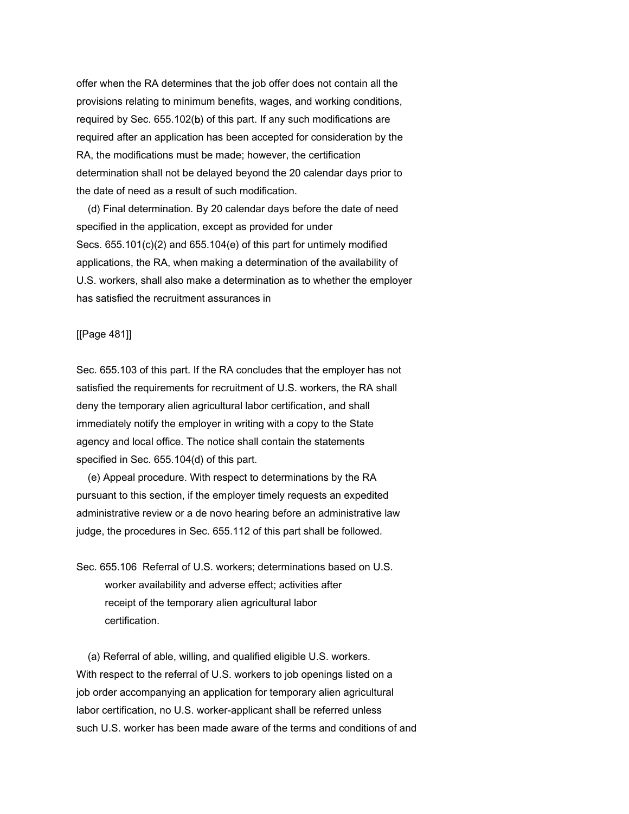offer when the RA determines that the job offer does not contain all the provisions relating to minimum benefits, wages, and working conditions, required by Sec. 655.102(b) of this part. If any such modifications are required after an application has been accepted for consideration by the RA, the modifications must be made; however, the certification determination shall not be delayed beyond the 20 calendar days prior to the date of need as a result of such modification.

 (d) Final determination. By 20 calendar days before the date of need specified in the application, except as provided for under Secs. 655.101(c)(2) and 655.104(e) of this part for untimely modified applications, the RA, when making a determination of the availability of U.S. workers, shall also make a determination as to whether the employer has satisfied the recruitment assurances in

### [[Page 481]]

Sec. 655.103 of this part. If the RA concludes that the employer has not satisfied the requirements for recruitment of U.S. workers, the RA shall deny the temporary alien agricultural labor certification, and shall immediately notify the employer in writing with a copy to the State agency and local office. The notice shall contain the statements specified in Sec. 655.104(d) of this part.

 (e) Appeal procedure. With respect to determinations by the RA pursuant to this section, if the employer timely requests an expedited administrative review or a de novo hearing before an administrative law judge, the procedures in Sec. 655.112 of this part shall be followed.

Sec. 655.106 Referral of U.S. workers; determinations based on U.S. worker availability and adverse effect; activities after receipt of the temporary alien agricultural labor certification.

 (a) Referral of able, willing, and qualified eligible U.S. workers. With respect to the referral of U.S. workers to job openings listed on a job order accompanying an application for temporary alien agricultural labor certification, no U.S. worker-applicant shall be referred unless such U.S. worker has been made aware of the terms and conditions of and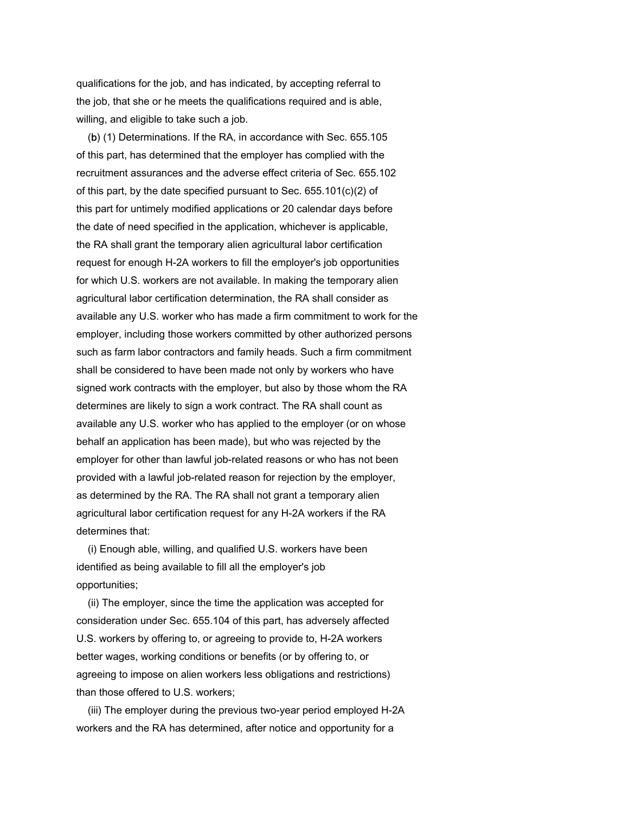qualifications for the job, and has indicated, by accepting referral to the job, that she or he meets the qualifications required and is able, willing, and eligible to take such a job.

 (b) (1) Determinations. If the RA, in accordance with Sec. 655.105 of this part, has determined that the employer has complied with the recruitment assurances and the adverse effect criteria of Sec. 655.102 of this part, by the date specified pursuant to Sec. 655.101(c)(2) of this part for untimely modified applications or 20 calendar days before the date of need specified in the application, whichever is applicable, the RA shall grant the temporary alien agricultural labor certification request for enough H-2A workers to fill the employer's job opportunities for which U.S. workers are not available. In making the temporary alien agricultural labor certification determination, the RA shall consider as available any U.S. worker who has made a firm commitment to work for the employer, including those workers committed by other authorized persons such as farm labor contractors and family heads. Such a firm commitment shall be considered to have been made not only by workers who have signed work contracts with the employer, but also by those whom the RA determines are likely to sign a work contract. The RA shall count as available any U.S. worker who has applied to the employer (or on whose behalf an application has been made), but who was rejected by the employer for other than lawful job-related reasons or who has not been provided with a lawful job-related reason for rejection by the employer, as determined by the RA. The RA shall not grant a temporary alien agricultural labor certification request for any H-2A workers if the RA determines that:

 (i) Enough able, willing, and qualified U.S. workers have been identified as being available to fill all the employer's job opportunities;

 (ii) The employer, since the time the application was accepted for consideration under Sec. 655.104 of this part, has adversely affected U.S. workers by offering to, or agreeing to provide to, H-2A workers better wages, working conditions or benefits (or by offering to, or agreeing to impose on alien workers less obligations and restrictions) than those offered to U.S. workers;

 (iii) The employer during the previous two-year period employed H-2A workers and the RA has determined, after notice and opportunity for a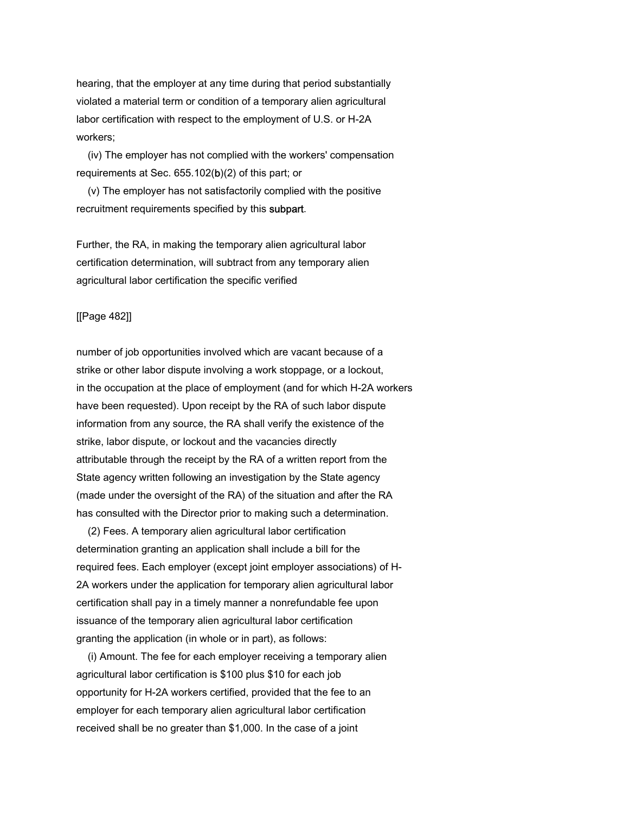hearing, that the employer at any time during that period substantially violated a material term or condition of a temporary alien agricultural labor certification with respect to the employment of U.S. or H-2A workers;

 (iv) The employer has not complied with the workers' compensation requirements at Sec. 655.102(b)(2) of this part; or

 (v) The employer has not satisfactorily complied with the positive recruitment requirements specified by this subpart.

Further, the RA, in making the temporary alien agricultural labor certification determination, will subtract from any temporary alien agricultural labor certification the specific verified

# [[Page 482]]

number of job opportunities involved which are vacant because of a strike or other labor dispute involving a work stoppage, or a lockout, in the occupation at the place of employment (and for which H-2A workers have been requested). Upon receipt by the RA of such labor dispute information from any source, the RA shall verify the existence of the strike, labor dispute, or lockout and the vacancies directly attributable through the receipt by the RA of a written report from the State agency written following an investigation by the State agency (made under the oversight of the RA) of the situation and after the RA has consulted with the Director prior to making such a determination.

 (2) Fees. A temporary alien agricultural labor certification determination granting an application shall include a bill for the required fees. Each employer (except joint employer associations) of H-2A workers under the application for temporary alien agricultural labor certification shall pay in a timely manner a nonrefundable fee upon issuance of the temporary alien agricultural labor certification granting the application (in whole or in part), as follows:

 (i) Amount. The fee for each employer receiving a temporary alien agricultural labor certification is \$100 plus \$10 for each job opportunity for H-2A workers certified, provided that the fee to an employer for each temporary alien agricultural labor certification received shall be no greater than \$1,000. In the case of a joint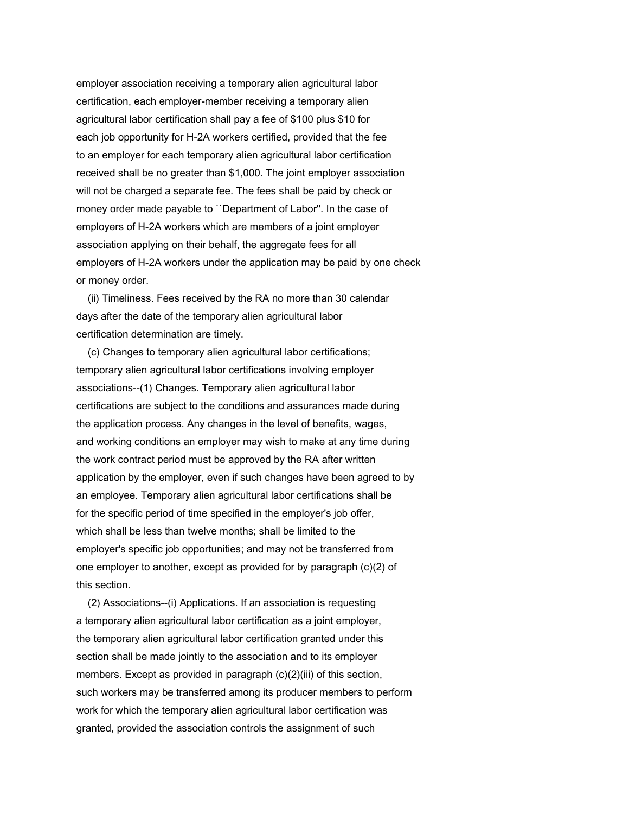employer association receiving a temporary alien agricultural labor certification, each employer-member receiving a temporary alien agricultural labor certification shall pay a fee of \$100 plus \$10 for each job opportunity for H-2A workers certified, provided that the fee to an employer for each temporary alien agricultural labor certification received shall be no greater than \$1,000. The joint employer association will not be charged a separate fee. The fees shall be paid by check or money order made payable to ``Department of Labor''. In the case of employers of H-2A workers which are members of a joint employer association applying on their behalf, the aggregate fees for all employers of H-2A workers under the application may be paid by one check or money order.

 (ii) Timeliness. Fees received by the RA no more than 30 calendar days after the date of the temporary alien agricultural labor certification determination are timely.

 (c) Changes to temporary alien agricultural labor certifications; temporary alien agricultural labor certifications involving employer associations--(1) Changes. Temporary alien agricultural labor certifications are subject to the conditions and assurances made during the application process. Any changes in the level of benefits, wages, and working conditions an employer may wish to make at any time during the work contract period must be approved by the RA after written application by the employer, even if such changes have been agreed to by an employee. Temporary alien agricultural labor certifications shall be for the specific period of time specified in the employer's job offer, which shall be less than twelve months; shall be limited to the employer's specific job opportunities; and may not be transferred from one employer to another, except as provided for by paragraph (c)(2) of this section.

 (2) Associations--(i) Applications. If an association is requesting a temporary alien agricultural labor certification as a joint employer, the temporary alien agricultural labor certification granted under this section shall be made jointly to the association and to its employer members. Except as provided in paragraph (c)(2)(iii) of this section, such workers may be transferred among its producer members to perform work for which the temporary alien agricultural labor certification was granted, provided the association controls the assignment of such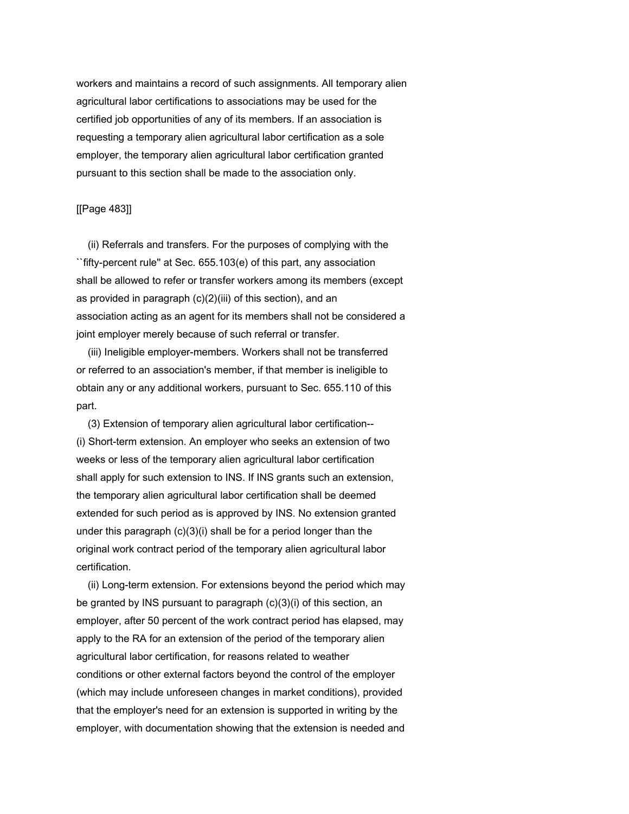workers and maintains a record of such assignments. All temporary alien agricultural labor certifications to associations may be used for the certified job opportunities of any of its members. If an association is requesting a temporary alien agricultural labor certification as a sole employer, the temporary alien agricultural labor certification granted pursuant to this section shall be made to the association only.

# [[Page 483]]

 (ii) Referrals and transfers. For the purposes of complying with the ``fifty-percent rule'' at Sec. 655.103(e) of this part, any association shall be allowed to refer or transfer workers among its members (except as provided in paragraph (c)(2)(iii) of this section), and an association acting as an agent for its members shall not be considered a joint employer merely because of such referral or transfer.

 (iii) Ineligible employer-members. Workers shall not be transferred or referred to an association's member, if that member is ineligible to obtain any or any additional workers, pursuant to Sec. 655.110 of this part.

 (3) Extension of temporary alien agricultural labor certification-- (i) Short-term extension. An employer who seeks an extension of two weeks or less of the temporary alien agricultural labor certification shall apply for such extension to INS. If INS grants such an extension, the temporary alien agricultural labor certification shall be deemed extended for such period as is approved by INS. No extension granted under this paragraph (c)(3)(i) shall be for a period longer than the original work contract period of the temporary alien agricultural labor certification.

 (ii) Long-term extension. For extensions beyond the period which may be granted by INS pursuant to paragraph (c)(3)(i) of this section, an employer, after 50 percent of the work contract period has elapsed, may apply to the RA for an extension of the period of the temporary alien agricultural labor certification, for reasons related to weather conditions or other external factors beyond the control of the employer (which may include unforeseen changes in market conditions), provided that the employer's need for an extension is supported in writing by the employer, with documentation showing that the extension is needed and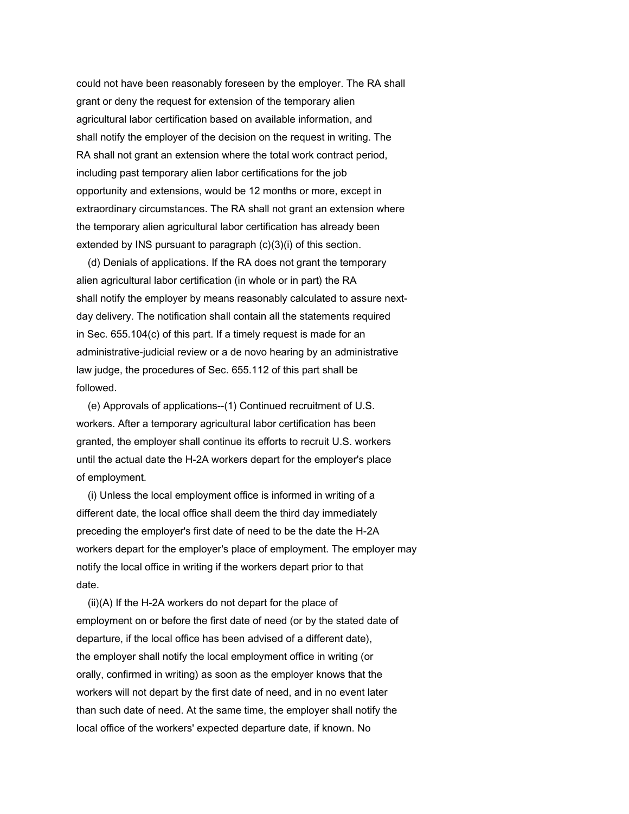could not have been reasonably foreseen by the employer. The RA shall grant or deny the request for extension of the temporary alien agricultural labor certification based on available information, and shall notify the employer of the decision on the request in writing. The RA shall not grant an extension where the total work contract period, including past temporary alien labor certifications for the job opportunity and extensions, would be 12 months or more, except in extraordinary circumstances. The RA shall not grant an extension where the temporary alien agricultural labor certification has already been extended by INS pursuant to paragraph (c)(3)(i) of this section.

 (d) Denials of applications. If the RA does not grant the temporary alien agricultural labor certification (in whole or in part) the RA shall notify the employer by means reasonably calculated to assure nextday delivery. The notification shall contain all the statements required in Sec. 655.104(c) of this part. If a timely request is made for an administrative-judicial review or a de novo hearing by an administrative law judge, the procedures of Sec. 655.112 of this part shall be followed.

 (e) Approvals of applications--(1) Continued recruitment of U.S. workers. After a temporary agricultural labor certification has been granted, the employer shall continue its efforts to recruit U.S. workers until the actual date the H-2A workers depart for the employer's place of employment.

 (i) Unless the local employment office is informed in writing of a different date, the local office shall deem the third day immediately preceding the employer's first date of need to be the date the H-2A workers depart for the employer's place of employment. The employer may notify the local office in writing if the workers depart prior to that date.

 (ii)(A) If the H-2A workers do not depart for the place of employment on or before the first date of need (or by the stated date of departure, if the local office has been advised of a different date), the employer shall notify the local employment office in writing (or orally, confirmed in writing) as soon as the employer knows that the workers will not depart by the first date of need, and in no event later than such date of need. At the same time, the employer shall notify the local office of the workers' expected departure date, if known. No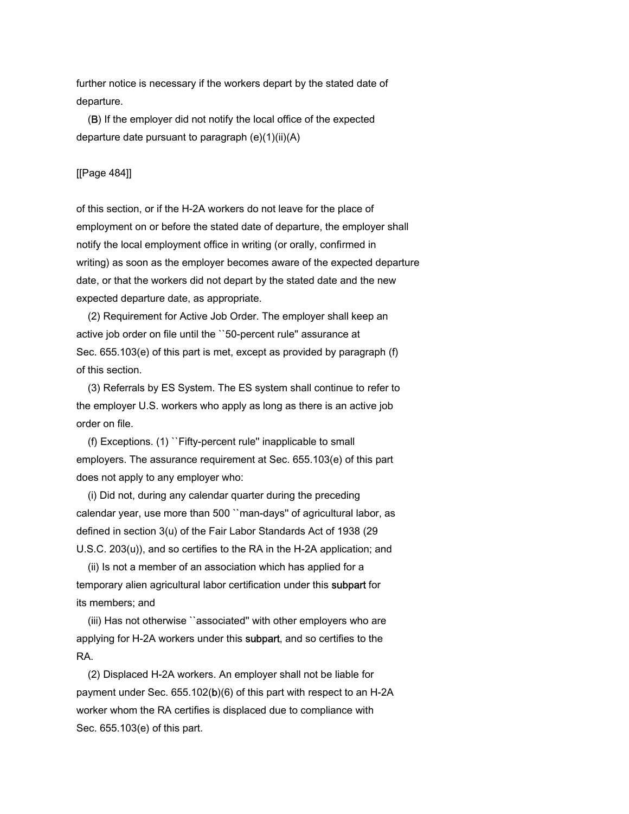further notice is necessary if the workers depart by the stated date of departure.

 (B) If the employer did not notify the local office of the expected departure date pursuant to paragraph  $(e)(1)(ii)(A)$ 

# [[Page 484]]

of this section, or if the H-2A workers do not leave for the place of employment on or before the stated date of departure, the employer shall notify the local employment office in writing (or orally, confirmed in writing) as soon as the employer becomes aware of the expected departure date, or that the workers did not depart by the stated date and the new expected departure date, as appropriate.

 (2) Requirement for Active Job Order. The employer shall keep an active job order on file until the ``50-percent rule'' assurance at Sec. 655.103(e) of this part is met, except as provided by paragraph (f) of this section.

 (3) Referrals by ES System. The ES system shall continue to refer to the employer U.S. workers who apply as long as there is an active job order on file.

 (f) Exceptions. (1) ``Fifty-percent rule'' inapplicable to small employers. The assurance requirement at Sec. 655.103(e) of this part does not apply to any employer who:

 (i) Did not, during any calendar quarter during the preceding calendar year, use more than 500 ``man-days'' of agricultural labor, as defined in section 3(u) of the Fair Labor Standards Act of 1938 (29 U.S.C. 203(u)), and so certifies to the RA in the H-2A application; and

 (ii) Is not a member of an association which has applied for a temporary alien agricultural labor certification under this subpart for its members; and

 (iii) Has not otherwise ``associated'' with other employers who are applying for H-2A workers under this subpart, and so certifies to the RA.

 (2) Displaced H-2A workers. An employer shall not be liable for payment under Sec. 655.102(b)(6) of this part with respect to an H-2A worker whom the RA certifies is displaced due to compliance with Sec. 655.103(e) of this part.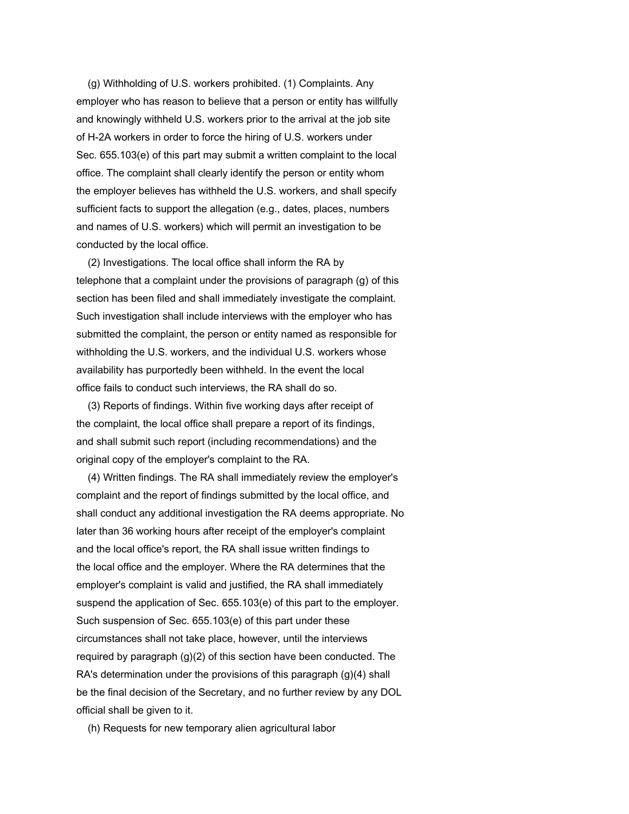(g) Withholding of U.S. workers prohibited. (1) Complaints. Any employer who has reason to believe that a person or entity has willfully and knowingly withheld U.S. workers prior to the arrival at the job site of H-2A workers in order to force the hiring of U.S. workers under Sec. 655.103(e) of this part may submit a written complaint to the local office. The complaint shall clearly identify the person or entity whom the employer believes has withheld the U.S. workers, and shall specify sufficient facts to support the allegation (e.g., dates, places, numbers and names of U.S. workers) which will permit an investigation to be conducted by the local office.

 (2) Investigations. The local office shall inform the RA by telephone that a complaint under the provisions of paragraph (g) of this section has been filed and shall immediately investigate the complaint. Such investigation shall include interviews with the employer who has submitted the complaint, the person or entity named as responsible for withholding the U.S. workers, and the individual U.S. workers whose availability has purportedly been withheld. In the event the local office fails to conduct such interviews, the RA shall do so.

 (3) Reports of findings. Within five working days after receipt of the complaint, the local office shall prepare a report of its findings, and shall submit such report (including recommendations) and the original copy of the employer's complaint to the RA.

 (4) Written findings. The RA shall immediately review the employer's complaint and the report of findings submitted by the local office, and shall conduct any additional investigation the RA deems appropriate. No later than 36 working hours after receipt of the employer's complaint and the local office's report, the RA shall issue written findings to the local office and the employer. Where the RA determines that the employer's complaint is valid and justified, the RA shall immediately suspend the application of Sec. 655.103(e) of this part to the employer. Such suspension of Sec. 655.103(e) of this part under these circumstances shall not take place, however, until the interviews required by paragraph (g)(2) of this section have been conducted. The RA's determination under the provisions of this paragraph (g)(4) shall be the final decision of the Secretary, and no further review by any DOL official shall be given to it.

(h) Requests for new temporary alien agricultural labor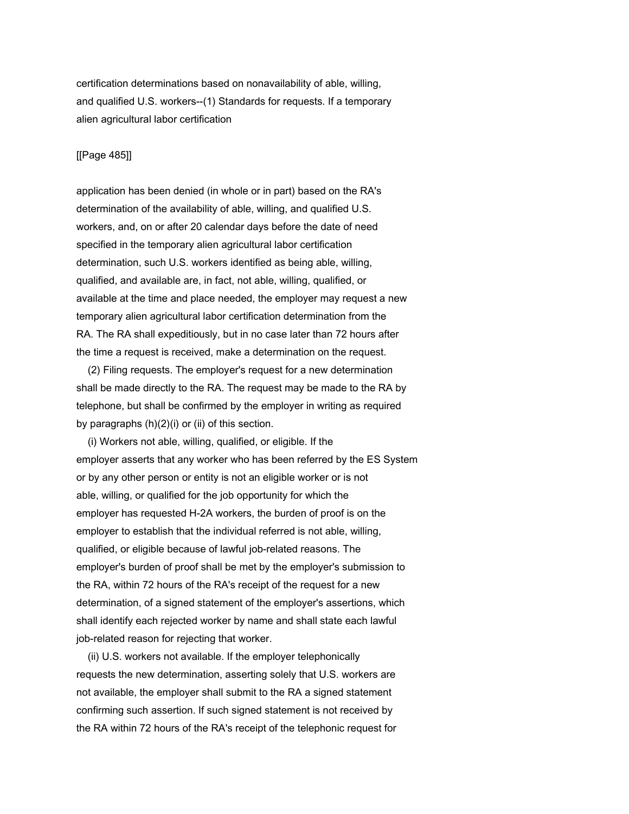certification determinations based on nonavailability of able, willing, and qualified U.S. workers--(1) Standards for requests. If a temporary alien agricultural labor certification

# [[Page 485]]

application has been denied (in whole or in part) based on the RA's determination of the availability of able, willing, and qualified U.S. workers, and, on or after 20 calendar days before the date of need specified in the temporary alien agricultural labor certification determination, such U.S. workers identified as being able, willing, qualified, and available are, in fact, not able, willing, qualified, or available at the time and place needed, the employer may request a new temporary alien agricultural labor certification determination from the RA. The RA shall expeditiously, but in no case later than 72 hours after the time a request is received, make a determination on the request.

 (2) Filing requests. The employer's request for a new determination shall be made directly to the RA. The request may be made to the RA by telephone, but shall be confirmed by the employer in writing as required by paragraphs (h)(2)(i) or (ii) of this section.

 (i) Workers not able, willing, qualified, or eligible. If the employer asserts that any worker who has been referred by the ES System or by any other person or entity is not an eligible worker or is not able, willing, or qualified for the job opportunity for which the employer has requested H-2A workers, the burden of proof is on the employer to establish that the individual referred is not able, willing, qualified, or eligible because of lawful job-related reasons. The employer's burden of proof shall be met by the employer's submission to the RA, within 72 hours of the RA's receipt of the request for a new determination, of a signed statement of the employer's assertions, which shall identify each rejected worker by name and shall state each lawful job-related reason for rejecting that worker.

 (ii) U.S. workers not available. If the employer telephonically requests the new determination, asserting solely that U.S. workers are not available, the employer shall submit to the RA a signed statement confirming such assertion. If such signed statement is not received by the RA within 72 hours of the RA's receipt of the telephonic request for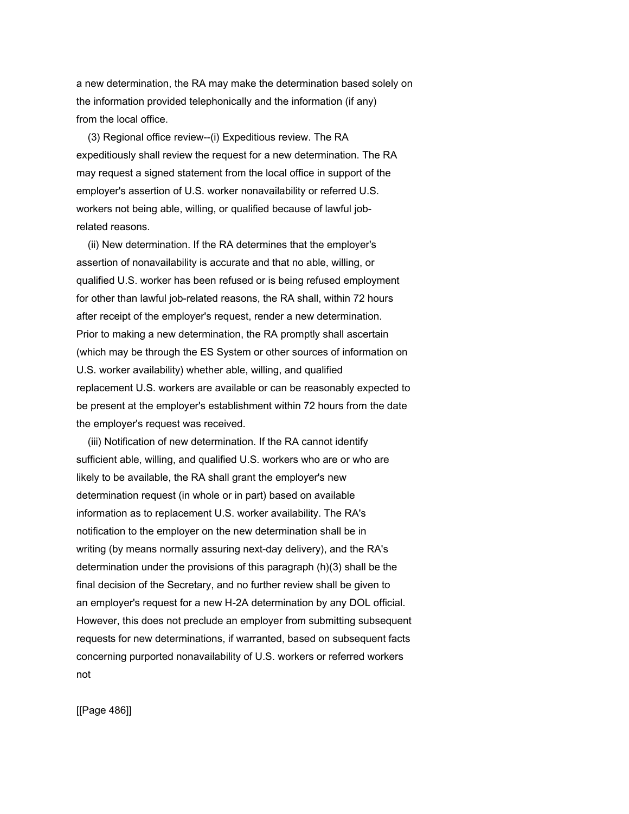a new determination, the RA may make the determination based solely on the information provided telephonically and the information (if any) from the local office.

 (3) Regional office review--(i) Expeditious review. The RA expeditiously shall review the request for a new determination. The RA may request a signed statement from the local office in support of the employer's assertion of U.S. worker nonavailability or referred U.S. workers not being able, willing, or qualified because of lawful jobrelated reasons.

 (ii) New determination. If the RA determines that the employer's assertion of nonavailability is accurate and that no able, willing, or qualified U.S. worker has been refused or is being refused employment for other than lawful job-related reasons, the RA shall, within 72 hours after receipt of the employer's request, render a new determination. Prior to making a new determination, the RA promptly shall ascertain (which may be through the ES System or other sources of information on U.S. worker availability) whether able, willing, and qualified replacement U.S. workers are available or can be reasonably expected to be present at the employer's establishment within 72 hours from the date the employer's request was received.

 (iii) Notification of new determination. If the RA cannot identify sufficient able, willing, and qualified U.S. workers who are or who are likely to be available, the RA shall grant the employer's new determination request (in whole or in part) based on available information as to replacement U.S. worker availability. The RA's notification to the employer on the new determination shall be in writing (by means normally assuring next-day delivery), and the RA's determination under the provisions of this paragraph (h)(3) shall be the final decision of the Secretary, and no further review shall be given to an employer's request for a new H-2A determination by any DOL official. However, this does not preclude an employer from submitting subsequent requests for new determinations, if warranted, based on subsequent facts concerning purported nonavailability of U.S. workers or referred workers not

[[Page 486]]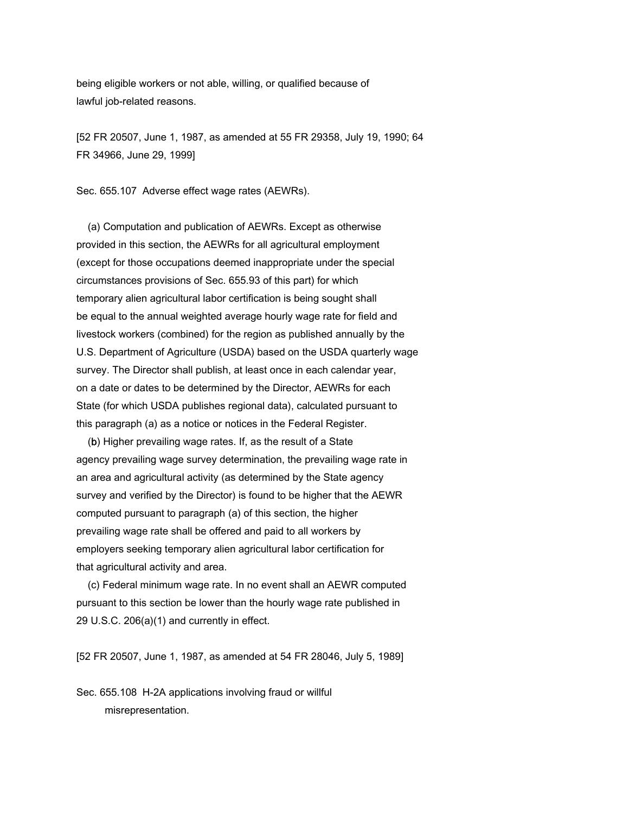being eligible workers or not able, willing, or qualified because of lawful job-related reasons.

[52 FR 20507, June 1, 1987, as amended at 55 FR 29358, July 19, 1990; 64 FR 34966, June 29, 1999]

Sec. 655.107 Adverse effect wage rates (AEWRs).

 (a) Computation and publication of AEWRs. Except as otherwise provided in this section, the AEWRs for all agricultural employment (except for those occupations deemed inappropriate under the special circumstances provisions of Sec. 655.93 of this part) for which temporary alien agricultural labor certification is being sought shall be equal to the annual weighted average hourly wage rate for field and livestock workers (combined) for the region as published annually by the U.S. Department of Agriculture (USDA) based on the USDA quarterly wage survey. The Director shall publish, at least once in each calendar year, on a date or dates to be determined by the Director, AEWRs for each State (for which USDA publishes regional data), calculated pursuant to this paragraph (a) as a notice or notices in the Federal Register.

 (b) Higher prevailing wage rates. If, as the result of a State agency prevailing wage survey determination, the prevailing wage rate in an area and agricultural activity (as determined by the State agency survey and verified by the Director) is found to be higher that the AEWR computed pursuant to paragraph (a) of this section, the higher prevailing wage rate shall be offered and paid to all workers by employers seeking temporary alien agricultural labor certification for that agricultural activity and area.

 (c) Federal minimum wage rate. In no event shall an AEWR computed pursuant to this section be lower than the hourly wage rate published in 29 U.S.C. 206(a)(1) and currently in effect.

[52 FR 20507, June 1, 1987, as amended at 54 FR 28046, July 5, 1989]

Sec. 655.108 H-2A applications involving fraud or willful misrepresentation.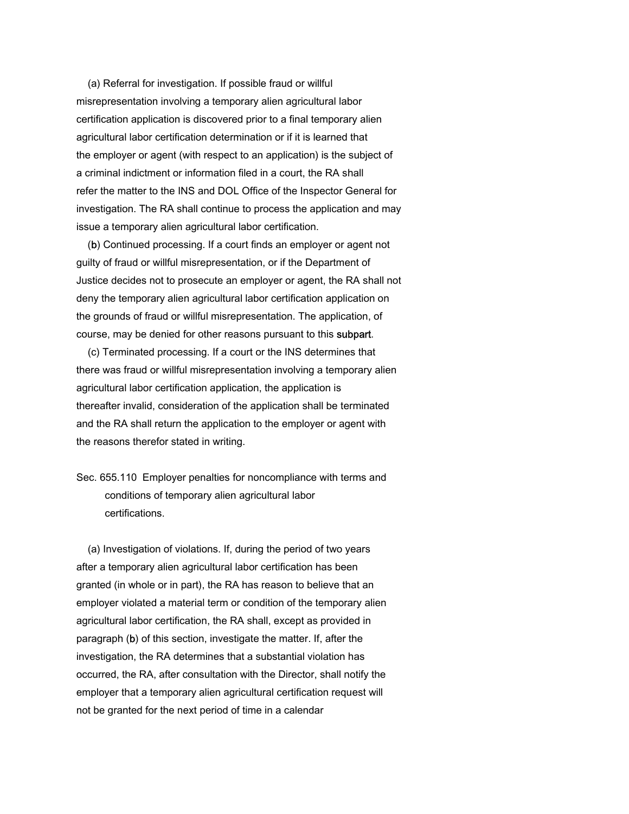(a) Referral for investigation. If possible fraud or willful misrepresentation involving a temporary alien agricultural labor certification application is discovered prior to a final temporary alien agricultural labor certification determination or if it is learned that the employer or agent (with respect to an application) is the subject of a criminal indictment or information filed in a court, the RA shall refer the matter to the INS and DOL Office of the Inspector General for investigation. The RA shall continue to process the application and may issue a temporary alien agricultural labor certification.

 (b) Continued processing. If a court finds an employer or agent not guilty of fraud or willful misrepresentation, or if the Department of Justice decides not to prosecute an employer or agent, the RA shall not deny the temporary alien agricultural labor certification application on the grounds of fraud or willful misrepresentation. The application, of course, may be denied for other reasons pursuant to this subpart.

 (c) Terminated processing. If a court or the INS determines that there was fraud or willful misrepresentation involving a temporary alien agricultural labor certification application, the application is thereafter invalid, consideration of the application shall be terminated and the RA shall return the application to the employer or agent with the reasons therefor stated in writing.

Sec. 655.110 Employer penalties for noncompliance with terms and conditions of temporary alien agricultural labor certifications.

 (a) Investigation of violations. If, during the period of two years after a temporary alien agricultural labor certification has been granted (in whole or in part), the RA has reason to believe that an employer violated a material term or condition of the temporary alien agricultural labor certification, the RA shall, except as provided in paragraph (b) of this section, investigate the matter. If, after the investigation, the RA determines that a substantial violation has occurred, the RA, after consultation with the Director, shall notify the employer that a temporary alien agricultural certification request will not be granted for the next period of time in a calendar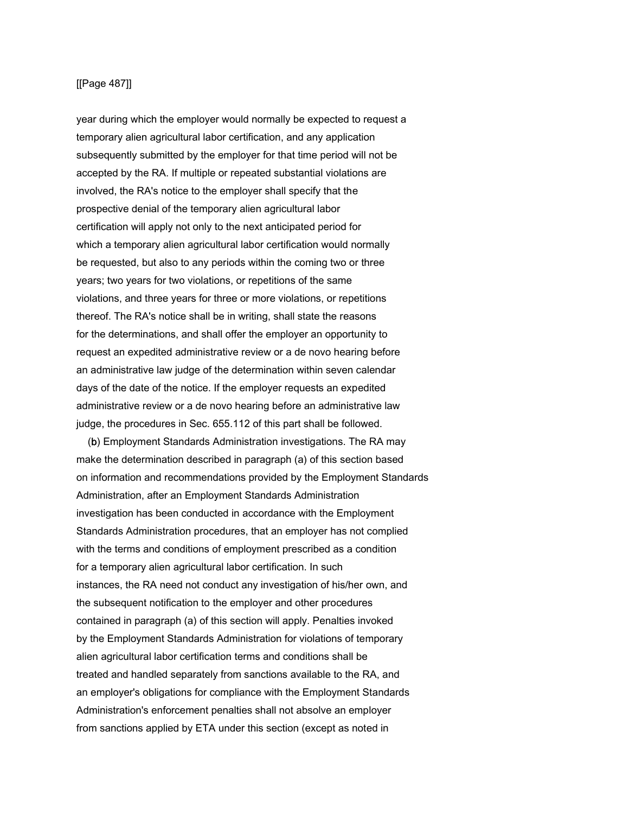# [[Page 487]]

year during which the employer would normally be expected to request a temporary alien agricultural labor certification, and any application subsequently submitted by the employer for that time period will not be accepted by the RA. If multiple or repeated substantial violations are involved, the RA's notice to the employer shall specify that the prospective denial of the temporary alien agricultural labor certification will apply not only to the next anticipated period for which a temporary alien agricultural labor certification would normally be requested, but also to any periods within the coming two or three years; two years for two violations, or repetitions of the same violations, and three years for three or more violations, or repetitions thereof. The RA's notice shall be in writing, shall state the reasons for the determinations, and shall offer the employer an opportunity to request an expedited administrative review or a de novo hearing before an administrative law judge of the determination within seven calendar days of the date of the notice. If the employer requests an expedited administrative review or a de novo hearing before an administrative law judge, the procedures in Sec. 655.112 of this part shall be followed.

 (b) Employment Standards Administration investigations. The RA may make the determination described in paragraph (a) of this section based on information and recommendations provided by the Employment Standards Administration, after an Employment Standards Administration investigation has been conducted in accordance with the Employment Standards Administration procedures, that an employer has not complied with the terms and conditions of employment prescribed as a condition for a temporary alien agricultural labor certification. In such instances, the RA need not conduct any investigation of his/her own, and the subsequent notification to the employer and other procedures contained in paragraph (a) of this section will apply. Penalties invoked by the Employment Standards Administration for violations of temporary alien agricultural labor certification terms and conditions shall be treated and handled separately from sanctions available to the RA, and an employer's obligations for compliance with the Employment Standards Administration's enforcement penalties shall not absolve an employer from sanctions applied by ETA under this section (except as noted in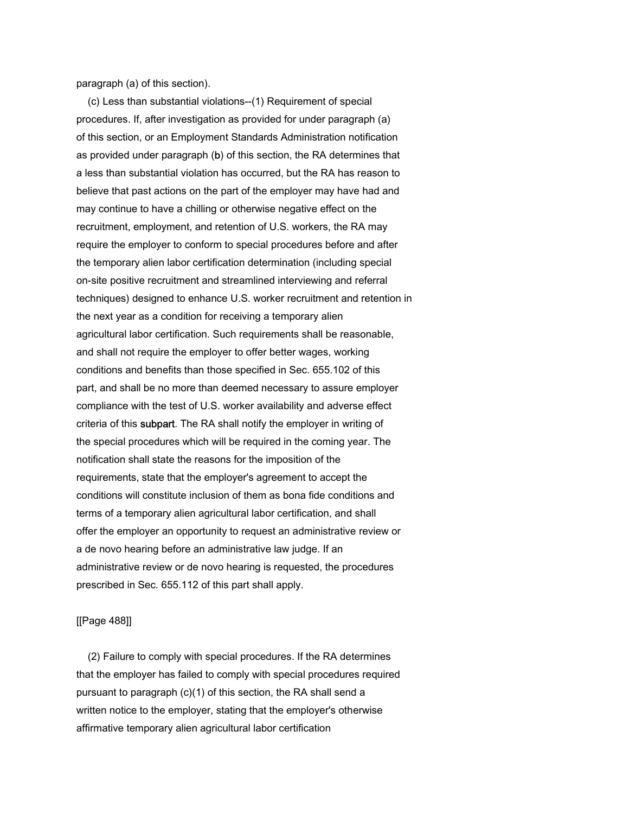paragraph (a) of this section).

 (c) Less than substantial violations--(1) Requirement of special procedures. If, after investigation as provided for under paragraph (a) of this section, or an Employment Standards Administration notification as provided under paragraph (b) of this section, the RA determines that a less than substantial violation has occurred, but the RA has reason to believe that past actions on the part of the employer may have had and may continue to have a chilling or otherwise negative effect on the recruitment, employment, and retention of U.S. workers, the RA may require the employer to conform to special procedures before and after the temporary alien labor certification determination (including special on-site positive recruitment and streamlined interviewing and referral techniques) designed to enhance U.S. worker recruitment and retention in the next year as a condition for receiving a temporary alien agricultural labor certification. Such requirements shall be reasonable, and shall not require the employer to offer better wages, working conditions and benefits than those specified in Sec. 655.102 of this part, and shall be no more than deemed necessary to assure employer compliance with the test of U.S. worker availability and adverse effect criteria of this subpart. The RA shall notify the employer in writing of the special procedures which will be required in the coming year. The notification shall state the reasons for the imposition of the requirements, state that the employer's agreement to accept the conditions will constitute inclusion of them as bona fide conditions and terms of a temporary alien agricultural labor certification, and shall offer the employer an opportunity to request an administrative review or a de novo hearing before an administrative law judge. If an administrative review or de novo hearing is requested, the procedures prescribed in Sec. 655.112 of this part shall apply.

## [[Page 488]]

 (2) Failure to comply with special procedures. If the RA determines that the employer has failed to comply with special procedures required pursuant to paragraph (c)(1) of this section, the RA shall send a written notice to the employer, stating that the employer's otherwise affirmative temporary alien agricultural labor certification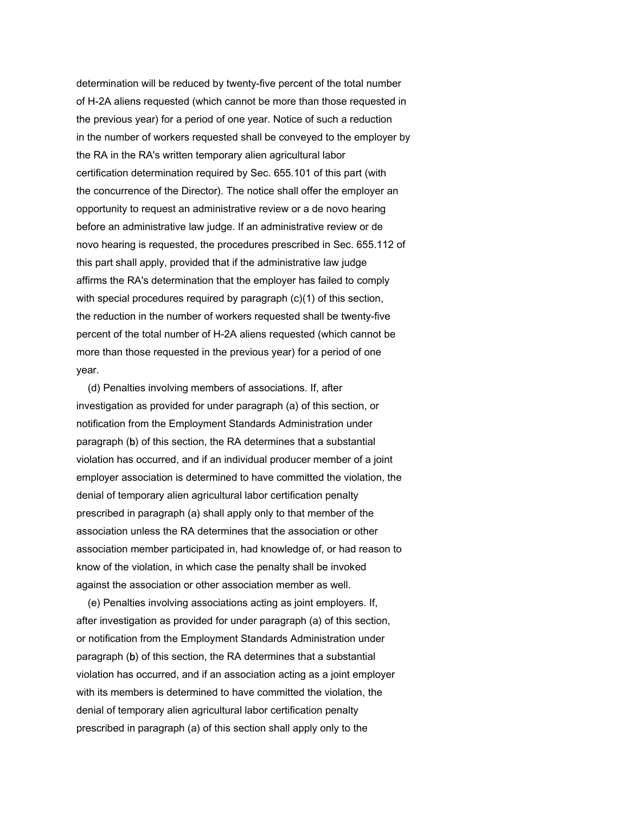determination will be reduced by twenty-five percent of the total number of H-2A aliens requested (which cannot be more than those requested in the previous year) for a period of one year. Notice of such a reduction in the number of workers requested shall be conveyed to the employer by the RA in the RA's written temporary alien agricultural labor certification determination required by Sec. 655.101 of this part (with the concurrence of the Director). The notice shall offer the employer an opportunity to request an administrative review or a de novo hearing before an administrative law judge. If an administrative review or de novo hearing is requested, the procedures prescribed in Sec. 655.112 of this part shall apply, provided that if the administrative law judge affirms the RA's determination that the employer has failed to comply with special procedures required by paragraph (c)(1) of this section, the reduction in the number of workers requested shall be twenty-five percent of the total number of H-2A aliens requested (which cannot be more than those requested in the previous year) for a period of one year.

 (d) Penalties involving members of associations. If, after investigation as provided for under paragraph (a) of this section, or notification from the Employment Standards Administration under paragraph (b) of this section, the RA determines that a substantial violation has occurred, and if an individual producer member of a joint employer association is determined to have committed the violation, the denial of temporary alien agricultural labor certification penalty prescribed in paragraph (a) shall apply only to that member of the association unless the RA determines that the association or other association member participated in, had knowledge of, or had reason to know of the violation, in which case the penalty shall be invoked against the association or other association member as well.

 (e) Penalties involving associations acting as joint employers. If, after investigation as provided for under paragraph (a) of this section, or notification from the Employment Standards Administration under paragraph (b) of this section, the RA determines that a substantial violation has occurred, and if an association acting as a joint employer with its members is determined to have committed the violation, the denial of temporary alien agricultural labor certification penalty prescribed in paragraph (a) of this section shall apply only to the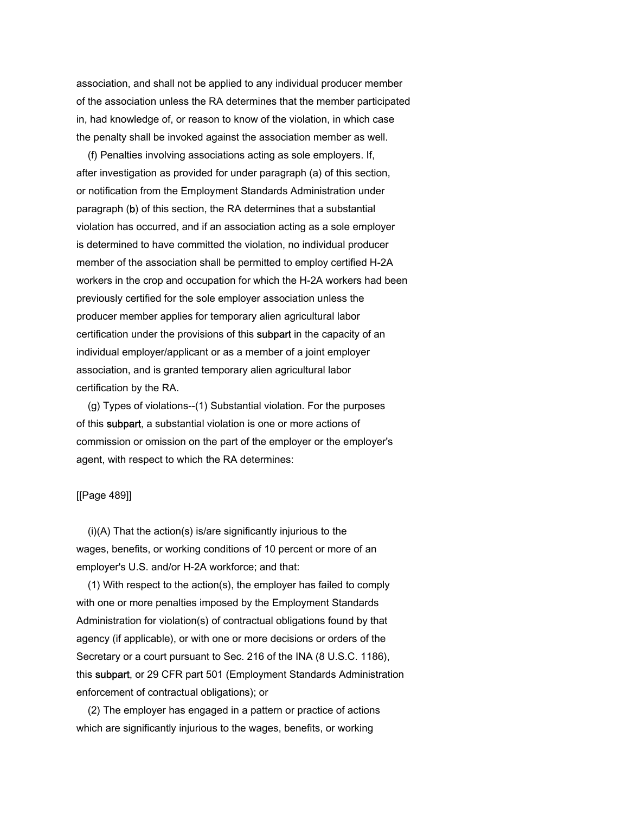association, and shall not be applied to any individual producer member of the association unless the RA determines that the member participated in, had knowledge of, or reason to know of the violation, in which case the penalty shall be invoked against the association member as well.

 (f) Penalties involving associations acting as sole employers. If, after investigation as provided for under paragraph (a) of this section, or notification from the Employment Standards Administration under paragraph (b) of this section, the RA determines that a substantial violation has occurred, and if an association acting as a sole employer is determined to have committed the violation, no individual producer member of the association shall be permitted to employ certified H-2A workers in the crop and occupation for which the H-2A workers had been previously certified for the sole employer association unless the producer member applies for temporary alien agricultural labor certification under the provisions of this subpart in the capacity of an individual employer/applicant or as a member of a joint employer association, and is granted temporary alien agricultural labor certification by the RA.

 (g) Types of violations--(1) Substantial violation. For the purposes of this subpart, a substantial violation is one or more actions of commission or omission on the part of the employer or the employer's agent, with respect to which the RA determines:

## [[Page 489]]

 (i)(A) That the action(s) is/are significantly injurious to the wages, benefits, or working conditions of 10 percent or more of an employer's U.S. and/or H-2A workforce; and that:

 (1) With respect to the action(s), the employer has failed to comply with one or more penalties imposed by the Employment Standards Administration for violation(s) of contractual obligations found by that agency (if applicable), or with one or more decisions or orders of the Secretary or a court pursuant to Sec. 216 of the INA (8 U.S.C. 1186), this subpart, or 29 CFR part 501 (Employment Standards Administration enforcement of contractual obligations); or

 (2) The employer has engaged in a pattern or practice of actions which are significantly injurious to the wages, benefits, or working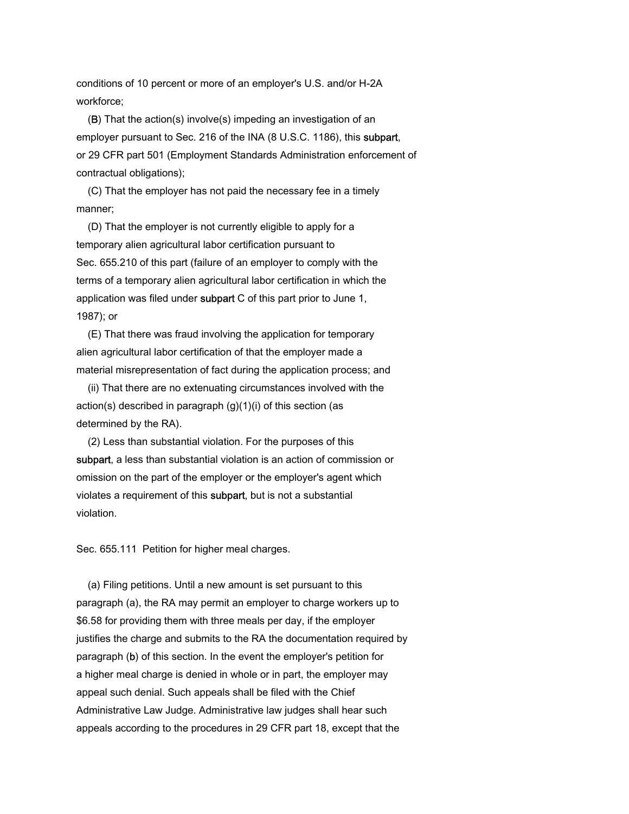conditions of 10 percent or more of an employer's U.S. and/or H-2A workforce;

 (B) That the action(s) involve(s) impeding an investigation of an employer pursuant to Sec. 216 of the INA (8 U.S.C. 1186), this subpart, or 29 CFR part 501 (Employment Standards Administration enforcement of contractual obligations);

 (C) That the employer has not paid the necessary fee in a timely manner;

 (D) That the employer is not currently eligible to apply for a temporary alien agricultural labor certification pursuant to Sec. 655.210 of this part (failure of an employer to comply with the terms of a temporary alien agricultural labor certification in which the application was filed under subpart C of this part prior to June 1, 1987); or

 (E) That there was fraud involving the application for temporary alien agricultural labor certification of that the employer made a material misrepresentation of fact during the application process; and

 (ii) That there are no extenuating circumstances involved with the action(s) described in paragraph (g)(1)(i) of this section (as determined by the RA).

 (2) Less than substantial violation. For the purposes of this subpart, a less than substantial violation is an action of commission or omission on the part of the employer or the employer's agent which violates a requirement of this subpart, but is not a substantial violation.

Sec. 655.111 Petition for higher meal charges.

 (a) Filing petitions. Until a new amount is set pursuant to this paragraph (a), the RA may permit an employer to charge workers up to \$6.58 for providing them with three meals per day, if the employer justifies the charge and submits to the RA the documentation required by paragraph (b) of this section. In the event the employer's petition for a higher meal charge is denied in whole or in part, the employer may appeal such denial. Such appeals shall be filed with the Chief Administrative Law Judge. Administrative law judges shall hear such appeals according to the procedures in 29 CFR part 18, except that the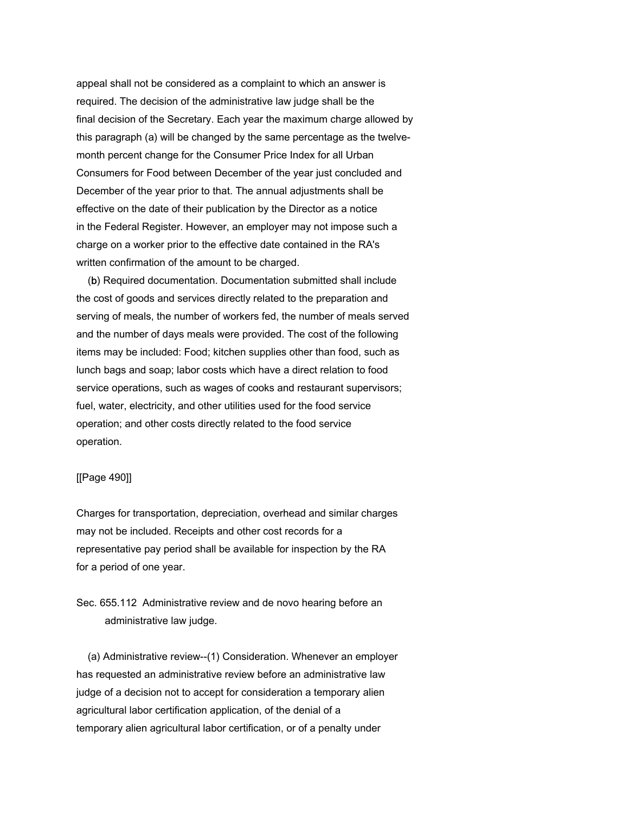appeal shall not be considered as a complaint to which an answer is required. The decision of the administrative law judge shall be the final decision of the Secretary. Each year the maximum charge allowed by this paragraph (a) will be changed by the same percentage as the twelvemonth percent change for the Consumer Price Index for all Urban Consumers for Food between December of the year just concluded and December of the year prior to that. The annual adjustments shall be effective on the date of their publication by the Director as a notice in the Federal Register. However, an employer may not impose such a charge on a worker prior to the effective date contained in the RA's written confirmation of the amount to be charged.

 (b) Required documentation. Documentation submitted shall include the cost of goods and services directly related to the preparation and serving of meals, the number of workers fed, the number of meals served and the number of days meals were provided. The cost of the following items may be included: Food; kitchen supplies other than food, such as lunch bags and soap; labor costs which have a direct relation to food service operations, such as wages of cooks and restaurant supervisors; fuel, water, electricity, and other utilities used for the food service operation; and other costs directly related to the food service operation.

#### [[Page 490]]

Charges for transportation, depreciation, overhead and similar charges may not be included. Receipts and other cost records for a representative pay period shall be available for inspection by the RA for a period of one year.

Sec. 655.112 Administrative review and de novo hearing before an administrative law judge.

 (a) Administrative review--(1) Consideration. Whenever an employer has requested an administrative review before an administrative law judge of a decision not to accept for consideration a temporary alien agricultural labor certification application, of the denial of a temporary alien agricultural labor certification, or of a penalty under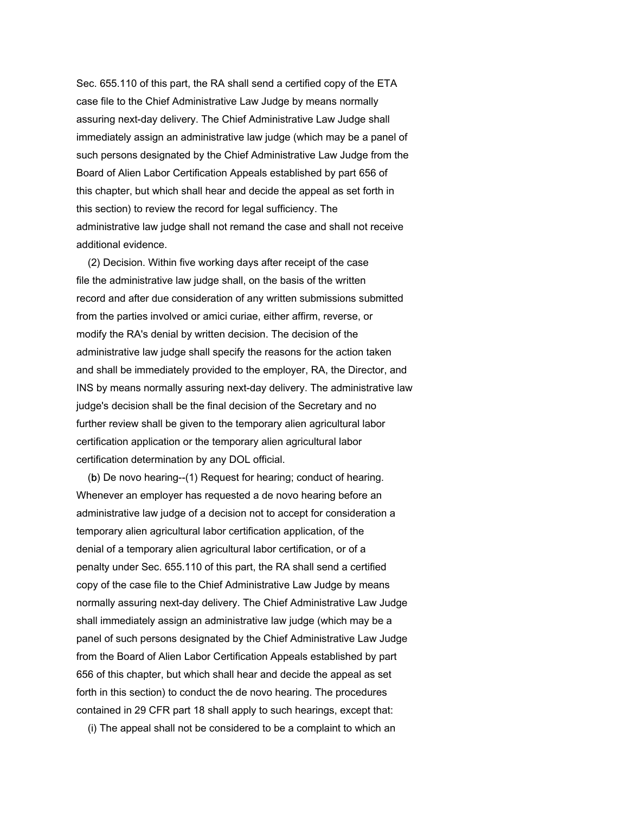Sec. 655.110 of this part, the RA shall send a certified copy of the ETA case file to the Chief Administrative Law Judge by means normally assuring next-day delivery. The Chief Administrative Law Judge shall immediately assign an administrative law judge (which may be a panel of such persons designated by the Chief Administrative Law Judge from the Board of Alien Labor Certification Appeals established by part 656 of this chapter, but which shall hear and decide the appeal as set forth in this section) to review the record for legal sufficiency. The administrative law judge shall not remand the case and shall not receive additional evidence.

 (2) Decision. Within five working days after receipt of the case file the administrative law judge shall, on the basis of the written record and after due consideration of any written submissions submitted from the parties involved or amici curiae, either affirm, reverse, or modify the RA's denial by written decision. The decision of the administrative law judge shall specify the reasons for the action taken and shall be immediately provided to the employer, RA, the Director, and INS by means normally assuring next-day delivery. The administrative law judge's decision shall be the final decision of the Secretary and no further review shall be given to the temporary alien agricultural labor certification application or the temporary alien agricultural labor certification determination by any DOL official.

 (b) De novo hearing--(1) Request for hearing; conduct of hearing. Whenever an employer has requested a de novo hearing before an administrative law judge of a decision not to accept for consideration a temporary alien agricultural labor certification application, of the denial of a temporary alien agricultural labor certification, or of a penalty under Sec. 655.110 of this part, the RA shall send a certified copy of the case file to the Chief Administrative Law Judge by means normally assuring next-day delivery. The Chief Administrative Law Judge shall immediately assign an administrative law judge (which may be a panel of such persons designated by the Chief Administrative Law Judge from the Board of Alien Labor Certification Appeals established by part 656 of this chapter, but which shall hear and decide the appeal as set forth in this section) to conduct the de novo hearing. The procedures contained in 29 CFR part 18 shall apply to such hearings, except that:

(i) The appeal shall not be considered to be a complaint to which an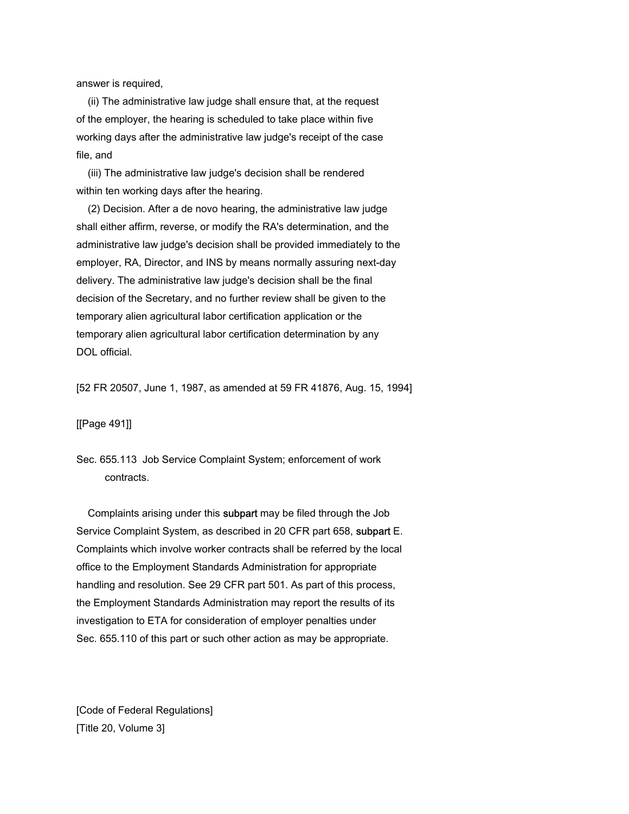answer is required,

 (ii) The administrative law judge shall ensure that, at the request of the employer, the hearing is scheduled to take place within five working days after the administrative law judge's receipt of the case file, and

 (iii) The administrative law judge's decision shall be rendered within ten working days after the hearing.

 (2) Decision. After a de novo hearing, the administrative law judge shall either affirm, reverse, or modify the RA's determination, and the administrative law judge's decision shall be provided immediately to the employer, RA, Director, and INS by means normally assuring next-day delivery. The administrative law judge's decision shall be the final decision of the Secretary, and no further review shall be given to the temporary alien agricultural labor certification application or the temporary alien agricultural labor certification determination by any DOL official.

[52 FR 20507, June 1, 1987, as amended at 59 FR 41876, Aug. 15, 1994]

[[Page 491]]

Sec. 655.113 Job Service Complaint System; enforcement of work contracts.

 Complaints arising under this subpart may be filed through the Job Service Complaint System, as described in 20 CFR part 658, subpart E. Complaints which involve worker contracts shall be referred by the local office to the Employment Standards Administration for appropriate handling and resolution. See 29 CFR part 501. As part of this process, the Employment Standards Administration may report the results of its investigation to ETA for consideration of employer penalties under Sec. 655.110 of this part or such other action as may be appropriate.

[Code of Federal Regulations] [Title 20, Volume 3]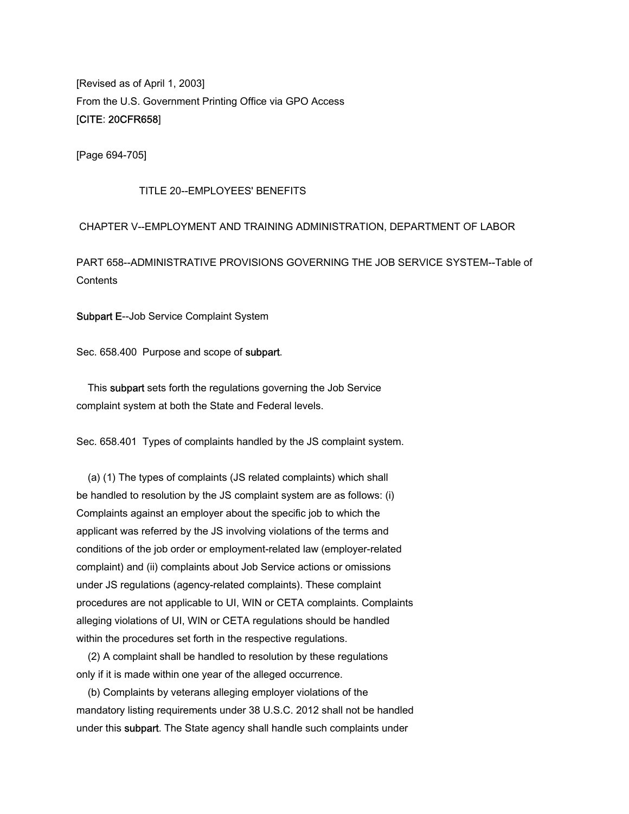[Revised as of April 1, 2003] From the U.S. Government Printing Office via GPO Access [CITE: 20CFR658]

[Page 694-705]

### TITLE 20--EMPLOYEES' BENEFITS

# CHAPTER V--EMPLOYMENT AND TRAINING ADMINISTRATION, DEPARTMENT OF LABOR

PART 658--ADMINISTRATIVE PROVISIONS GOVERNING THE JOB SERVICE SYSTEM--Table of Contents

Subpart E--Job Service Complaint System

Sec. 658.400 Purpose and scope of subpart.

 This subpart sets forth the regulations governing the Job Service complaint system at both the State and Federal levels.

Sec. 658.401 Types of complaints handled by the JS complaint system.

 (a) (1) The types of complaints (JS related complaints) which shall be handled to resolution by the JS complaint system are as follows: (i) Complaints against an employer about the specific job to which the applicant was referred by the JS involving violations of the terms and conditions of the job order or employment-related law (employer-related complaint) and (ii) complaints about Job Service actions or omissions under JS regulations (agency-related complaints). These complaint procedures are not applicable to UI, WIN or CETA complaints. Complaints alleging violations of UI, WIN or CETA regulations should be handled within the procedures set forth in the respective regulations.

 (2) A complaint shall be handled to resolution by these regulations only if it is made within one year of the alleged occurrence.

 (b) Complaints by veterans alleging employer violations of the mandatory listing requirements under 38 U.S.C. 2012 shall not be handled under this subpart. The State agency shall handle such complaints under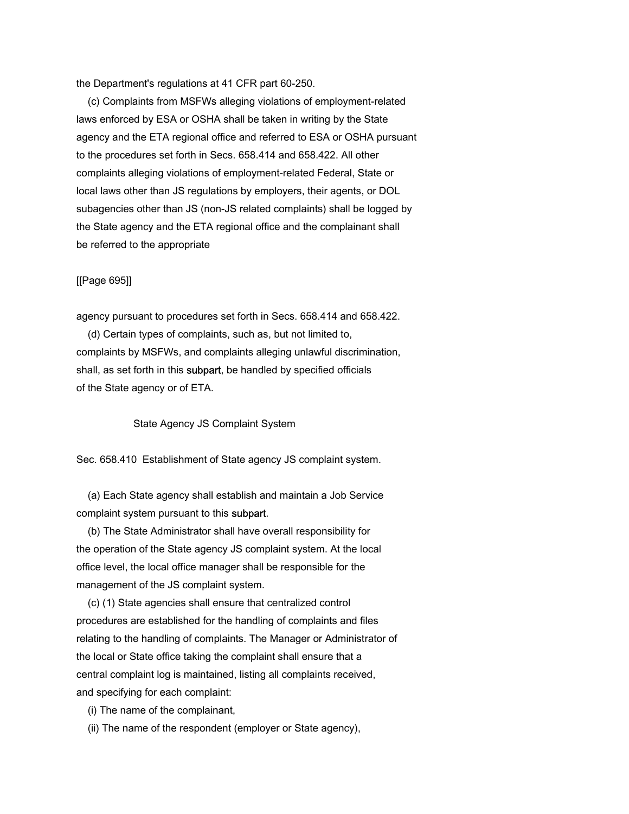the Department's regulations at 41 CFR part 60-250.

 (c) Complaints from MSFWs alleging violations of employment-related laws enforced by ESA or OSHA shall be taken in writing by the State agency and the ETA regional office and referred to ESA or OSHA pursuant to the procedures set forth in Secs. 658.414 and 658.422. All other complaints alleging violations of employment-related Federal, State or local laws other than JS regulations by employers, their agents, or DOL subagencies other than JS (non-JS related complaints) shall be logged by the State agency and the ETA regional office and the complainant shall be referred to the appropriate

### [[Page 695]]

agency pursuant to procedures set forth in Secs. 658.414 and 658.422.

 (d) Certain types of complaints, such as, but not limited to, complaints by MSFWs, and complaints alleging unlawful discrimination, shall, as set forth in this subpart, be handled by specified officials of the State agency or of ETA.

State Agency JS Complaint System

Sec. 658.410 Establishment of State agency JS complaint system.

 (a) Each State agency shall establish and maintain a Job Service complaint system pursuant to this subpart.

 (b) The State Administrator shall have overall responsibility for the operation of the State agency JS complaint system. At the local office level, the local office manager shall be responsible for the management of the JS complaint system.

 (c) (1) State agencies shall ensure that centralized control procedures are established for the handling of complaints and files relating to the handling of complaints. The Manager or Administrator of the local or State office taking the complaint shall ensure that a central complaint log is maintained, listing all complaints received, and specifying for each complaint:

(i) The name of the complainant,

(ii) The name of the respondent (employer or State agency),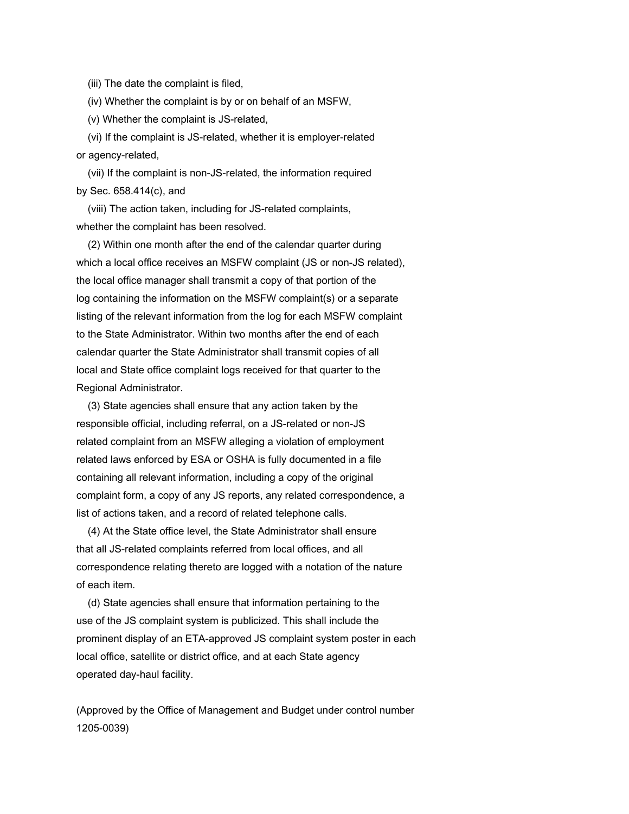(iii) The date the complaint is filed,

(iv) Whether the complaint is by or on behalf of an MSFW,

(v) Whether the complaint is JS-related,

 (vi) If the complaint is JS-related, whether it is employer-related or agency-related,

 (vii) If the complaint is non-JS-related, the information required by Sec. 658.414(c), and

 (viii) The action taken, including for JS-related complaints, whether the complaint has been resolved.

 (2) Within one month after the end of the calendar quarter during which a local office receives an MSFW complaint (JS or non-JS related), the local office manager shall transmit a copy of that portion of the log containing the information on the MSFW complaint(s) or a separate listing of the relevant information from the log for each MSFW complaint to the State Administrator. Within two months after the end of each calendar quarter the State Administrator shall transmit copies of all local and State office complaint logs received for that quarter to the Regional Administrator.

 (3) State agencies shall ensure that any action taken by the responsible official, including referral, on a JS-related or non-JS related complaint from an MSFW alleging a violation of employment related laws enforced by ESA or OSHA is fully documented in a file containing all relevant information, including a copy of the original complaint form, a copy of any JS reports, any related correspondence, a list of actions taken, and a record of related telephone calls.

 (4) At the State office level, the State Administrator shall ensure that all JS-related complaints referred from local offices, and all correspondence relating thereto are logged with a notation of the nature of each item.

 (d) State agencies shall ensure that information pertaining to the use of the JS complaint system is publicized. This shall include the prominent display of an ETA-approved JS complaint system poster in each local office, satellite or district office, and at each State agency operated day-haul facility.

(Approved by the Office of Management and Budget under control number 1205-0039)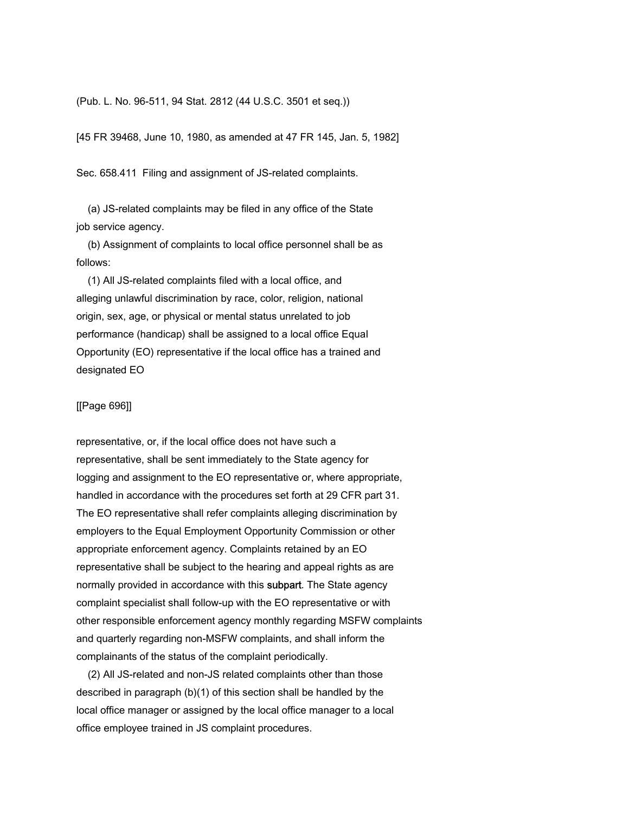#### (Pub. L. No. 96-511, 94 Stat. 2812 (44 U.S.C. 3501 et seq.))

[45 FR 39468, June 10, 1980, as amended at 47 FR 145, Jan. 5, 1982]

Sec. 658.411 Filing and assignment of JS-related complaints.

 (a) JS-related complaints may be filed in any office of the State job service agency.

 (b) Assignment of complaints to local office personnel shall be as follows:

 (1) All JS-related complaints filed with a local office, and alleging unlawful discrimination by race, color, religion, national origin, sex, age, or physical or mental status unrelated to job performance (handicap) shall be assigned to a local office Equal Opportunity (EO) representative if the local office has a trained and designated EO

## [[Page 696]]

representative, or, if the local office does not have such a representative, shall be sent immediately to the State agency for logging and assignment to the EO representative or, where appropriate, handled in accordance with the procedures set forth at 29 CFR part 31. The EO representative shall refer complaints alleging discrimination by employers to the Equal Employment Opportunity Commission or other appropriate enforcement agency. Complaints retained by an EO representative shall be subject to the hearing and appeal rights as are normally provided in accordance with this subpart. The State agency complaint specialist shall follow-up with the EO representative or with other responsible enforcement agency monthly regarding MSFW complaints and quarterly regarding non-MSFW complaints, and shall inform the complainants of the status of the complaint periodically.

 (2) All JS-related and non-JS related complaints other than those described in paragraph (b)(1) of this section shall be handled by the local office manager or assigned by the local office manager to a local office employee trained in JS complaint procedures.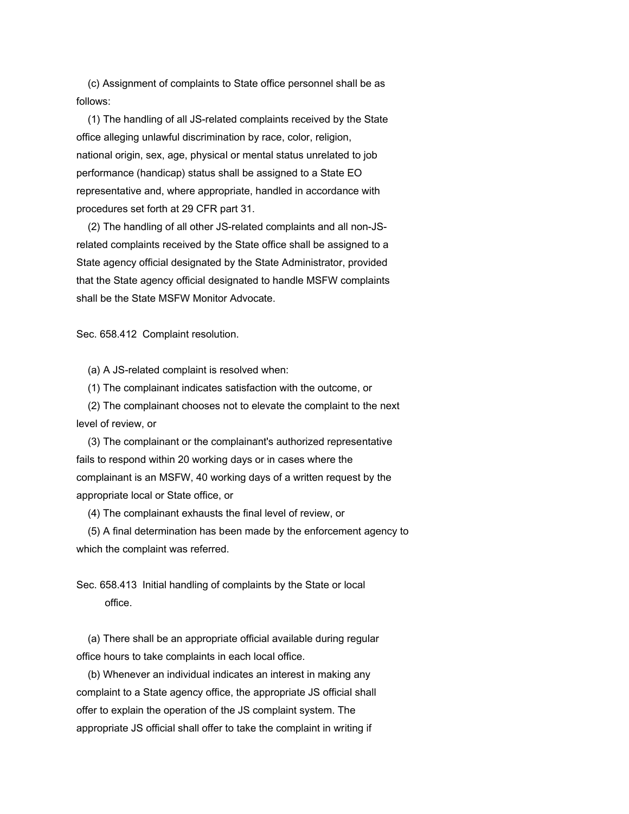(c) Assignment of complaints to State office personnel shall be as follows:

 (1) The handling of all JS-related complaints received by the State office alleging unlawful discrimination by race, color, religion, national origin, sex, age, physical or mental status unrelated to job performance (handicap) status shall be assigned to a State EO representative and, where appropriate, handled in accordance with procedures set forth at 29 CFR part 31.

 (2) The handling of all other JS-related complaints and all non-JSrelated complaints received by the State office shall be assigned to a State agency official designated by the State Administrator, provided that the State agency official designated to handle MSFW complaints shall be the State MSFW Monitor Advocate.

Sec. 658.412 Complaint resolution.

(a) A JS-related complaint is resolved when:

(1) The complainant indicates satisfaction with the outcome, or

 (2) The complainant chooses not to elevate the complaint to the next level of review, or

 (3) The complainant or the complainant's authorized representative fails to respond within 20 working days or in cases where the complainant is an MSFW, 40 working days of a written request by the appropriate local or State office, or

(4) The complainant exhausts the final level of review, or

 (5) A final determination has been made by the enforcement agency to which the complaint was referred.

Sec. 658.413 Initial handling of complaints by the State or local office.

 (a) There shall be an appropriate official available during regular office hours to take complaints in each local office.

 (b) Whenever an individual indicates an interest in making any complaint to a State agency office, the appropriate JS official shall offer to explain the operation of the JS complaint system. The appropriate JS official shall offer to take the complaint in writing if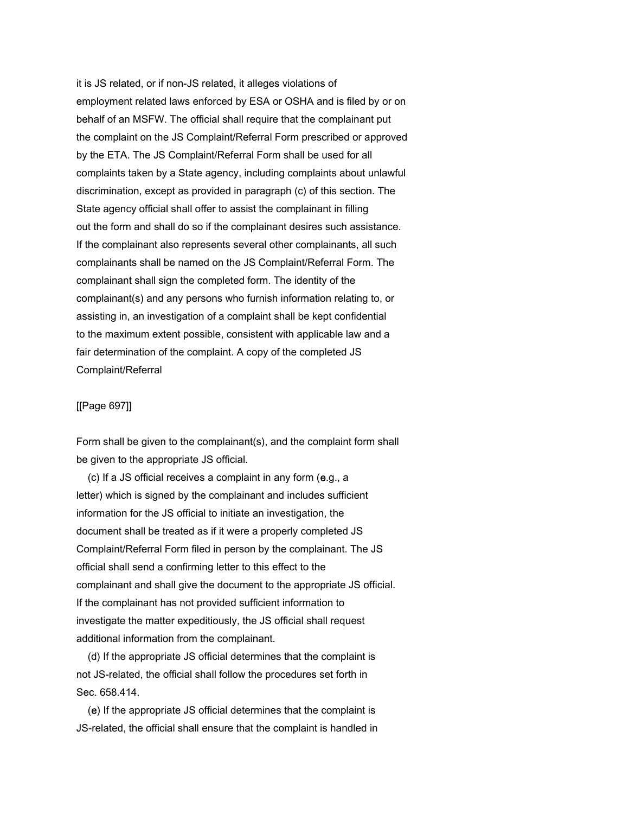it is JS related, or if non-JS related, it alleges violations of employment related laws enforced by ESA or OSHA and is filed by or on behalf of an MSFW. The official shall require that the complainant put the complaint on the JS Complaint/Referral Form prescribed or approved by the ETA. The JS Complaint/Referral Form shall be used for all complaints taken by a State agency, including complaints about unlawful discrimination, except as provided in paragraph (c) of this section. The State agency official shall offer to assist the complainant in filling out the form and shall do so if the complainant desires such assistance. If the complainant also represents several other complainants, all such complainants shall be named on the JS Complaint/Referral Form. The complainant shall sign the completed form. The identity of the complainant(s) and any persons who furnish information relating to, or assisting in, an investigation of a complaint shall be kept confidential to the maximum extent possible, consistent with applicable law and a fair determination of the complaint. A copy of the completed JS Complaint/Referral

## [[Page 697]]

Form shall be given to the complainant(s), and the complaint form shall be given to the appropriate JS official.

 (c) If a JS official receives a complaint in any form (e.g., a letter) which is signed by the complainant and includes sufficient information for the JS official to initiate an investigation, the document shall be treated as if it were a properly completed JS Complaint/Referral Form filed in person by the complainant. The JS official shall send a confirming letter to this effect to the complainant and shall give the document to the appropriate JS official. If the complainant has not provided sufficient information to investigate the matter expeditiously, the JS official shall request additional information from the complainant.

 (d) If the appropriate JS official determines that the complaint is not JS-related, the official shall follow the procedures set forth in Sec. 658.414.

 (e) If the appropriate JS official determines that the complaint is JS-related, the official shall ensure that the complaint is handled in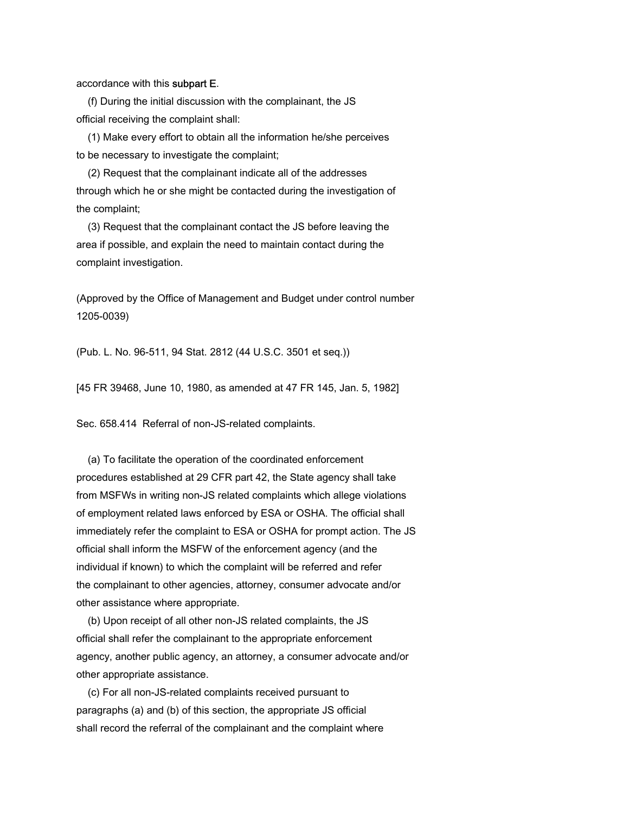### accordance with this subpart E.

 (f) During the initial discussion with the complainant, the JS official receiving the complaint shall:

 (1) Make every effort to obtain all the information he/she perceives to be necessary to investigate the complaint;

 (2) Request that the complainant indicate all of the addresses through which he or she might be contacted during the investigation of the complaint;

 (3) Request that the complainant contact the JS before leaving the area if possible, and explain the need to maintain contact during the complaint investigation.

(Approved by the Office of Management and Budget under control number 1205-0039)

(Pub. L. No. 96-511, 94 Stat. 2812 (44 U.S.C. 3501 et seq.))

[45 FR 39468, June 10, 1980, as amended at 47 FR 145, Jan. 5, 1982]

Sec. 658.414 Referral of non-JS-related complaints.

 (a) To facilitate the operation of the coordinated enforcement procedures established at 29 CFR part 42, the State agency shall take from MSFWs in writing non-JS related complaints which allege violations of employment related laws enforced by ESA or OSHA. The official shall immediately refer the complaint to ESA or OSHA for prompt action. The JS official shall inform the MSFW of the enforcement agency (and the individual if known) to which the complaint will be referred and refer the complainant to other agencies, attorney, consumer advocate and/or other assistance where appropriate.

 (b) Upon receipt of all other non-JS related complaints, the JS official shall refer the complainant to the appropriate enforcement agency, another public agency, an attorney, a consumer advocate and/or other appropriate assistance.

 (c) For all non-JS-related complaints received pursuant to paragraphs (a) and (b) of this section, the appropriate JS official shall record the referral of the complainant and the complaint where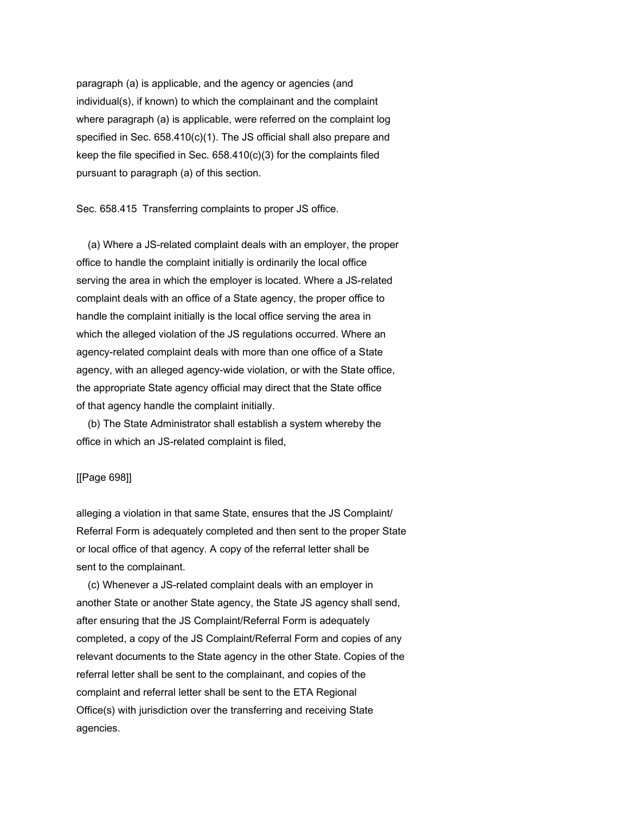paragraph (a) is applicable, and the agency or agencies (and individual(s), if known) to which the complainant and the complaint where paragraph (a) is applicable, were referred on the complaint log specified in Sec. 658.410(c)(1). The JS official shall also prepare and keep the file specified in Sec. 658.410(c)(3) for the complaints filed pursuant to paragraph (a) of this section.

Sec. 658.415 Transferring complaints to proper JS office.

 (a) Where a JS-related complaint deals with an employer, the proper office to handle the complaint initially is ordinarily the local office serving the area in which the employer is located. Where a JS-related complaint deals with an office of a State agency, the proper office to handle the complaint initially is the local office serving the area in which the alleged violation of the JS regulations occurred. Where an agency-related complaint deals with more than one office of a State agency, with an alleged agency-wide violation, or with the State office, the appropriate State agency official may direct that the State office of that agency handle the complaint initially.

 (b) The State Administrator shall establish a system whereby the office in which an JS-related complaint is filed,

#### [[Page 698]]

alleging a violation in that same State, ensures that the JS Complaint/ Referral Form is adequately completed and then sent to the proper State or local office of that agency. A copy of the referral letter shall be sent to the complainant.

 (c) Whenever a JS-related complaint deals with an employer in another State or another State agency, the State JS agency shall send, after ensuring that the JS Complaint/Referral Form is adequately completed, a copy of the JS Complaint/Referral Form and copies of any relevant documents to the State agency in the other State. Copies of the referral letter shall be sent to the complainant, and copies of the complaint and referral letter shall be sent to the ETA Regional Office(s) with jurisdiction over the transferring and receiving State agencies.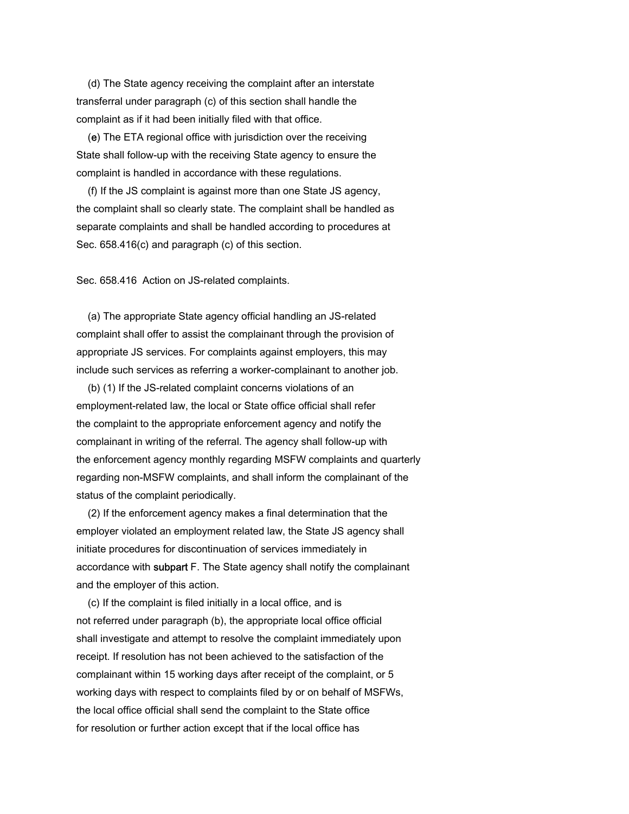(d) The State agency receiving the complaint after an interstate transferral under paragraph (c) of this section shall handle the complaint as if it had been initially filed with that office.

 (e) The ETA regional office with jurisdiction over the receiving State shall follow-up with the receiving State agency to ensure the complaint is handled in accordance with these regulations.

 (f) If the JS complaint is against more than one State JS agency, the complaint shall so clearly state. The complaint shall be handled as separate complaints and shall be handled according to procedures at Sec. 658.416(c) and paragraph (c) of this section.

Sec. 658.416 Action on JS-related complaints.

 (a) The appropriate State agency official handling an JS-related complaint shall offer to assist the complainant through the provision of appropriate JS services. For complaints against employers, this may include such services as referring a worker-complainant to another job.

 (b) (1) If the JS-related complaint concerns violations of an employment-related law, the local or State office official shall refer the complaint to the appropriate enforcement agency and notify the complainant in writing of the referral. The agency shall follow-up with the enforcement agency monthly regarding MSFW complaints and quarterly regarding non-MSFW complaints, and shall inform the complainant of the status of the complaint periodically.

 (2) If the enforcement agency makes a final determination that the employer violated an employment related law, the State JS agency shall initiate procedures for discontinuation of services immediately in accordance with subpart F. The State agency shall notify the complainant and the employer of this action.

 (c) If the complaint is filed initially in a local office, and is not referred under paragraph (b), the appropriate local office official shall investigate and attempt to resolve the complaint immediately upon receipt. If resolution has not been achieved to the satisfaction of the complainant within 15 working days after receipt of the complaint, or 5 working days with respect to complaints filed by or on behalf of MSFWs, the local office official shall send the complaint to the State office for resolution or further action except that if the local office has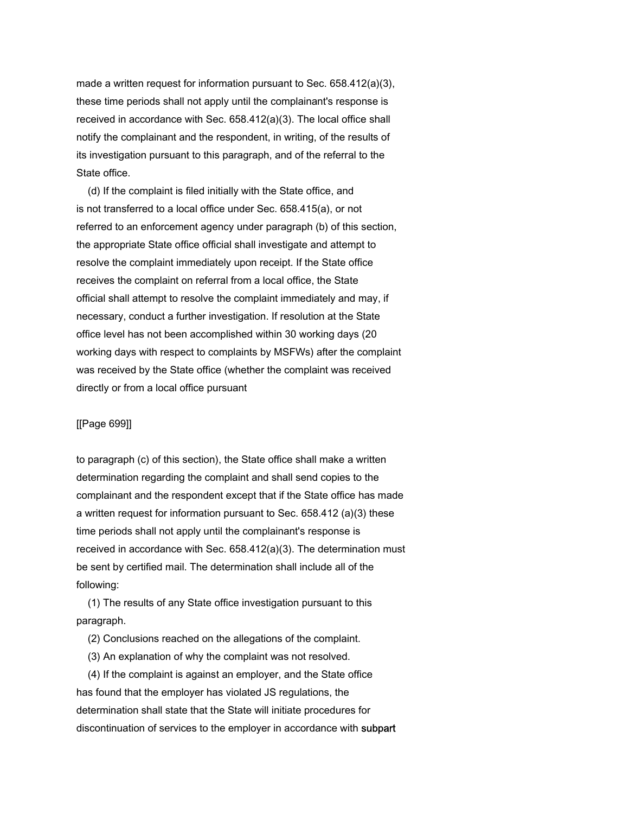made a written request for information pursuant to Sec. 658.412(a)(3), these time periods shall not apply until the complainant's response is received in accordance with Sec. 658.412(a)(3). The local office shall notify the complainant and the respondent, in writing, of the results of its investigation pursuant to this paragraph, and of the referral to the State office.

 (d) If the complaint is filed initially with the State office, and is not transferred to a local office under Sec. 658.415(a), or not referred to an enforcement agency under paragraph (b) of this section, the appropriate State office official shall investigate and attempt to resolve the complaint immediately upon receipt. If the State office receives the complaint on referral from a local office, the State official shall attempt to resolve the complaint immediately and may, if necessary, conduct a further investigation. If resolution at the State office level has not been accomplished within 30 working days (20 working days with respect to complaints by MSFWs) after the complaint was received by the State office (whether the complaint was received directly or from a local office pursuant

### [[Page 699]]

to paragraph (c) of this section), the State office shall make a written determination regarding the complaint and shall send copies to the complainant and the respondent except that if the State office has made a written request for information pursuant to Sec. 658.412 (a)(3) these time periods shall not apply until the complainant's response is received in accordance with Sec. 658.412(a)(3). The determination must be sent by certified mail. The determination shall include all of the following:

 (1) The results of any State office investigation pursuant to this paragraph.

(2) Conclusions reached on the allegations of the complaint.

(3) An explanation of why the complaint was not resolved.

 (4) If the complaint is against an employer, and the State office has found that the employer has violated JS regulations, the determination shall state that the State will initiate procedures for discontinuation of services to the employer in accordance with subpart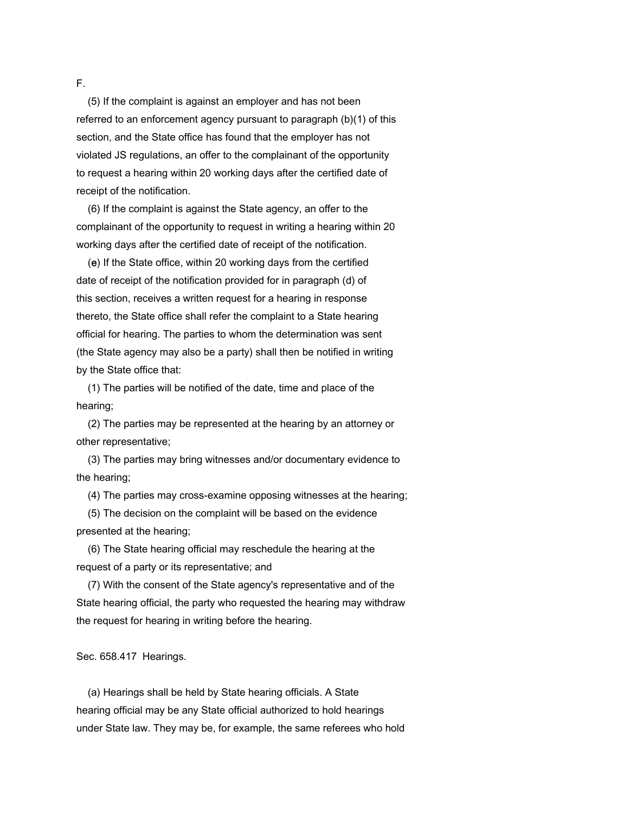(5) If the complaint is against an employer and has not been referred to an enforcement agency pursuant to paragraph (b)(1) of this section, and the State office has found that the employer has not violated JS regulations, an offer to the complainant of the opportunity to request a hearing within 20 working days after the certified date of receipt of the notification.

 (6) If the complaint is against the State agency, an offer to the complainant of the opportunity to request in writing a hearing within 20 working days after the certified date of receipt of the notification.

 (e) If the State office, within 20 working days from the certified date of receipt of the notification provided for in paragraph (d) of this section, receives a written request for a hearing in response thereto, the State office shall refer the complaint to a State hearing official for hearing. The parties to whom the determination was sent (the State agency may also be a party) shall then be notified in writing by the State office that:

 (1) The parties will be notified of the date, time and place of the hearing;

 (2) The parties may be represented at the hearing by an attorney or other representative;

 (3) The parties may bring witnesses and/or documentary evidence to the hearing;

(4) The parties may cross-examine opposing witnesses at the hearing;

 (5) The decision on the complaint will be based on the evidence presented at the hearing;

 (6) The State hearing official may reschedule the hearing at the request of a party or its representative; and

 (7) With the consent of the State agency's representative and of the State hearing official, the party who requested the hearing may withdraw the request for hearing in writing before the hearing.

Sec. 658.417 Hearings.

 (a) Hearings shall be held by State hearing officials. A State hearing official may be any State official authorized to hold hearings under State law. They may be, for example, the same referees who hold

F.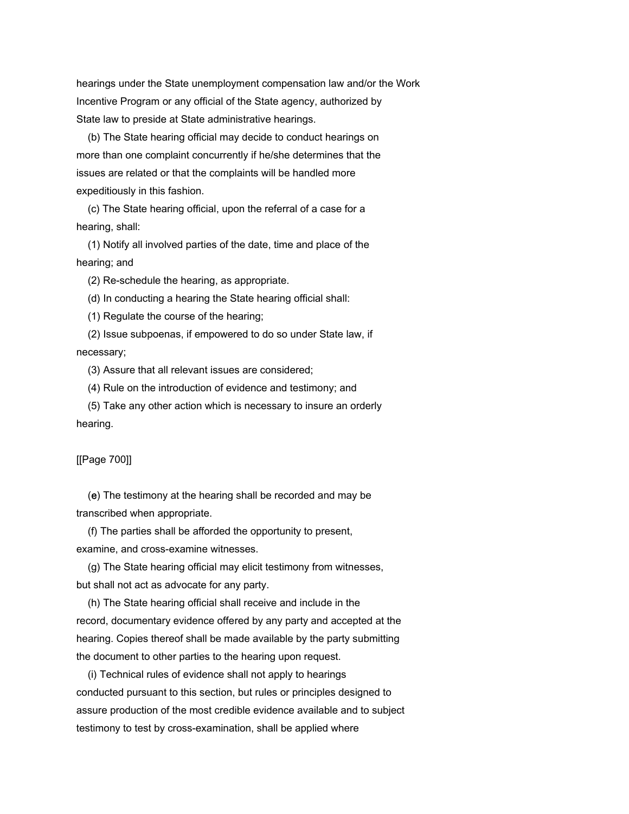hearings under the State unemployment compensation law and/or the Work Incentive Program or any official of the State agency, authorized by State law to preside at State administrative hearings.

 (b) The State hearing official may decide to conduct hearings on more than one complaint concurrently if he/she determines that the issues are related or that the complaints will be handled more expeditiously in this fashion.

 (c) The State hearing official, upon the referral of a case for a hearing, shall:

 (1) Notify all involved parties of the date, time and place of the hearing; and

(2) Re-schedule the hearing, as appropriate.

(d) In conducting a hearing the State hearing official shall:

(1) Regulate the course of the hearing;

 (2) Issue subpoenas, if empowered to do so under State law, if necessary;

(3) Assure that all relevant issues are considered;

(4) Rule on the introduction of evidence and testimony; and

 (5) Take any other action which is necessary to insure an orderly hearing.

[[Page 700]]

 (e) The testimony at the hearing shall be recorded and may be transcribed when appropriate.

 (f) The parties shall be afforded the opportunity to present, examine, and cross-examine witnesses.

 (g) The State hearing official may elicit testimony from witnesses, but shall not act as advocate for any party.

 (h) The State hearing official shall receive and include in the record, documentary evidence offered by any party and accepted at the hearing. Copies thereof shall be made available by the party submitting the document to other parties to the hearing upon request.

 (i) Technical rules of evidence shall not apply to hearings conducted pursuant to this section, but rules or principles designed to assure production of the most credible evidence available and to subject testimony to test by cross-examination, shall be applied where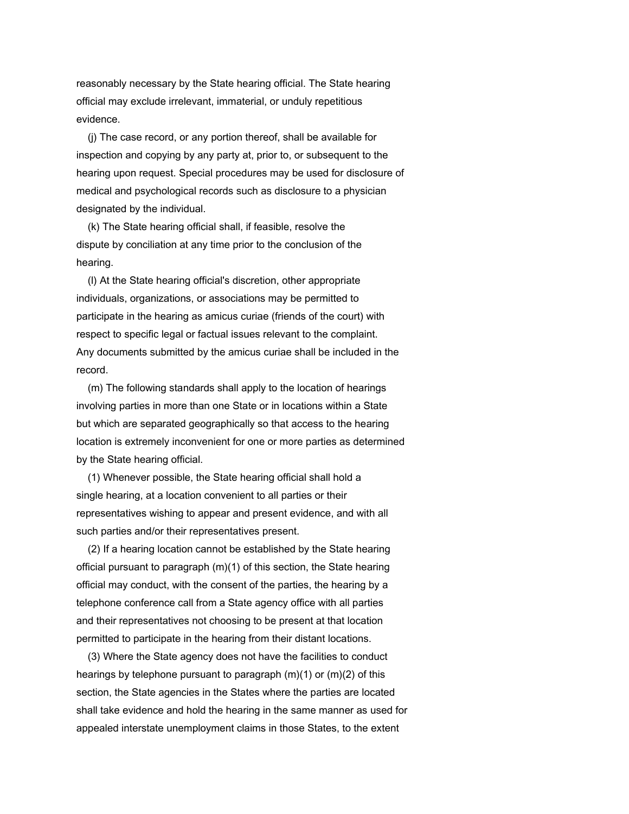reasonably necessary by the State hearing official. The State hearing official may exclude irrelevant, immaterial, or unduly repetitious evidence.

 (j) The case record, or any portion thereof, shall be available for inspection and copying by any party at, prior to, or subsequent to the hearing upon request. Special procedures may be used for disclosure of medical and psychological records such as disclosure to a physician designated by the individual.

 (k) The State hearing official shall, if feasible, resolve the dispute by conciliation at any time prior to the conclusion of the hearing.

 (l) At the State hearing official's discretion, other appropriate individuals, organizations, or associations may be permitted to participate in the hearing as amicus curiae (friends of the court) with respect to specific legal or factual issues relevant to the complaint. Any documents submitted by the amicus curiae shall be included in the record.

 (m) The following standards shall apply to the location of hearings involving parties in more than one State or in locations within a State but which are separated geographically so that access to the hearing location is extremely inconvenient for one or more parties as determined by the State hearing official.

 (1) Whenever possible, the State hearing official shall hold a single hearing, at a location convenient to all parties or their representatives wishing to appear and present evidence, and with all such parties and/or their representatives present.

 (2) If a hearing location cannot be established by the State hearing official pursuant to paragraph (m)(1) of this section, the State hearing official may conduct, with the consent of the parties, the hearing by a telephone conference call from a State agency office with all parties and their representatives not choosing to be present at that location permitted to participate in the hearing from their distant locations.

 (3) Where the State agency does not have the facilities to conduct hearings by telephone pursuant to paragraph (m)(1) or (m)(2) of this section, the State agencies in the States where the parties are located shall take evidence and hold the hearing in the same manner as used for appealed interstate unemployment claims in those States, to the extent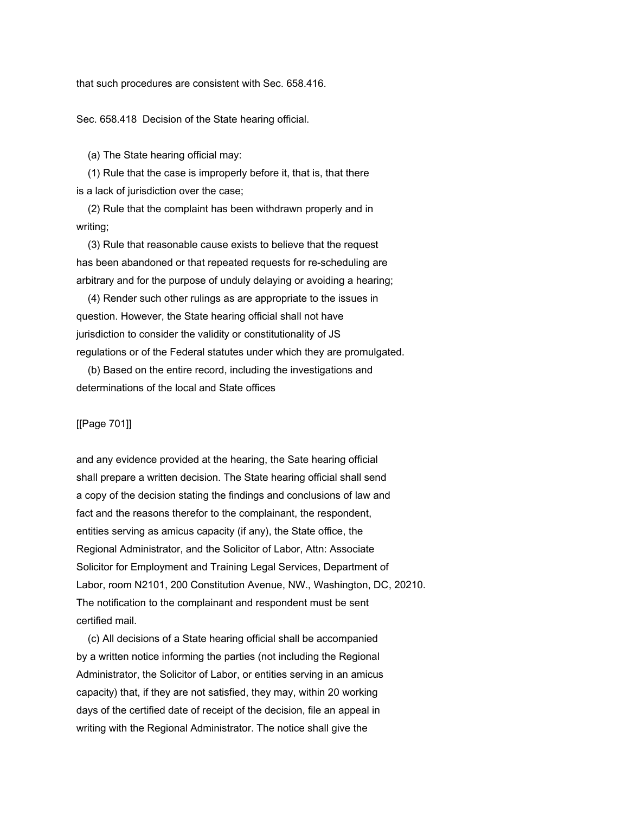that such procedures are consistent with Sec. 658.416.

Sec. 658.418 Decision of the State hearing official.

(a) The State hearing official may:

 (1) Rule that the case is improperly before it, that is, that there is a lack of jurisdiction over the case;

 (2) Rule that the complaint has been withdrawn properly and in writing;

 (3) Rule that reasonable cause exists to believe that the request has been abandoned or that repeated requests for re-scheduling are arbitrary and for the purpose of unduly delaying or avoiding a hearing;

 (4) Render such other rulings as are appropriate to the issues in question. However, the State hearing official shall not have jurisdiction to consider the validity or constitutionality of JS regulations or of the Federal statutes under which they are promulgated.

 (b) Based on the entire record, including the investigations and determinations of the local and State offices

# [[Page 701]]

and any evidence provided at the hearing, the Sate hearing official shall prepare a written decision. The State hearing official shall send a copy of the decision stating the findings and conclusions of law and fact and the reasons therefor to the complainant, the respondent, entities serving as amicus capacity (if any), the State office, the Regional Administrator, and the Solicitor of Labor, Attn: Associate Solicitor for Employment and Training Legal Services, Department of Labor, room N2101, 200 Constitution Avenue, NW., Washington, DC, 20210. The notification to the complainant and respondent must be sent certified mail.

 (c) All decisions of a State hearing official shall be accompanied by a written notice informing the parties (not including the Regional Administrator, the Solicitor of Labor, or entities serving in an amicus capacity) that, if they are not satisfied, they may, within 20 working days of the certified date of receipt of the decision, file an appeal in writing with the Regional Administrator. The notice shall give the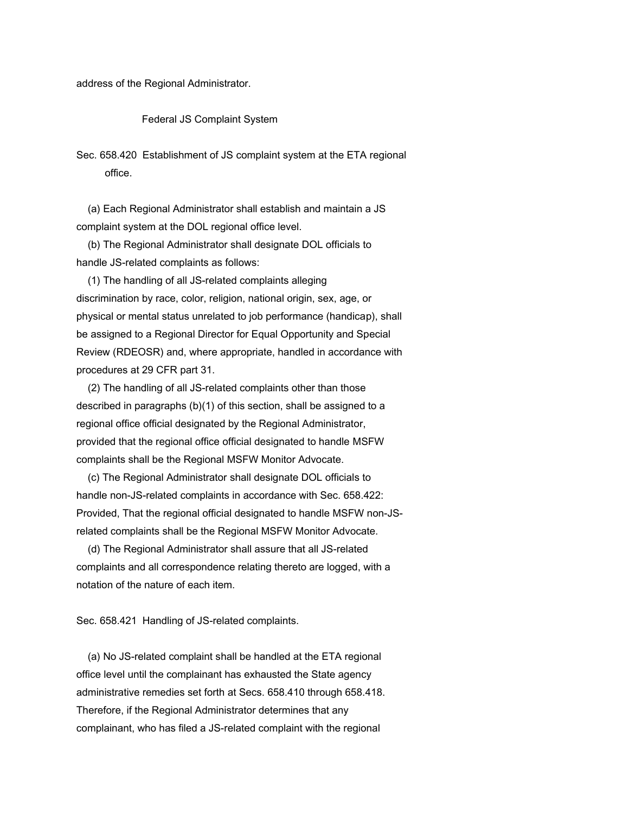address of the Regional Administrator.

### Federal JS Complaint System

Sec. 658.420 Establishment of JS complaint system at the ETA regional office.

 (a) Each Regional Administrator shall establish and maintain a JS complaint system at the DOL regional office level.

 (b) The Regional Administrator shall designate DOL officials to handle JS-related complaints as follows:

 (1) The handling of all JS-related complaints alleging discrimination by race, color, religion, national origin, sex, age, or physical or mental status unrelated to job performance (handicap), shall be assigned to a Regional Director for Equal Opportunity and Special Review (RDEOSR) and, where appropriate, handled in accordance with procedures at 29 CFR part 31.

 (2) The handling of all JS-related complaints other than those described in paragraphs (b)(1) of this section, shall be assigned to a regional office official designated by the Regional Administrator, provided that the regional office official designated to handle MSFW complaints shall be the Regional MSFW Monitor Advocate.

 (c) The Regional Administrator shall designate DOL officials to handle non-JS-related complaints in accordance with Sec. 658.422: Provided, That the regional official designated to handle MSFW non-JSrelated complaints shall be the Regional MSFW Monitor Advocate.

 (d) The Regional Administrator shall assure that all JS-related complaints and all correspondence relating thereto are logged, with a notation of the nature of each item.

Sec. 658.421 Handling of JS-related complaints.

 (a) No JS-related complaint shall be handled at the ETA regional office level until the complainant has exhausted the State agency administrative remedies set forth at Secs. 658.410 through 658.418. Therefore, if the Regional Administrator determines that any complainant, who has filed a JS-related complaint with the regional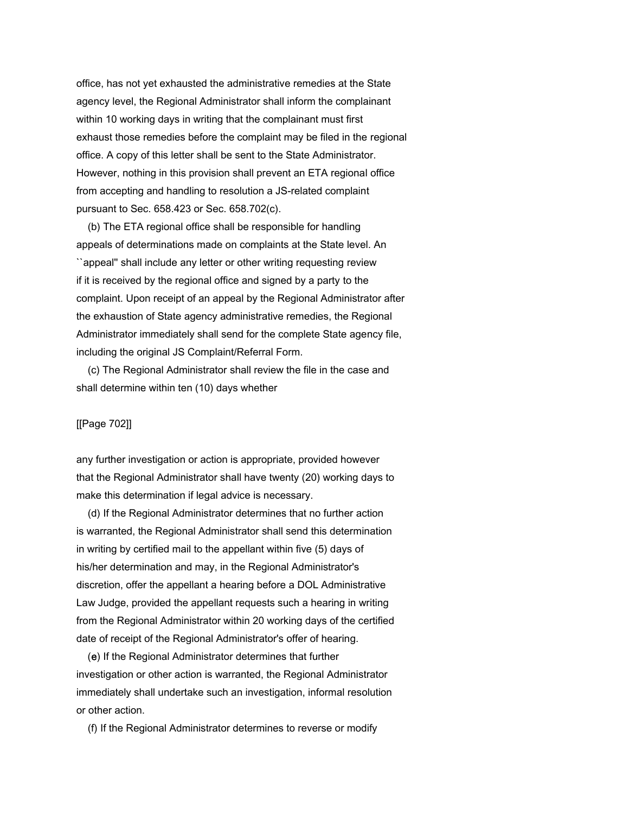office, has not yet exhausted the administrative remedies at the State agency level, the Regional Administrator shall inform the complainant within 10 working days in writing that the complainant must first exhaust those remedies before the complaint may be filed in the regional office. A copy of this letter shall be sent to the State Administrator. However, nothing in this provision shall prevent an ETA regional office from accepting and handling to resolution a JS-related complaint pursuant to Sec. 658.423 or Sec. 658.702(c).

 (b) The ETA regional office shall be responsible for handling appeals of determinations made on complaints at the State level. An ``appeal'' shall include any letter or other writing requesting review if it is received by the regional office and signed by a party to the complaint. Upon receipt of an appeal by the Regional Administrator after the exhaustion of State agency administrative remedies, the Regional Administrator immediately shall send for the complete State agency file, including the original JS Complaint/Referral Form.

 (c) The Regional Administrator shall review the file in the case and shall determine within ten (10) days whether

### [[Page 702]]

any further investigation or action is appropriate, provided however that the Regional Administrator shall have twenty (20) working days to make this determination if legal advice is necessary.

 (d) If the Regional Administrator determines that no further action is warranted, the Regional Administrator shall send this determination in writing by certified mail to the appellant within five (5) days of his/her determination and may, in the Regional Administrator's discretion, offer the appellant a hearing before a DOL Administrative Law Judge, provided the appellant requests such a hearing in writing from the Regional Administrator within 20 working days of the certified date of receipt of the Regional Administrator's offer of hearing.

 (e) If the Regional Administrator determines that further investigation or other action is warranted, the Regional Administrator immediately shall undertake such an investigation, informal resolution or other action.

(f) If the Regional Administrator determines to reverse or modify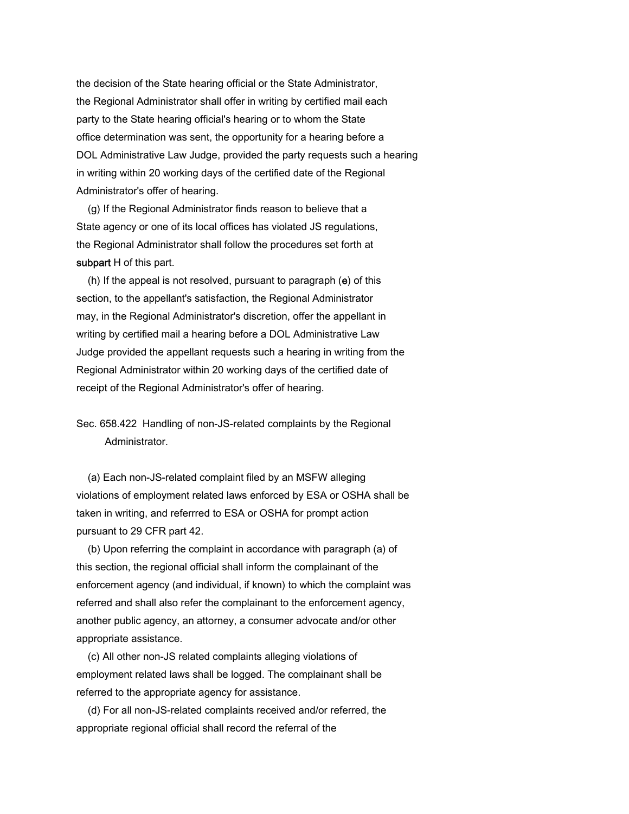the decision of the State hearing official or the State Administrator, the Regional Administrator shall offer in writing by certified mail each party to the State hearing official's hearing or to whom the State office determination was sent, the opportunity for a hearing before a DOL Administrative Law Judge, provided the party requests such a hearing in writing within 20 working days of the certified date of the Regional Administrator's offer of hearing.

 (g) If the Regional Administrator finds reason to believe that a State agency or one of its local offices has violated JS regulations, the Regional Administrator shall follow the procedures set forth at subpart H of this part.

 (h) If the appeal is not resolved, pursuant to paragraph (e) of this section, to the appellant's satisfaction, the Regional Administrator may, in the Regional Administrator's discretion, offer the appellant in writing by certified mail a hearing before a DOL Administrative Law Judge provided the appellant requests such a hearing in writing from the Regional Administrator within 20 working days of the certified date of receipt of the Regional Administrator's offer of hearing.

Sec. 658.422 Handling of non-JS-related complaints by the Regional Administrator.

 (a) Each non-JS-related complaint filed by an MSFW alleging violations of employment related laws enforced by ESA or OSHA shall be taken in writing, and referrred to ESA or OSHA for prompt action pursuant to 29 CFR part 42.

 (b) Upon referring the complaint in accordance with paragraph (a) of this section, the regional official shall inform the complainant of the enforcement agency (and individual, if known) to which the complaint was referred and shall also refer the complainant to the enforcement agency, another public agency, an attorney, a consumer advocate and/or other appropriate assistance.

 (c) All other non-JS related complaints alleging violations of employment related laws shall be logged. The complainant shall be referred to the appropriate agency for assistance.

 (d) For all non-JS-related complaints received and/or referred, the appropriate regional official shall record the referral of the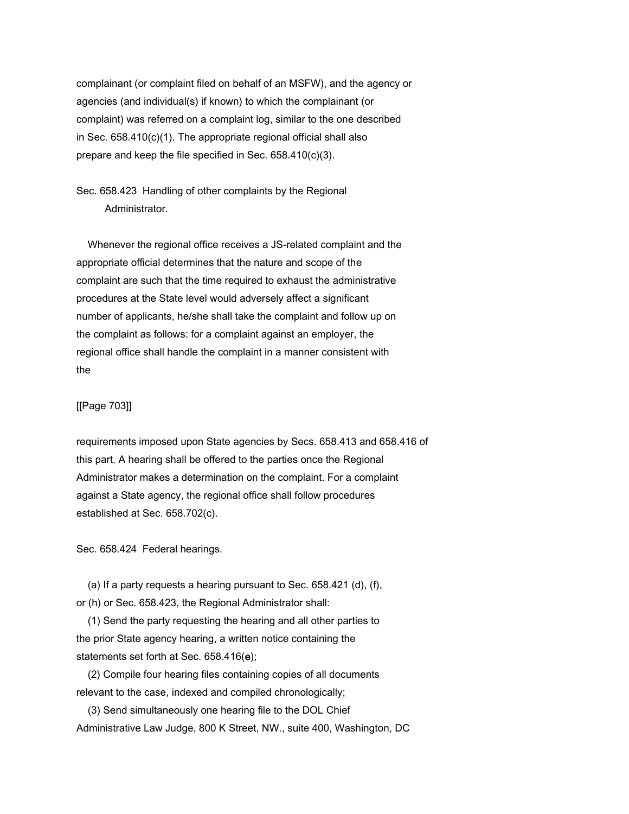complainant (or complaint filed on behalf of an MSFW), and the agency or agencies (and individual(s) if known) to which the complainant (or complaint) was referred on a complaint log, similar to the one described in Sec. 658.410(c)(1). The appropriate regional official shall also prepare and keep the file specified in Sec. 658.410(c)(3).

Sec. 658.423 Handling of other complaints by the Regional Administrator.

 Whenever the regional office receives a JS-related complaint and the appropriate official determines that the nature and scope of the complaint are such that the time required to exhaust the administrative procedures at the State level would adversely affect a significant number of applicants, he/she shall take the complaint and follow up on the complaint as follows: for a complaint against an employer, the regional office shall handle the complaint in a manner consistent with the

## [[Page 703]]

requirements imposed upon State agencies by Secs. 658.413 and 658.416 of this part. A hearing shall be offered to the parties once the Regional Administrator makes a determination on the complaint. For a complaint against a State agency, the regional office shall follow procedures established at Sec. 658.702(c).

Sec. 658.424 Federal hearings.

 (a) If a party requests a hearing pursuant to Sec. 658.421 (d), (f), or (h) or Sec. 658.423, the Regional Administrator shall:

 (1) Send the party requesting the hearing and all other parties to the prior State agency hearing, a written notice containing the statements set forth at Sec. 658.416(e);

 (2) Compile four hearing files containing copies of all documents relevant to the case, indexed and compiled chronologically;

 (3) Send simultaneously one hearing file to the DOL Chief Administrative Law Judge, 800 K Street, NW., suite 400, Washington, DC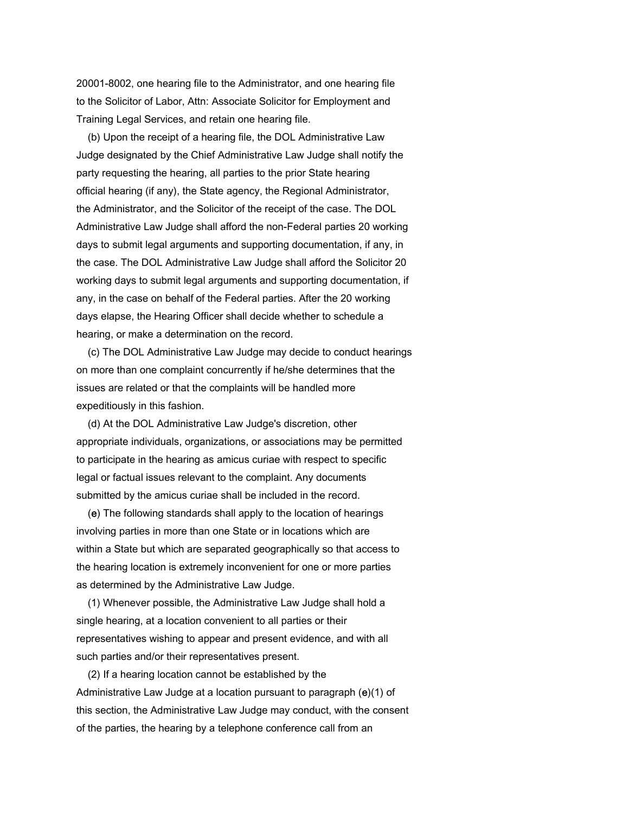20001-8002, one hearing file to the Administrator, and one hearing file to the Solicitor of Labor, Attn: Associate Solicitor for Employment and Training Legal Services, and retain one hearing file.

 (b) Upon the receipt of a hearing file, the DOL Administrative Law Judge designated by the Chief Administrative Law Judge shall notify the party requesting the hearing, all parties to the prior State hearing official hearing (if any), the State agency, the Regional Administrator, the Administrator, and the Solicitor of the receipt of the case. The DOL Administrative Law Judge shall afford the non-Federal parties 20 working days to submit legal arguments and supporting documentation, if any, in the case. The DOL Administrative Law Judge shall afford the Solicitor 20 working days to submit legal arguments and supporting documentation, if any, in the case on behalf of the Federal parties. After the 20 working days elapse, the Hearing Officer shall decide whether to schedule a hearing, or make a determination on the record.

 (c) The DOL Administrative Law Judge may decide to conduct hearings on more than one complaint concurrently if he/she determines that the issues are related or that the complaints will be handled more expeditiously in this fashion.

 (d) At the DOL Administrative Law Judge's discretion, other appropriate individuals, organizations, or associations may be permitted to participate in the hearing as amicus curiae with respect to specific legal or factual issues relevant to the complaint. Any documents submitted by the amicus curiae shall be included in the record.

 (e) The following standards shall apply to the location of hearings involving parties in more than one State or in locations which are within a State but which are separated geographically so that access to the hearing location is extremely inconvenient for one or more parties as determined by the Administrative Law Judge.

 (1) Whenever possible, the Administrative Law Judge shall hold a single hearing, at a location convenient to all parties or their representatives wishing to appear and present evidence, and with all such parties and/or their representatives present.

 (2) If a hearing location cannot be established by the Administrative Law Judge at a location pursuant to paragraph (e)(1) of this section, the Administrative Law Judge may conduct, with the consent of the parties, the hearing by a telephone conference call from an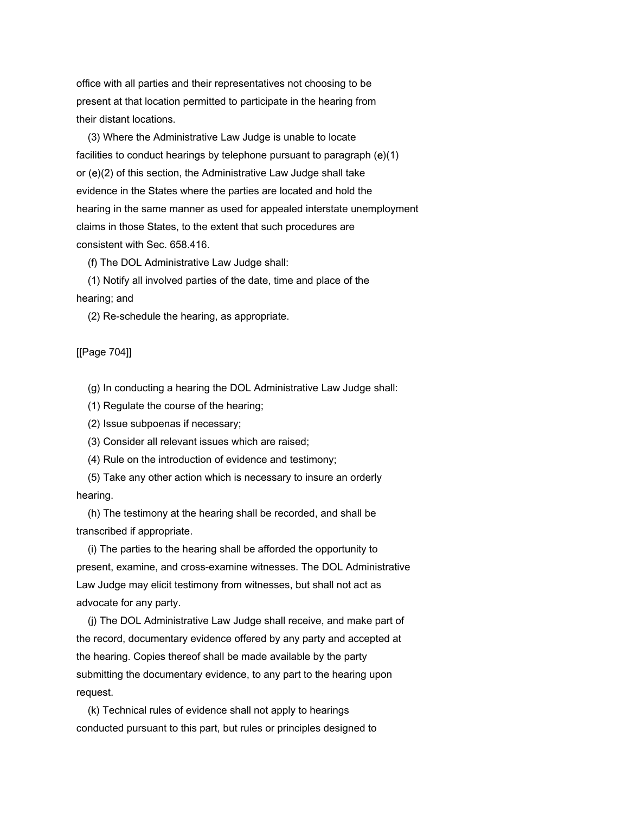office with all parties and their representatives not choosing to be present at that location permitted to participate in the hearing from their distant locations.

 (3) Where the Administrative Law Judge is unable to locate facilities to conduct hearings by telephone pursuant to paragraph (e)(1) or (e)(2) of this section, the Administrative Law Judge shall take evidence in the States where the parties are located and hold the hearing in the same manner as used for appealed interstate unemployment claims in those States, to the extent that such procedures are consistent with Sec. 658.416.

(f) The DOL Administrative Law Judge shall:

 (1) Notify all involved parties of the date, time and place of the hearing; and

(2) Re-schedule the hearing, as appropriate.

[[Page 704]]

(g) In conducting a hearing the DOL Administrative Law Judge shall:

(1) Regulate the course of the hearing;

(2) Issue subpoenas if necessary;

(3) Consider all relevant issues which are raised;

(4) Rule on the introduction of evidence and testimony;

 (5) Take any other action which is necessary to insure an orderly hearing.

 (h) The testimony at the hearing shall be recorded, and shall be transcribed if appropriate.

 (i) The parties to the hearing shall be afforded the opportunity to present, examine, and cross-examine witnesses. The DOL Administrative Law Judge may elicit testimony from witnesses, but shall not act as advocate for any party.

 (j) The DOL Administrative Law Judge shall receive, and make part of the record, documentary evidence offered by any party and accepted at the hearing. Copies thereof shall be made available by the party submitting the documentary evidence, to any part to the hearing upon request.

 (k) Technical rules of evidence shall not apply to hearings conducted pursuant to this part, but rules or principles designed to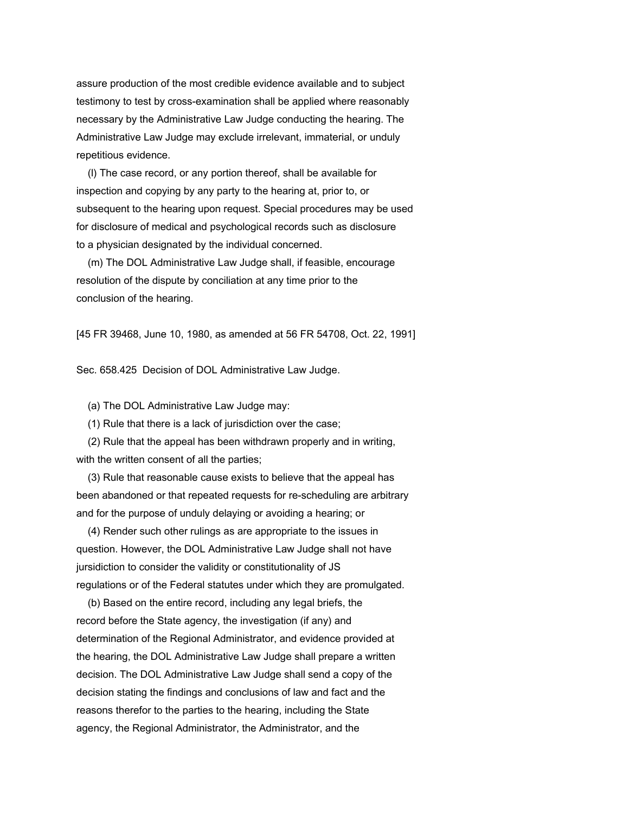assure production of the most credible evidence available and to subject testimony to test by cross-examination shall be applied where reasonably necessary by the Administrative Law Judge conducting the hearing. The Administrative Law Judge may exclude irrelevant, immaterial, or unduly repetitious evidence.

 (l) The case record, or any portion thereof, shall be available for inspection and copying by any party to the hearing at, prior to, or subsequent to the hearing upon request. Special procedures may be used for disclosure of medical and psychological records such as disclosure to a physician designated by the individual concerned.

 (m) The DOL Administrative Law Judge shall, if feasible, encourage resolution of the dispute by conciliation at any time prior to the conclusion of the hearing.

[45 FR 39468, June 10, 1980, as amended at 56 FR 54708, Oct. 22, 1991]

Sec. 658.425 Decision of DOL Administrative Law Judge.

(a) The DOL Administrative Law Judge may:

(1) Rule that there is a lack of jurisdiction over the case;

 (2) Rule that the appeal has been withdrawn properly and in writing, with the written consent of all the parties;

 (3) Rule that reasonable cause exists to believe that the appeal has been abandoned or that repeated requests for re-scheduling are arbitrary and for the purpose of unduly delaying or avoiding a hearing; or

 (4) Render such other rulings as are appropriate to the issues in question. However, the DOL Administrative Law Judge shall not have jursidiction to consider the validity or constitutionality of JS regulations or of the Federal statutes under which they are promulgated.

 (b) Based on the entire record, including any legal briefs, the record before the State agency, the investigation (if any) and determination of the Regional Administrator, and evidence provided at the hearing, the DOL Administrative Law Judge shall prepare a written decision. The DOL Administrative Law Judge shall send a copy of the decision stating the findings and conclusions of law and fact and the reasons therefor to the parties to the hearing, including the State agency, the Regional Administrator, the Administrator, and the